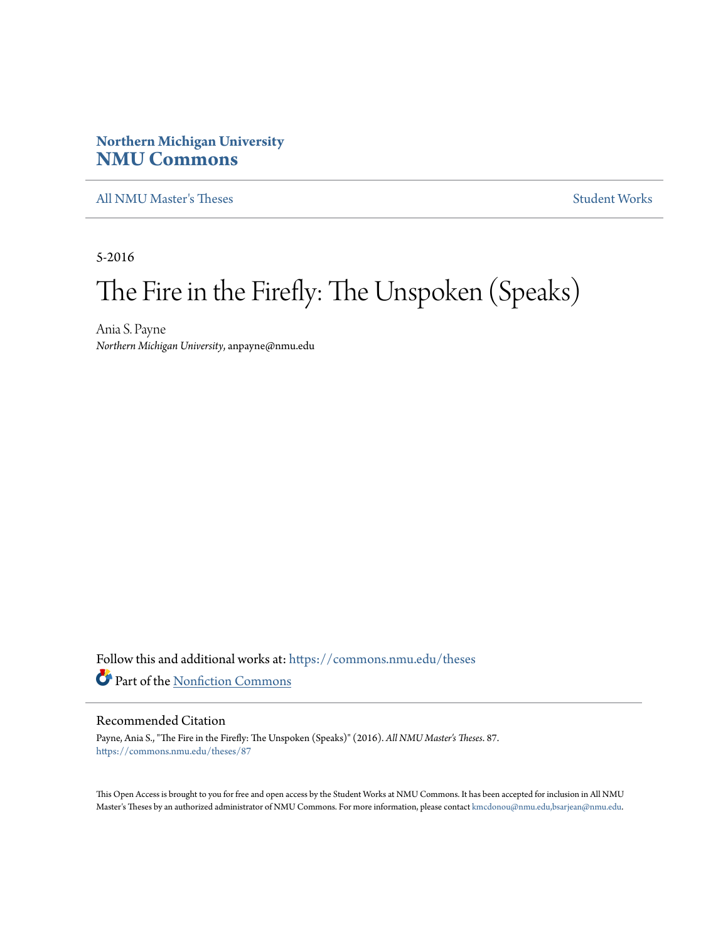# **Northern Michigan University [NMU Commons](https://commons.nmu.edu?utm_source=commons.nmu.edu%2Ftheses%2F87&utm_medium=PDF&utm_campaign=PDFCoverPages)**

[All NMU Master's Theses](https://commons.nmu.edu/theses?utm_source=commons.nmu.edu%2Ftheses%2F87&utm_medium=PDF&utm_campaign=PDFCoverPages) [Student Works](https://commons.nmu.edu/student_works?utm_source=commons.nmu.edu%2Ftheses%2F87&utm_medium=PDF&utm_campaign=PDFCoverPages)

5-2016

# The Fire in the Firefly: The Unspoken (Speaks)

Ania S. Payne *Northern Michigan University*, anpayne@nmu.edu

Follow this and additional works at: [https://commons.nmu.edu/theses](https://commons.nmu.edu/theses?utm_source=commons.nmu.edu%2Ftheses%2F87&utm_medium=PDF&utm_campaign=PDFCoverPages) Part of the [Nonfiction Commons](http://network.bepress.com/hgg/discipline/1152?utm_source=commons.nmu.edu%2Ftheses%2F87&utm_medium=PDF&utm_campaign=PDFCoverPages)

#### Recommended Citation

Payne, Ania S., "The Fire in the Firefly: The Unspoken (Speaks)" (2016). *All NMU Master's Theses*. 87. [https://commons.nmu.edu/theses/87](https://commons.nmu.edu/theses/87?utm_source=commons.nmu.edu%2Ftheses%2F87&utm_medium=PDF&utm_campaign=PDFCoverPages)

This Open Access is brought to you for free and open access by the Student Works at NMU Commons. It has been accepted for inclusion in All NMU Master's Theses by an authorized administrator of NMU Commons. For more information, please contact [kmcdonou@nmu.edu,bsarjean@nmu.edu.](mailto:kmcdonou@nmu.edu,bsarjean@nmu.edu)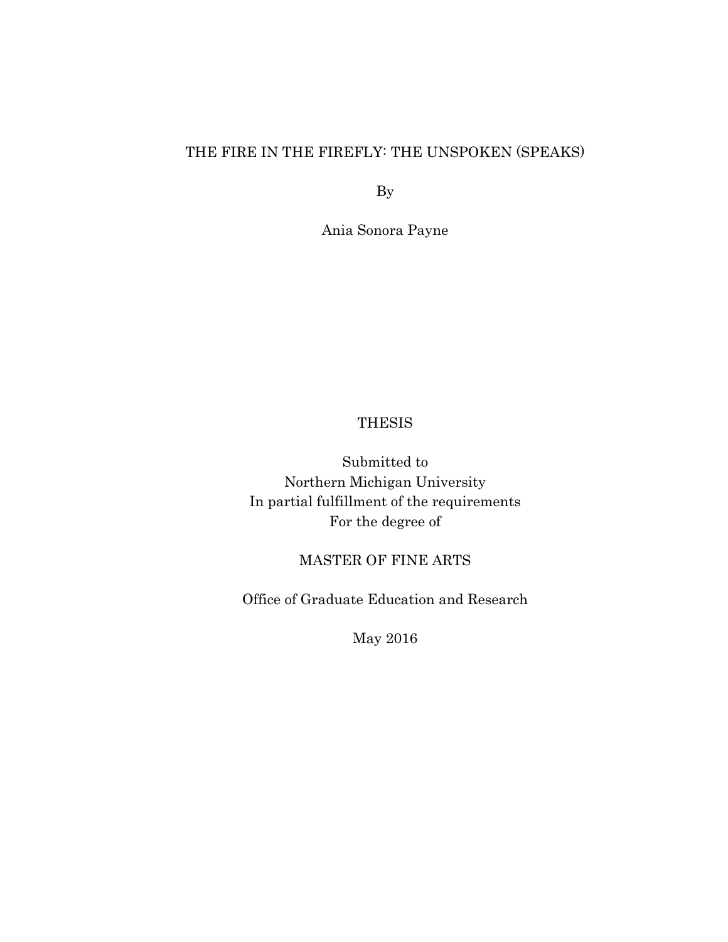# THE FIRE IN THE FIREFLY: THE UNSPOKEN (SPEAKS)

By

Ania Sonora Payne

## **THESIS**

Submitted to Northern Michigan University In partial fulfillment of the requirements For the degree of

# MASTER OF FINE ARTS

Office of Graduate Education and Research

May 2016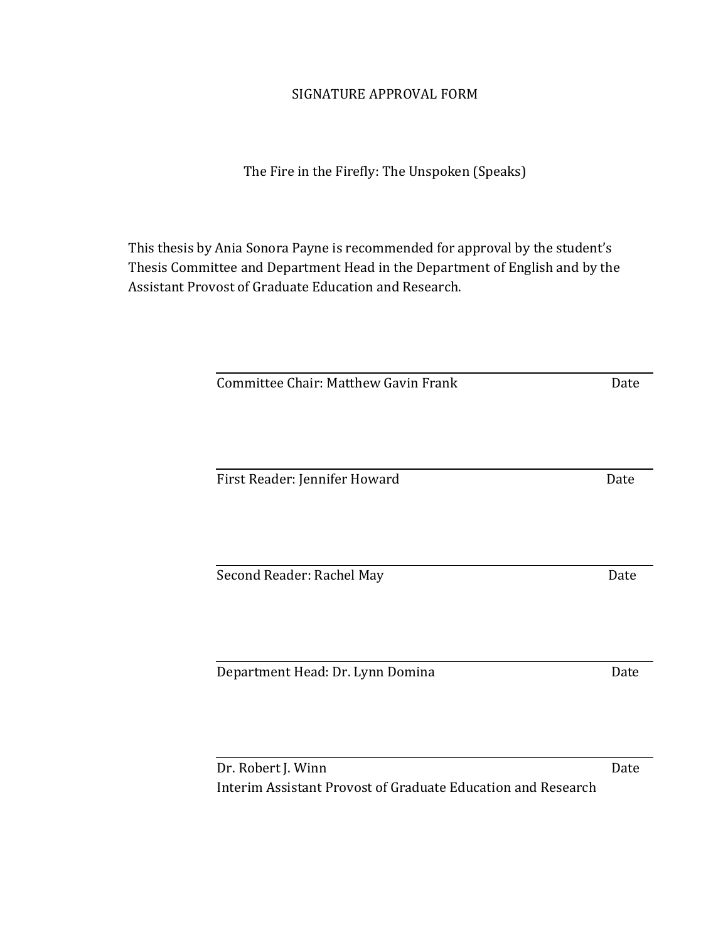# SIGNATURE APPROVAL FORM

The Fire in the Firefly: The Unspoken (Speaks)

This thesis by Ania Sonora Payne is recommended for approval by the student's Thesis Committee and Department Head in the Department of English and by the Assistant Provost of Graduate Education and Research.

| Committee Chair: Matthew Gavin Frank | Date |
|--------------------------------------|------|
|                                      |      |
|                                      |      |
|                                      |      |
|                                      |      |
| Second Reader: Rachel May            | Date |
|                                      |      |
|                                      |      |
| Department Head: Dr. Lynn Domina     | Date |

Dr. Robert J. Winn Date Interim Assistant Provost of Graduate Education and Research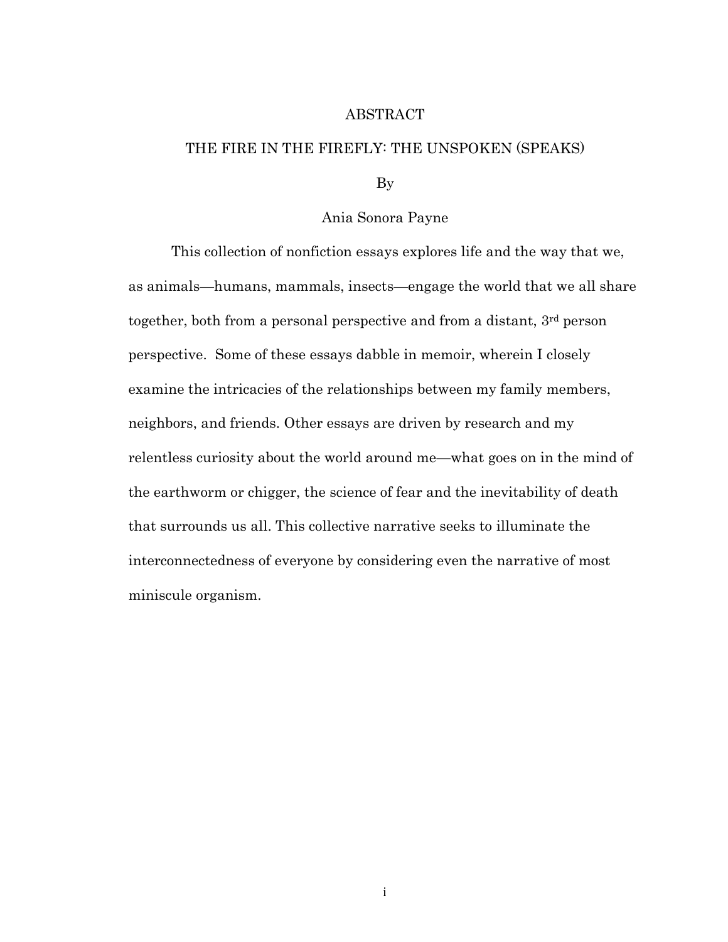### ABSTRACT

#### THE FIRE IN THE FIREFLY: THE UNSPOKEN (SPEAKS)

By

## Ania Sonora Payne

This collection of nonfiction essays explores life and the way that we, as animals—humans, mammals, insects—engage the world that we all share together, both from a personal perspective and from a distant, 3rd person perspective. Some of these essays dabble in memoir, wherein I closely examine the intricacies of the relationships between my family members, neighbors, and friends. Other essays are driven by research and my relentless curiosity about the world around me—what goes on in the mind of the earthworm or chigger, the science of fear and the inevitability of death that surrounds us all. This collective narrative seeks to illuminate the interconnectedness of everyone by considering even the narrative of most miniscule organism.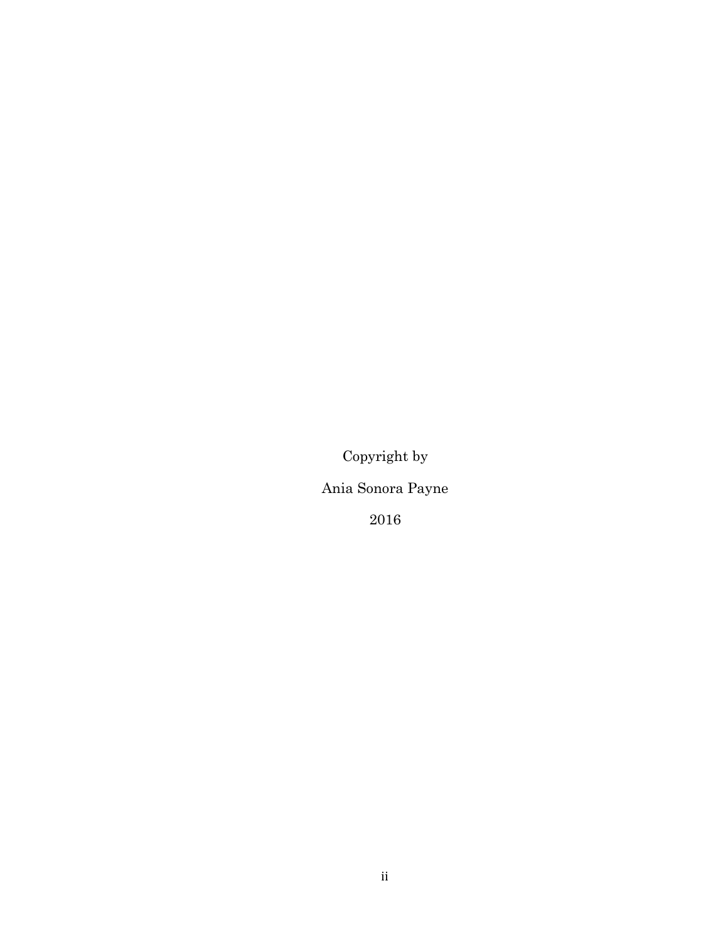Copyright by

Ania Sonora Payne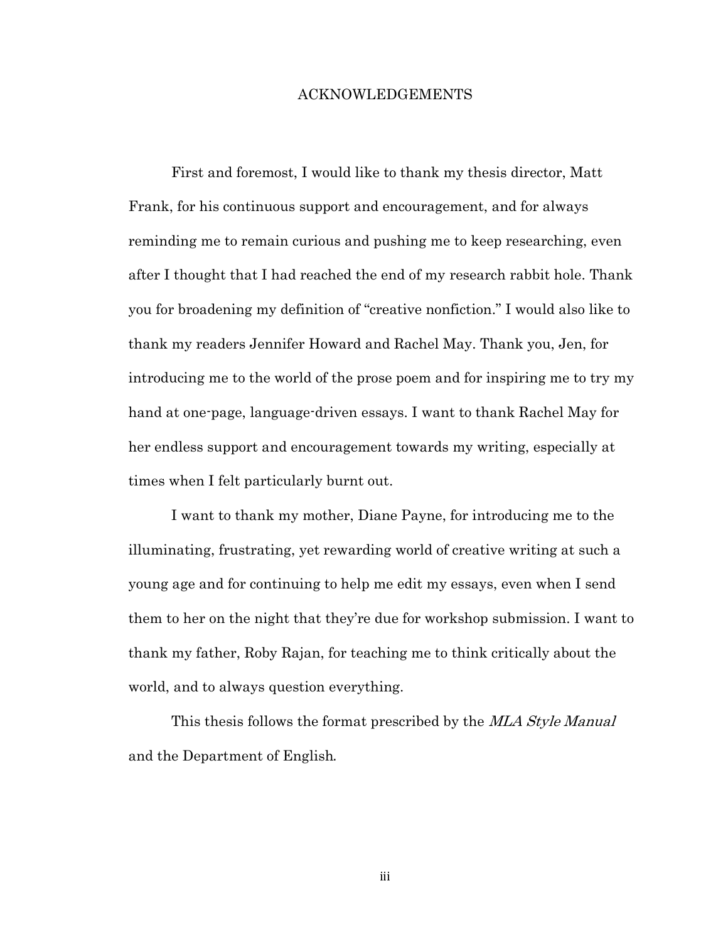#### ACKNOWLEDGEMENTS

First and foremost, I would like to thank my thesis director, Matt Frank, for his continuous support and encouragement, and for always reminding me to remain curious and pushing me to keep researching, even after I thought that I had reached the end of my research rabbit hole. Thank you for broadening my definition of "creative nonfiction." I would also like to thank my readers Jennifer Howard and Rachel May. Thank you, Jen, for introducing me to the world of the prose poem and for inspiring me to try my hand at one-page, language-driven essays. I want to thank Rachel May for her endless support and encouragement towards my writing, especially at times when I felt particularly burnt out.

I want to thank my mother, Diane Payne, for introducing me to the illuminating, frustrating, yet rewarding world of creative writing at such a young age and for continuing to help me edit my essays, even when I send them to her on the night that they're due for workshop submission. I want to thank my father, Roby Rajan, for teaching me to think critically about the world, and to always question everything.

This thesis follows the format prescribed by the MLA Style Manual and the Department of English.

iii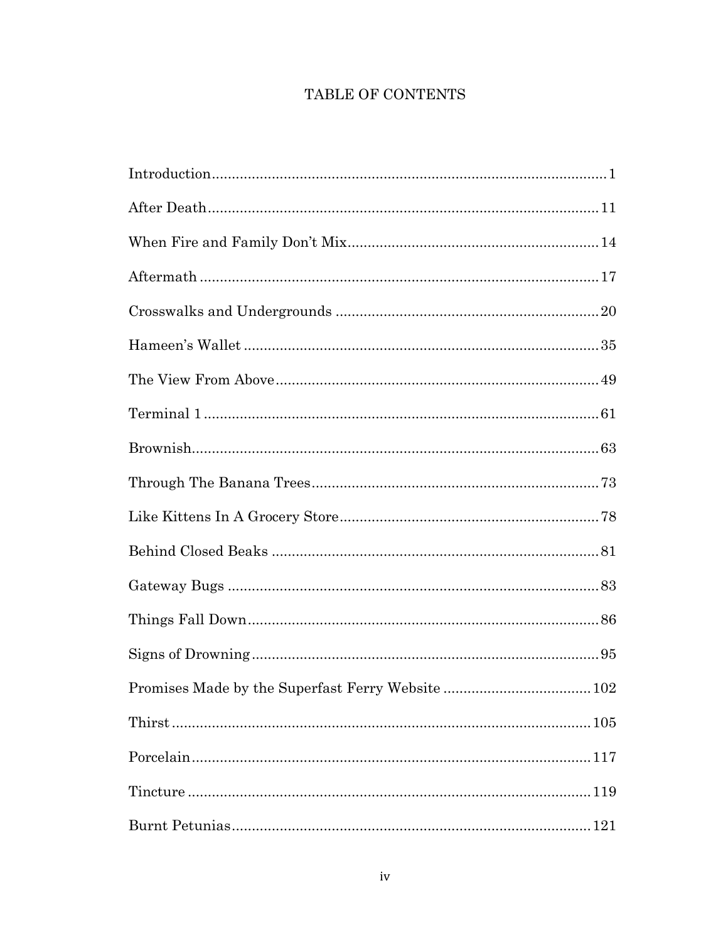# TABLE OF CONTENTS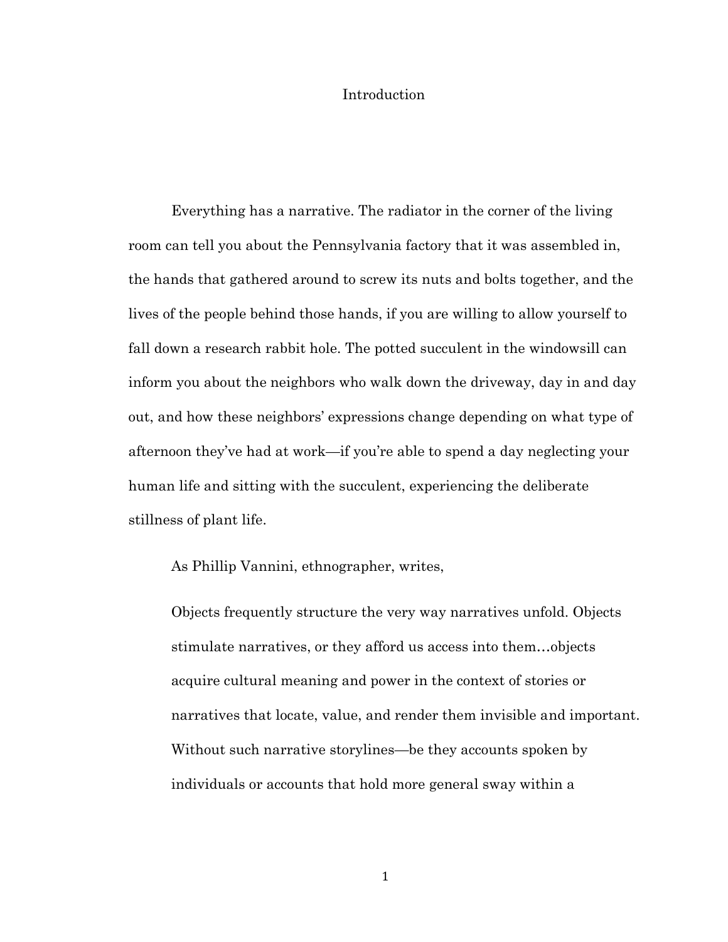## Introduction

Everything has a narrative. The radiator in the corner of the living room can tell you about the Pennsylvania factory that it was assembled in, the hands that gathered around to screw its nuts and bolts together, and the lives of the people behind those hands, if you are willing to allow yourself to fall down a research rabbit hole. The potted succulent in the windowsill can inform you about the neighbors who walk down the driveway, day in and day out, and how these neighbors' expressions change depending on what type of afternoon they've had at work—if you're able to spend a day neglecting your human life and sitting with the succulent, experiencing the deliberate stillness of plant life.

As Phillip Vannini, ethnographer, writes,

Objects frequently structure the very way narratives unfold. Objects stimulate narratives, or they afford us access into them…objects acquire cultural meaning and power in the context of stories or narratives that locate, value, and render them invisible and important. Without such narrative storylines—be they accounts spoken by individuals or accounts that hold more general sway within a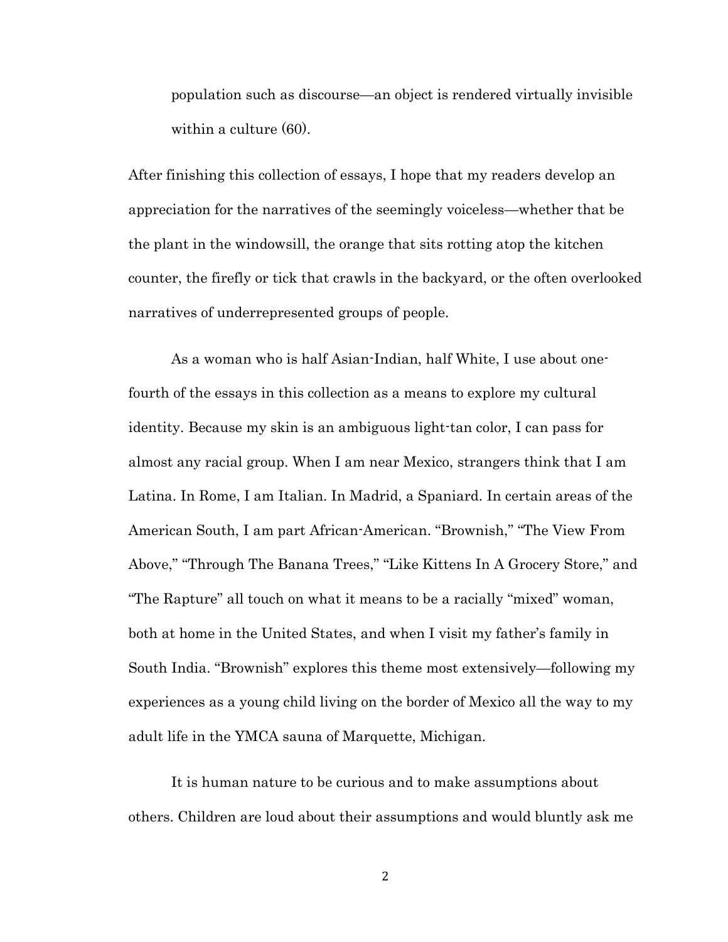population such as discourse—an object is rendered virtually invisible within a culture (60).

After finishing this collection of essays, I hope that my readers develop an appreciation for the narratives of the seemingly voiceless—whether that be the plant in the windowsill, the orange that sits rotting atop the kitchen counter, the firefly or tick that crawls in the backyard, or the often overlooked narratives of underrepresented groups of people.

As a woman who is half Asian-Indian, half White, I use about onefourth of the essays in this collection as a means to explore my cultural identity. Because my skin is an ambiguous light-tan color, I can pass for almost any racial group. When I am near Mexico, strangers think that I am Latina. In Rome, I am Italian. In Madrid, a Spaniard. In certain areas of the American South, I am part African-American. "Brownish," "The View From Above," "Through The Banana Trees," "Like Kittens In A Grocery Store," and "The Rapture" all touch on what it means to be a racially "mixed" woman, both at home in the United States, and when I visit my father's family in South India. "Brownish" explores this theme most extensively—following my experiences as a young child living on the border of Mexico all the way to my adult life in the YMCA sauna of Marquette, Michigan.

It is human nature to be curious and to make assumptions about others. Children are loud about their assumptions and would bluntly ask me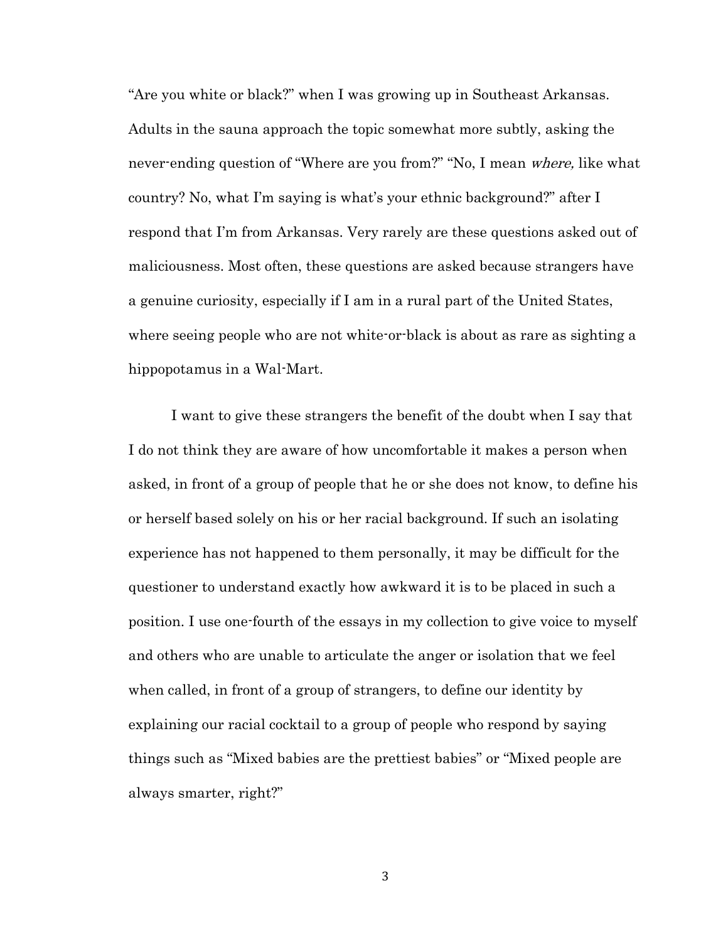"Are you white or black?" when I was growing up in Southeast Arkansas. Adults in the sauna approach the topic somewhat more subtly, asking the never-ending question of "Where are you from?" "No, I mean *where*, like what country? No, what I'm saying is what's your ethnic background?" after I respond that I'm from Arkansas. Very rarely are these questions asked out of maliciousness. Most often, these questions are asked because strangers have a genuine curiosity, especially if I am in a rural part of the United States, where seeing people who are not white-or-black is about as rare as sighting a hippopotamus in a Wal-Mart.

I want to give these strangers the benefit of the doubt when I say that I do not think they are aware of how uncomfortable it makes a person when asked, in front of a group of people that he or she does not know, to define his or herself based solely on his or her racial background. If such an isolating experience has not happened to them personally, it may be difficult for the questioner to understand exactly how awkward it is to be placed in such a position. I use one-fourth of the essays in my collection to give voice to myself and others who are unable to articulate the anger or isolation that we feel when called, in front of a group of strangers, to define our identity by explaining our racial cocktail to a group of people who respond by saying things such as "Mixed babies are the prettiest babies" or "Mixed people are always smarter, right?"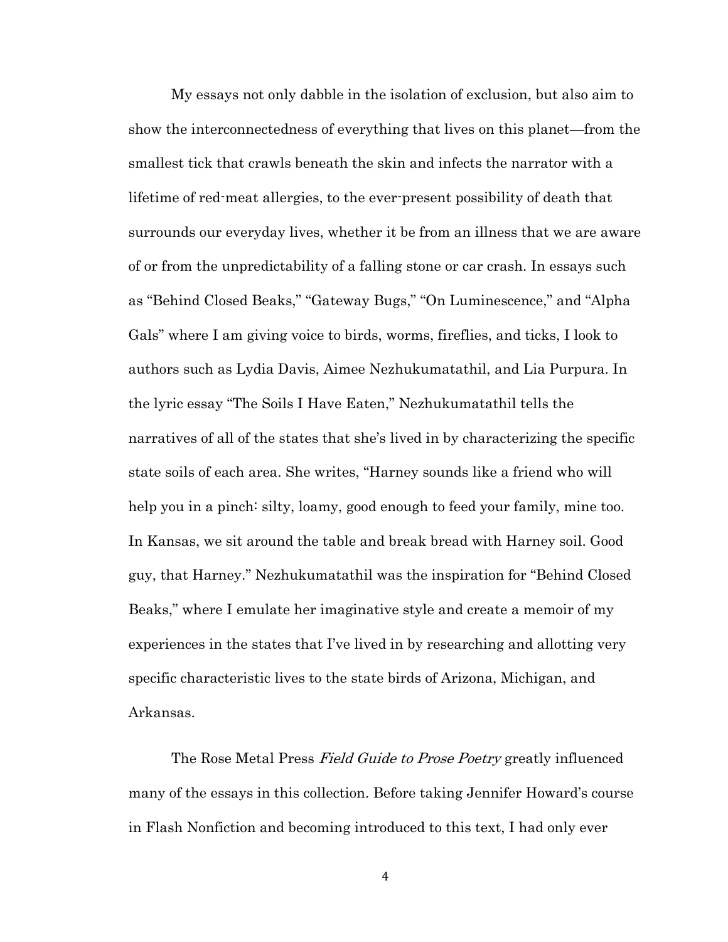My essays not only dabble in the isolation of exclusion, but also aim to show the interconnectedness of everything that lives on this planet—from the smallest tick that crawls beneath the skin and infects the narrator with a lifetime of red-meat allergies, to the ever-present possibility of death that surrounds our everyday lives, whether it be from an illness that we are aware of or from the unpredictability of a falling stone or car crash. In essays such as "Behind Closed Beaks," "Gateway Bugs," "On Luminescence," and "Alpha Gals" where I am giving voice to birds, worms, fireflies, and ticks, I look to authors such as Lydia Davis, Aimee Nezhukumatathil, and Lia Purpura. In the lyric essay "The Soils I Have Eaten," Nezhukumatathil tells the narratives of all of the states that she's lived in by characterizing the specific state soils of each area. She writes, "Harney sounds like a friend who will help you in a pinch: silty, loamy, good enough to feed your family, mine too. In Kansas, we sit around the table and break bread with Harney soil. Good guy, that Harney." Nezhukumatathil was the inspiration for "Behind Closed Beaks," where I emulate her imaginative style and create a memoir of my experiences in the states that I've lived in by researching and allotting very specific characteristic lives to the state birds of Arizona, Michigan, and Arkansas.

The Rose Metal Press Field Guide to Prose Poetry greatly influenced many of the essays in this collection. Before taking Jennifer Howard's course in Flash Nonfiction and becoming introduced to this text, I had only ever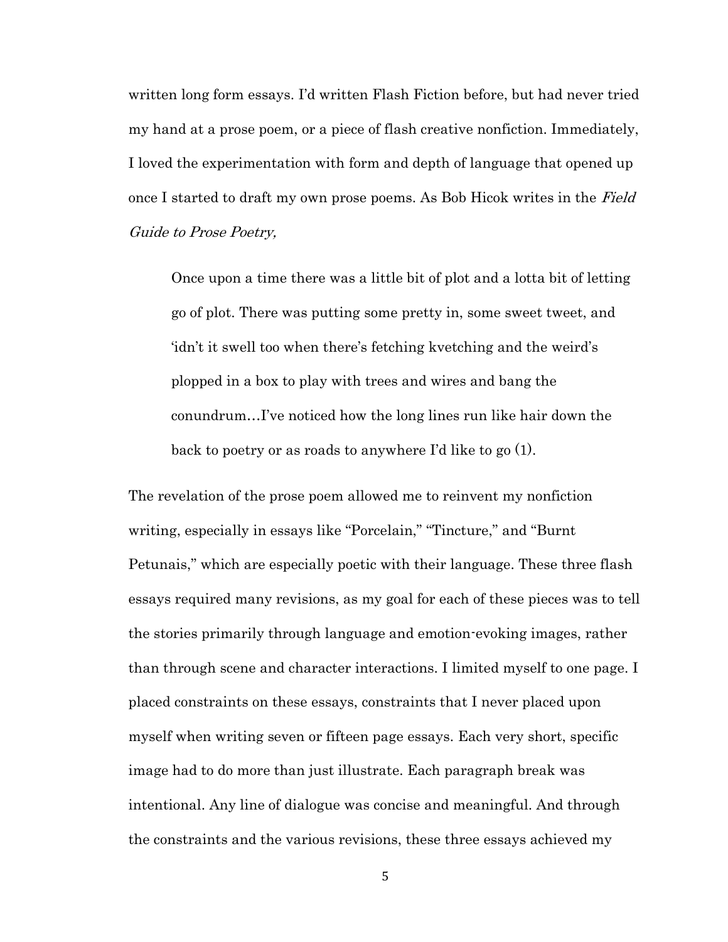written long form essays. I'd written Flash Fiction before, but had never tried my hand at a prose poem, or a piece of flash creative nonfiction. Immediately, I loved the experimentation with form and depth of language that opened up once I started to draft my own prose poems. As Bob Hicok writes in the Field Guide to Prose Poetry,

Once upon a time there was a little bit of plot and a lotta bit of letting go of plot. There was putting some pretty in, some sweet tweet, and 'idn't it swell too when there's fetching kvetching and the weird's plopped in a box to play with trees and wires and bang the conundrum…I've noticed how the long lines run like hair down the back to poetry or as roads to anywhere I'd like to go (1).

The revelation of the prose poem allowed me to reinvent my nonfiction writing, especially in essays like "Porcelain," "Tincture," and "Burnt Petunais," which are especially poetic with their language. These three flash essays required many revisions, as my goal for each of these pieces was to tell the stories primarily through language and emotion-evoking images, rather than through scene and character interactions. I limited myself to one page. I placed constraints on these essays, constraints that I never placed upon myself when writing seven or fifteen page essays. Each very short, specific image had to do more than just illustrate. Each paragraph break was intentional. Any line of dialogue was concise and meaningful. And through the constraints and the various revisions, these three essays achieved my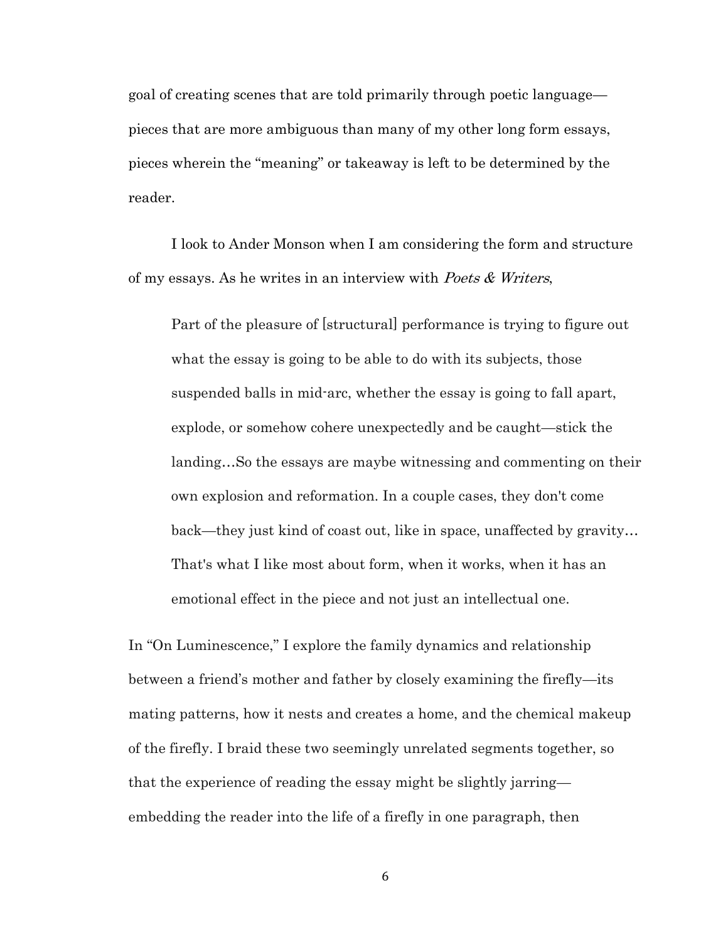goal of creating scenes that are told primarily through poetic language pieces that are more ambiguous than many of my other long form essays, pieces wherein the "meaning" or takeaway is left to be determined by the reader.

I look to Ander Monson when I am considering the form and structure of my essays. As he writes in an interview with Poets  $& Writers$ ,

Part of the pleasure of [structural] performance is trying to figure out what the essay is going to be able to do with its subjects, those suspended balls in mid-arc, whether the essay is going to fall apart, explode, or somehow cohere unexpectedly and be caught—stick the landing…So the essays are maybe witnessing and commenting on their own explosion and reformation. In a couple cases, they don't come back—they just kind of coast out, like in space, unaffected by gravity… That's what I like most about form, when it works, when it has an emotional effect in the piece and not just an intellectual one.

In "On Luminescence," I explore the family dynamics and relationship between a friend's mother and father by closely examining the firefly—its mating patterns, how it nests and creates a home, and the chemical makeup of the firefly. I braid these two seemingly unrelated segments together, so that the experience of reading the essay might be slightly jarring embedding the reader into the life of a firefly in one paragraph, then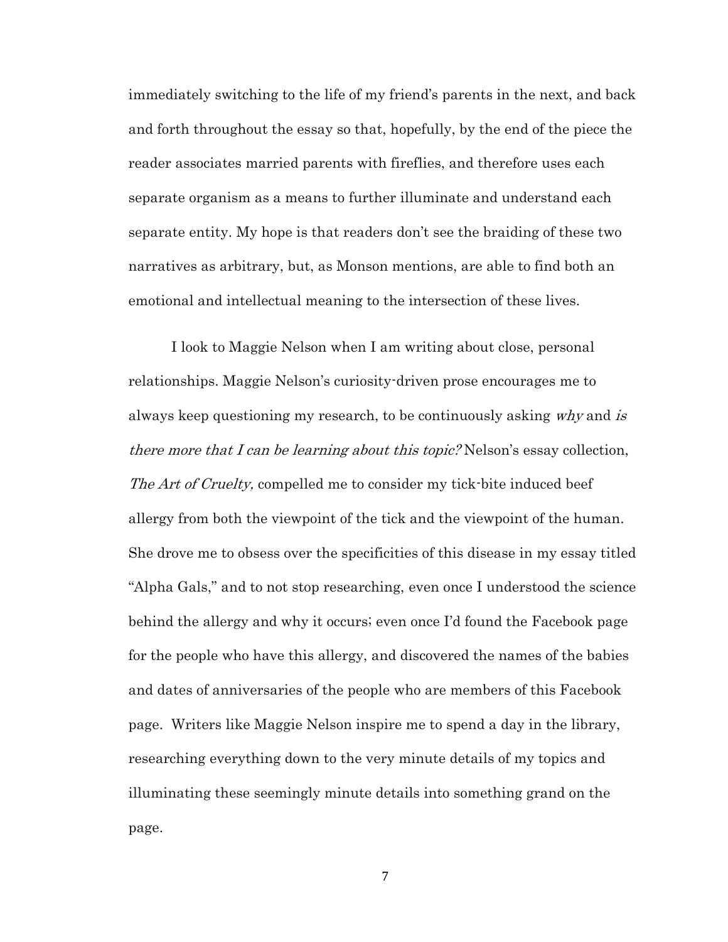immediately switching to the life of my friend's parents in the next, and back and forth throughout the essay so that, hopefully, by the end of the piece the reader associates married parents with fireflies, and therefore uses each separate organism as a means to further illuminate and understand each separate entity. My hope is that readers don't see the braiding of these two narratives as arbitrary, but, as Monson mentions, are able to find both an emotional and intellectual meaning to the intersection of these lives.

I look to Maggie Nelson when I am writing about close, personal relationships. Maggie Nelson's curiosity-driven prose encourages me to always keep questioning my research, to be continuously asking why and is there more that I can be learning about this topic? Nelson's essay collection, The Art of Cruelty, compelled me to consider my tick-bite induced beef allergy from both the viewpoint of the tick and the viewpoint of the human. She drove me to obsess over the specificities of this disease in my essay titled "Alpha Gals," and to not stop researching, even once I understood the science behind the allergy and why it occurs; even once I'd found the Facebook page for the people who have this allergy, and discovered the names of the babies and dates of anniversaries of the people who are members of this Facebook page. Writers like Maggie Nelson inspire me to spend a day in the library, researching everything down to the very minute details of my topics and illuminating these seemingly minute details into something grand on the page.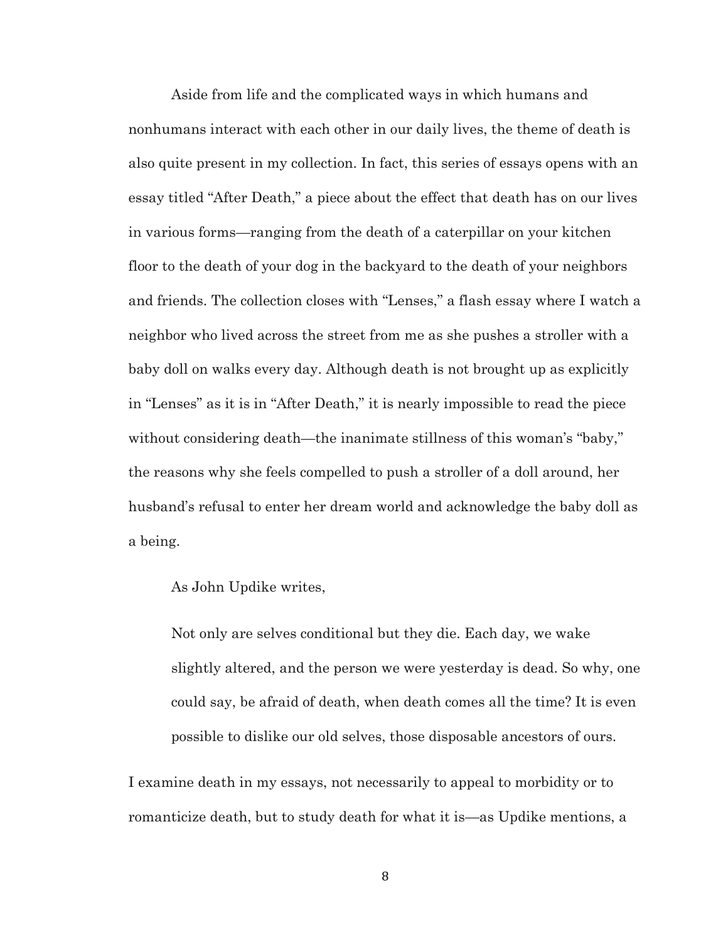Aside from life and the complicated ways in which humans and nonhumans interact with each other in our daily lives, the theme of death is also quite present in my collection. In fact, this series of essays opens with an essay titled "After Death," a piece about the effect that death has on our lives in various forms—ranging from the death of a caterpillar on your kitchen floor to the death of your dog in the backyard to the death of your neighbors and friends. The collection closes with "Lenses," a flash essay where I watch a neighbor who lived across the street from me as she pushes a stroller with a baby doll on walks every day. Although death is not brought up as explicitly in "Lenses" as it is in "After Death," it is nearly impossible to read the piece without considering death—the inanimate stillness of this woman's "baby," the reasons why she feels compelled to push a stroller of a doll around, her husband's refusal to enter her dream world and acknowledge the baby doll as a being.

As John Updike writes,

Not only are selves conditional but they die. Each day, we wake slightly altered, and the person we were yesterday is dead. So why, one could say, be afraid of death, when death comes all the time? It is even possible to dislike our old selves, those disposable ancestors of ours.

I examine death in my essays, not necessarily to appeal to morbidity or to romanticize death, but to study death for what it is—as Updike mentions, a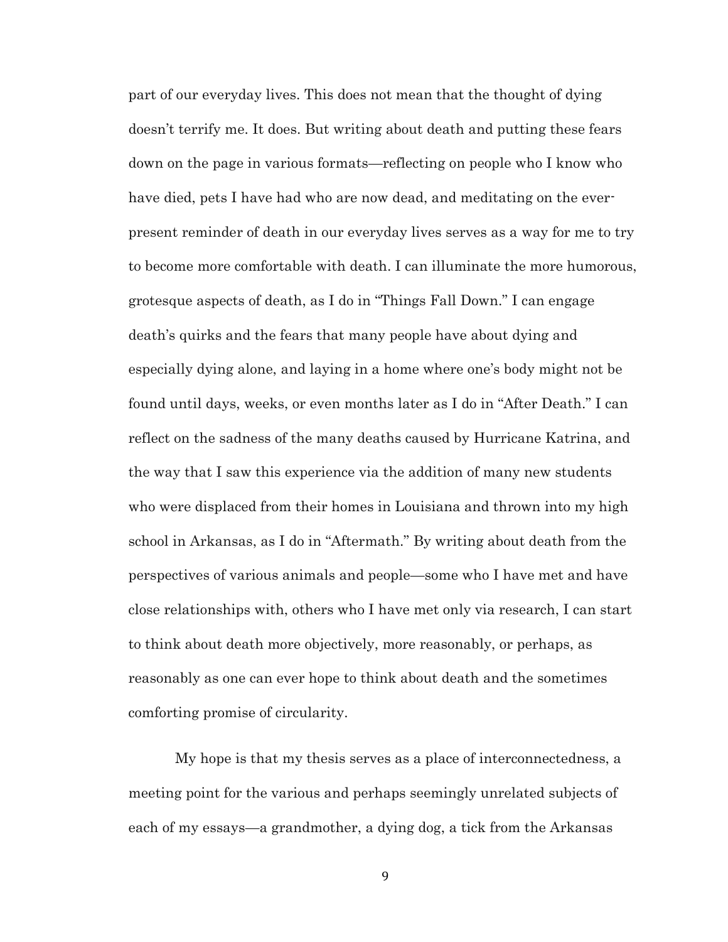part of our everyday lives. This does not mean that the thought of dying doesn't terrify me. It does. But writing about death and putting these fears down on the page in various formats—reflecting on people who I know who have died, pets I have had who are now dead, and meditating on the everpresent reminder of death in our everyday lives serves as a way for me to try to become more comfortable with death. I can illuminate the more humorous, grotesque aspects of death, as I do in "Things Fall Down." I can engage death's quirks and the fears that many people have about dying and especially dying alone, and laying in a home where one's body might not be found until days, weeks, or even months later as I do in "After Death." I can reflect on the sadness of the many deaths caused by Hurricane Katrina, and the way that I saw this experience via the addition of many new students who were displaced from their homes in Louisiana and thrown into my high school in Arkansas, as I do in "Aftermath." By writing about death from the perspectives of various animals and people—some who I have met and have close relationships with, others who I have met only via research, I can start to think about death more objectively, more reasonably, or perhaps, as reasonably as one can ever hope to think about death and the sometimes comforting promise of circularity.

My hope is that my thesis serves as a place of interconnectedness, a meeting point for the various and perhaps seemingly unrelated subjects of each of my essays—a grandmother, a dying dog, a tick from the Arkansas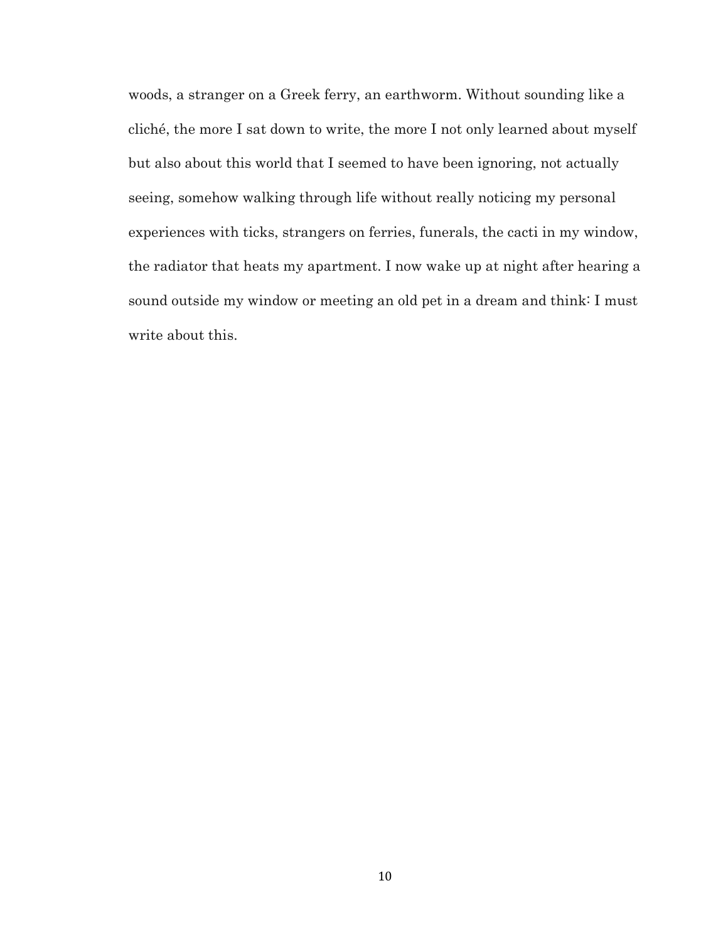woods, a stranger on a Greek ferry, an earthworm. Without sounding like a cliché, the more I sat down to write, the more I not only learned about myself but also about this world that I seemed to have been ignoring, not actually seeing, somehow walking through life without really noticing my personal experiences with ticks, strangers on ferries, funerals, the cacti in my window, the radiator that heats my apartment. I now wake up at night after hearing a sound outside my window or meeting an old pet in a dream and think: I must write about this.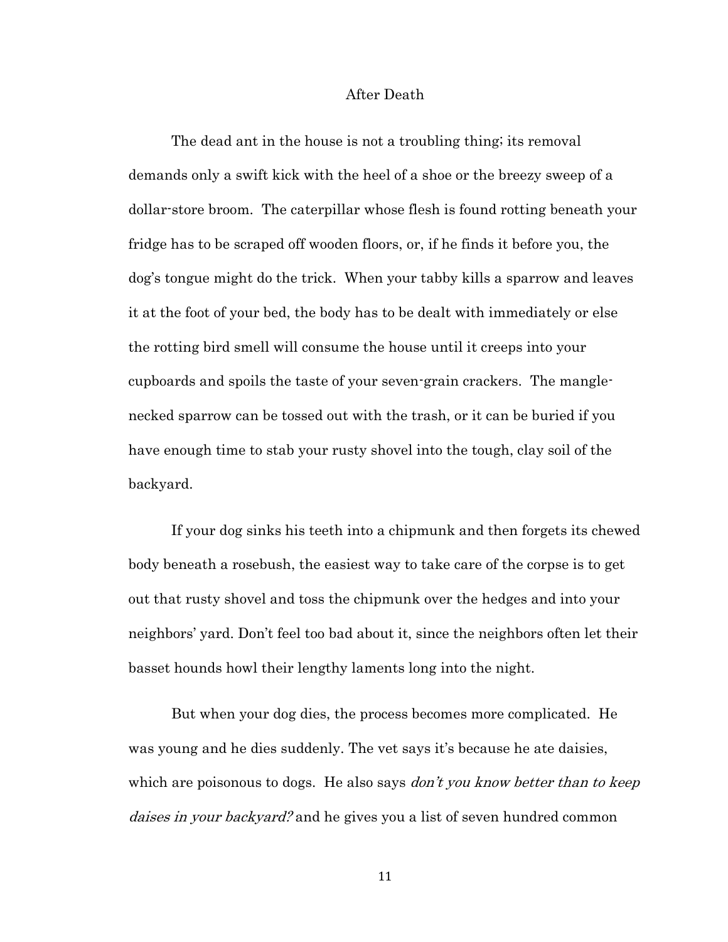#### After Death

The dead ant in the house is not a troubling thing; its removal demands only a swift kick with the heel of a shoe or the breezy sweep of a dollar-store broom. The caterpillar whose flesh is found rotting beneath your fridge has to be scraped off wooden floors, or, if he finds it before you, the dog's tongue might do the trick. When your tabby kills a sparrow and leaves it at the foot of your bed, the body has to be dealt with immediately or else the rotting bird smell will consume the house until it creeps into your cupboards and spoils the taste of your seven-grain crackers. The manglenecked sparrow can be tossed out with the trash, or it can be buried if you have enough time to stab your rusty shovel into the tough, clay soil of the backyard.

If your dog sinks his teeth into a chipmunk and then forgets its chewed body beneath a rosebush, the easiest way to take care of the corpse is to get out that rusty shovel and toss the chipmunk over the hedges and into your neighbors' yard. Don't feel too bad about it, since the neighbors often let their basset hounds howl their lengthy laments long into the night.

But when your dog dies, the process becomes more complicated. He was young and he dies suddenly. The vet says it's because he ate daisies, which are poisonous to dogs. He also says *don't you know better than to keep* daises in your backyard? and he gives you a list of seven hundred common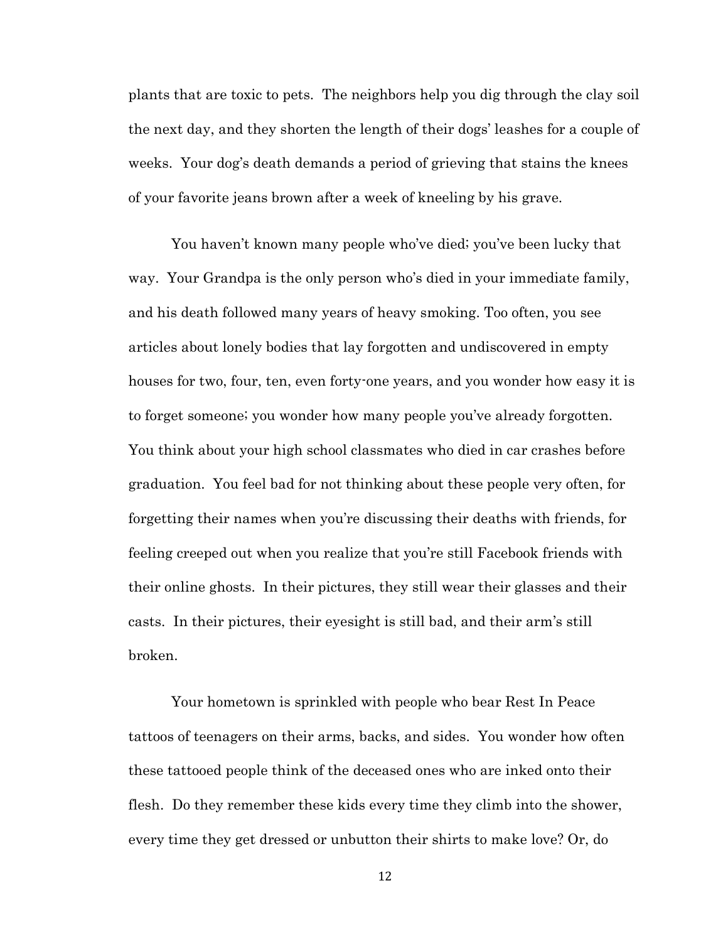plants that are toxic to pets. The neighbors help you dig through the clay soil the next day, and they shorten the length of their dogs' leashes for a couple of weeks. Your dog's death demands a period of grieving that stains the knees of your favorite jeans brown after a week of kneeling by his grave.

You haven't known many people who've died; you've been lucky that way. Your Grandpa is the only person who's died in your immediate family, and his death followed many years of heavy smoking. Too often, you see articles about lonely bodies that lay forgotten and undiscovered in empty houses for two, four, ten, even forty-one years, and you wonder how easy it is to forget someone; you wonder how many people you've already forgotten. You think about your high school classmates who died in car crashes before graduation. You feel bad for not thinking about these people very often, for forgetting their names when you're discussing their deaths with friends, for feeling creeped out when you realize that you're still Facebook friends with their online ghosts. In their pictures, they still wear their glasses and their casts. In their pictures, their eyesight is still bad, and their arm's still broken.

Your hometown is sprinkled with people who bear Rest In Peace tattoos of teenagers on their arms, backs, and sides. You wonder how often these tattooed people think of the deceased ones who are inked onto their flesh. Do they remember these kids every time they climb into the shower, every time they get dressed or unbutton their shirts to make love? Or, do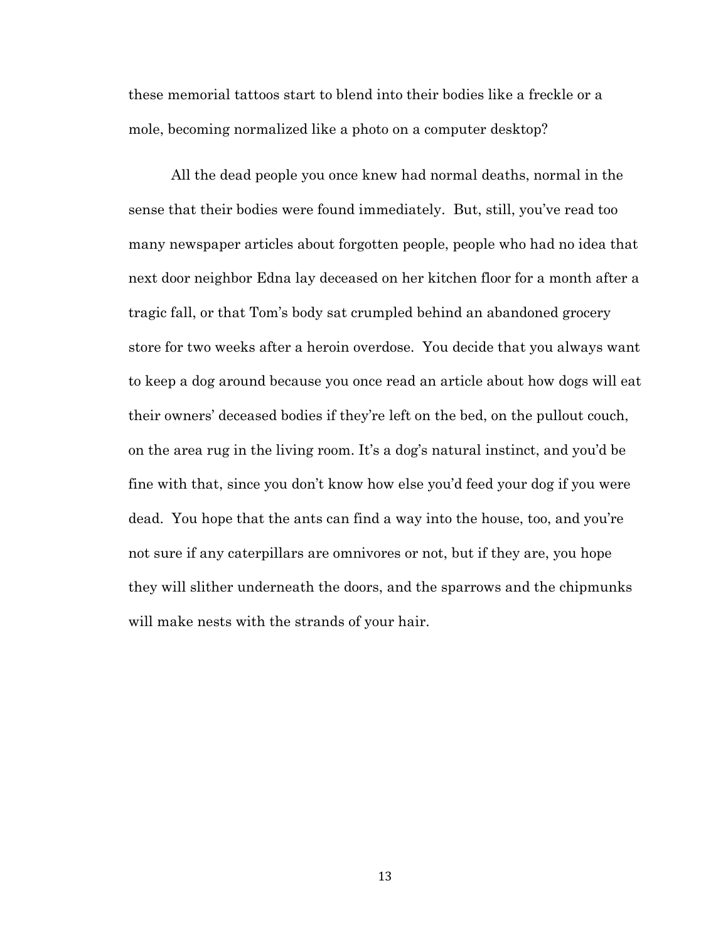these memorial tattoos start to blend into their bodies like a freckle or a mole, becoming normalized like a photo on a computer desktop?

All the dead people you once knew had normal deaths, normal in the sense that their bodies were found immediately. But, still, you've read too many newspaper articles about forgotten people, people who had no idea that next door neighbor Edna lay deceased on her kitchen floor for a month after a tragic fall, or that Tom's body sat crumpled behind an abandoned grocery store for two weeks after a heroin overdose. You decide that you always want to keep a dog around because you once read an article about how dogs will eat their owners' deceased bodies if they're left on the bed, on the pullout couch, on the area rug in the living room. It's a dog's natural instinct, and you'd be fine with that, since you don't know how else you'd feed your dog if you were dead. You hope that the ants can find a way into the house, too, and you're not sure if any caterpillars are omnivores or not, but if they are, you hope they will slither underneath the doors, and the sparrows and the chipmunks will make nests with the strands of your hair.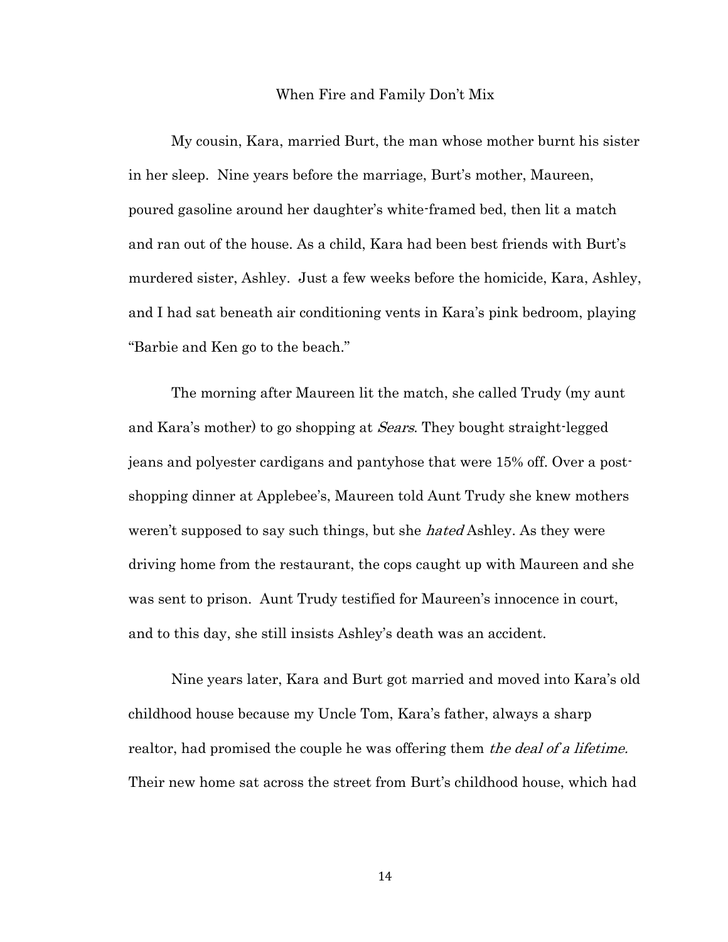#### When Fire and Family Don't Mix

My cousin, Kara, married Burt, the man whose mother burnt his sister in her sleep. Nine years before the marriage, Burt's mother, Maureen, poured gasoline around her daughter's white-framed bed, then lit a match and ran out of the house. As a child, Kara had been best friends with Burt's murdered sister, Ashley. Just a few weeks before the homicide, Kara, Ashley, and I had sat beneath air conditioning vents in Kara's pink bedroom, playing "Barbie and Ken go to the beach."

The morning after Maureen lit the match, she called Trudy (my aunt and Kara's mother) to go shopping at *Sears*. They bought straight-legged jeans and polyester cardigans and pantyhose that were 15% off. Over a postshopping dinner at Applebee's, Maureen told Aunt Trudy she knew mothers weren't supposed to say such things, but she hated Ashley. As they were driving home from the restaurant, the cops caught up with Maureen and she was sent to prison. Aunt Trudy testified for Maureen's innocence in court, and to this day, she still insists Ashley's death was an accident.

Nine years later, Kara and Burt got married and moved into Kara's old childhood house because my Uncle Tom, Kara's father, always a sharp realtor, had promised the couple he was offering them the deal of a lifetime. Their new home sat across the street from Burt's childhood house, which had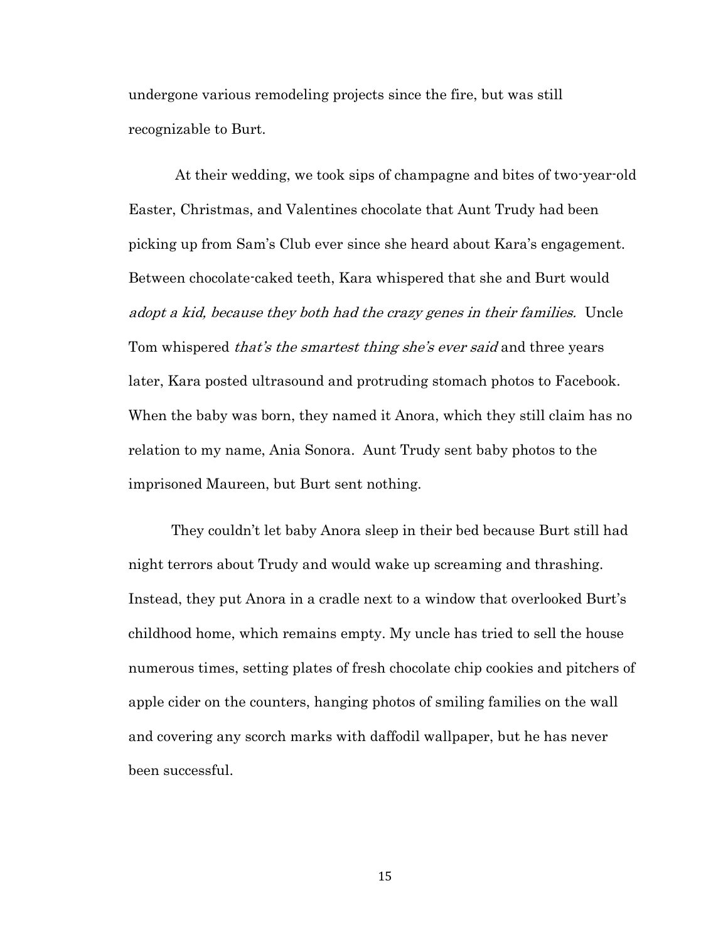undergone various remodeling projects since the fire, but was still recognizable to Burt.

At their wedding, we took sips of champagne and bites of two-year-old Easter, Christmas, and Valentines chocolate that Aunt Trudy had been picking up from Sam's Club ever since she heard about Kara's engagement. Between chocolate-caked teeth, Kara whispered that she and Burt would adopt a kid, because they both had the crazy genes in their families. Uncle Tom whispered *that's the smartest thing she's ever said* and three years later, Kara posted ultrasound and protruding stomach photos to Facebook. When the baby was born, they named it Anora, which they still claim has no relation to my name, Ania Sonora. Aunt Trudy sent baby photos to the imprisoned Maureen, but Burt sent nothing.

They couldn't let baby Anora sleep in their bed because Burt still had night terrors about Trudy and would wake up screaming and thrashing. Instead, they put Anora in a cradle next to a window that overlooked Burt's childhood home, which remains empty. My uncle has tried to sell the house numerous times, setting plates of fresh chocolate chip cookies and pitchers of apple cider on the counters, hanging photos of smiling families on the wall and covering any scorch marks with daffodil wallpaper, but he has never been successful.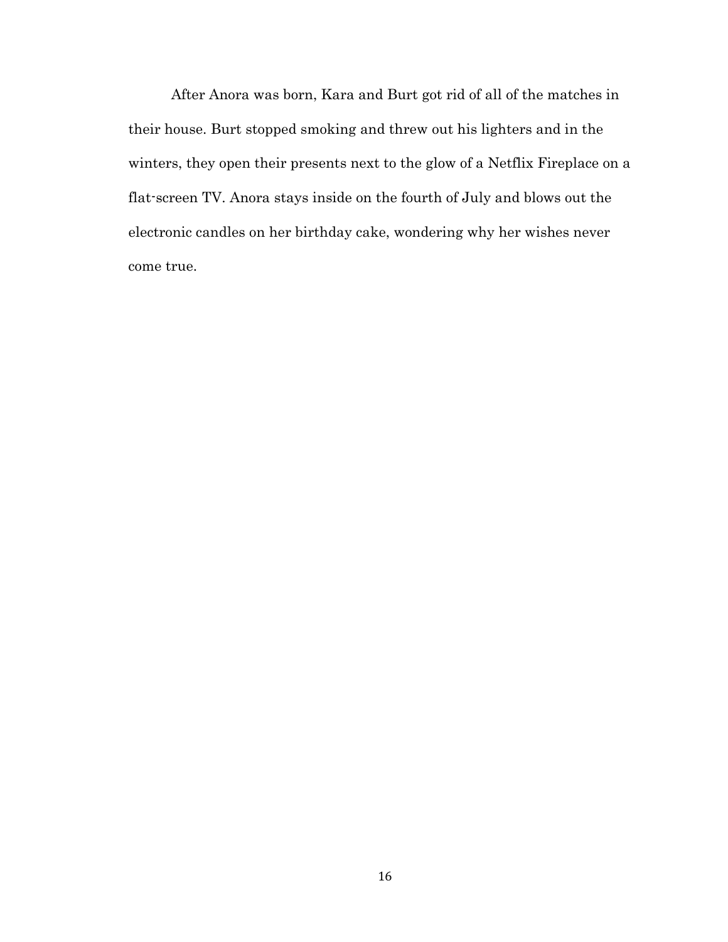After Anora was born, Kara and Burt got rid of all of the matches in their house. Burt stopped smoking and threw out his lighters and in the winters, they open their presents next to the glow of a Netflix Fireplace on a flat-screen TV. Anora stays inside on the fourth of July and blows out the electronic candles on her birthday cake, wondering why her wishes never come true.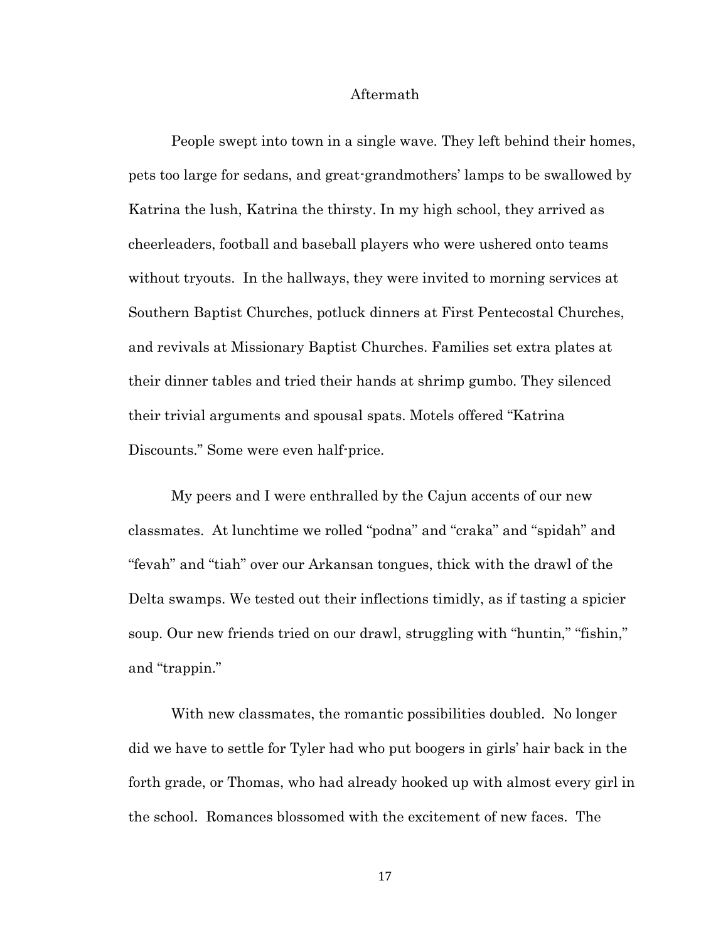#### Aftermath

People swept into town in a single wave. They left behind their homes, pets too large for sedans, and great-grandmothers' lamps to be swallowed by Katrina the lush, Katrina the thirsty. In my high school, they arrived as cheerleaders, football and baseball players who were ushered onto teams without tryouts. In the hallways, they were invited to morning services at Southern Baptist Churches, potluck dinners at First Pentecostal Churches, and revivals at Missionary Baptist Churches. Families set extra plates at their dinner tables and tried their hands at shrimp gumbo. They silenced their trivial arguments and spousal spats. Motels offered "Katrina Discounts." Some were even half-price.

My peers and I were enthralled by the Cajun accents of our new classmates. At lunchtime we rolled "podna" and "craka" and "spidah" and "fevah" and "tiah" over our Arkansan tongues, thick with the drawl of the Delta swamps. We tested out their inflections timidly, as if tasting a spicier soup. Our new friends tried on our drawl, struggling with "huntin," "fishin," and "trappin."

With new classmates, the romantic possibilities doubled. No longer did we have to settle for Tyler had who put boogers in girls' hair back in the forth grade, or Thomas, who had already hooked up with almost every girl in the school. Romances blossomed with the excitement of new faces. The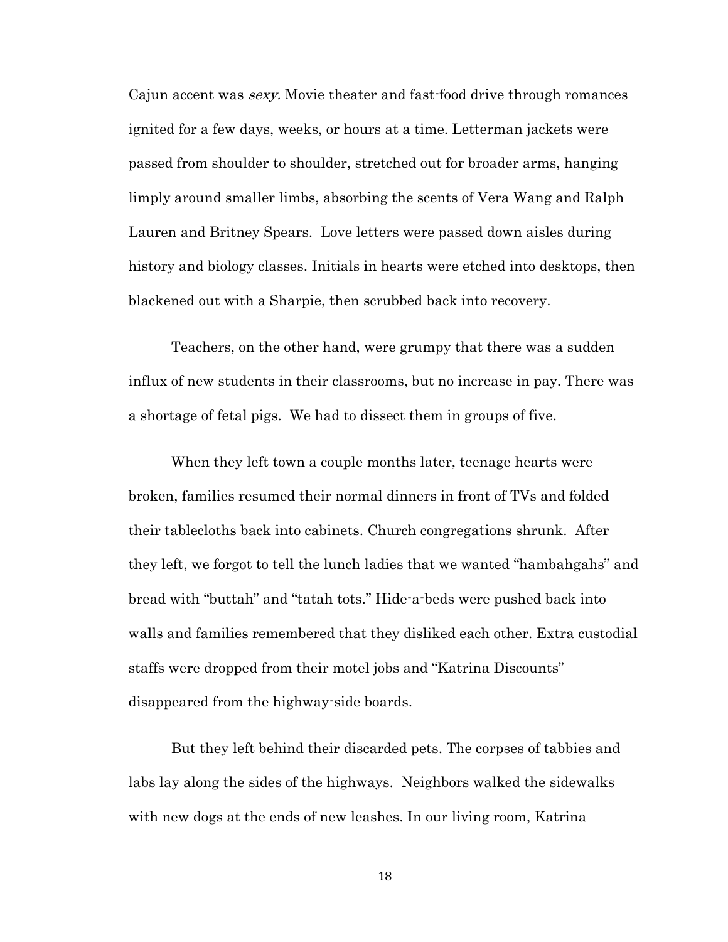Cajun accent was sexy. Movie theater and fast-food drive through romances ignited for a few days, weeks, or hours at a time. Letterman jackets were passed from shoulder to shoulder, stretched out for broader arms, hanging limply around smaller limbs, absorbing the scents of Vera Wang and Ralph Lauren and Britney Spears. Love letters were passed down aisles during history and biology classes. Initials in hearts were etched into desktops, then blackened out with a Sharpie, then scrubbed back into recovery.

Teachers, on the other hand, were grumpy that there was a sudden influx of new students in their classrooms, but no increase in pay. There was a shortage of fetal pigs. We had to dissect them in groups of five.

When they left town a couple months later, teenage hearts were broken, families resumed their normal dinners in front of TVs and folded their tablecloths back into cabinets. Church congregations shrunk. After they left, we forgot to tell the lunch ladies that we wanted "hambahgahs" and bread with "buttah" and "tatah tots." Hide-a-beds were pushed back into walls and families remembered that they disliked each other. Extra custodial staffs were dropped from their motel jobs and "Katrina Discounts" disappeared from the highway-side boards.

But they left behind their discarded pets. The corpses of tabbies and labs lay along the sides of the highways. Neighbors walked the sidewalks with new dogs at the ends of new leashes. In our living room, Katrina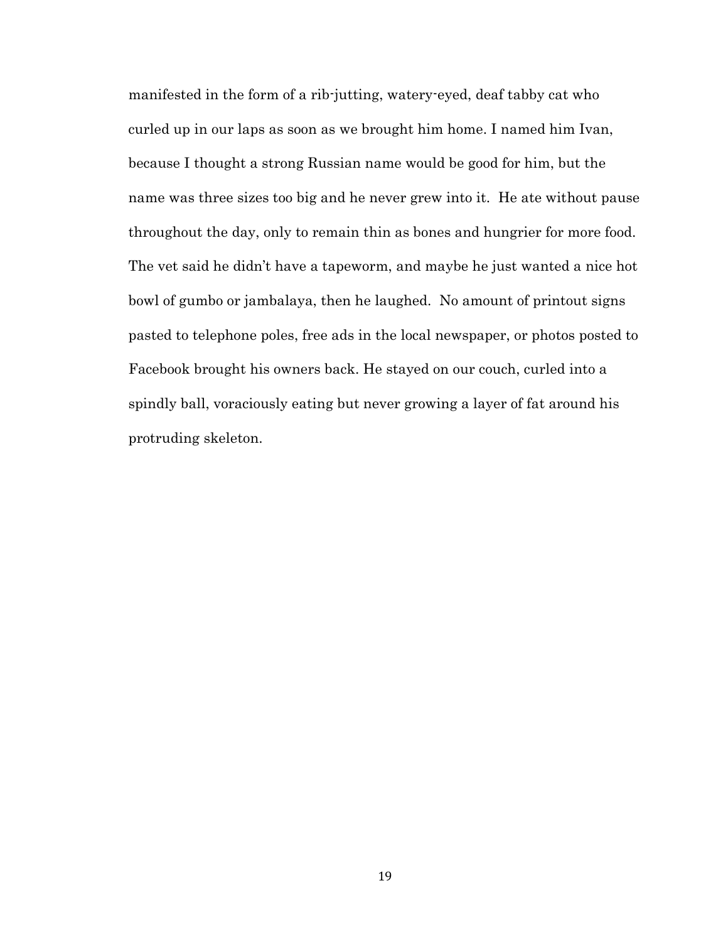manifested in the form of a rib-jutting, watery-eyed, deaf tabby cat who curled up in our laps as soon as we brought him home. I named him Ivan, because I thought a strong Russian name would be good for him, but the name was three sizes too big and he never grew into it. He ate without pause throughout the day, only to remain thin as bones and hungrier for more food. The vet said he didn't have a tapeworm, and maybe he just wanted a nice hot bowl of gumbo or jambalaya, then he laughed. No amount of printout signs pasted to telephone poles, free ads in the local newspaper, or photos posted to Facebook brought his owners back. He stayed on our couch, curled into a spindly ball, voraciously eating but never growing a layer of fat around his protruding skeleton.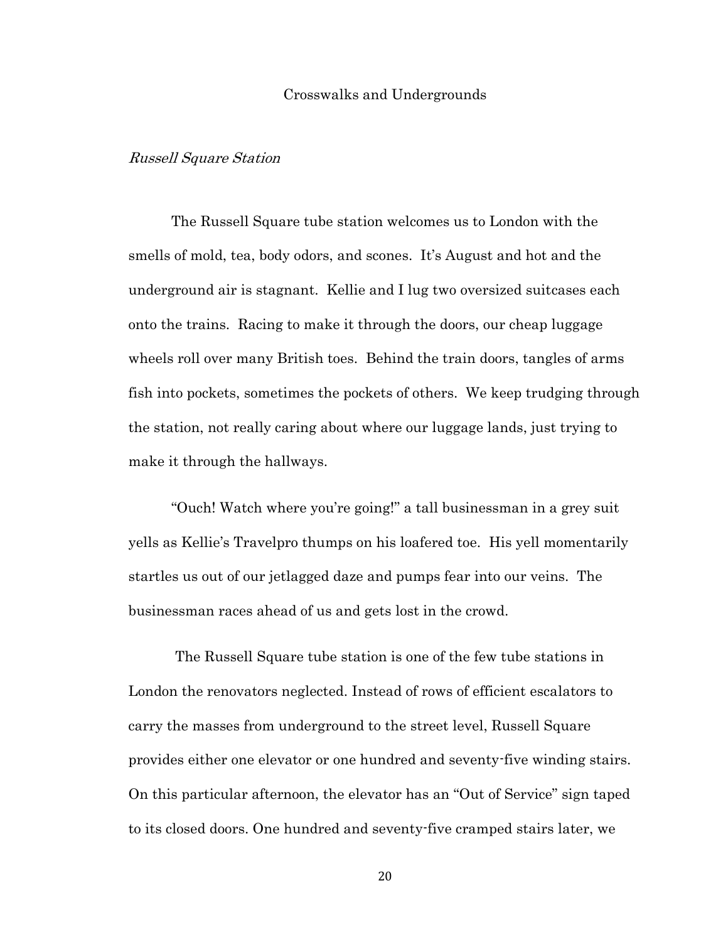#### Crosswalks and Undergrounds

## Russell Square Station

The Russell Square tube station welcomes us to London with the smells of mold, tea, body odors, and scones. It's August and hot and the underground air is stagnant. Kellie and I lug two oversized suitcases each onto the trains. Racing to make it through the doors, our cheap luggage wheels roll over many British toes. Behind the train doors, tangles of arms fish into pockets, sometimes the pockets of others. We keep trudging through the station, not really caring about where our luggage lands, just trying to make it through the hallways.

"Ouch! Watch where you're going!" a tall businessman in a grey suit yells as Kellie's Travelpro thumps on his loafered toe. His yell momentarily startles us out of our jetlagged daze and pumps fear into our veins. The businessman races ahead of us and gets lost in the crowd.

The Russell Square tube station is one of the few tube stations in London the renovators neglected. Instead of rows of efficient escalators to carry the masses from underground to the street level, Russell Square provides either one elevator or one hundred and seventy-five winding stairs. On this particular afternoon, the elevator has an "Out of Service" sign taped to its closed doors. One hundred and seventy-five cramped stairs later, we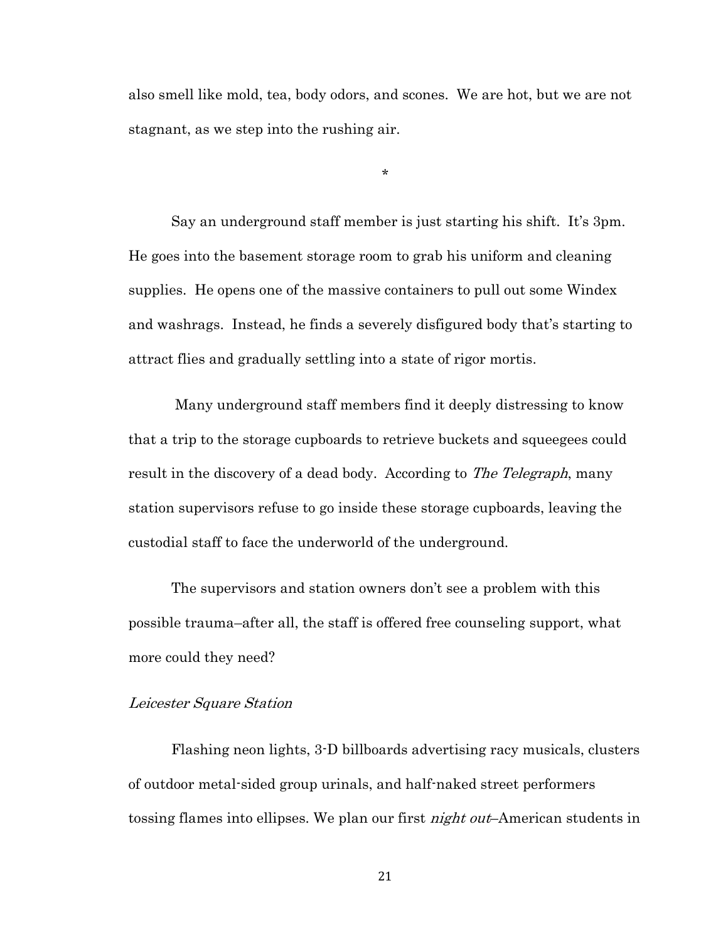also smell like mold, tea, body odors, and scones. We are hot, but we are not stagnant, as we step into the rushing air.

\*

Say an underground staff member is just starting his shift. It's 3pm. He goes into the basement storage room to grab his uniform and cleaning supplies. He opens one of the massive containers to pull out some Windex and washrags. Instead, he finds a severely disfigured body that's starting to attract flies and gradually settling into a state of rigor mortis.

Many underground staff members find it deeply distressing to know that a trip to the storage cupboards to retrieve buckets and squeegees could result in the discovery of a dead body. According to *The Telegraph*, many station supervisors refuse to go inside these storage cupboards, leaving the custodial staff to face the underworld of the underground.

The supervisors and station owners don't see a problem with this possible trauma–after all, the staff is offered free counseling support, what more could they need?

## Leicester Square Station

Flashing neon lights, 3-D billboards advertising racy musicals, clusters of outdoor metal-sided group urinals, and half-naked street performers tossing flames into ellipses. We plan our first *night out*-American students in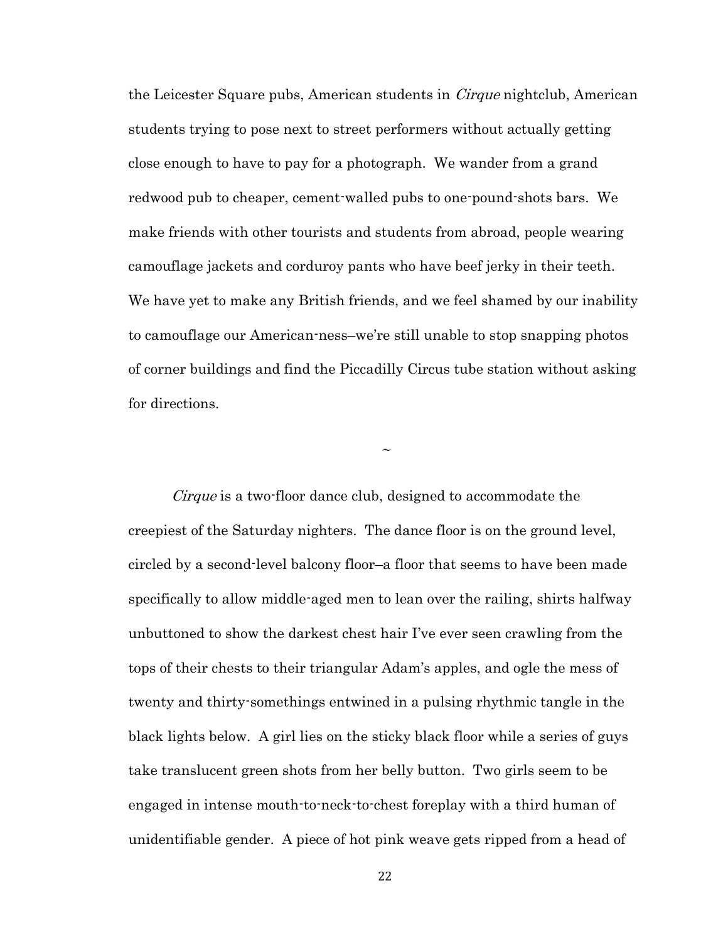the Leicester Square pubs, American students in *Cirque* nightclub, American students trying to pose next to street performers without actually getting close enough to have to pay for a photograph. We wander from a grand redwood pub to cheaper, cement-walled pubs to one-pound-shots bars. We make friends with other tourists and students from abroad, people wearing camouflage jackets and corduroy pants who have beef jerky in their teeth. We have yet to make any British friends, and we feel shamed by our inability to camouflage our American-ness–we're still unable to stop snapping photos of corner buildings and find the Piccadilly Circus tube station without asking for directions.

~

Cirque is a two-floor dance club, designed to accommodate the creepiest of the Saturday nighters. The dance floor is on the ground level, circled by a second-level balcony floor–a floor that seems to have been made specifically to allow middle-aged men to lean over the railing, shirts halfway unbuttoned to show the darkest chest hair I've ever seen crawling from the tops of their chests to their triangular Adam's apples, and ogle the mess of twenty and thirty-somethings entwined in a pulsing rhythmic tangle in the black lights below. A girl lies on the sticky black floor while a series of guys take translucent green shots from her belly button. Two girls seem to be engaged in intense mouth-to-neck-to-chest foreplay with a third human of unidentifiable gender. A piece of hot pink weave gets ripped from a head of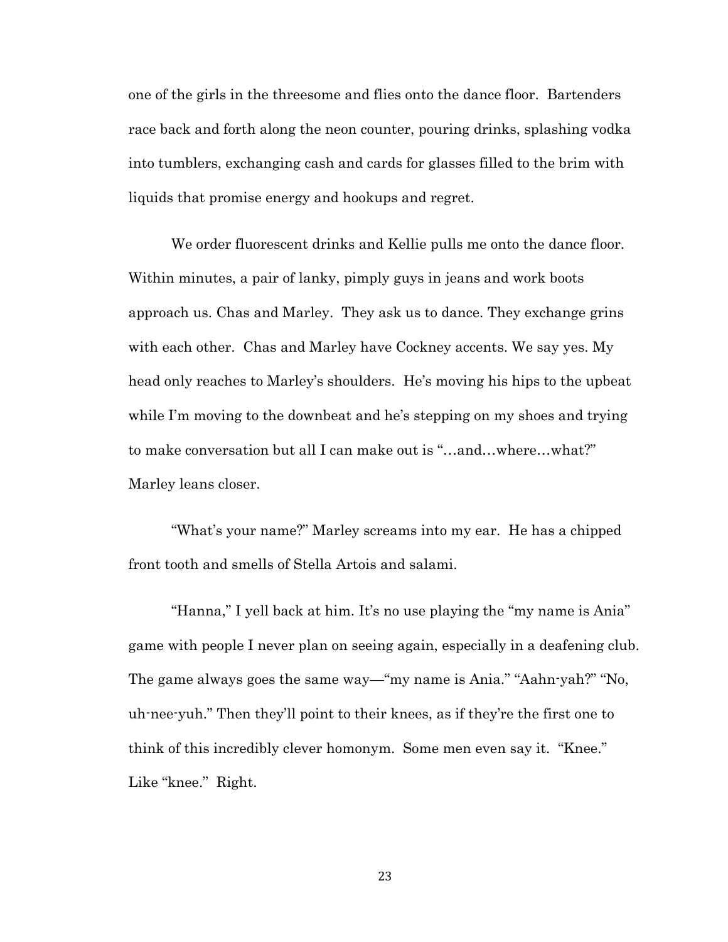one of the girls in the threesome and flies onto the dance floor. Bartenders race back and forth along the neon counter, pouring drinks, splashing vodka into tumblers, exchanging cash and cards for glasses filled to the brim with liquids that promise energy and hookups and regret.

We order fluorescent drinks and Kellie pulls me onto the dance floor. Within minutes, a pair of lanky, pimply guys in jeans and work boots approach us. Chas and Marley. They ask us to dance. They exchange grins with each other. Chas and Marley have Cockney accents. We say yes. My head only reaches to Marley's shoulders. He's moving his hips to the upbeat while I'm moving to the downbeat and he's stepping on my shoes and trying to make conversation but all I can make out is "…and…where…what?" Marley leans closer.

"What's your name?" Marley screams into my ear. He has a chipped front tooth and smells of Stella Artois and salami.

"Hanna," I yell back at him. It's no use playing the "my name is Ania" game with people I never plan on seeing again, especially in a deafening club. The game always goes the same way—"my name is Ania." "Aahn-yah?" "No, uh-nee-yuh." Then they'll point to their knees, as if they're the first one to think of this incredibly clever homonym. Some men even say it. "Knee." Like "knee." Right.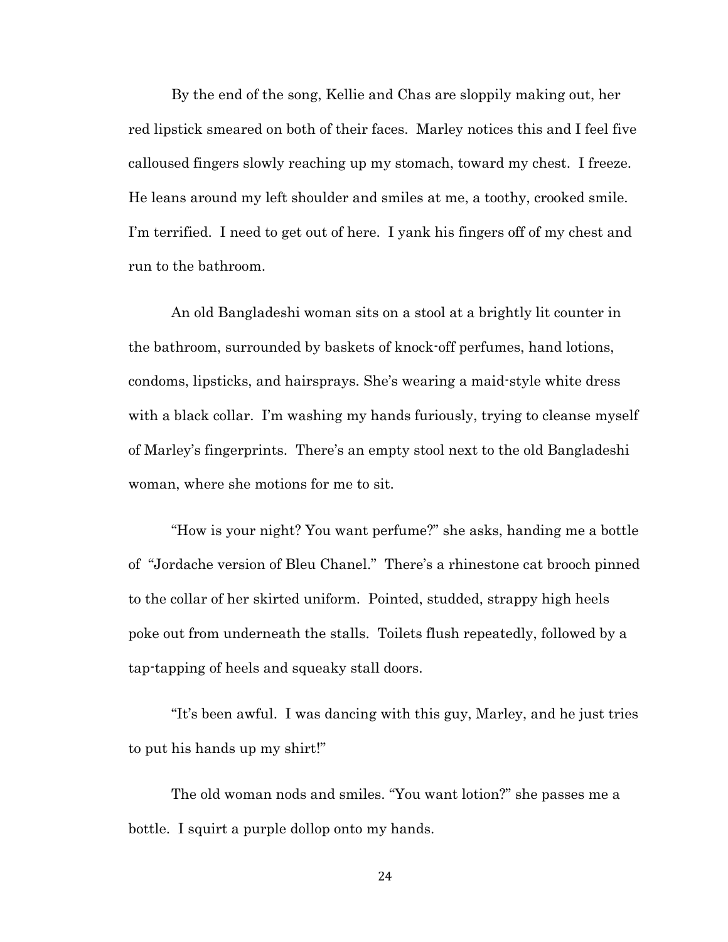By the end of the song, Kellie and Chas are sloppily making out, her red lipstick smeared on both of their faces. Marley notices this and I feel five calloused fingers slowly reaching up my stomach, toward my chest. I freeze. He leans around my left shoulder and smiles at me, a toothy, crooked smile. I'm terrified. I need to get out of here. I yank his fingers off of my chest and run to the bathroom.

An old Bangladeshi woman sits on a stool at a brightly lit counter in the bathroom, surrounded by baskets of knock-off perfumes, hand lotions, condoms, lipsticks, and hairsprays. She's wearing a maid-style white dress with a black collar. I'm washing my hands furiously, trying to cleanse myself of Marley's fingerprints. There's an empty stool next to the old Bangladeshi woman, where she motions for me to sit.

"How is your night? You want perfume?" she asks, handing me a bottle of "Jordache version of Bleu Chanel." There's a rhinestone cat brooch pinned to the collar of her skirted uniform. Pointed, studded, strappy high heels poke out from underneath the stalls. Toilets flush repeatedly, followed by a tap-tapping of heels and squeaky stall doors.

"It's been awful. I was dancing with this guy, Marley, and he just tries to put his hands up my shirt!"

The old woman nods and smiles. "You want lotion?" she passes me a bottle. I squirt a purple dollop onto my hands.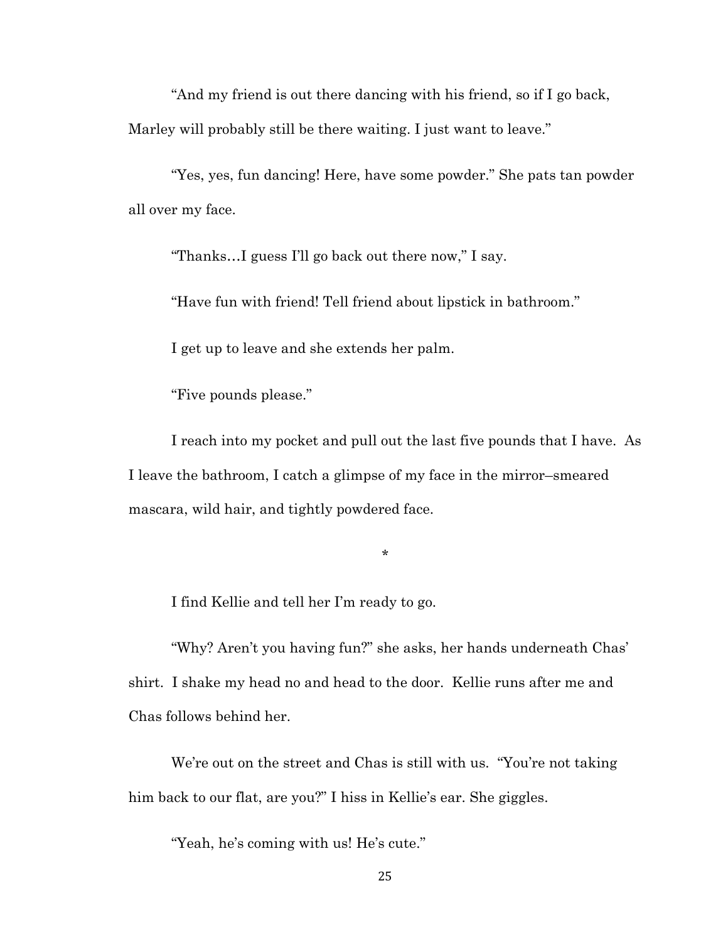"And my friend is out there dancing with his friend, so if I go back, Marley will probably still be there waiting. I just want to leave."

"Yes, yes, fun dancing! Here, have some powder." She pats tan powder all over my face.

"Thanks…I guess I'll go back out there now," I say.

"Have fun with friend! Tell friend about lipstick in bathroom."

I get up to leave and she extends her palm.

"Five pounds please."

I reach into my pocket and pull out the last five pounds that I have. As I leave the bathroom, I catch a glimpse of my face in the mirror–smeared mascara, wild hair, and tightly powdered face.

\*

I find Kellie and tell her I'm ready to go.

"Why? Aren't you having fun?" she asks, her hands underneath Chas' shirt. I shake my head no and head to the door. Kellie runs after me and Chas follows behind her.

We're out on the street and Chas is still with us. "You're not taking" him back to our flat, are you?" I hiss in Kellie's ear. She giggles.

"Yeah, he's coming with us! He's cute."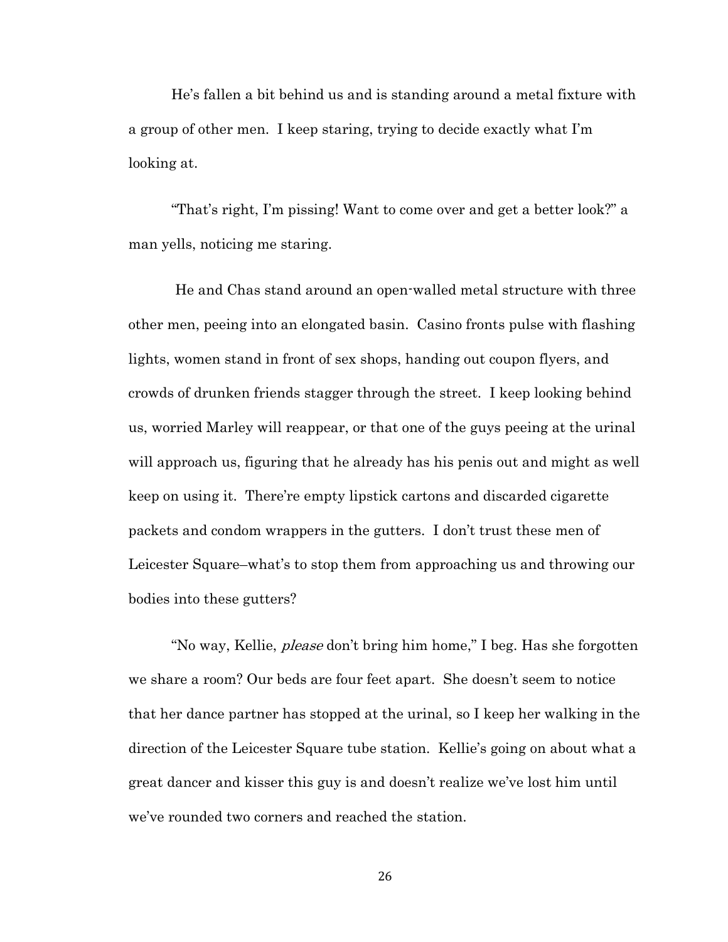He's fallen a bit behind us and is standing around a metal fixture with a group of other men. I keep staring, trying to decide exactly what I'm looking at.

"That's right, I'm pissing! Want to come over and get a better look?" a man yells, noticing me staring.

He and Chas stand around an open-walled metal structure with three other men, peeing into an elongated basin. Casino fronts pulse with flashing lights, women stand in front of sex shops, handing out coupon flyers, and crowds of drunken friends stagger through the street. I keep looking behind us, worried Marley will reappear, or that one of the guys peeing at the urinal will approach us, figuring that he already has his penis out and might as well keep on using it. There're empty lipstick cartons and discarded cigarette packets and condom wrappers in the gutters. I don't trust these men of Leicester Square–what's to stop them from approaching us and throwing our bodies into these gutters?

"No way, Kellie, *please* don't bring him home," I beg. Has she forgotten we share a room? Our beds are four feet apart. She doesn't seem to notice that her dance partner has stopped at the urinal, so I keep her walking in the direction of the Leicester Square tube station. Kellie's going on about what a great dancer and kisser this guy is and doesn't realize we've lost him until we've rounded two corners and reached the station.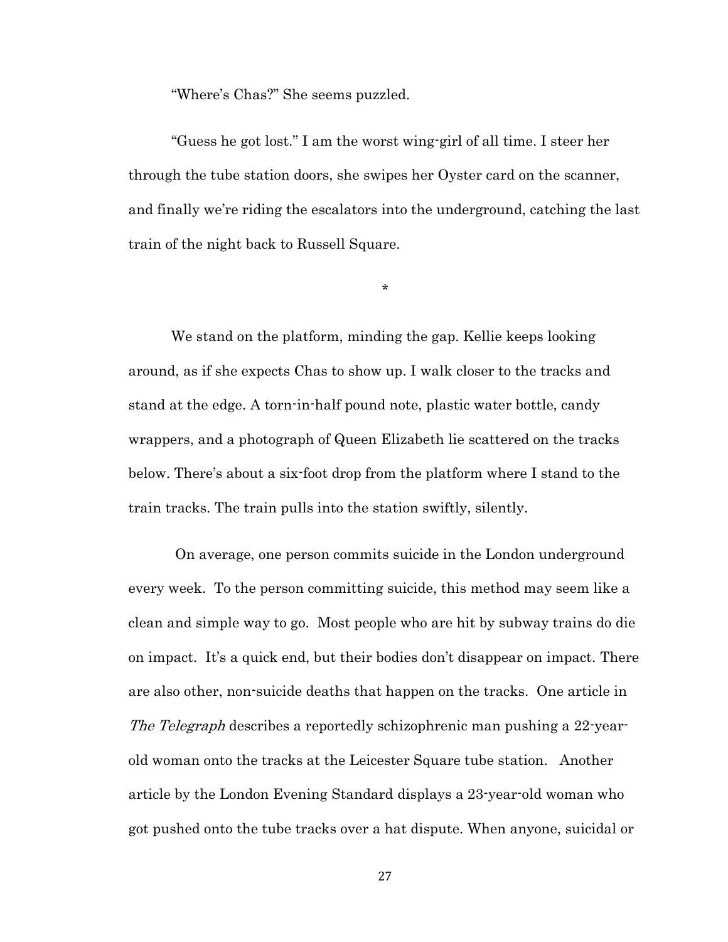"Where's Chas?" She seems puzzled.

"Guess he got lost." I am the worst wing-girl of all time. I steer her through the tube station doors, she swipes her Oyster card on the scanner, and finally we're riding the escalators into the underground, catching the last train of the night back to Russell Square.

\*

We stand on the platform, minding the gap. Kellie keeps looking around, as if she expects Chas to show up. I walk closer to the tracks and stand at the edge. A torn-in-half pound note, plastic water bottle, candy wrappers, and a photograph of Queen Elizabeth lie scattered on the tracks below. There's about a six-foot drop from the platform where I stand to the train tracks. The train pulls into the station swiftly, silently.

On average, one person commits suicide in the London underground every week. To the person committing suicide, this method may seem like a clean and simple way to go. Most people who are hit by subway trains do die on impact. It's a quick end, but their bodies don't disappear on impact. There are also other, non-suicide deaths that happen on the tracks. One article in The Telegraph describes a reportedly schizophrenic man pushing a 22-yearold woman onto the tracks at the Leicester Square tube station. Another article by the London Evening Standard displays a 23-year-old woman who got pushed onto the tube tracks over a hat dispute. When anyone, suicidal or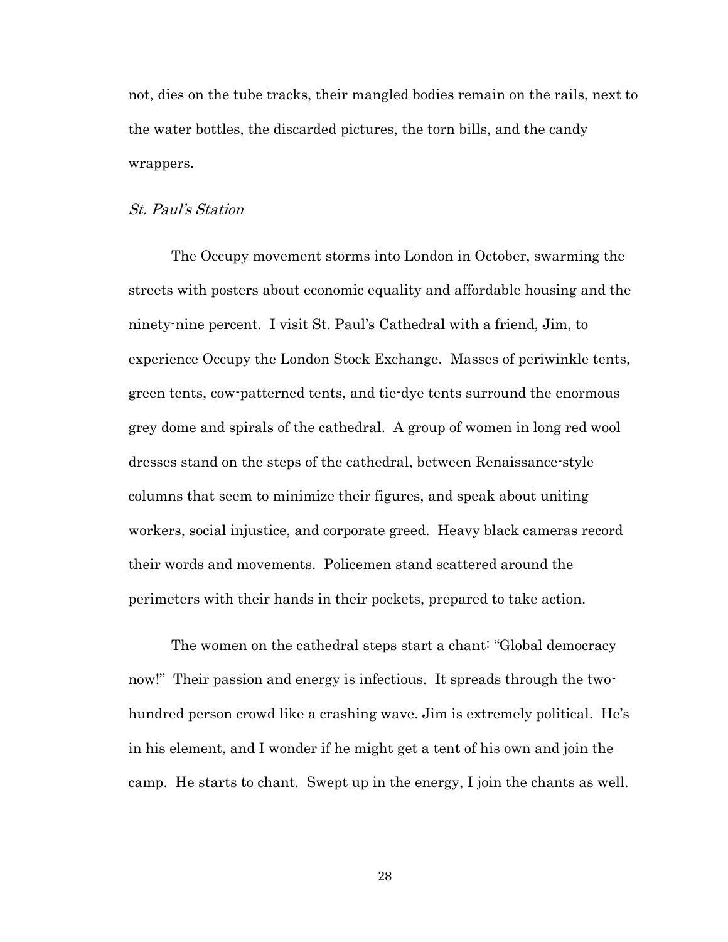not, dies on the tube tracks, their mangled bodies remain on the rails, next to the water bottles, the discarded pictures, the torn bills, and the candy wrappers.

## St. Paul's Station

The Occupy movement storms into London in October, swarming the streets with posters about economic equality and affordable housing and the ninety-nine percent. I visit St. Paul's Cathedral with a friend, Jim, to experience Occupy the London Stock Exchange. Masses of periwinkle tents, green tents, cow-patterned tents, and tie-dye tents surround the enormous grey dome and spirals of the cathedral. A group of women in long red wool dresses stand on the steps of the cathedral, between Renaissance-style columns that seem to minimize their figures, and speak about uniting workers, social injustice, and corporate greed. Heavy black cameras record their words and movements. Policemen stand scattered around the perimeters with their hands in their pockets, prepared to take action.

The women on the cathedral steps start a chant: "Global democracy now!" Their passion and energy is infectious. It spreads through the twohundred person crowd like a crashing wave. Jim is extremely political. He's in his element, and I wonder if he might get a tent of his own and join the camp. He starts to chant. Swept up in the energy, I join the chants as well.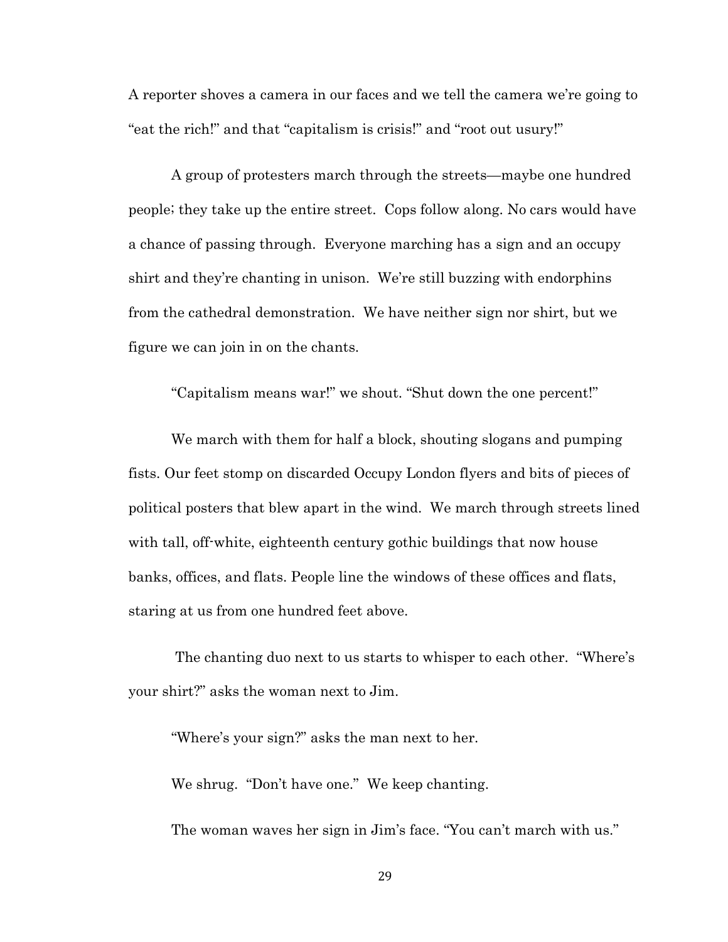A reporter shoves a camera in our faces and we tell the camera we're going to "eat the rich!" and that "capitalism is crisis!" and "root out usury!"

A group of protesters march through the streets—maybe one hundred people; they take up the entire street. Cops follow along. No cars would have a chance of passing through. Everyone marching has a sign and an occupy shirt and they're chanting in unison. We're still buzzing with endorphins from the cathedral demonstration. We have neither sign nor shirt, but we figure we can join in on the chants.

"Capitalism means war!" we shout. "Shut down the one percent!"

We march with them for half a block, shouting slogans and pumping fists. Our feet stomp on discarded Occupy London flyers and bits of pieces of political posters that blew apart in the wind. We march through streets lined with tall, off-white, eighteenth century gothic buildings that now house banks, offices, and flats. People line the windows of these offices and flats, staring at us from one hundred feet above.

The chanting duo next to us starts to whisper to each other. "Where's your shirt?" asks the woman next to Jim.

"Where's your sign?" asks the man next to her.

We shrug. "Don't have one." We keep chanting.

The woman waves her sign in Jim's face. "You can't march with us."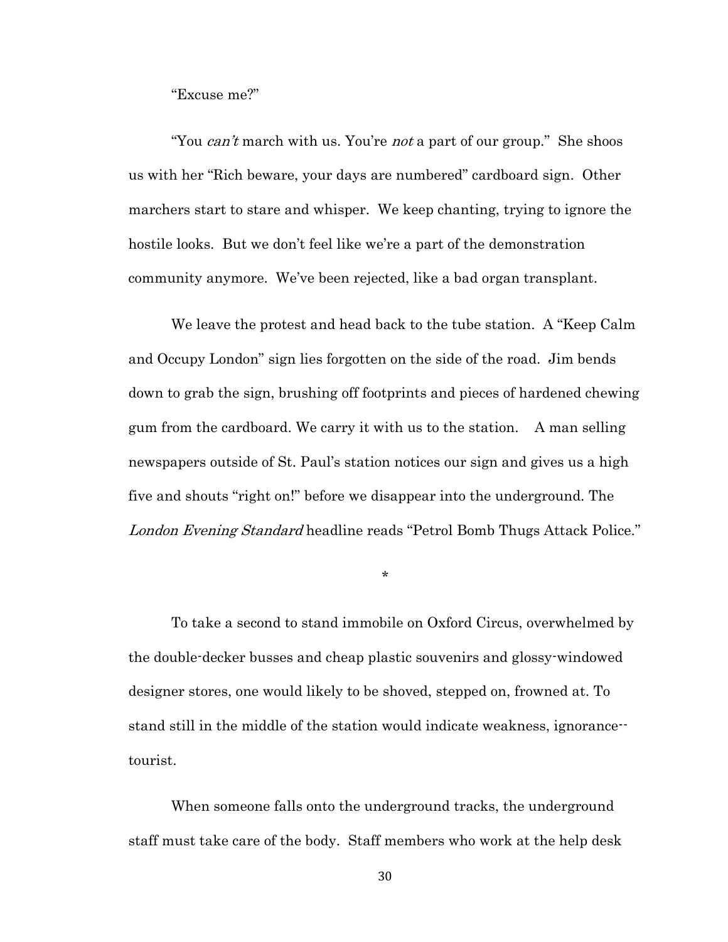"Excuse me?"

"You can't march with us. You're not a part of our group." She shoos us with her "Rich beware, your days are numbered" cardboard sign. Other marchers start to stare and whisper. We keep chanting, trying to ignore the hostile looks. But we don't feel like we're a part of the demonstration community anymore. We've been rejected, like a bad organ transplant.

We leave the protest and head back to the tube station. A "Keep Calm and Occupy London" sign lies forgotten on the side of the road. Jim bends down to grab the sign, brushing off footprints and pieces of hardened chewing gum from the cardboard. We carry it with us to the station. A man selling newspapers outside of St. Paul's station notices our sign and gives us a high five and shouts "right on!" before we disappear into the underground. The London Evening Standard headline reads "Petrol Bomb Thugs Attack Police."

\*

To take a second to stand immobile on Oxford Circus, overwhelmed by the double-decker busses and cheap plastic souvenirs and glossy-windowed designer stores, one would likely to be shoved, stepped on, frowned at. To stand still in the middle of the station would indicate weakness, ignorance- tourist.

When someone falls onto the underground tracks, the underground staff must take care of the body. Staff members who work at the help desk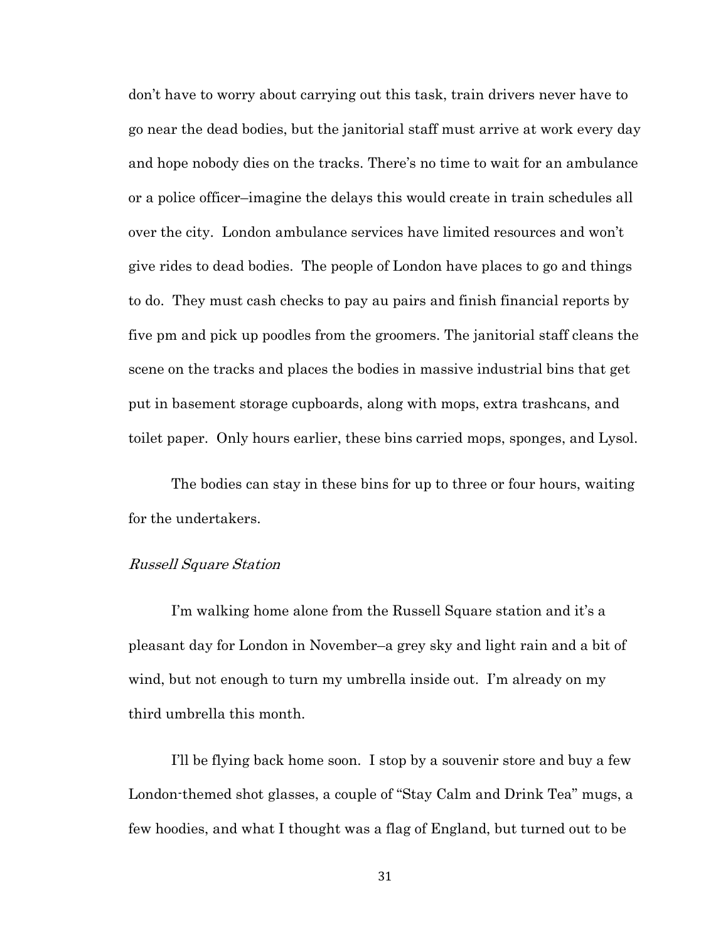don't have to worry about carrying out this task, train drivers never have to go near the dead bodies, but the janitorial staff must arrive at work every day and hope nobody dies on the tracks. There's no time to wait for an ambulance or a police officer–imagine the delays this would create in train schedules all over the city. London ambulance services have limited resources and won't give rides to dead bodies. The people of London have places to go and things to do. They must cash checks to pay au pairs and finish financial reports by five pm and pick up poodles from the groomers. The janitorial staff cleans the scene on the tracks and places the bodies in massive industrial bins that get put in basement storage cupboards, along with mops, extra trashcans, and toilet paper. Only hours earlier, these bins carried mops, sponges, and Lysol.

The bodies can stay in these bins for up to three or four hours, waiting for the undertakers.

# Russell Square Station

I'm walking home alone from the Russell Square station and it's a pleasant day for London in November–a grey sky and light rain and a bit of wind, but not enough to turn my umbrella inside out. I'm already on my third umbrella this month.

I'll be flying back home soon. I stop by a souvenir store and buy a few London-themed shot glasses, a couple of "Stay Calm and Drink Tea" mugs, a few hoodies, and what I thought was a flag of England, but turned out to be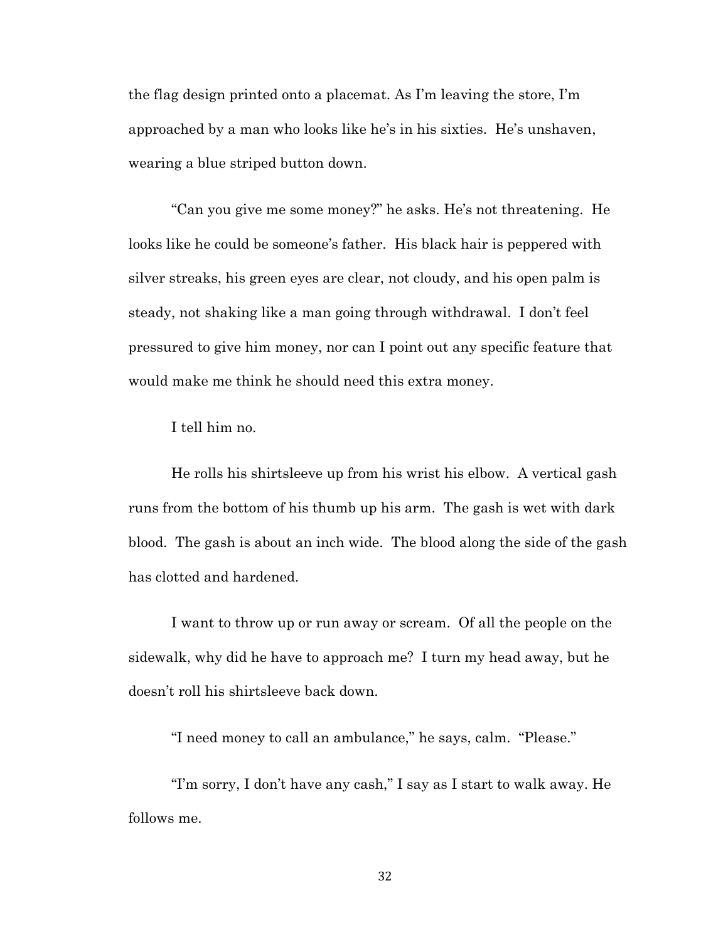the flag design printed onto a placemat. As I'm leaving the store, I'm approached by a man who looks like he's in his sixties. He's unshaven, wearing a blue striped button down.

"Can you give me some money?" he asks. He's not threatening. He looks like he could be someone's father. His black hair is peppered with silver streaks, his green eyes are clear, not cloudy, and his open palm is steady, not shaking like a man going through withdrawal. I don't feel pressured to give him money, nor can I point out any specific feature that would make me think he should need this extra money.

I tell him no.

He rolls his shirtsleeve up from his wrist his elbow. A vertical gash runs from the bottom of his thumb up his arm. The gash is wet with dark blood. The gash is about an inch wide. The blood along the side of the gash has clotted and hardened.

I want to throw up or run away or scream. Of all the people on the sidewalk, why did he have to approach me? I turn my head away, but he doesn't roll his shirtsleeve back down.

"I need money to call an ambulance," he says, calm. "Please."

"I'm sorry, I don't have any cash," I say as I start to walk away. He follows me.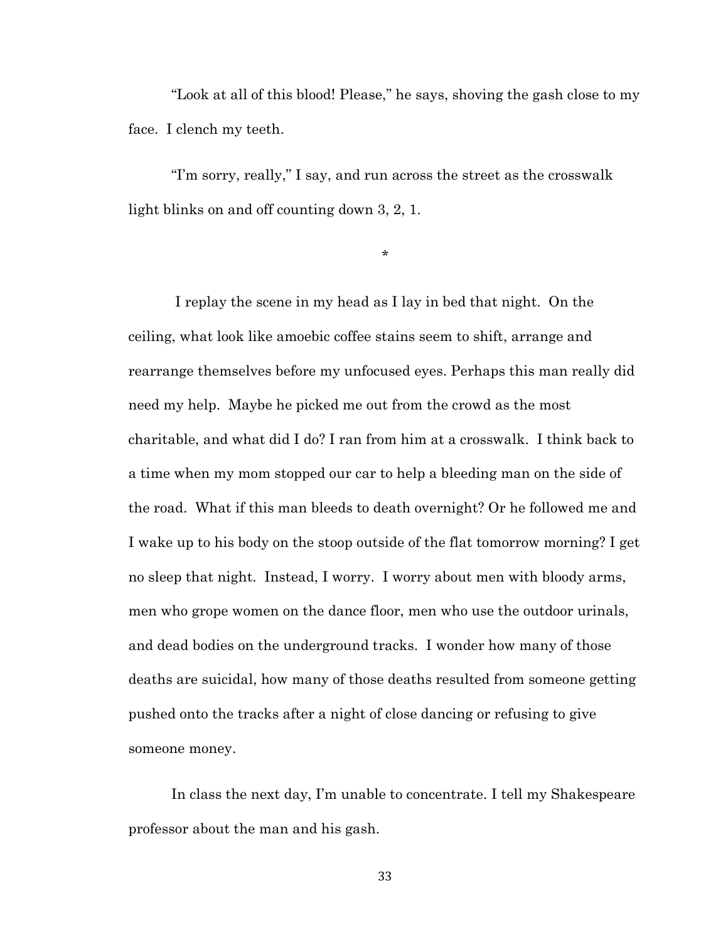"Look at all of this blood! Please," he says, shoving the gash close to my face. I clench my teeth.

"I'm sorry, really," I say, and run across the street as the crosswalk light blinks on and off counting down 3, 2, 1.

\*

I replay the scene in my head as I lay in bed that night. On the ceiling, what look like amoebic coffee stains seem to shift, arrange and rearrange themselves before my unfocused eyes. Perhaps this man really did need my help. Maybe he picked me out from the crowd as the most charitable, and what did I do? I ran from him at a crosswalk. I think back to a time when my mom stopped our car to help a bleeding man on the side of the road. What if this man bleeds to death overnight? Or he followed me and I wake up to his body on the stoop outside of the flat tomorrow morning? I get no sleep that night. Instead, I worry. I worry about men with bloody arms, men who grope women on the dance floor, men who use the outdoor urinals, and dead bodies on the underground tracks. I wonder how many of those deaths are suicidal, how many of those deaths resulted from someone getting pushed onto the tracks after a night of close dancing or refusing to give someone money.

In class the next day, I'm unable to concentrate. I tell my Shakespeare professor about the man and his gash.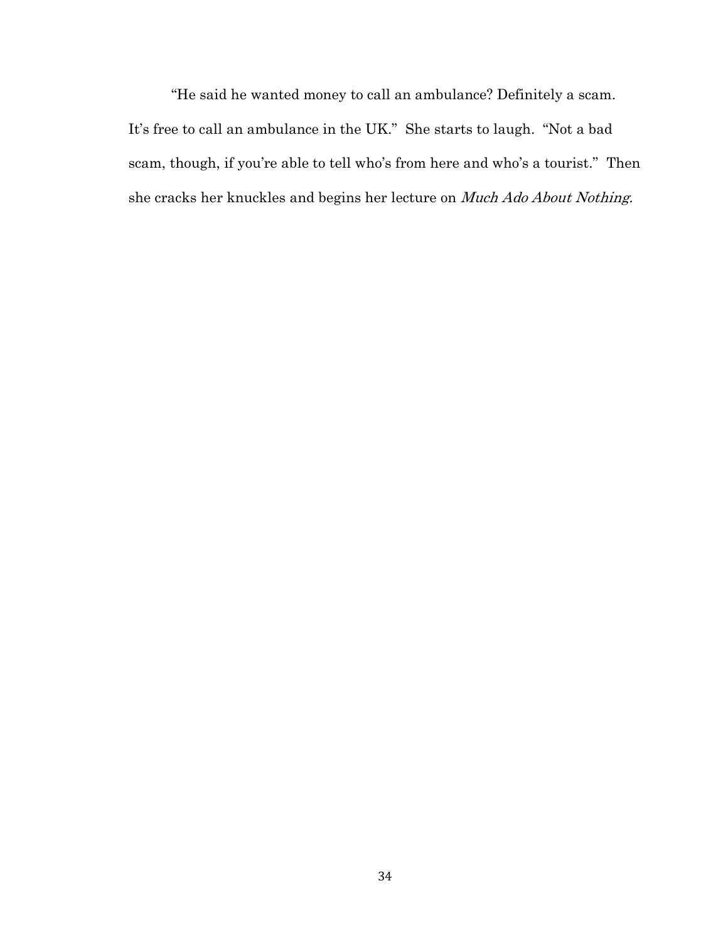"He said he wanted money to call an ambulance? Definitely a scam. It's free to call an ambulance in the UK." She starts to laugh. "Not a bad scam, though, if you're able to tell who's from here and who's a tourist." Then she cracks her knuckles and begins her lecture on Much Ado About Nothing.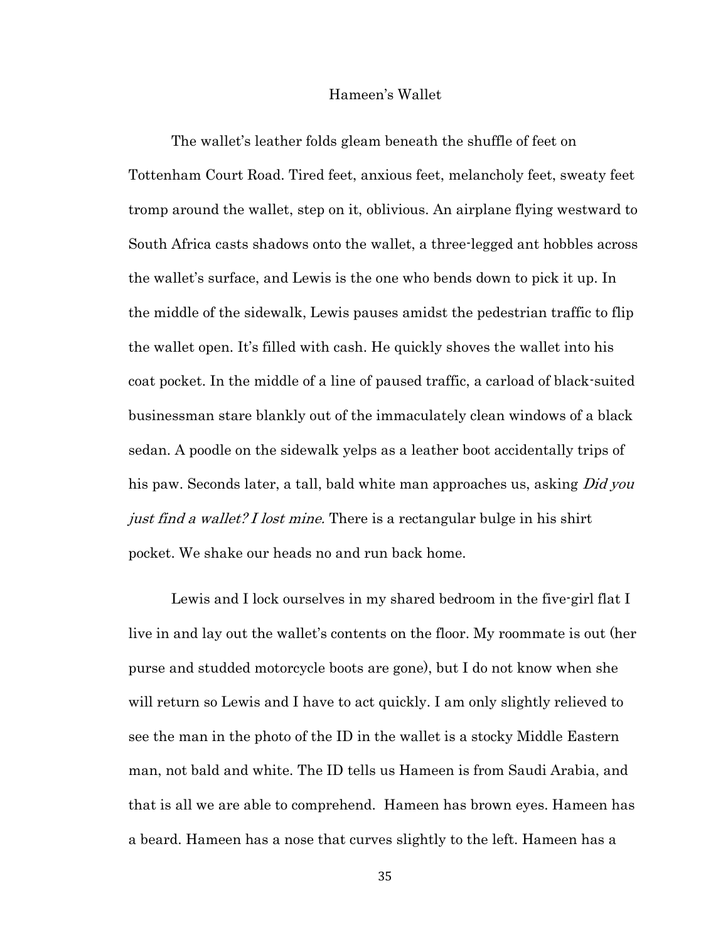### Hameen's Wallet

The wallet's leather folds gleam beneath the shuffle of feet on Tottenham Court Road. Tired feet, anxious feet, melancholy feet, sweaty feet tromp around the wallet, step on it, oblivious. An airplane flying westward to South Africa casts shadows onto the wallet, a three-legged ant hobbles across the wallet's surface, and Lewis is the one who bends down to pick it up. In the middle of the sidewalk, Lewis pauses amidst the pedestrian traffic to flip the wallet open. It's filled with cash. He quickly shoves the wallet into his coat pocket. In the middle of a line of paused traffic, a carload of black-suited businessman stare blankly out of the immaculately clean windows of a black sedan. A poodle on the sidewalk yelps as a leather boot accidentally trips of his paw. Seconds later, a tall, bald white man approaches us, asking *Did you* just find a wallet? I lost mine. There is a rectangular bulge in his shirt pocket. We shake our heads no and run back home.

Lewis and I lock ourselves in my shared bedroom in the five-girl flat I live in and lay out the wallet's contents on the floor. My roommate is out (her purse and studded motorcycle boots are gone), but I do not know when she will return so Lewis and I have to act quickly. I am only slightly relieved to see the man in the photo of the ID in the wallet is a stocky Middle Eastern man, not bald and white. The ID tells us Hameen is from Saudi Arabia, and that is all we are able to comprehend. Hameen has brown eyes. Hameen has a beard. Hameen has a nose that curves slightly to the left. Hameen has a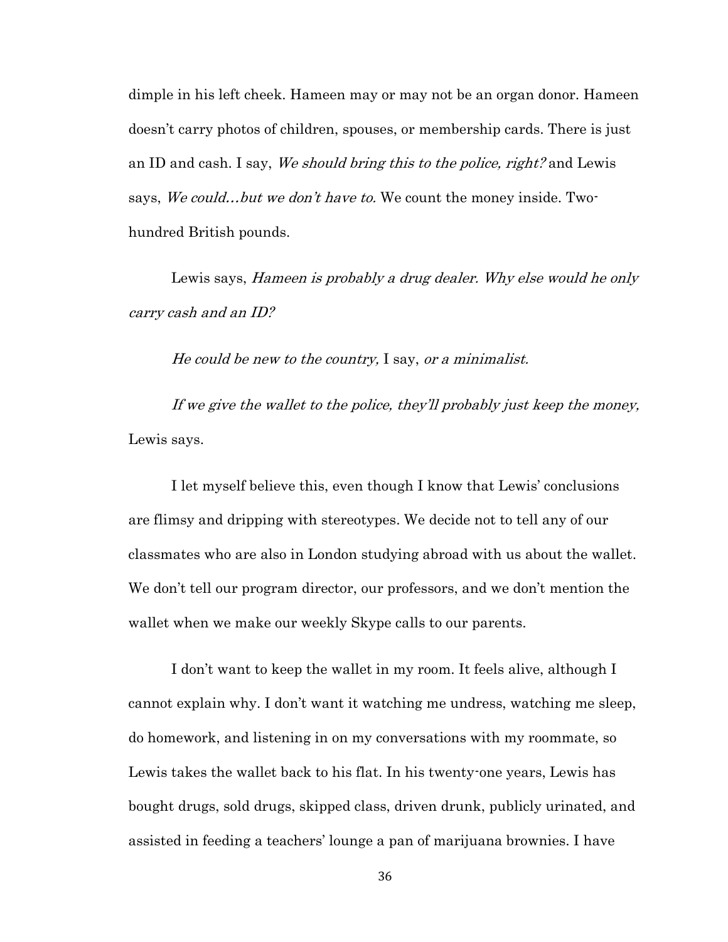dimple in his left cheek. Hameen may or may not be an organ donor. Hameen doesn't carry photos of children, spouses, or membership cards. There is just an ID and cash. I say, We should bring this to the police, right? and Lewis says, We could...but we don't have to. We count the money inside. Twohundred British pounds.

Lewis says, Hameen is probably a drug dealer. Why else would he only carry cash and an ID?

He could be new to the country, I say, or a minimalist.

If we give the wallet to the police, they'll probably just keep the money, Lewis says.

I let myself believe this, even though I know that Lewis' conclusions are flimsy and dripping with stereotypes. We decide not to tell any of our classmates who are also in London studying abroad with us about the wallet. We don't tell our program director, our professors, and we don't mention the wallet when we make our weekly Skype calls to our parents.

I don't want to keep the wallet in my room. It feels alive, although I cannot explain why. I don't want it watching me undress, watching me sleep, do homework, and listening in on my conversations with my roommate, so Lewis takes the wallet back to his flat. In his twenty-one years, Lewis has bought drugs, sold drugs, skipped class, driven drunk, publicly urinated, and assisted in feeding a teachers' lounge a pan of marijuana brownies. I have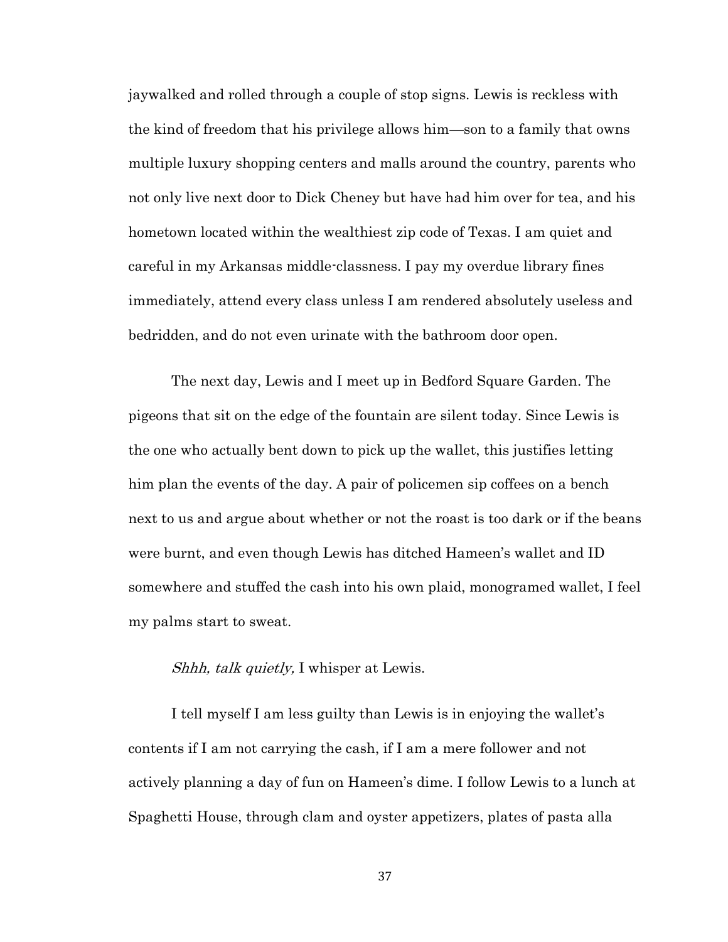jaywalked and rolled through a couple of stop signs. Lewis is reckless with the kind of freedom that his privilege allows him—son to a family that owns multiple luxury shopping centers and malls around the country, parents who not only live next door to Dick Cheney but have had him over for tea, and his hometown located within the wealthiest zip code of Texas. I am quiet and careful in my Arkansas middle-classness. I pay my overdue library fines immediately, attend every class unless I am rendered absolutely useless and bedridden, and do not even urinate with the bathroom door open.

The next day, Lewis and I meet up in Bedford Square Garden. The pigeons that sit on the edge of the fountain are silent today. Since Lewis is the one who actually bent down to pick up the wallet, this justifies letting him plan the events of the day. A pair of policemen sip coffees on a bench next to us and argue about whether or not the roast is too dark or if the beans were burnt, and even though Lewis has ditched Hameen's wallet and ID somewhere and stuffed the cash into his own plaid, monogramed wallet, I feel my palms start to sweat.

# Shhh, talk quietly, I whisper at Lewis.

I tell myself I am less guilty than Lewis is in enjoying the wallet's contents if I am not carrying the cash, if I am a mere follower and not actively planning a day of fun on Hameen's dime. I follow Lewis to a lunch at Spaghetti House, through clam and oyster appetizers, plates of pasta alla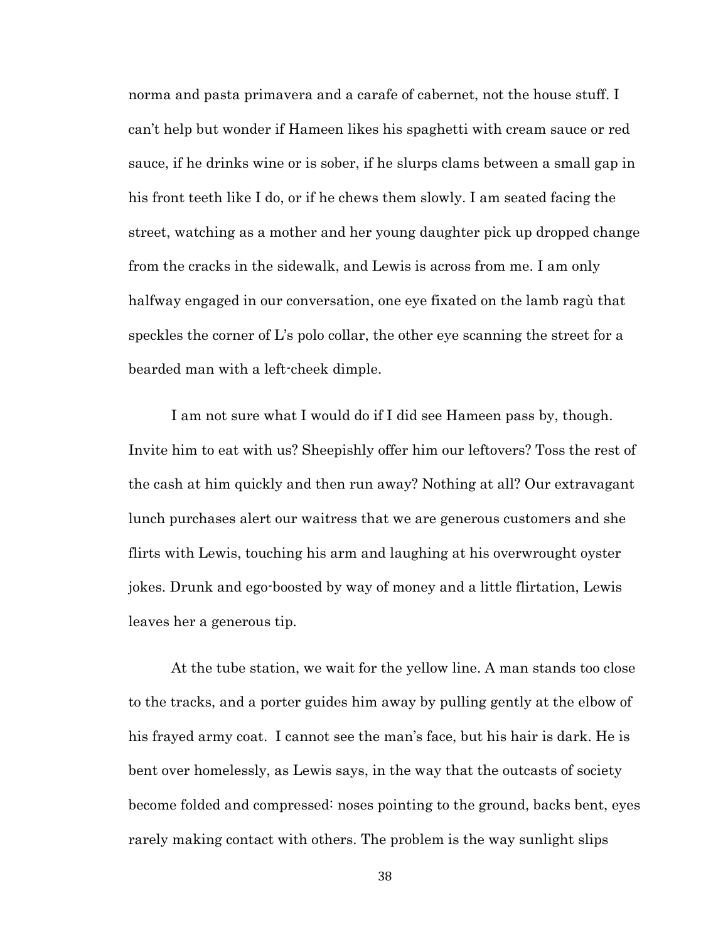norma and pasta primavera and a carafe of cabernet, not the house stuff. I can't help but wonder if Hameen likes his spaghetti with cream sauce or red sauce, if he drinks wine or is sober, if he slurps clams between a small gap in his front teeth like I do, or if he chews them slowly. I am seated facing the street, watching as a mother and her young daughter pick up dropped change from the cracks in the sidewalk, and Lewis is across from me. I am only halfway engaged in our conversation, one eye fixated on the lamb ragù that speckles the corner of L's polo collar, the other eye scanning the street for a bearded man with a left-cheek dimple.

I am not sure what I would do if I did see Hameen pass by, though. Invite him to eat with us? Sheepishly offer him our leftovers? Toss the rest of the cash at him quickly and then run away? Nothing at all? Our extravagant lunch purchases alert our waitress that we are generous customers and she flirts with Lewis, touching his arm and laughing at his overwrought oyster jokes. Drunk and ego-boosted by way of money and a little flirtation, Lewis leaves her a generous tip.

At the tube station, we wait for the yellow line. A man stands too close to the tracks, and a porter guides him away by pulling gently at the elbow of his frayed army coat. I cannot see the man's face, but his hair is dark. He is bent over homelessly, as Lewis says, in the way that the outcasts of society become folded and compressed: noses pointing to the ground, backs bent, eyes rarely making contact with others. The problem is the way sunlight slips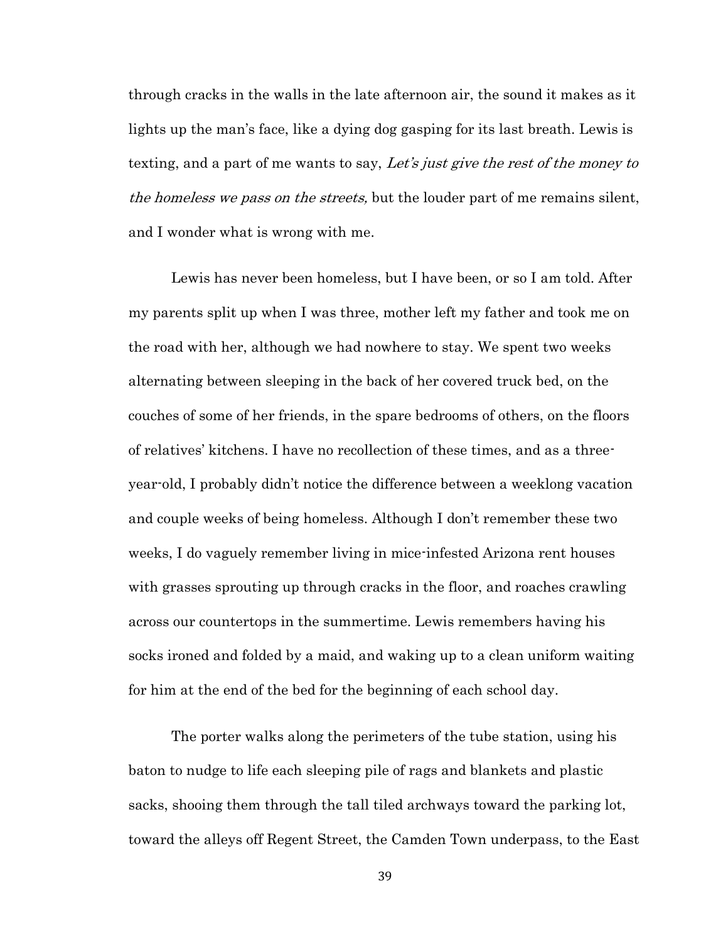through cracks in the walls in the late afternoon air, the sound it makes as it lights up the man's face, like a dying dog gasping for its last breath. Lewis is texting, and a part of me wants to say, Let's just give the rest of the money to the homeless we pass on the streets, but the louder part of me remains silent, and I wonder what is wrong with me.

Lewis has never been homeless, but I have been, or so I am told. After my parents split up when I was three, mother left my father and took me on the road with her, although we had nowhere to stay. We spent two weeks alternating between sleeping in the back of her covered truck bed, on the couches of some of her friends, in the spare bedrooms of others, on the floors of relatives' kitchens. I have no recollection of these times, and as a threeyear-old, I probably didn't notice the difference between a weeklong vacation and couple weeks of being homeless. Although I don't remember these two weeks, I do vaguely remember living in mice-infested Arizona rent houses with grasses sprouting up through cracks in the floor, and roaches crawling across our countertops in the summertime. Lewis remembers having his socks ironed and folded by a maid, and waking up to a clean uniform waiting for him at the end of the bed for the beginning of each school day.

The porter walks along the perimeters of the tube station, using his baton to nudge to life each sleeping pile of rags and blankets and plastic sacks, shooing them through the tall tiled archways toward the parking lot, toward the alleys off Regent Street, the Camden Town underpass, to the East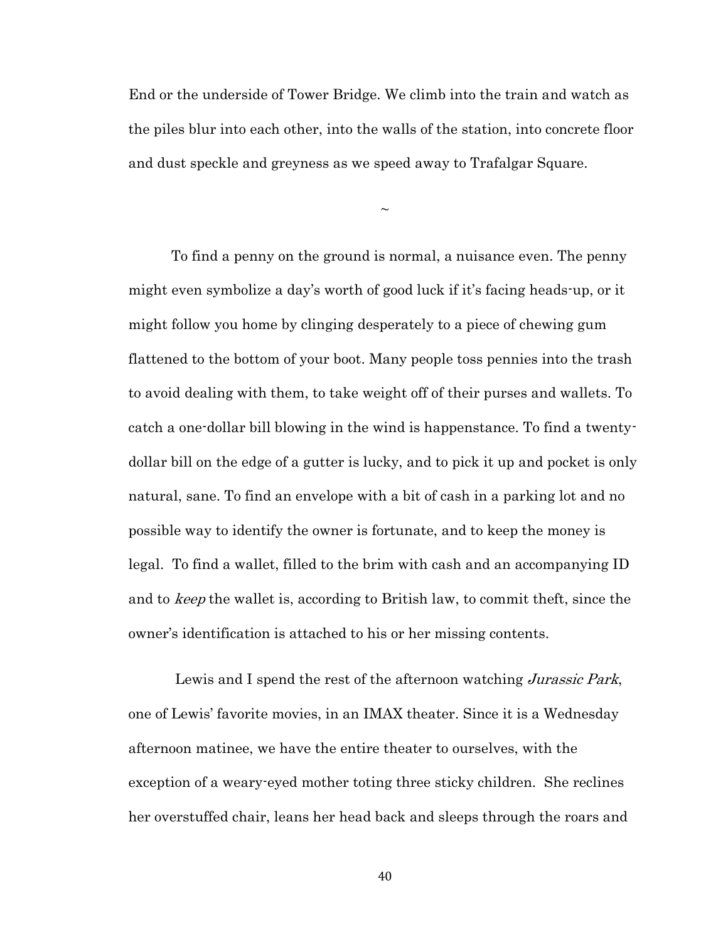End or the underside of Tower Bridge. We climb into the train and watch as the piles blur into each other, into the walls of the station, into concrete floor and dust speckle and greyness as we speed away to Trafalgar Square.

 $\sim$ 

To find a penny on the ground is normal, a nuisance even. The penny might even symbolize a day's worth of good luck if it's facing heads-up, or it might follow you home by clinging desperately to a piece of chewing gum flattened to the bottom of your boot. Many people toss pennies into the trash to avoid dealing with them, to take weight off of their purses and wallets. To catch a one-dollar bill blowing in the wind is happenstance. To find a twentydollar bill on the edge of a gutter is lucky, and to pick it up and pocket is only natural, sane. To find an envelope with a bit of cash in a parking lot and no possible way to identify the owner is fortunate, and to keep the money is legal. To find a wallet, filled to the brim with cash and an accompanying ID and to keep the wallet is, according to British law, to commit theft, since the owner's identification is attached to his or her missing contents.

Lewis and I spend the rest of the afternoon watching Jurassic Park, one of Lewis' favorite movies, in an IMAX theater. Since it is a Wednesday afternoon matinee, we have the entire theater to ourselves, with the exception of a weary-eyed mother toting three sticky children. She reclines her overstuffed chair, leans her head back and sleeps through the roars and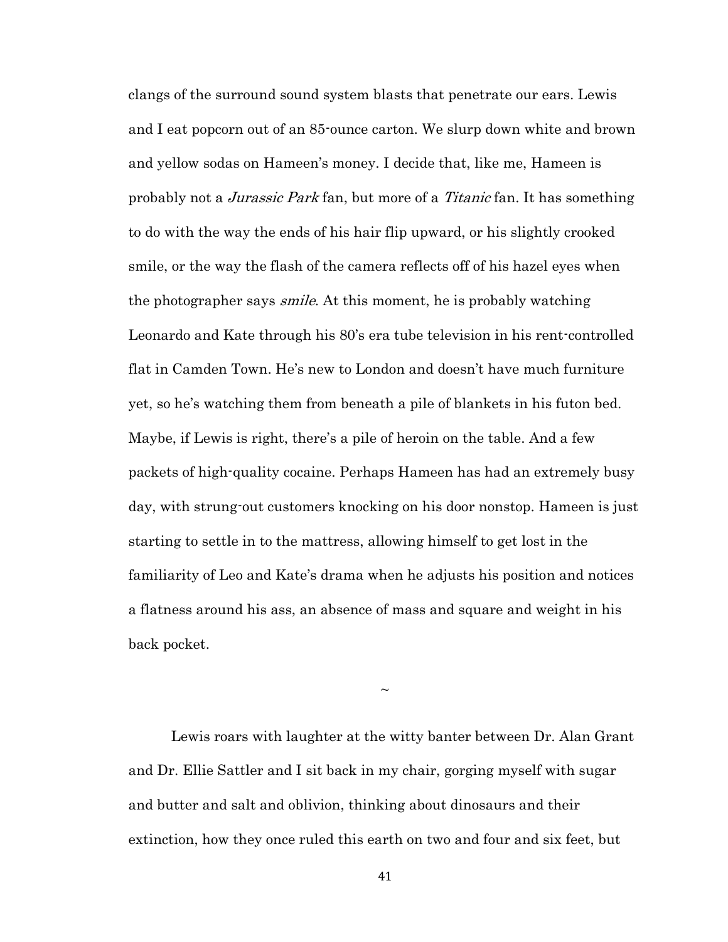clangs of the surround sound system blasts that penetrate our ears. Lewis and I eat popcorn out of an 85-ounce carton. We slurp down white and brown and yellow sodas on Hameen's money. I decide that, like me, Hameen is probably not a Jurassic Park fan, but more of a Titanic fan. It has something to do with the way the ends of his hair flip upward, or his slightly crooked smile, or the way the flash of the camera reflects off of his hazel eyes when the photographer says *smile*. At this moment, he is probably watching Leonardo and Kate through his 80's era tube television in his rent-controlled flat in Camden Town. He's new to London and doesn't have much furniture yet, so he's watching them from beneath a pile of blankets in his futon bed. Maybe, if Lewis is right, there's a pile of heroin on the table. And a few packets of high-quality cocaine. Perhaps Hameen has had an extremely busy day, with strung-out customers knocking on his door nonstop. Hameen is just starting to settle in to the mattress, allowing himself to get lost in the familiarity of Leo and Kate's drama when he adjusts his position and notices a flatness around his ass, an absence of mass and square and weight in his back pocket.

 $\sim$ 

Lewis roars with laughter at the witty banter between Dr. Alan Grant and Dr. Ellie Sattler and I sit back in my chair, gorging myself with sugar and butter and salt and oblivion, thinking about dinosaurs and their extinction, how they once ruled this earth on two and four and six feet, but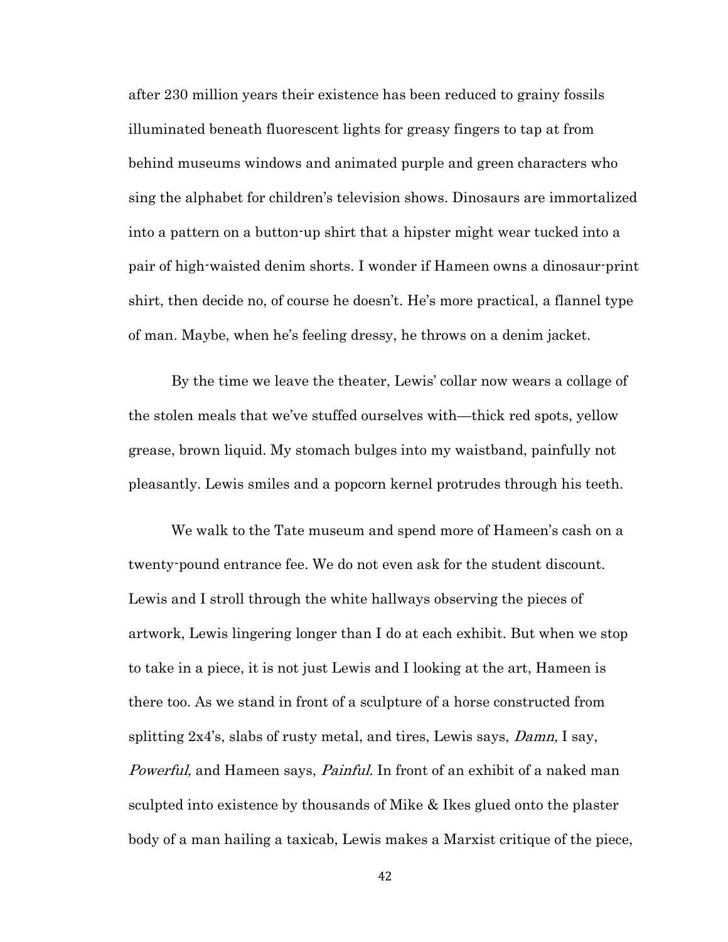after 230 million years their existence has been reduced to grainy fossils illuminated beneath fluorescent lights for greasy fingers to tap at from behind museums windows and animated purple and green characters who sing the alphabet for children's television shows. Dinosaurs are immortalized into a pattern on a button-up shirt that a hipster might wear tucked into a pair of high-waisted denim shorts. I wonder if Hameen owns a dinosaur-print shirt, then decide no, of course he doesn't. He's more practical, a flannel type of man. Maybe, when he's feeling dressy, he throws on a denim jacket.

By the time we leave the theater, Lewis' collar now wears a collage of the stolen meals that we've stuffed ourselves with—thick red spots, yellow grease, brown liquid. My stomach bulges into my waistband, painfully not pleasantly. Lewis smiles and a popcorn kernel protrudes through his teeth.

We walk to the Tate museum and spend more of Hameen's cash on a twenty-pound entrance fee. We do not even ask for the student discount. Lewis and I stroll through the white hallways observing the pieces of artwork, Lewis lingering longer than I do at each exhibit. But when we stop to take in a piece, it is not just Lewis and I looking at the art, Hameen is there too. As we stand in front of a sculpture of a horse constructed from splitting  $2x4$ 's, slabs of rusty metal, and tires, Lewis says, *Damn*, I say, Powerful, and Hameen says, *Painful*. In front of an exhibit of a naked man sculpted into existence by thousands of Mike & Ikes glued onto the plaster body of a man hailing a taxicab, Lewis makes a Marxist critique of the piece,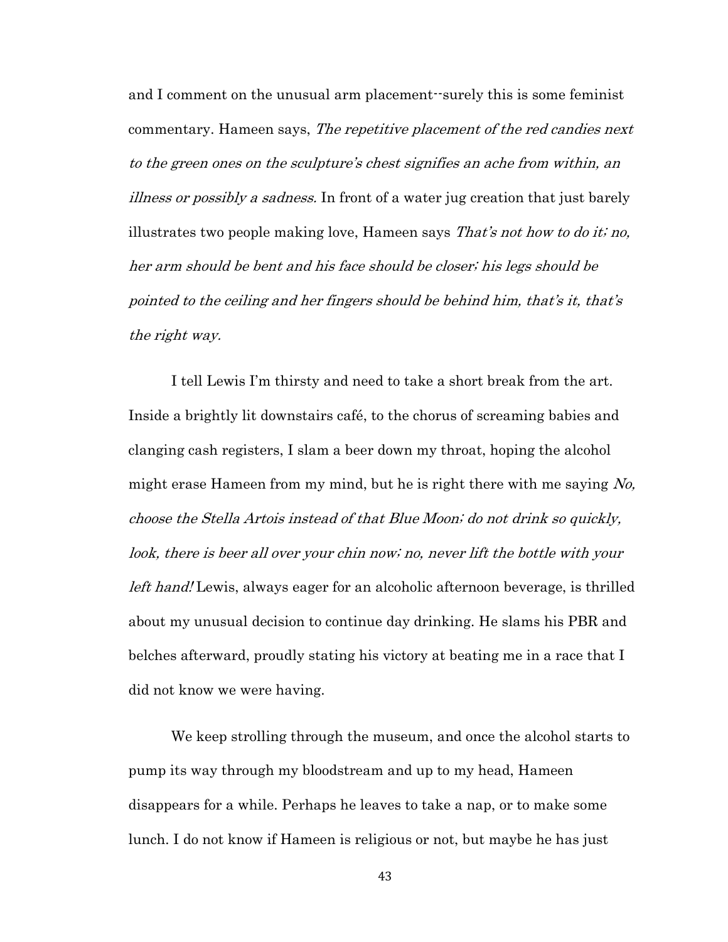and I comment on the unusual arm placement--surely this is some feminist commentary. Hameen says, The repetitive placement of the red candies next to the green ones on the sculpture's chest signifies an ache from within, an illness or possibly a sadness. In front of a water jug creation that just barely illustrates two people making love, Hameen says *That's not how to do it; no,* her arm should be bent and his face should be closer; his legs should be pointed to the ceiling and her fingers should be behind him, that's it, that's the right way.

I tell Lewis I'm thirsty and need to take a short break from the art. Inside a brightly lit downstairs café, to the chorus of screaming babies and clanging cash registers, I slam a beer down my throat, hoping the alcohol might erase Hameen from my mind, but he is right there with me saying  $N_o$ , choose the Stella Artois instead of that Blue Moon; do not drink so quickly, look, there is beer all over your chin now; no, never lift the bottle with your left hand! Lewis, always eager for an alcoholic afternoon beverage, is thrilled about my unusual decision to continue day drinking. He slams his PBR and belches afterward, proudly stating his victory at beating me in a race that I did not know we were having.

We keep strolling through the museum, and once the alcohol starts to pump its way through my bloodstream and up to my head, Hameen disappears for a while. Perhaps he leaves to take a nap, or to make some lunch. I do not know if Hameen is religious or not, but maybe he has just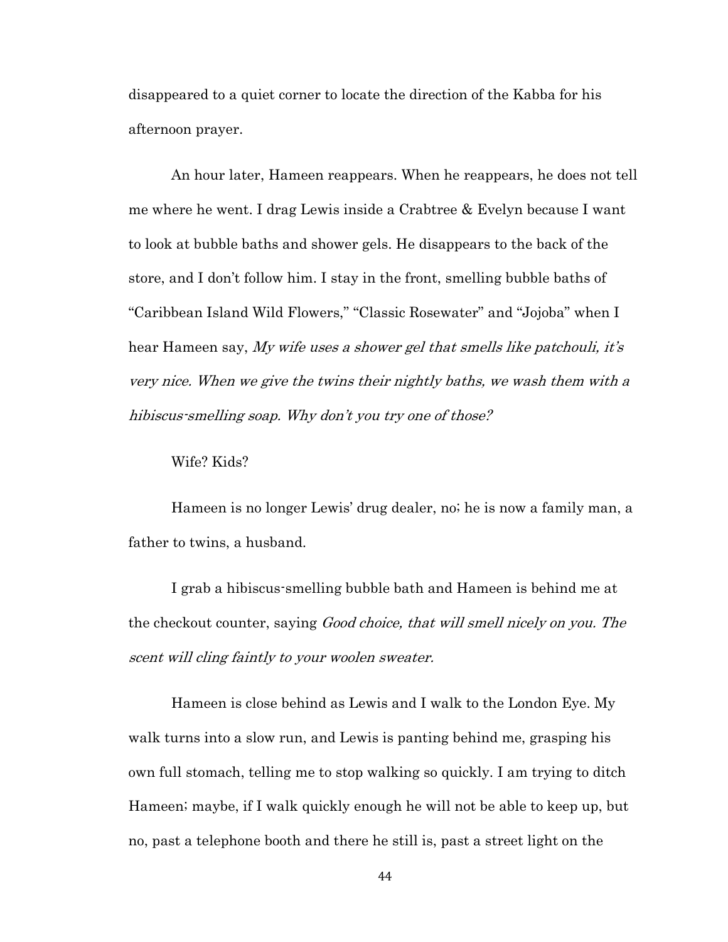disappeared to a quiet corner to locate the direction of the Kabba for his afternoon prayer.

An hour later, Hameen reappears. When he reappears, he does not tell me where he went. I drag Lewis inside a Crabtree & Evelyn because I want to look at bubble baths and shower gels. He disappears to the back of the store, and I don't follow him. I stay in the front, smelling bubble baths of "Caribbean Island Wild Flowers," "Classic Rosewater" and "Jojoba" when I hear Hameen say, My wife uses a shower gel that smells like patchouli, it's very nice. When we give the twins their nightly baths, we wash them with a hibiscus-smelling soap. Why don't you try one of those?

Wife? Kids?

Hameen is no longer Lewis' drug dealer, no; he is now a family man, a father to twins, a husband.

I grab a hibiscus-smelling bubble bath and Hameen is behind me at the checkout counter, saying *Good choice, that will smell nicely on you. The* scent will cling faintly to your woolen sweater.

Hameen is close behind as Lewis and I walk to the London Eye. My walk turns into a slow run, and Lewis is panting behind me, grasping his own full stomach, telling me to stop walking so quickly. I am trying to ditch Hameen; maybe, if I walk quickly enough he will not be able to keep up, but no, past a telephone booth and there he still is, past a street light on the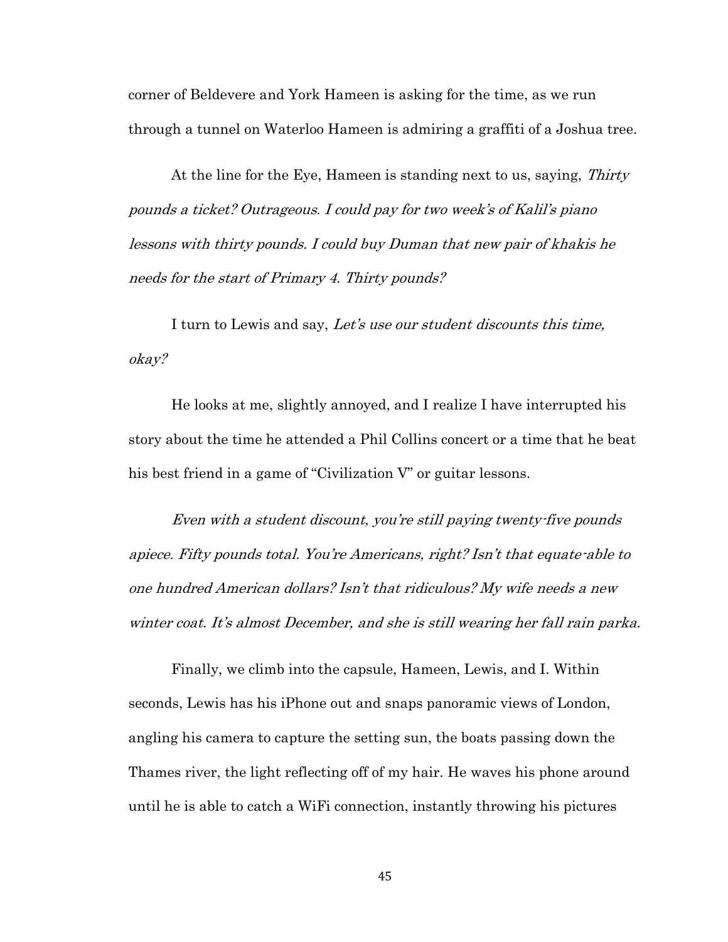corner of Beldevere and York Hameen is asking for the time, as we run through a tunnel on Waterloo Hameen is admiring a graffiti of a Joshua tree.

At the line for the Eye, Hameen is standing next to us, saying, Thirty pounds a ticket? Outrageous. I could pay for two week's of Kalil's piano lessons with thirty pounds. I could buy Duman that new pair of khakis he needs for the start of Primary 4. Thirty pounds?

I turn to Lewis and say, Let's use our student discounts this time, okay?

He looks at me, slightly annoyed, and I realize I have interrupted his story about the time he attended a Phil Collins concert or a time that he beat his best friend in a game of "Civilization V" or guitar lessons.

Even with a student discount, you're still paying twenty-five pounds apiece. Fifty pounds total. You're Americans, right? Isn't that equate-able to one hundred American dollars? Isn't that ridiculous? My wife needs a new winter coat. It's almost December, and she is still wearing her fall rain parka.

Finally, we climb into the capsule, Hameen, Lewis, and I. Within seconds, Lewis has his iPhone out and snaps panoramic views of London, angling his camera to capture the setting sun, the boats passing down the Thames river, the light reflecting off of my hair. He waves his phone around until he is able to catch a WiFi connection, instantly throwing his pictures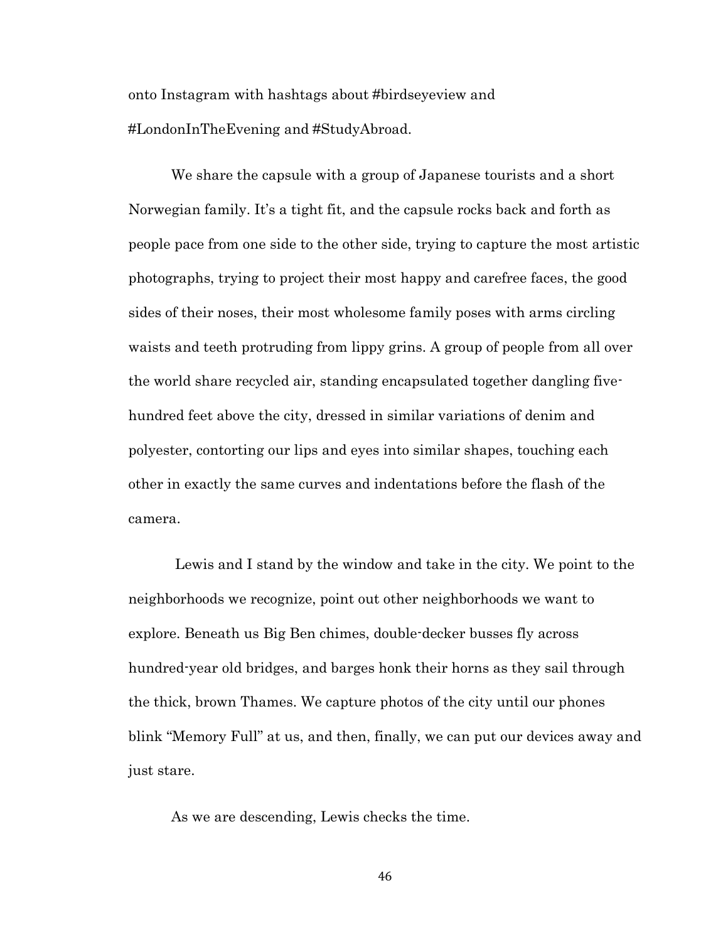onto Instagram with hashtags about #birdseyeview and #LondonInTheEvening and #StudyAbroad.

We share the capsule with a group of Japanese tourists and a short Norwegian family. It's a tight fit, and the capsule rocks back and forth as people pace from one side to the other side, trying to capture the most artistic photographs, trying to project their most happy and carefree faces, the good sides of their noses, their most wholesome family poses with arms circling waists and teeth protruding from lippy grins. A group of people from all over the world share recycled air, standing encapsulated together dangling fivehundred feet above the city, dressed in similar variations of denim and polyester, contorting our lips and eyes into similar shapes, touching each other in exactly the same curves and indentations before the flash of the camera.

Lewis and I stand by the window and take in the city. We point to the neighborhoods we recognize, point out other neighborhoods we want to explore. Beneath us Big Ben chimes, double-decker busses fly across hundred-year old bridges, and barges honk their horns as they sail through the thick, brown Thames. We capture photos of the city until our phones blink "Memory Full" at us, and then, finally, we can put our devices away and just stare.

As we are descending, Lewis checks the time.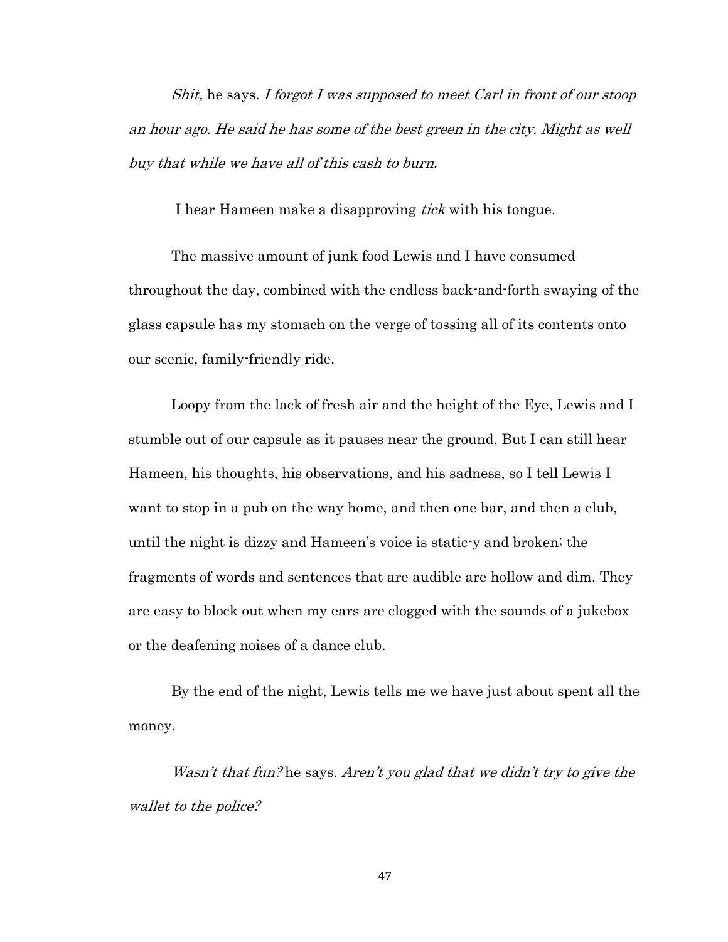Shit, he says. I forgot I was supposed to meet Carl in front of our stoop an hour ago. He said he has some of the best green in the city. Might as well buy that while we have all of this cash to burn.

I hear Hameen make a disapproving *tick* with his tongue.

The massive amount of junk food Lewis and I have consumed throughout the day, combined with the endless back-and-forth swaying of the glass capsule has my stomach on the verge of tossing all of its contents onto our scenic, family-friendly ride.

Loopy from the lack of fresh air and the height of the Eye, Lewis and I stumble out of our capsule as it pauses near the ground. But I can still hear Hameen, his thoughts, his observations, and his sadness, so I tell Lewis I want to stop in a pub on the way home, and then one bar, and then a club, until the night is dizzy and Hameen's voice is static-y and broken; the fragments of words and sentences that are audible are hollow and dim. They are easy to block out when my ears are clogged with the sounds of a jukebox or the deafening noises of a dance club.

By the end of the night, Lewis tells me we have just about spent all the money.

Wasn't that fun? he says. Aren't you glad that we didn't try to give the wallet to the police?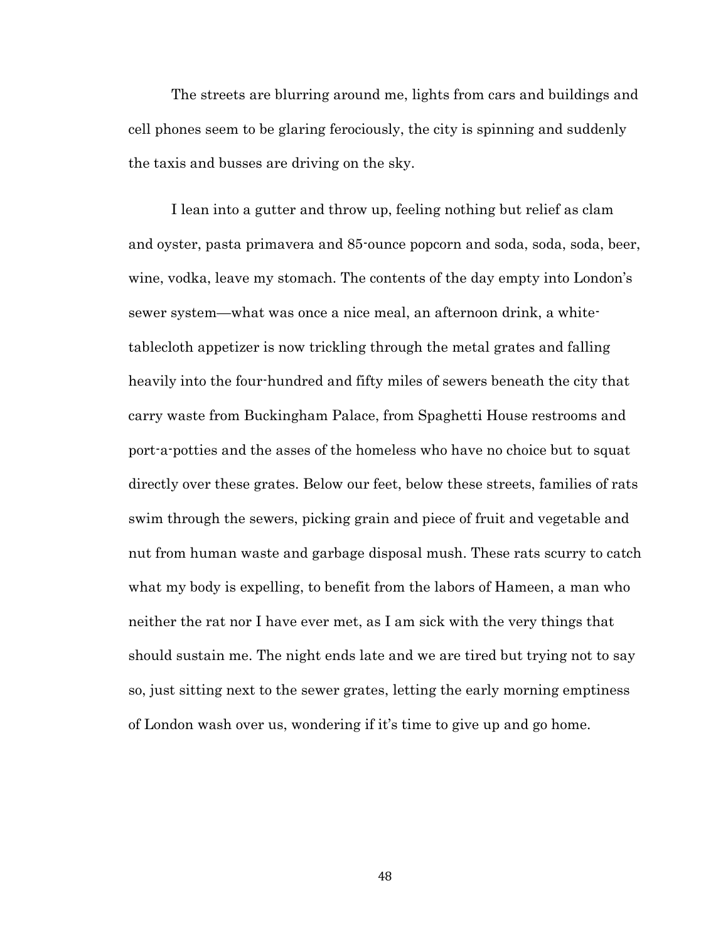The streets are blurring around me, lights from cars and buildings and cell phones seem to be glaring ferociously, the city is spinning and suddenly the taxis and busses are driving on the sky.

I lean into a gutter and throw up, feeling nothing but relief as clam and oyster, pasta primavera and 85-ounce popcorn and soda, soda, soda, beer, wine, vodka, leave my stomach. The contents of the day empty into London's sewer system—what was once a nice meal, an afternoon drink, a whitetablecloth appetizer is now trickling through the metal grates and falling heavily into the four-hundred and fifty miles of sewers beneath the city that carry waste from Buckingham Palace, from Spaghetti House restrooms and port-a-potties and the asses of the homeless who have no choice but to squat directly over these grates. Below our feet, below these streets, families of rats swim through the sewers, picking grain and piece of fruit and vegetable and nut from human waste and garbage disposal mush. These rats scurry to catch what my body is expelling, to benefit from the labors of Hameen, a man who neither the rat nor I have ever met, as I am sick with the very things that should sustain me. The night ends late and we are tired but trying not to say so, just sitting next to the sewer grates, letting the early morning emptiness of London wash over us, wondering if it's time to give up and go home.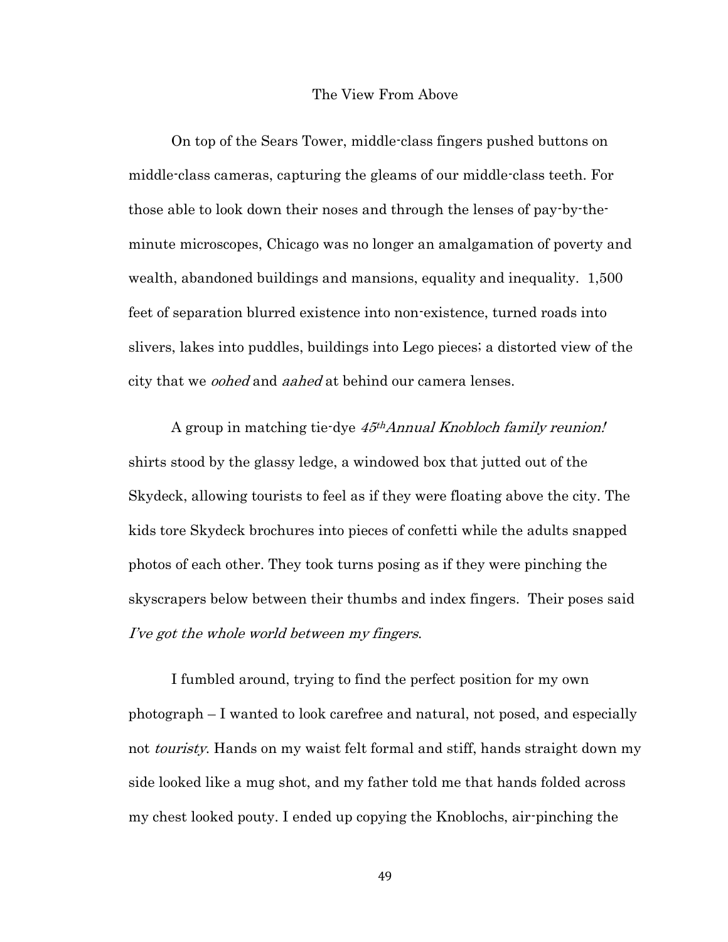#### The View From Above

On top of the Sears Tower, middle-class fingers pushed buttons on middle-class cameras, capturing the gleams of our middle-class teeth. For those able to look down their noses and through the lenses of pay-by-theminute microscopes, Chicago was no longer an amalgamation of poverty and wealth, abandoned buildings and mansions, equality and inequality. 1,500 feet of separation blurred existence into non-existence, turned roads into slivers, lakes into puddles, buildings into Lego pieces; a distorted view of the city that we *oohed* and *aahed* at behind our camera lenses.

A group in matching tie-dye 45<sup>th</sup>Annual Knobloch family reunion! shirts stood by the glassy ledge, a windowed box that jutted out of the Skydeck, allowing tourists to feel as if they were floating above the city. The kids tore Skydeck brochures into pieces of confetti while the adults snapped photos of each other. They took turns posing as if they were pinching the skyscrapers below between their thumbs and index fingers. Their poses said I've got the whole world between my fingers.

I fumbled around, trying to find the perfect position for my own photograph – I wanted to look carefree and natural, not posed, and especially not *touristy*. Hands on my waist felt formal and stiff, hands straight down my side looked like a mug shot, and my father told me that hands folded across my chest looked pouty. I ended up copying the Knoblochs, air-pinching the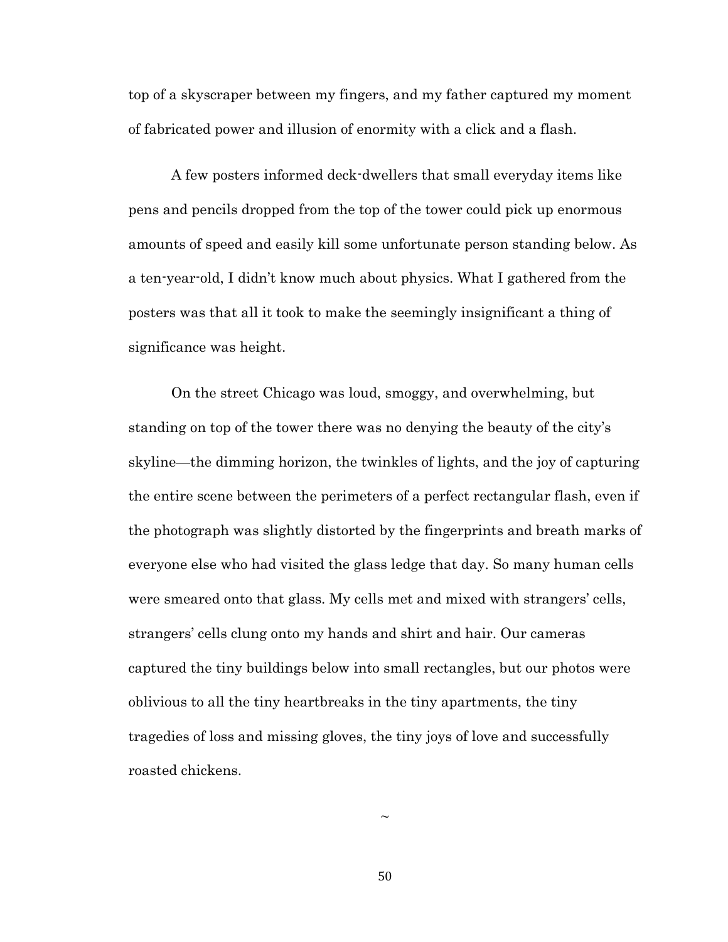top of a skyscraper between my fingers, and my father captured my moment of fabricated power and illusion of enormity with a click and a flash.

A few posters informed deck-dwellers that small everyday items like pens and pencils dropped from the top of the tower could pick up enormous amounts of speed and easily kill some unfortunate person standing below. As a ten-year-old, I didn't know much about physics. What I gathered from the posters was that all it took to make the seemingly insignificant a thing of significance was height.

On the street Chicago was loud, smoggy, and overwhelming, but standing on top of the tower there was no denying the beauty of the city's skyline—the dimming horizon, the twinkles of lights, and the joy of capturing the entire scene between the perimeters of a perfect rectangular flash, even if the photograph was slightly distorted by the fingerprints and breath marks of everyone else who had visited the glass ledge that day. So many human cells were smeared onto that glass. My cells met and mixed with strangers' cells, strangers' cells clung onto my hands and shirt and hair. Our cameras captured the tiny buildings below into small rectangles, but our photos were oblivious to all the tiny heartbreaks in the tiny apartments, the tiny tragedies of loss and missing gloves, the tiny joys of love and successfully roasted chickens.

50

 $\sim$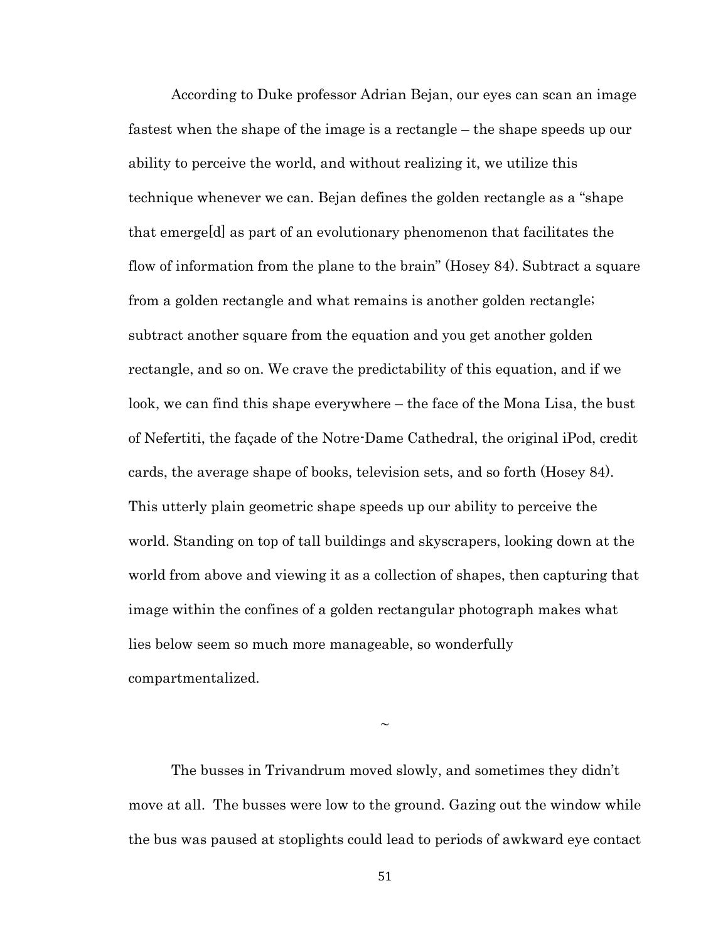According to Duke professor Adrian Bejan, our eyes can scan an image fastest when the shape of the image is a rectangle – the shape speeds up our ability to perceive the world, and without realizing it, we utilize this technique whenever we can. Bejan defines the golden rectangle as a "shape that emerge[d] as part of an evolutionary phenomenon that facilitates the flow of information from the plane to the brain" (Hosey 84). Subtract a square from a golden rectangle and what remains is another golden rectangle; subtract another square from the equation and you get another golden rectangle, and so on. We crave the predictability of this equation, and if we look, we can find this shape everywhere – the face of the Mona Lisa, the bust of Nefertiti, the façade of the Notre-Dame Cathedral, the original iPod, credit cards, the average shape of books, television sets, and so forth (Hosey 84). This utterly plain geometric shape speeds up our ability to perceive the world. Standing on top of tall buildings and skyscrapers, looking down at the world from above and viewing it as a collection of shapes, then capturing that image within the confines of a golden rectangular photograph makes what lies below seem so much more manageable, so wonderfully compartmentalized.

The busses in Trivandrum moved slowly, and sometimes they didn't move at all. The busses were low to the ground. Gazing out the window while the bus was paused at stoplights could lead to periods of awkward eye contact

 $\sim$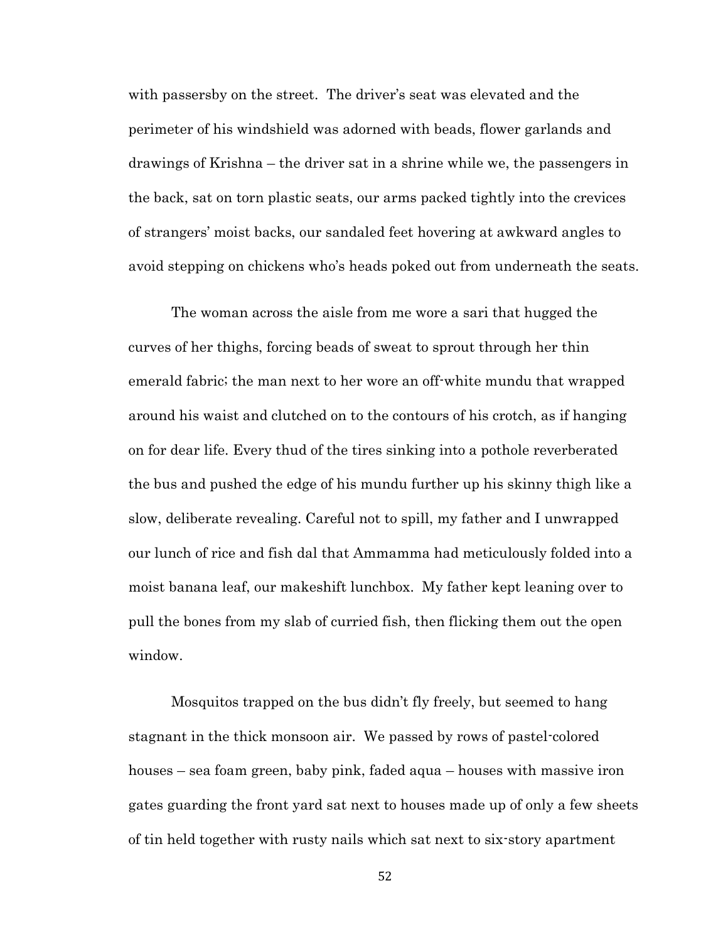with passersby on the street. The driver's seat was elevated and the perimeter of his windshield was adorned with beads, flower garlands and drawings of Krishna – the driver sat in a shrine while we, the passengers in the back, sat on torn plastic seats, our arms packed tightly into the crevices of strangers' moist backs, our sandaled feet hovering at awkward angles to avoid stepping on chickens who's heads poked out from underneath the seats.

The woman across the aisle from me wore a sari that hugged the curves of her thighs, forcing beads of sweat to sprout through her thin emerald fabric; the man next to her wore an off-white mundu that wrapped around his waist and clutched on to the contours of his crotch, as if hanging on for dear life. Every thud of the tires sinking into a pothole reverberated the bus and pushed the edge of his mundu further up his skinny thigh like a slow, deliberate revealing. Careful not to spill, my father and I unwrapped our lunch of rice and fish dal that Ammamma had meticulously folded into a moist banana leaf, our makeshift lunchbox. My father kept leaning over to pull the bones from my slab of curried fish, then flicking them out the open window.

Mosquitos trapped on the bus didn't fly freely, but seemed to hang stagnant in the thick monsoon air. We passed by rows of pastel-colored houses – sea foam green, baby pink, faded aqua – houses with massive iron gates guarding the front yard sat next to houses made up of only a few sheets of tin held together with rusty nails which sat next to six-story apartment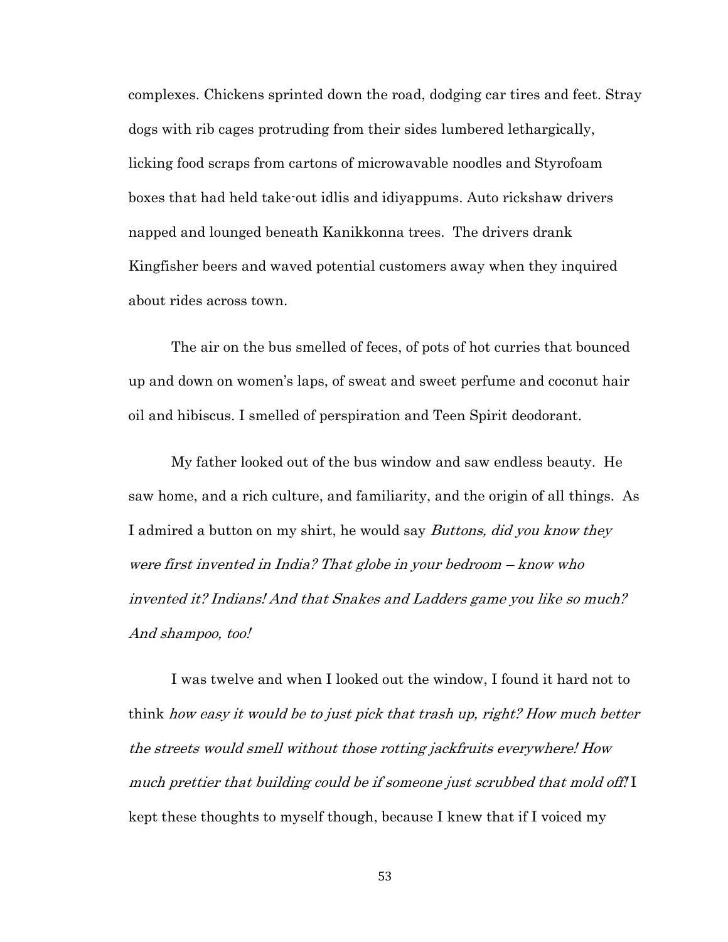complexes. Chickens sprinted down the road, dodging car tires and feet. Stray dogs with rib cages protruding from their sides lumbered lethargically, licking food scraps from cartons of microwavable noodles and Styrofoam boxes that had held take-out idlis and idiyappums. Auto rickshaw drivers napped and lounged beneath Kanikkonna trees. The drivers drank Kingfisher beers and waved potential customers away when they inquired about rides across town.

The air on the bus smelled of feces, of pots of hot curries that bounced up and down on women's laps, of sweat and sweet perfume and coconut hair oil and hibiscus. I smelled of perspiration and Teen Spirit deodorant.

My father looked out of the bus window and saw endless beauty. He saw home, and a rich culture, and familiarity, and the origin of all things. As I admired a button on my shirt, he would say *Buttons, did you know they* were first invented in India? That globe in your bedroom – know who invented it? Indians! And that Snakes and Ladders game you like so much? And shampoo, too!

I was twelve and when I looked out the window, I found it hard not to think how easy it would be to just pick that trash up, right? How much better the streets would smell without those rotting jackfruits everywhere! How much prettier that building could be if someone just scrubbed that mold off! I kept these thoughts to myself though, because I knew that if I voiced my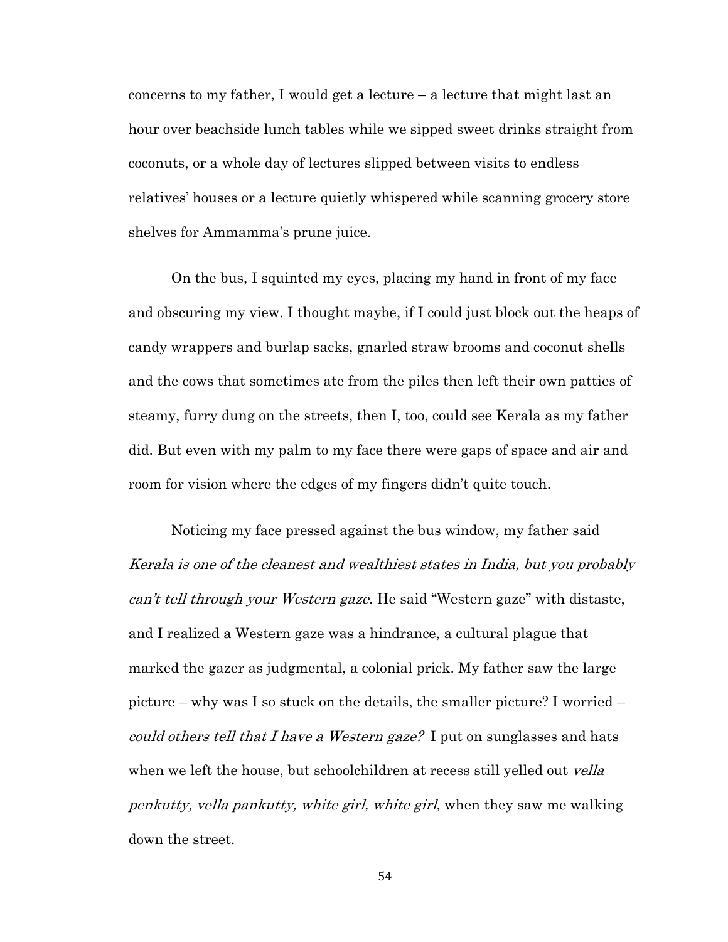concerns to my father, I would get a lecture – a lecture that might last an hour over beachside lunch tables while we sipped sweet drinks straight from coconuts, or a whole day of lectures slipped between visits to endless relatives' houses or a lecture quietly whispered while scanning grocery store shelves for Ammamma's prune juice.

On the bus, I squinted my eyes, placing my hand in front of my face and obscuring my view. I thought maybe, if I could just block out the heaps of candy wrappers and burlap sacks, gnarled straw brooms and coconut shells and the cows that sometimes ate from the piles then left their own patties of steamy, furry dung on the streets, then I, too, could see Kerala as my father did. But even with my palm to my face there were gaps of space and air and room for vision where the edges of my fingers didn't quite touch.

Noticing my face pressed against the bus window, my father said Kerala is one of the cleanest and wealthiest states in India, but you probably can't tell through your Western gaze. He said "Western gaze" with distaste, and I realized a Western gaze was a hindrance, a cultural plague that marked the gazer as judgmental, a colonial prick. My father saw the large picture – why was I so stuck on the details, the smaller picture? I worried – could others tell that I have a Western gaze? I put on sunglasses and hats when we left the house, but schoolchildren at recess still yelled out *vella* penkutty, vella pankutty, white girl, white girl, when they saw me walking down the street.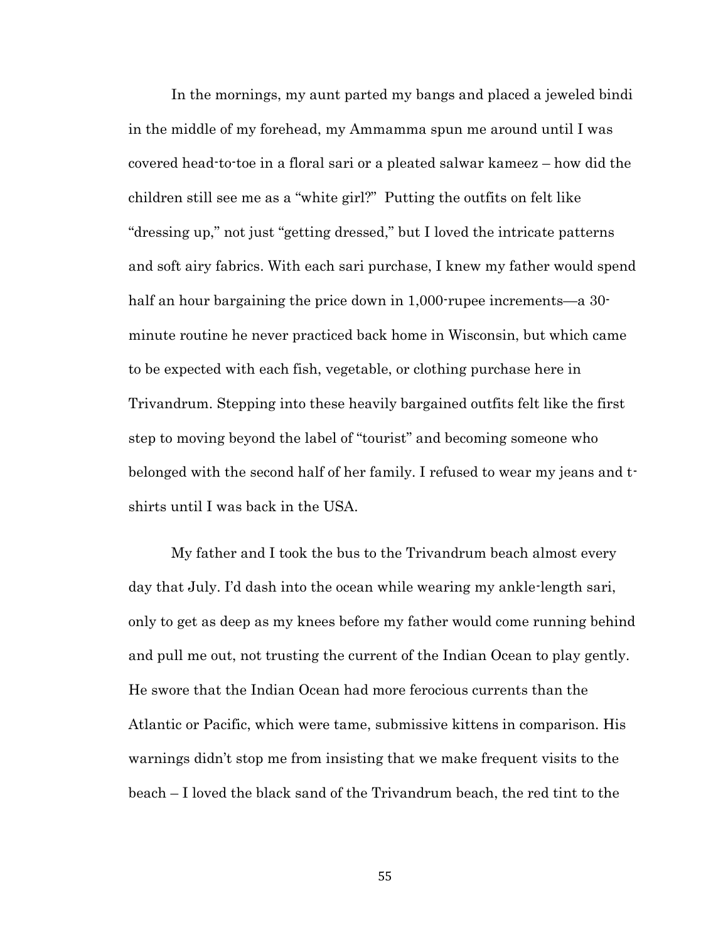In the mornings, my aunt parted my bangs and placed a jeweled bindi in the middle of my forehead, my Ammamma spun me around until I was covered head-to-toe in a floral sari or a pleated salwar kameez – how did the children still see me as a "white girl?" Putting the outfits on felt like "dressing up," not just "getting dressed," but I loved the intricate patterns and soft airy fabrics. With each sari purchase, I knew my father would spend half an hour bargaining the price down in 1,000-rupee increments—a 30minute routine he never practiced back home in Wisconsin, but which came to be expected with each fish, vegetable, or clothing purchase here in Trivandrum. Stepping into these heavily bargained outfits felt like the first step to moving beyond the label of "tourist" and becoming someone who belonged with the second half of her family. I refused to wear my jeans and tshirts until I was back in the USA.

My father and I took the bus to the Trivandrum beach almost every day that July. I'd dash into the ocean while wearing my ankle-length sari, only to get as deep as my knees before my father would come running behind and pull me out, not trusting the current of the Indian Ocean to play gently. He swore that the Indian Ocean had more ferocious currents than the Atlantic or Pacific, which were tame, submissive kittens in comparison. His warnings didn't stop me from insisting that we make frequent visits to the beach – I loved the black sand of the Trivandrum beach, the red tint to the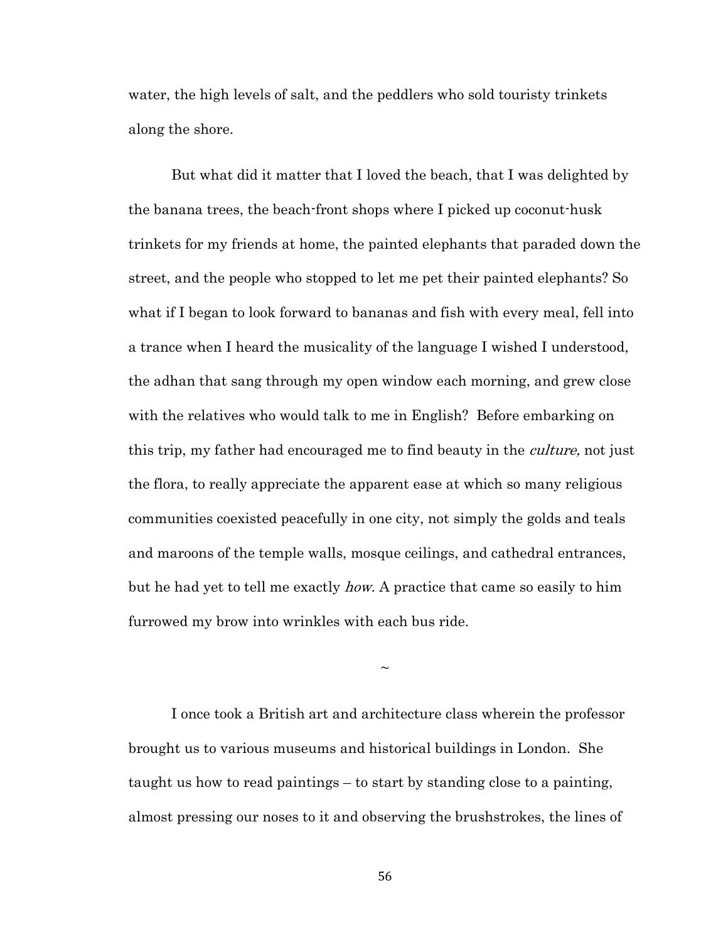water, the high levels of salt, and the peddlers who sold touristy trinkets along the shore.

But what did it matter that I loved the beach, that I was delighted by the banana trees, the beach-front shops where I picked up coconut-husk trinkets for my friends at home, the painted elephants that paraded down the street, and the people who stopped to let me pet their painted elephants? So what if I began to look forward to bananas and fish with every meal, fell into a trance when I heard the musicality of the language I wished I understood, the adhan that sang through my open window each morning, and grew close with the relatives who would talk to me in English? Before embarking on this trip, my father had encouraged me to find beauty in the *culture*, not just the flora, to really appreciate the apparent ease at which so many religious communities coexisted peacefully in one city, not simply the golds and teals and maroons of the temple walls, mosque ceilings, and cathedral entrances, but he had yet to tell me exactly how. A practice that came so easily to him furrowed my brow into wrinkles with each bus ride.

I once took a British art and architecture class wherein the professor brought us to various museums and historical buildings in London. She taught us how to read paintings – to start by standing close to a painting, almost pressing our noses to it and observing the brushstrokes, the lines of

 $\sim$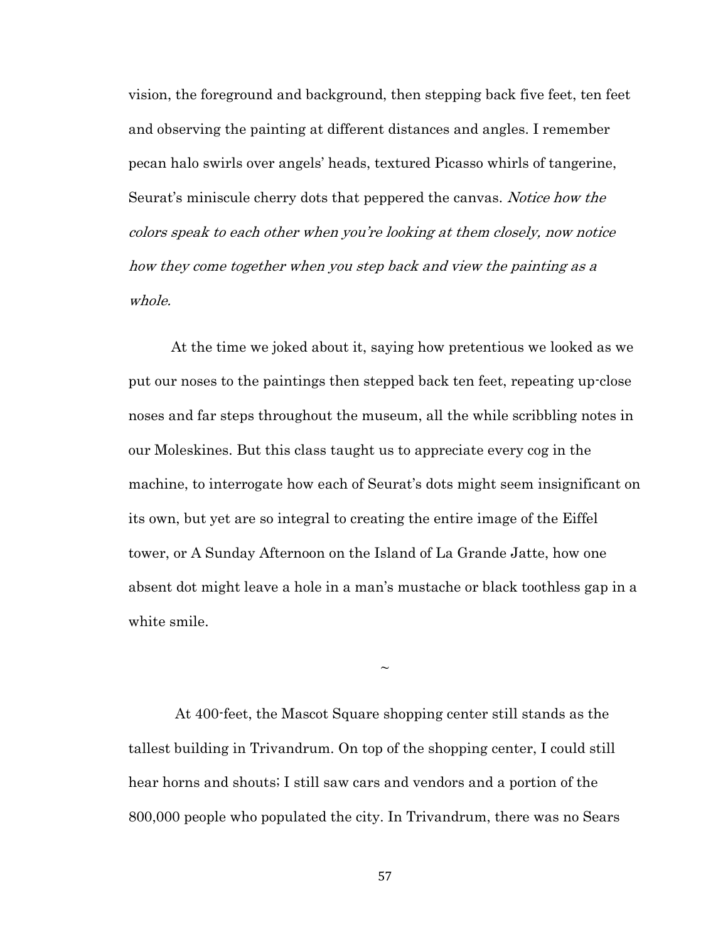vision, the foreground and background, then stepping back five feet, ten feet and observing the painting at different distances and angles. I remember pecan halo swirls over angels' heads, textured Picasso whirls of tangerine, Seurat's miniscule cherry dots that peppered the canvas. *Notice how the* colors speak to each other when you're looking at them closely, now notice how they come together when you step back and view the painting as a whole.

At the time we joked about it, saying how pretentious we looked as we put our noses to the paintings then stepped back ten feet, repeating up-close noses and far steps throughout the museum, all the while scribbling notes in our Moleskines. But this class taught us to appreciate every cog in the machine, to interrogate how each of Seurat's dots might seem insignificant on its own, but yet are so integral to creating the entire image of the Eiffel tower, or A Sunday Afternoon on the Island of La Grande Jatte, how one absent dot might leave a hole in a man's mustache or black toothless gap in a white smile.

At 400-feet, the Mascot Square shopping center still stands as the tallest building in Trivandrum. On top of the shopping center, I could still hear horns and shouts; I still saw cars and vendors and a portion of the 800,000 people who populated the city. In Trivandrum, there was no Sears

 $\sim$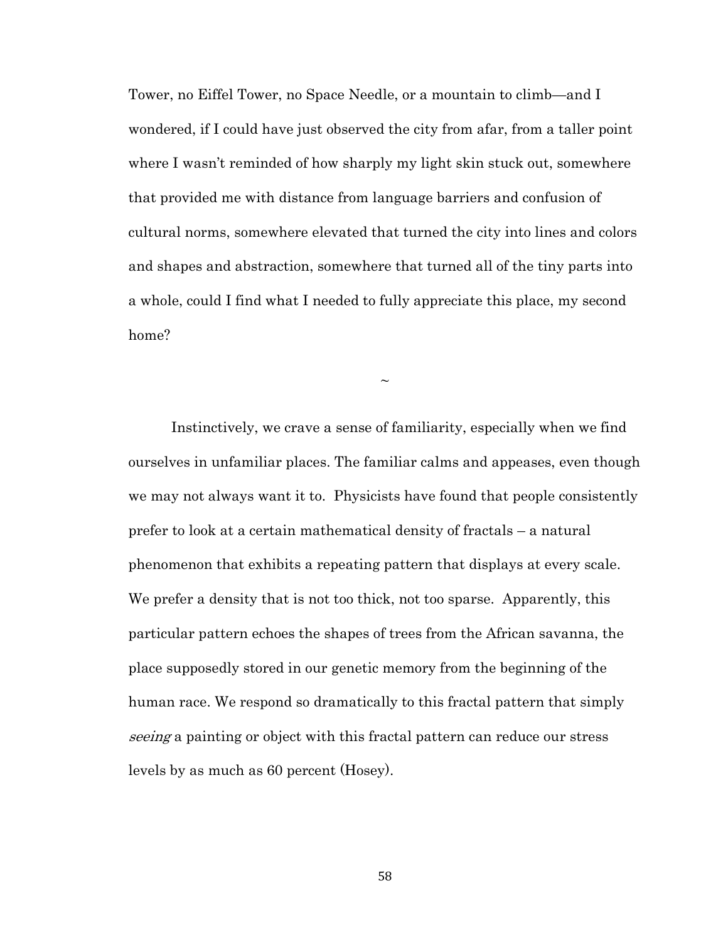Tower, no Eiffel Tower, no Space Needle, or a mountain to climb—and I wondered, if I could have just observed the city from afar, from a taller point where I wasn't reminded of how sharply my light skin stuck out, somewhere that provided me with distance from language barriers and confusion of cultural norms, somewhere elevated that turned the city into lines and colors and shapes and abstraction, somewhere that turned all of the tiny parts into a whole, could I find what I needed to fully appreciate this place, my second home?

 $\sim$ 

Instinctively, we crave a sense of familiarity, especially when we find ourselves in unfamiliar places. The familiar calms and appeases, even though we may not always want it to. Physicists have found that people consistently prefer to look at a certain mathematical density of fractals – a natural phenomenon that exhibits a repeating pattern that displays at every scale. We prefer a density that is not too thick, not too sparse. Apparently, this particular pattern echoes the shapes of trees from the African savanna, the place supposedly stored in our genetic memory from the beginning of the human race. We respond so dramatically to this fractal pattern that simply seeing a painting or object with this fractal pattern can reduce our stress levels by as much as 60 percent (Hosey).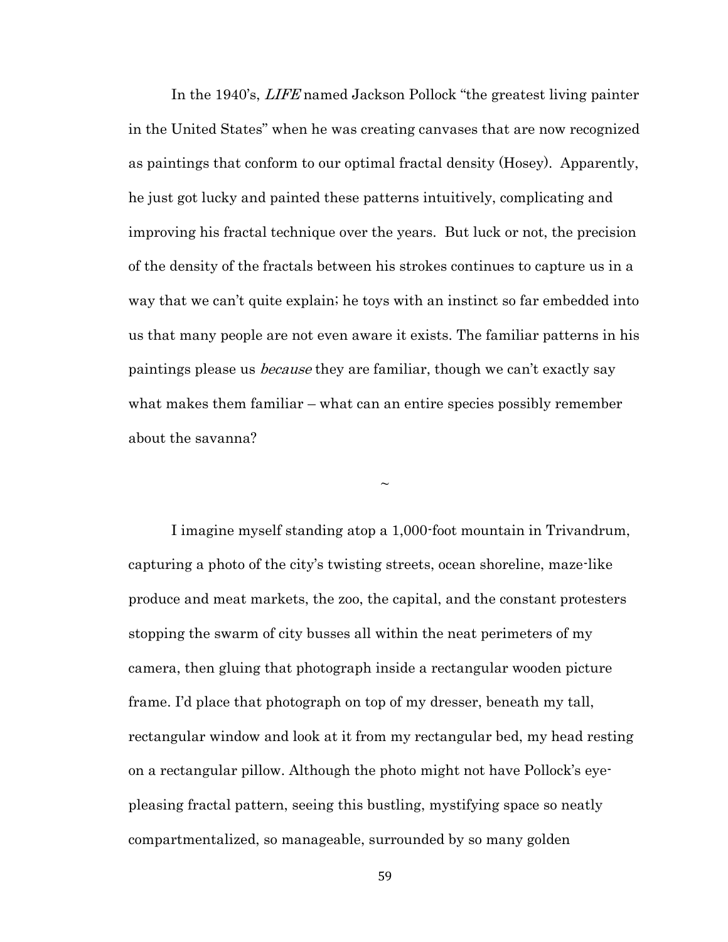In the 1940's, LIFE named Jackson Pollock "the greatest living painter in the United States" when he was creating canvases that are now recognized as paintings that conform to our optimal fractal density (Hosey). Apparently, he just got lucky and painted these patterns intuitively, complicating and improving his fractal technique over the years. But luck or not, the precision of the density of the fractals between his strokes continues to capture us in a way that we can't quite explain; he toys with an instinct so far embedded into us that many people are not even aware it exists. The familiar patterns in his paintings please us *because* they are familiar, though we can't exactly say what makes them familiar – what can an entire species possibly remember about the savanna?

 $\sim$ 

I imagine myself standing atop a 1,000-foot mountain in Trivandrum, capturing a photo of the city's twisting streets, ocean shoreline, maze-like produce and meat markets, the zoo, the capital, and the constant protesters stopping the swarm of city busses all within the neat perimeters of my camera, then gluing that photograph inside a rectangular wooden picture frame. I'd place that photograph on top of my dresser, beneath my tall, rectangular window and look at it from my rectangular bed, my head resting on a rectangular pillow. Although the photo might not have Pollock's eyepleasing fractal pattern, seeing this bustling, mystifying space so neatly compartmentalized, so manageable, surrounded by so many golden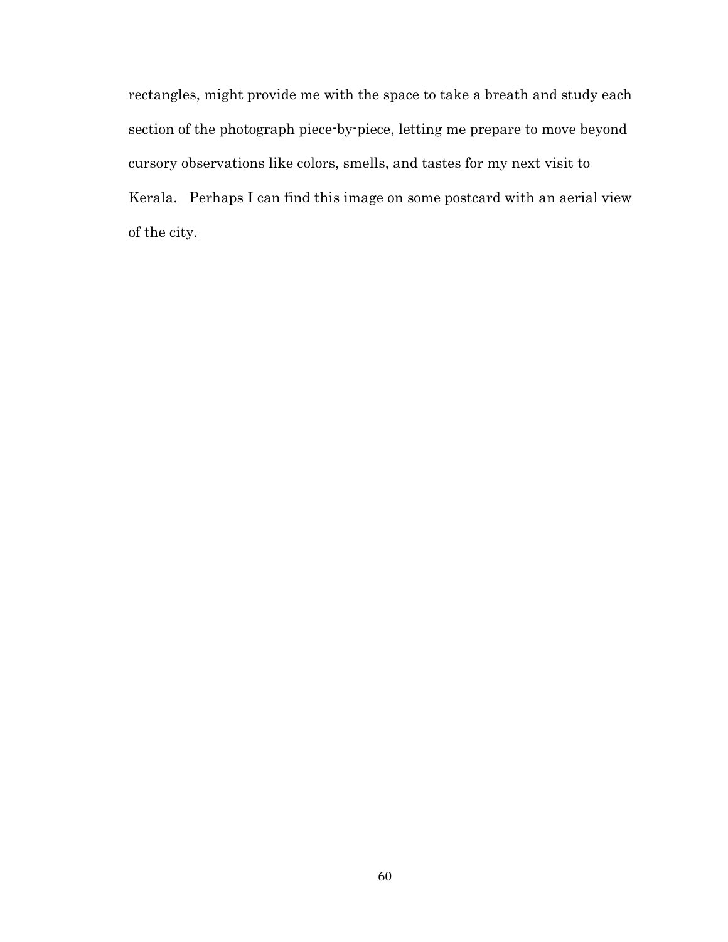rectangles, might provide me with the space to take a breath and study each section of the photograph piece-by-piece, letting me prepare to move beyond cursory observations like colors, smells, and tastes for my next visit to Kerala. Perhaps I can find this image on some postcard with an aerial view of the city.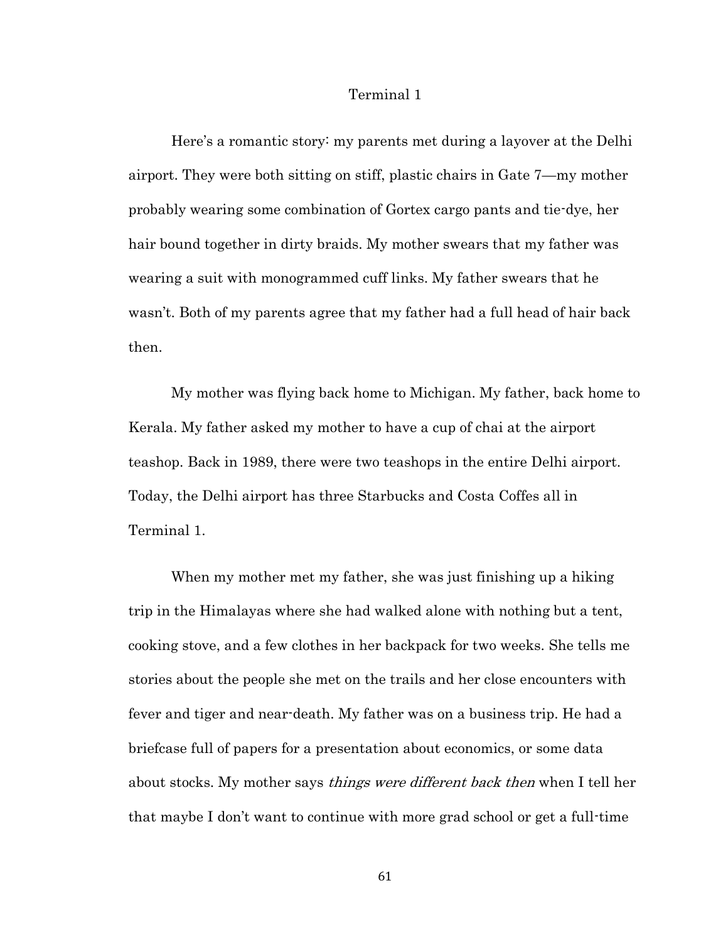### Terminal 1

Here's a romantic story: my parents met during a layover at the Delhi airport. They were both sitting on stiff, plastic chairs in Gate 7—my mother probably wearing some combination of Gortex cargo pants and tie-dye, her hair bound together in dirty braids. My mother swears that my father was wearing a suit with monogrammed cuff links. My father swears that he wasn't. Both of my parents agree that my father had a full head of hair back then.

My mother was flying back home to Michigan. My father, back home to Kerala. My father asked my mother to have a cup of chai at the airport teashop. Back in 1989, there were two teashops in the entire Delhi airport. Today, the Delhi airport has three Starbucks and Costa Coffes all in Terminal 1.

When my mother met my father, she was just finishing up a hiking trip in the Himalayas where she had walked alone with nothing but a tent, cooking stove, and a few clothes in her backpack for two weeks. She tells me stories about the people she met on the trails and her close encounters with fever and tiger and near-death. My father was on a business trip. He had a briefcase full of papers for a presentation about economics, or some data about stocks. My mother says *things were different back then* when I tell her that maybe I don't want to continue with more grad school or get a full-time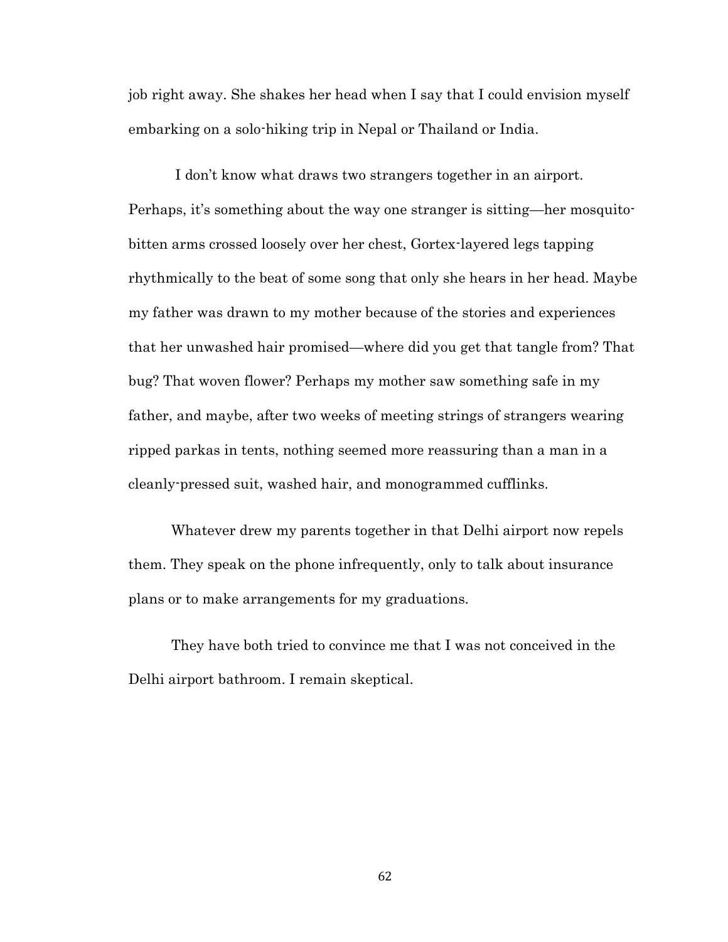job right away. She shakes her head when I say that I could envision myself embarking on a solo-hiking trip in Nepal or Thailand or India.

I don't know what draws two strangers together in an airport. Perhaps, it's something about the way one stranger is sitting—her mosquitobitten arms crossed loosely over her chest, Gortex-layered legs tapping rhythmically to the beat of some song that only she hears in her head. Maybe my father was drawn to my mother because of the stories and experiences that her unwashed hair promised—where did you get that tangle from? That bug? That woven flower? Perhaps my mother saw something safe in my father, and maybe, after two weeks of meeting strings of strangers wearing ripped parkas in tents, nothing seemed more reassuring than a man in a cleanly-pressed suit, washed hair, and monogrammed cufflinks.

Whatever drew my parents together in that Delhi airport now repels them. They speak on the phone infrequently, only to talk about insurance plans or to make arrangements for my graduations.

They have both tried to convince me that I was not conceived in the Delhi airport bathroom. I remain skeptical.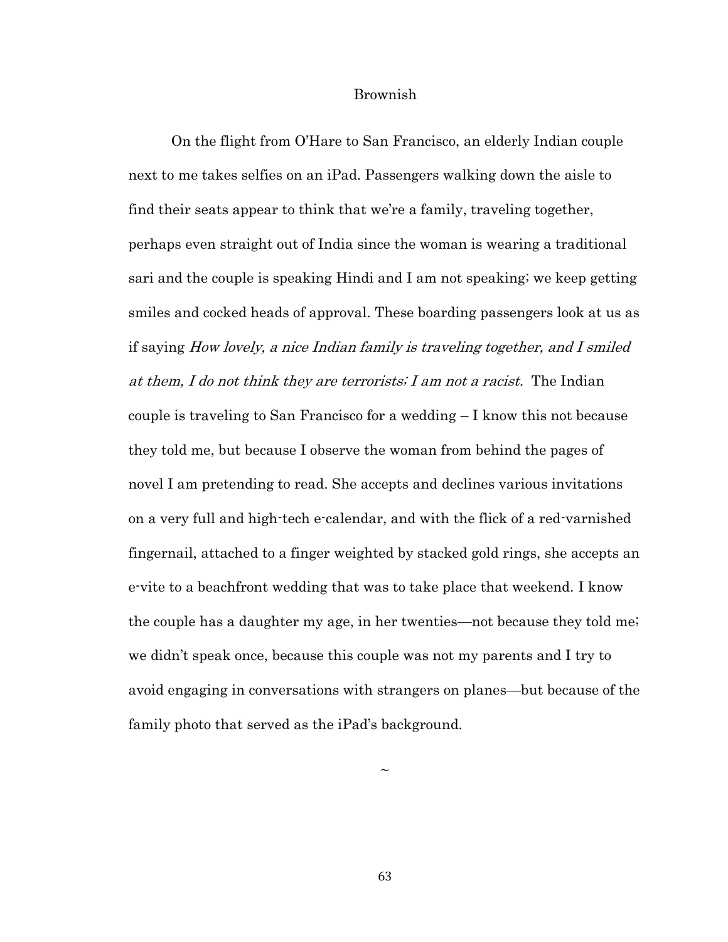#### Brownish

On the flight from O'Hare to San Francisco, an elderly Indian couple next to me takes selfies on an iPad. Passengers walking down the aisle to find their seats appear to think that we're a family, traveling together, perhaps even straight out of India since the woman is wearing a traditional sari and the couple is speaking Hindi and I am not speaking; we keep getting smiles and cocked heads of approval. These boarding passengers look at us as if saying How lovely, a nice Indian family is traveling together, and I smiled at them, I do not think they are terrorists; I am not a racist. The Indian couple is traveling to San Francisco for a wedding – I know this not because they told me, but because I observe the woman from behind the pages of novel I am pretending to read. She accepts and declines various invitations on a very full and high-tech e-calendar, and with the flick of a red-varnished fingernail, attached to a finger weighted by stacked gold rings, she accepts an e-vite to a beachfront wedding that was to take place that weekend. I know the couple has a daughter my age, in her twenties—not because they told me; we didn't speak once, because this couple was not my parents and I try to avoid engaging in conversations with strangers on planes—but because of the family photo that served as the iPad's background.

63

 $\sim$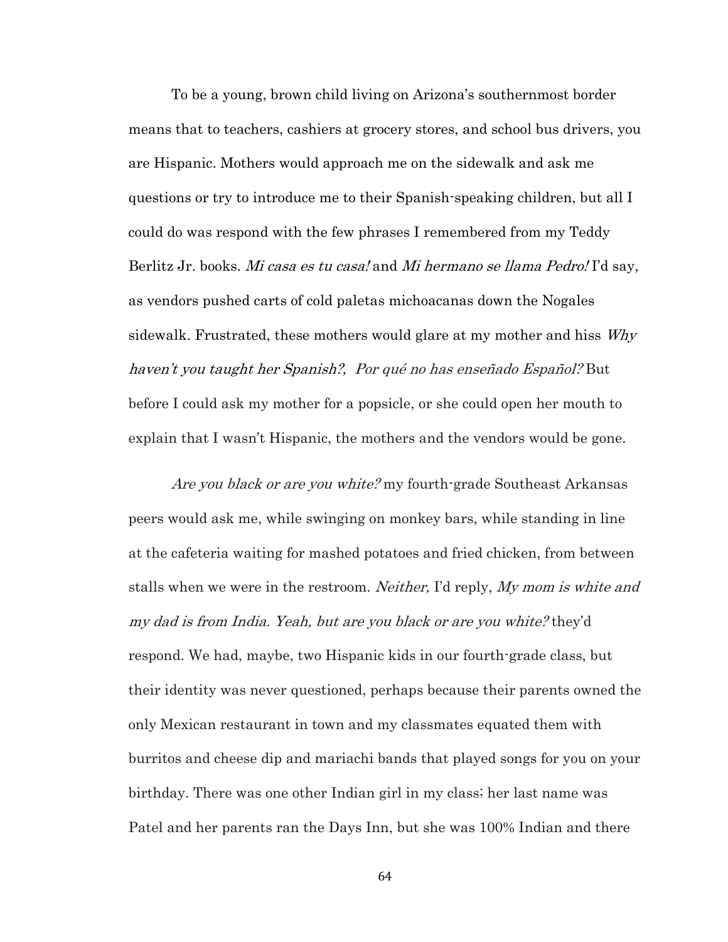To be a young, brown child living on Arizona's southernmost border means that to teachers, cashiers at grocery stores, and school bus drivers, you are Hispanic. Mothers would approach me on the sidewalk and ask me questions or try to introduce me to their Spanish-speaking children, but all I could do was respond with the few phrases I remembered from my Teddy Berlitz Jr. books. *Mi casa es tu casa!* and *Mi hermano se llama Pedro!* I'd say, as vendors pushed carts of cold paletas michoacanas down the Nogales sidewalk. Frustrated, these mothers would glare at my mother and hiss  $W$ hy haven't you taught her Spanish?, Por qué no has enseñado Español? But before I could ask my mother for a popsicle, or she could open her mouth to explain that I wasn't Hispanic, the mothers and the vendors would be gone.

Are you black or are you white? my fourth-grade Southeast Arkansas peers would ask me, while swinging on monkey bars, while standing in line at the cafeteria waiting for mashed potatoes and fried chicken, from between stalls when we were in the restroom. *Neither*, I'd reply, *My mom is white and* my dad is from India. Yeah, but are you black or are you white? they'd respond. We had, maybe, two Hispanic kids in our fourth-grade class, but their identity was never questioned, perhaps because their parents owned the only Mexican restaurant in town and my classmates equated them with burritos and cheese dip and mariachi bands that played songs for you on your birthday. There was one other Indian girl in my class; her last name was Patel and her parents ran the Days Inn, but she was 100% Indian and there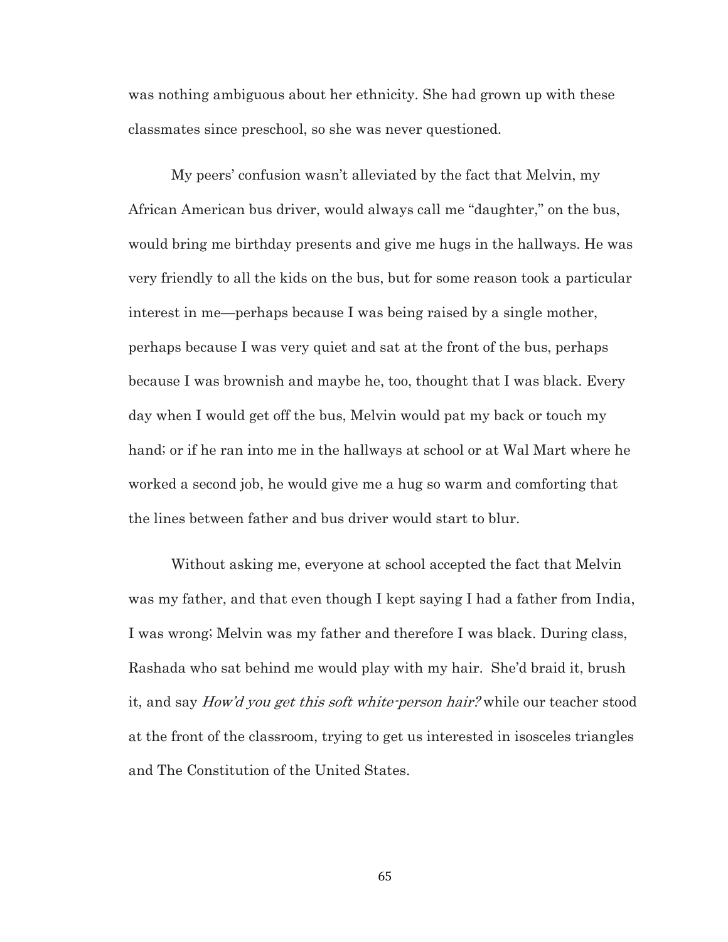was nothing ambiguous about her ethnicity. She had grown up with these classmates since preschool, so she was never questioned.

My peers' confusion wasn't alleviated by the fact that Melvin, my African American bus driver, would always call me "daughter," on the bus, would bring me birthday presents and give me hugs in the hallways. He was very friendly to all the kids on the bus, but for some reason took a particular interest in me—perhaps because I was being raised by a single mother, perhaps because I was very quiet and sat at the front of the bus, perhaps because I was brownish and maybe he, too, thought that I was black. Every day when I would get off the bus, Melvin would pat my back or touch my hand; or if he ran into me in the hallways at school or at Wal Mart where he worked a second job, he would give me a hug so warm and comforting that the lines between father and bus driver would start to blur.

Without asking me, everyone at school accepted the fact that Melvin was my father, and that even though I kept saying I had a father from India, I was wrong; Melvin was my father and therefore I was black. During class, Rashada who sat behind me would play with my hair. She'd braid it, brush it, and say How'd you get this soft white-person hair? while our teacher stood at the front of the classroom, trying to get us interested in isosceles triangles and The Constitution of the United States.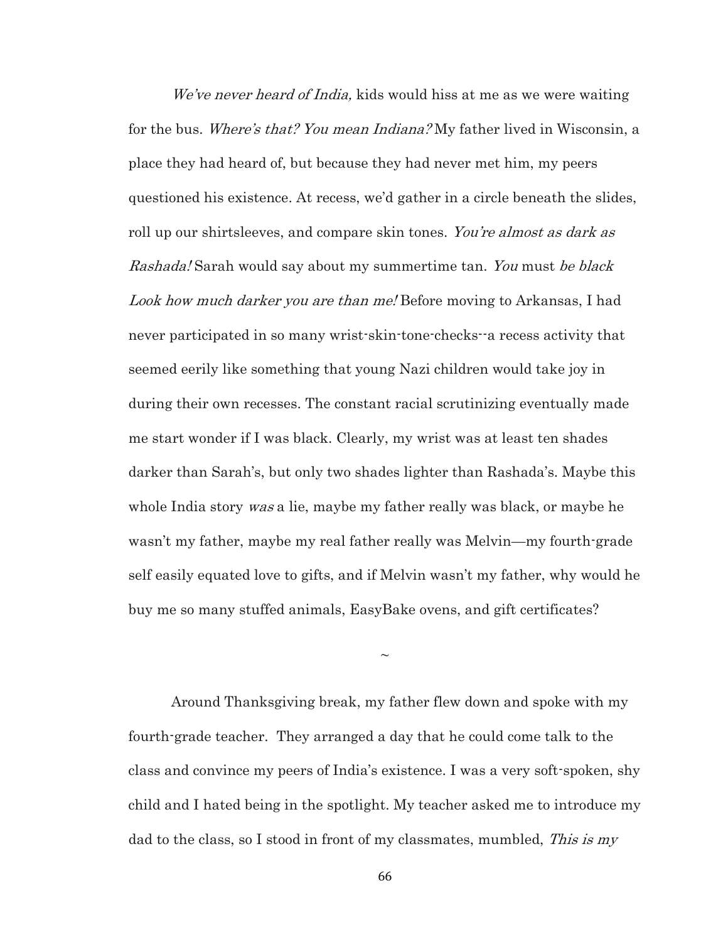We've never heard of India, kids would hiss at me as we were waiting for the bus. *Where's that? You mean Indiana?* My father lived in Wisconsin, a place they had heard of, but because they had never met him, my peers questioned his existence. At recess, we'd gather in a circle beneath the slides, roll up our shirtsleeves, and compare skin tones. You're almost as dark as Rashada! Sarah would say about my summertime tan. You must be black Look how much darker you are than me! Before moving to Arkansas, I had never participated in so many wrist-skin-tone-checks--a recess activity that seemed eerily like something that young Nazi children would take joy in during their own recesses. The constant racial scrutinizing eventually made me start wonder if I was black. Clearly, my wrist was at least ten shades darker than Sarah's, but only two shades lighter than Rashada's. Maybe this whole India story *was* a lie, maybe my father really was black, or maybe he wasn't my father, maybe my real father really was Melvin—my fourth-grade self easily equated love to gifts, and if Melvin wasn't my father, why would he buy me so many stuffed animals, EasyBake ovens, and gift certificates?

Around Thanksgiving break, my father flew down and spoke with my fourth-grade teacher. They arranged a day that he could come talk to the class and convince my peers of India's existence. I was a very soft-spoken, shy child and I hated being in the spotlight. My teacher asked me to introduce my dad to the class, so I stood in front of my classmates, mumbled, This is my

 $\sim$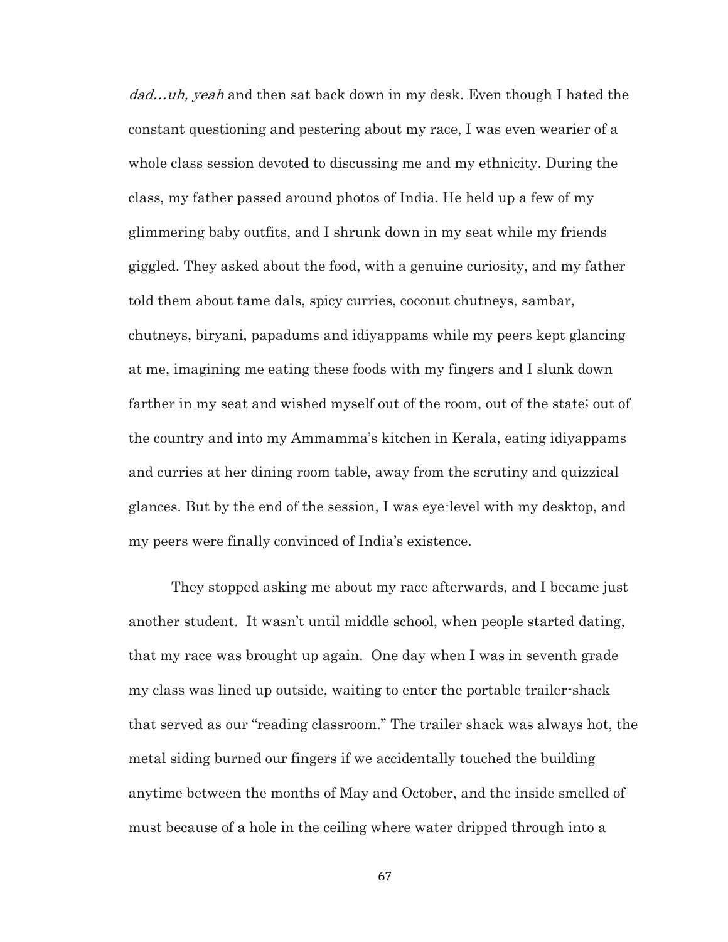dad...uh, yeah and then sat back down in my desk. Even though I hated the constant questioning and pestering about my race, I was even wearier of a whole class session devoted to discussing me and my ethnicity. During the class, my father passed around photos of India. He held up a few of my glimmering baby outfits, and I shrunk down in my seat while my friends giggled. They asked about the food, with a genuine curiosity, and my father told them about tame dals, spicy curries, coconut chutneys, sambar, chutneys, biryani, papadums and idiyappams while my peers kept glancing at me, imagining me eating these foods with my fingers and I slunk down farther in my seat and wished myself out of the room, out of the state; out of the country and into my Ammamma's kitchen in Kerala, eating idiyappams and curries at her dining room table, away from the scrutiny and quizzical glances. But by the end of the session, I was eye-level with my desktop, and my peers were finally convinced of India's existence.

They stopped asking me about my race afterwards, and I became just another student. It wasn't until middle school, when people started dating, that my race was brought up again. One day when I was in seventh grade my class was lined up outside, waiting to enter the portable trailer-shack that served as our "reading classroom." The trailer shack was always hot, the metal siding burned our fingers if we accidentally touched the building anytime between the months of May and October, and the inside smelled of must because of a hole in the ceiling where water dripped through into a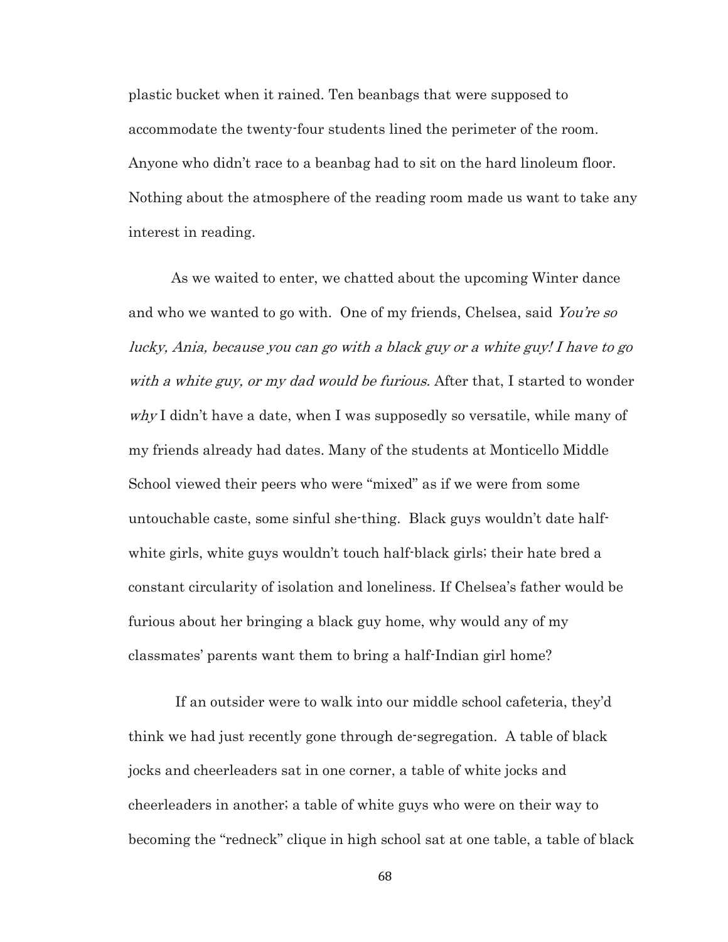plastic bucket when it rained. Ten beanbags that were supposed to accommodate the twenty-four students lined the perimeter of the room. Anyone who didn't race to a beanbag had to sit on the hard linoleum floor. Nothing about the atmosphere of the reading room made us want to take any interest in reading.

As we waited to enter, we chatted about the upcoming Winter dance and who we wanted to go with. One of my friends, Chelsea, said You're so lucky, Ania, because you can go with a black guy or a white guy! I have to go with a white guy, or my dad would be furious. After that, I started to wonder  $whyI$  didn't have a date, when I was supposedly so versatile, while many of my friends already had dates. Many of the students at Monticello Middle School viewed their peers who were "mixed" as if we were from some untouchable caste, some sinful she-thing. Black guys wouldn't date halfwhite girls, white guys wouldn't touch half-black girls; their hate bred a constant circularity of isolation and loneliness. If Chelsea's father would be furious about her bringing a black guy home, why would any of my classmates' parents want them to bring a half-Indian girl home?

If an outsider were to walk into our middle school cafeteria, they'd think we had just recently gone through de-segregation. A table of black jocks and cheerleaders sat in one corner, a table of white jocks and cheerleaders in another; a table of white guys who were on their way to becoming the "redneck" clique in high school sat at one table, a table of black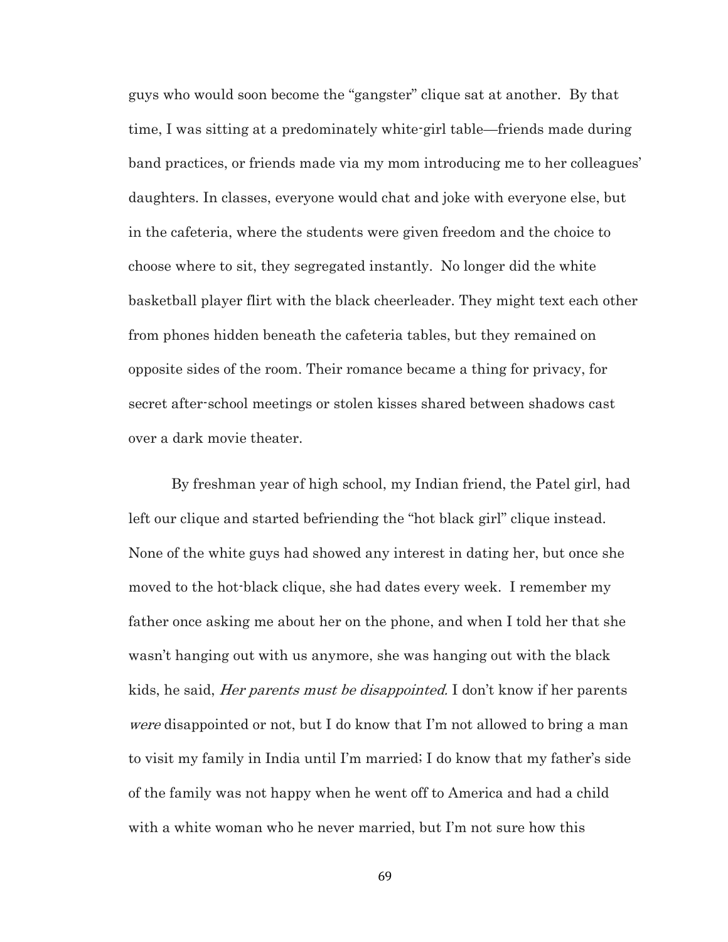guys who would soon become the "gangster" clique sat at another. By that time, I was sitting at a predominately white-girl table—friends made during band practices, or friends made via my mom introducing me to her colleagues' daughters. In classes, everyone would chat and joke with everyone else, but in the cafeteria, where the students were given freedom and the choice to choose where to sit, they segregated instantly. No longer did the white basketball player flirt with the black cheerleader. They might text each other from phones hidden beneath the cafeteria tables, but they remained on opposite sides of the room. Their romance became a thing for privacy, for secret after-school meetings or stolen kisses shared between shadows cast over a dark movie theater.

By freshman year of high school, my Indian friend, the Patel girl, had left our clique and started befriending the "hot black girl" clique instead. None of the white guys had showed any interest in dating her, but once she moved to the hot-black clique, she had dates every week. I remember my father once asking me about her on the phone, and when I told her that she wasn't hanging out with us anymore, she was hanging out with the black kids, he said, *Her parents must be disappointed*. I don't know if her parents were disappointed or not, but I do know that I'm not allowed to bring a man to visit my family in India until I'm married; I do know that my father's side of the family was not happy when he went off to America and had a child with a white woman who he never married, but I'm not sure how this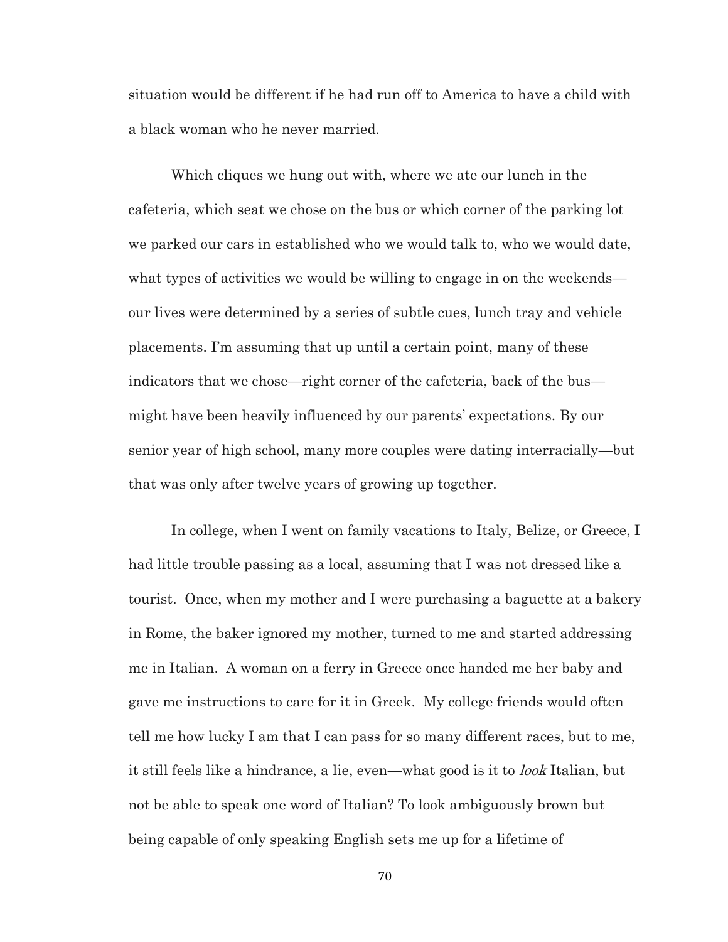situation would be different if he had run off to America to have a child with a black woman who he never married.

Which cliques we hung out with, where we ate our lunch in the cafeteria, which seat we chose on the bus or which corner of the parking lot we parked our cars in established who we would talk to, who we would date, what types of activities we would be willing to engage in on the weekends our lives were determined by a series of subtle cues, lunch tray and vehicle placements. I'm assuming that up until a certain point, many of these indicators that we chose—right corner of the cafeteria, back of the bus might have been heavily influenced by our parents' expectations. By our senior year of high school, many more couples were dating interracially—but that was only after twelve years of growing up together.

In college, when I went on family vacations to Italy, Belize, or Greece, I had little trouble passing as a local, assuming that I was not dressed like a tourist. Once, when my mother and I were purchasing a baguette at a bakery in Rome, the baker ignored my mother, turned to me and started addressing me in Italian. A woman on a ferry in Greece once handed me her baby and gave me instructions to care for it in Greek. My college friends would often tell me how lucky I am that I can pass for so many different races, but to me, it still feels like a hindrance, a lie, even—what good is it to *look* Italian, but not be able to speak one word of Italian? To look ambiguously brown but being capable of only speaking English sets me up for a lifetime of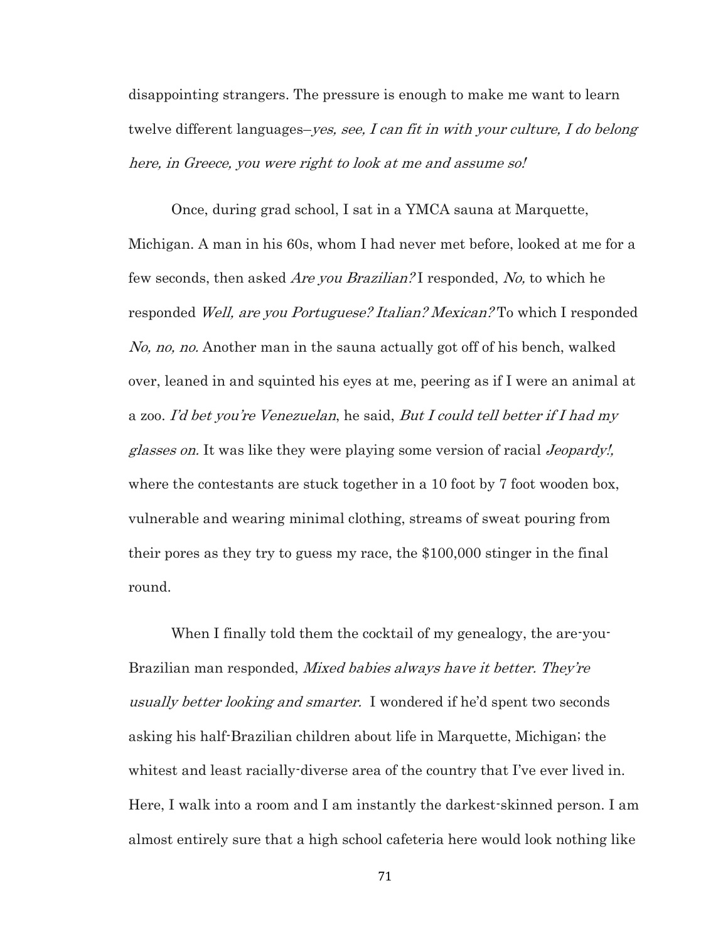disappointing strangers. The pressure is enough to make me want to learn twelve different languages–*yes, see, I can fit in with your culture, I do belong* here, in Greece, you were right to look at me and assume so!

Once, during grad school, I sat in a YMCA sauna at Marquette, Michigan. A man in his 60s, whom I had never met before, looked at me for a few seconds, then asked *Are you Brazilian?* I responded, No, to which he responded Well, are you Portuguese? Italian? Mexican? To which I responded No, no, no. Another man in the sauna actually got off of his bench, walked over, leaned in and squinted his eyes at me, peering as if I were an animal at a zoo. I'd bet you're Venezuelan, he said, But I could tell better if I had my glasses on. It was like they were playing some version of racial Jeopardy!, where the contestants are stuck together in a 10 foot by 7 foot wooden box, vulnerable and wearing minimal clothing, streams of sweat pouring from their pores as they try to guess my race, the \$100,000 stinger in the final round.

When I finally told them the cocktail of my genealogy, the are-you-Brazilian man responded, Mixed babies always have it better. They're usually better looking and smarter. I wondered if he'd spent two seconds asking his half-Brazilian children about life in Marquette, Michigan; the whitest and least racially-diverse area of the country that I've ever lived in. Here, I walk into a room and I am instantly the darkest-skinned person. I am almost entirely sure that a high school cafeteria here would look nothing like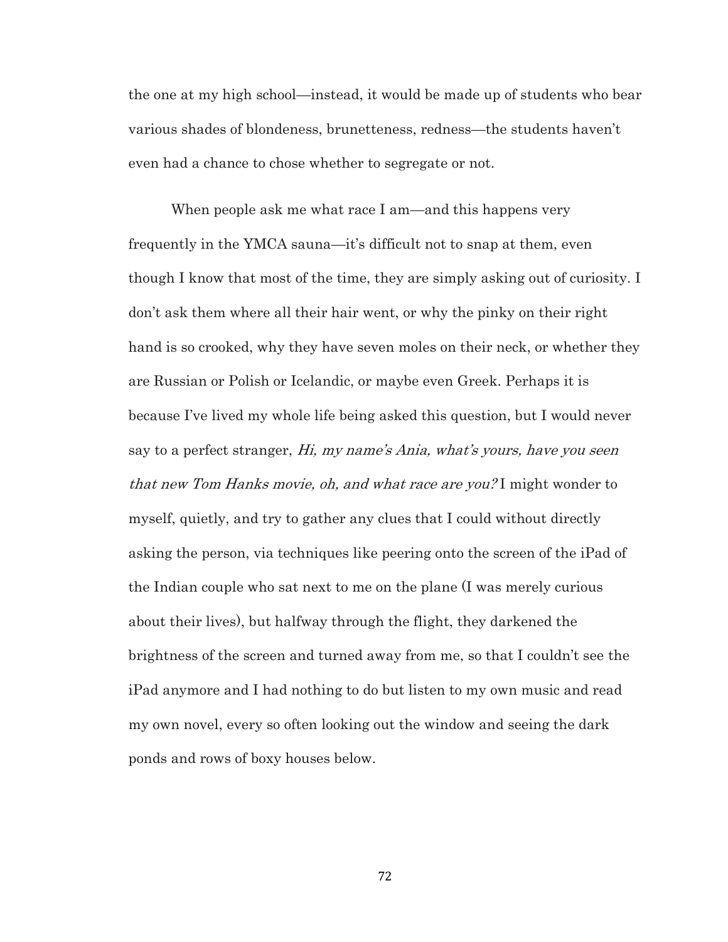the one at my high school—instead, it would be made up of students who bear various shades of blondeness, brunetteness, redness—the students haven't even had a chance to chose whether to segregate or not.

When people ask me what race I am—and this happens very frequently in the YMCA sauna—it's difficult not to snap at them, even though I know that most of the time, they are simply asking out of curiosity. I don't ask them where all their hair went, or why the pinky on their right hand is so crooked, why they have seven moles on their neck, or whether they are Russian or Polish or Icelandic, or maybe even Greek. Perhaps it is because I've lived my whole life being asked this question, but I would never say to a perfect stranger, Hi, my name's Ania, what's yours, have you seen that new Tom Hanks movie, oh, and what race are you? I might wonder to myself, quietly, and try to gather any clues that I could without directly asking the person, via techniques like peering onto the screen of the iPad of the Indian couple who sat next to me on the plane (I was merely curious about their lives), but halfway through the flight, they darkened the brightness of the screen and turned away from me, so that I couldn't see the iPad anymore and I had nothing to do but listen to my own music and read my own novel, every so often looking out the window and seeing the dark ponds and rows of boxy houses below.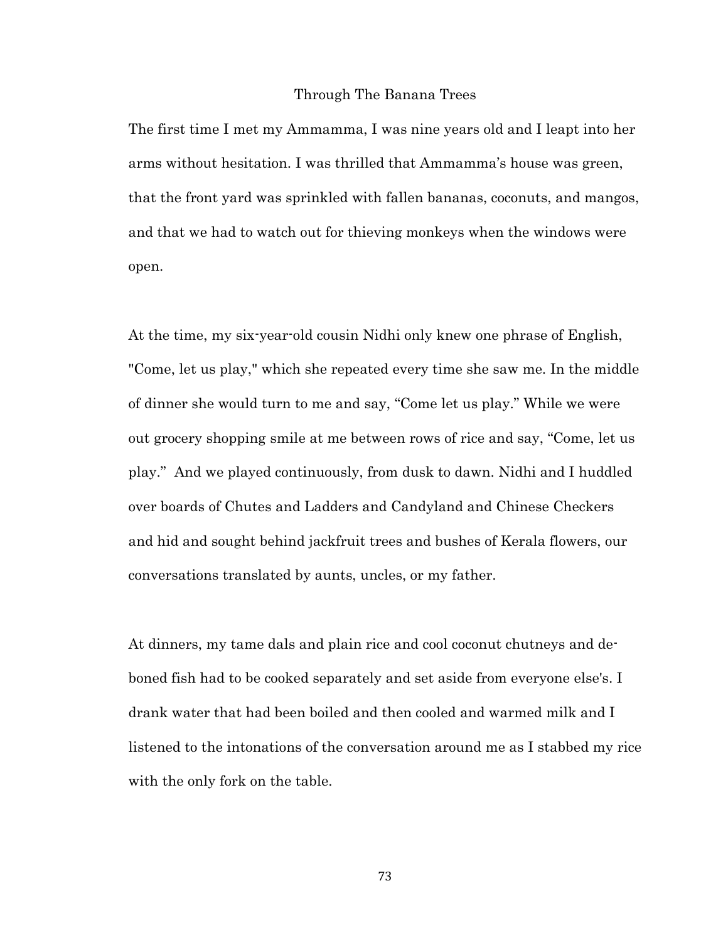#### Through The Banana Trees

The first time I met my Ammamma, I was nine years old and I leapt into her arms without hesitation. I was thrilled that Ammamma's house was green, that the front yard was sprinkled with fallen bananas, coconuts, and mangos, and that we had to watch out for thieving monkeys when the windows were open.

At the time, my six-year-old cousin Nidhi only knew one phrase of English, "Come, let us play," which she repeated every time she saw me. In the middle of dinner she would turn to me and say, "Come let us play." While we were out grocery shopping smile at me between rows of rice and say, "Come, let us play." And we played continuously, from dusk to dawn. Nidhi and I huddled over boards of Chutes and Ladders and Candyland and Chinese Checkers and hid and sought behind jackfruit trees and bushes of Kerala flowers, our conversations translated by aunts, uncles, or my father.

At dinners, my tame dals and plain rice and cool coconut chutneys and deboned fish had to be cooked separately and set aside from everyone else's. I drank water that had been boiled and then cooled and warmed milk and I listened to the intonations of the conversation around me as I stabbed my rice with the only fork on the table.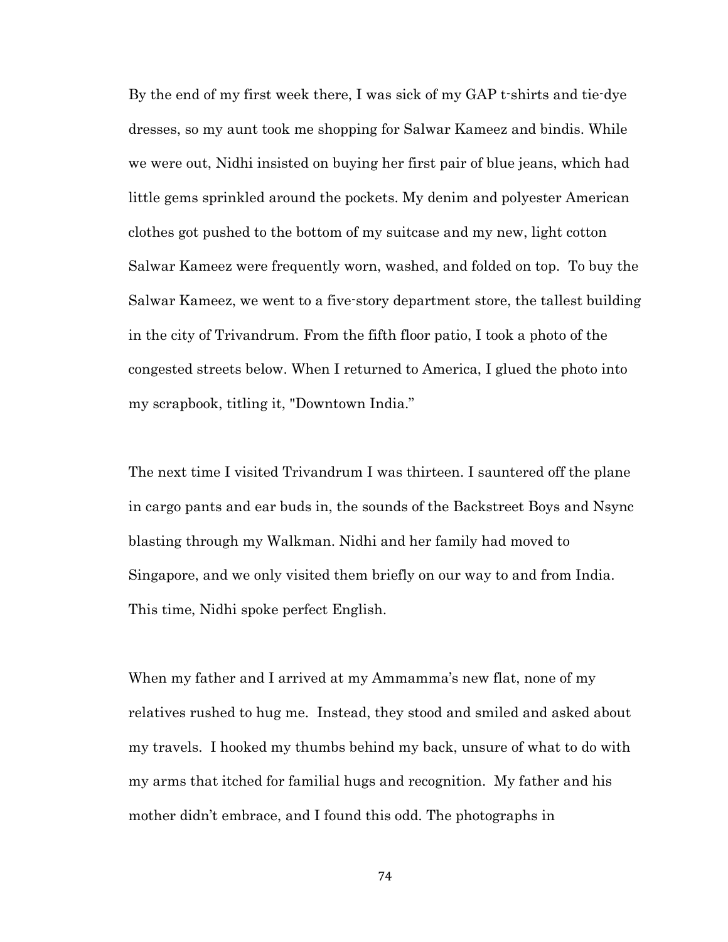By the end of my first week there, I was sick of my GAP t-shirts and tie-dye dresses, so my aunt took me shopping for Salwar Kameez and bindis. While we were out, Nidhi insisted on buying her first pair of blue jeans, which had little gems sprinkled around the pockets. My denim and polyester American clothes got pushed to the bottom of my suitcase and my new, light cotton Salwar Kameez were frequently worn, washed, and folded on top. To buy the Salwar Kameez, we went to a five-story department store, the tallest building in the city of Trivandrum. From the fifth floor patio, I took a photo of the congested streets below. When I returned to America, I glued the photo into my scrapbook, titling it, "Downtown India."

The next time I visited Trivandrum I was thirteen. I sauntered off the plane in cargo pants and ear buds in, the sounds of the Backstreet Boys and Nsync blasting through my Walkman. Nidhi and her family had moved to Singapore, and we only visited them briefly on our way to and from India. This time, Nidhi spoke perfect English.

When my father and I arrived at my Ammamma's new flat, none of my relatives rushed to hug me. Instead, they stood and smiled and asked about my travels. I hooked my thumbs behind my back, unsure of what to do with my arms that itched for familial hugs and recognition. My father and his mother didn't embrace, and I found this odd. The photographs in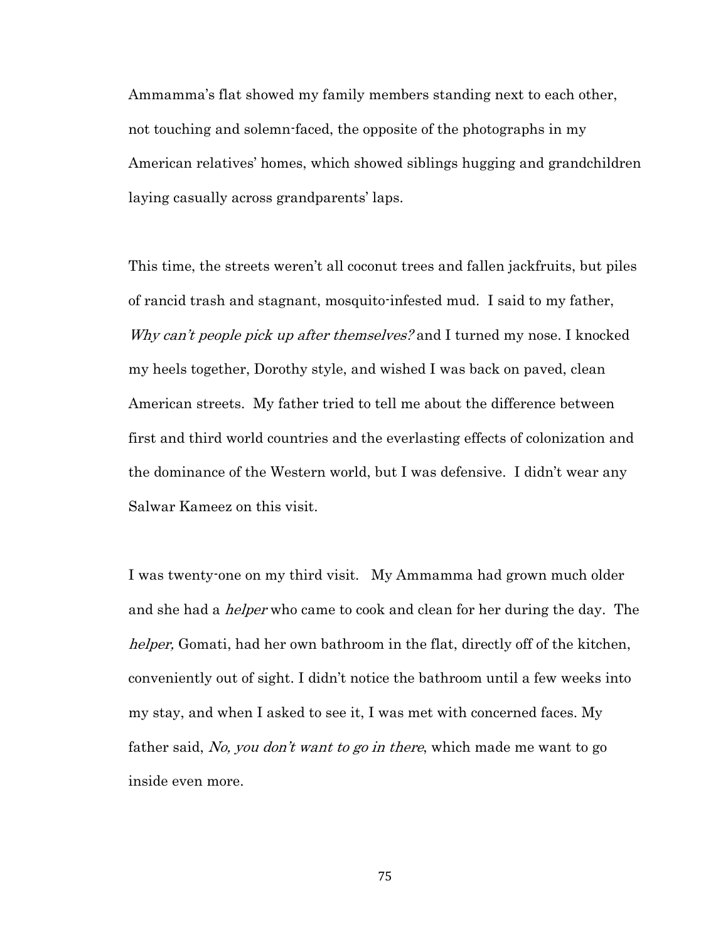Ammamma's flat showed my family members standing next to each other, not touching and solemn-faced, the opposite of the photographs in my American relatives' homes, which showed siblings hugging and grandchildren laying casually across grandparents' laps.

This time, the streets weren't all coconut trees and fallen jackfruits, but piles of rancid trash and stagnant, mosquito-infested mud. I said to my father, Why can't people pick up after themselves? and I turned my nose. I knocked my heels together, Dorothy style, and wished I was back on paved, clean American streets. My father tried to tell me about the difference between first and third world countries and the everlasting effects of colonization and the dominance of the Western world, but I was defensive. I didn't wear any Salwar Kameez on this visit.

I was twenty-one on my third visit. My Ammamma had grown much older and she had a *helper* who came to cook and clean for her during the day. The helper, Gomati, had her own bathroom in the flat, directly off of the kitchen, conveniently out of sight. I didn't notice the bathroom until a few weeks into my stay, and when I asked to see it, I was met with concerned faces. My father said, No, you don't want to go in there, which made me want to go inside even more.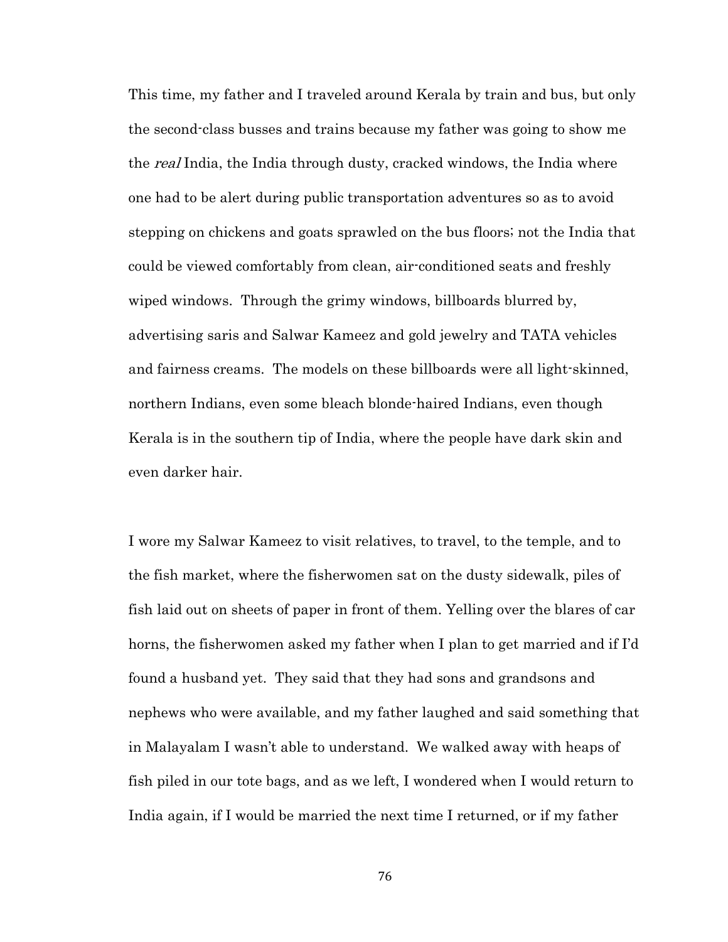This time, my father and I traveled around Kerala by train and bus, but only the second-class busses and trains because my father was going to show me the *real* India, the India through dusty, cracked windows, the India where one had to be alert during public transportation adventures so as to avoid stepping on chickens and goats sprawled on the bus floors; not the India that could be viewed comfortably from clean, air-conditioned seats and freshly wiped windows. Through the grimy windows, billboards blurred by, advertising saris and Salwar Kameez and gold jewelry and TATA vehicles and fairness creams. The models on these billboards were all light-skinned, northern Indians, even some bleach blonde-haired Indians, even though Kerala is in the southern tip of India, where the people have dark skin and even darker hair.

I wore my Salwar Kameez to visit relatives, to travel, to the temple, and to the fish market, where the fisherwomen sat on the dusty sidewalk, piles of fish laid out on sheets of paper in front of them. Yelling over the blares of car horns, the fisherwomen asked my father when I plan to get married and if I'd found a husband yet. They said that they had sons and grandsons and nephews who were available, and my father laughed and said something that in Malayalam I wasn't able to understand. We walked away with heaps of fish piled in our tote bags, and as we left, I wondered when I would return to India again, if I would be married the next time I returned, or if my father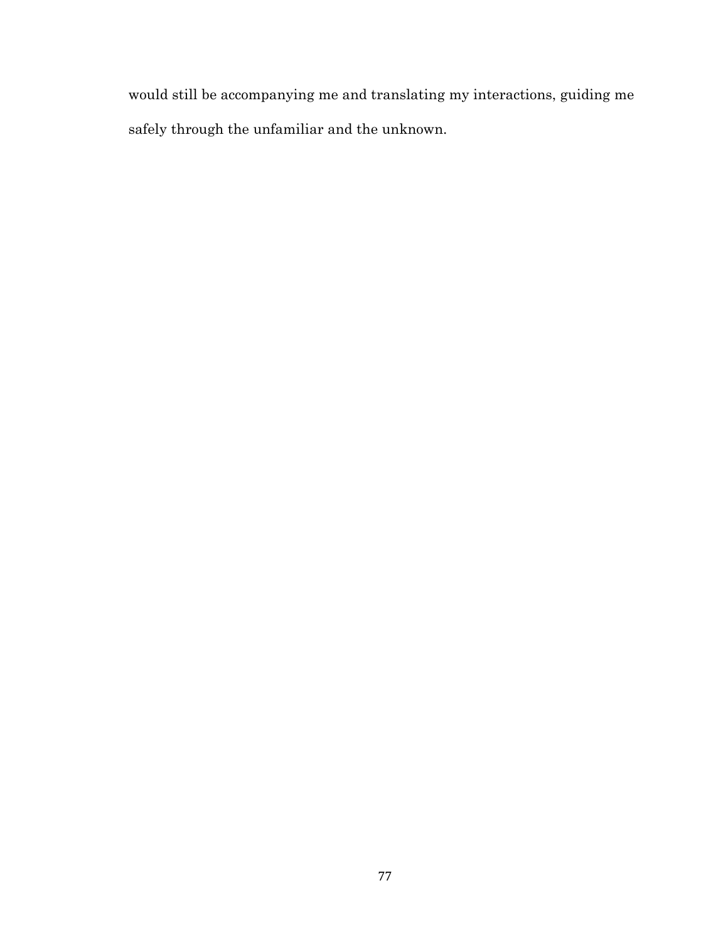would still be accompanying me and translating my interactions, guiding me safely through the unfamiliar and the unknown.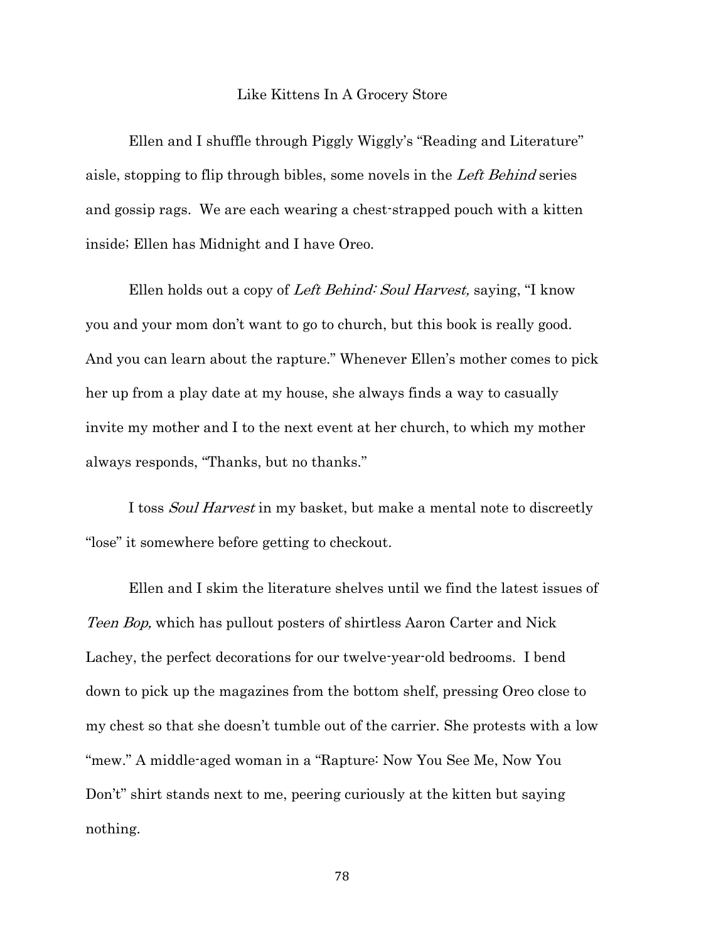#### Like Kittens In A Grocery Store

Ellen and I shuffle through Piggly Wiggly's "Reading and Literature" aisle, stopping to flip through bibles, some novels in the Left Behind series and gossip rags. We are each wearing a chest-strapped pouch with a kitten inside; Ellen has Midnight and I have Oreo.

Ellen holds out a copy of Left Behind: Soul Harvest, saying, "I know you and your mom don't want to go to church, but this book is really good. And you can learn about the rapture." Whenever Ellen's mother comes to pick her up from a play date at my house, she always finds a way to casually invite my mother and I to the next event at her church, to which my mother always responds, "Thanks, but no thanks."

I toss *Soul Harvest* in my basket, but make a mental note to discreetly "lose" it somewhere before getting to checkout.

Ellen and I skim the literature shelves until we find the latest issues of Teen Bop, which has pullout posters of shirtless Aaron Carter and Nick Lachey, the perfect decorations for our twelve-year-old bedrooms. I bend down to pick up the magazines from the bottom shelf, pressing Oreo close to my chest so that she doesn't tumble out of the carrier. She protests with a low "mew." A middle-aged woman in a "Rapture: Now You See Me, Now You Don't" shirt stands next to me, peering curiously at the kitten but saying nothing.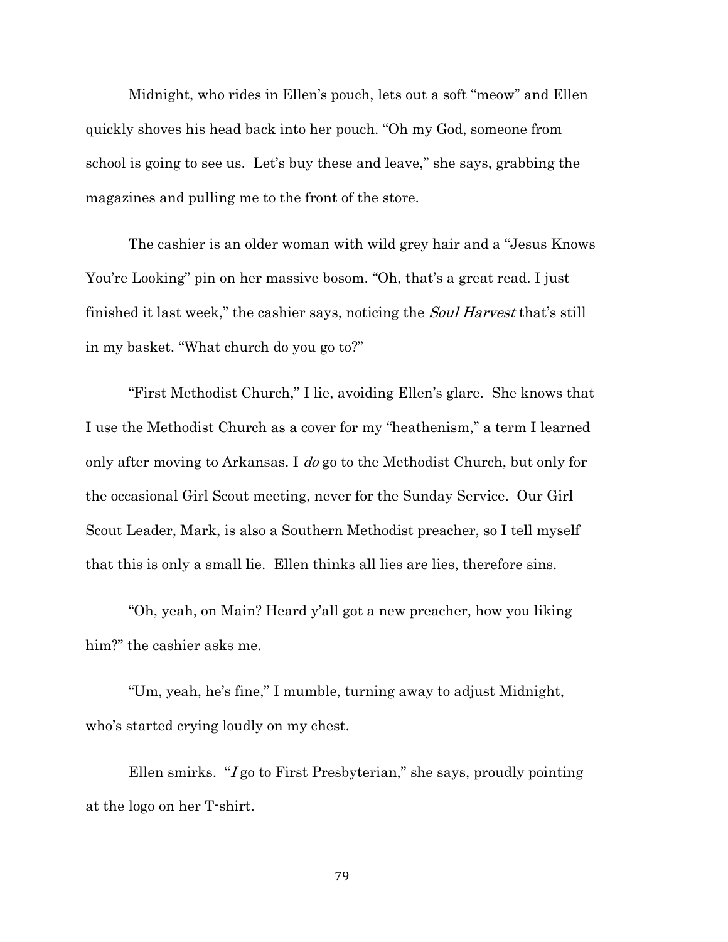Midnight, who rides in Ellen's pouch, lets out a soft "meow" and Ellen quickly shoves his head back into her pouch. "Oh my God, someone from school is going to see us. Let's buy these and leave," she says, grabbing the magazines and pulling me to the front of the store.

The cashier is an older woman with wild grey hair and a "Jesus Knows You're Looking" pin on her massive bosom. "Oh, that's a great read. I just finished it last week," the cashier says, noticing the *Soul Harvest* that's still in my basket. "What church do you go to?"

"First Methodist Church," I lie, avoiding Ellen's glare. She knows that I use the Methodist Church as a cover for my "heathenism," a term I learned only after moving to Arkansas. I do go to the Methodist Church, but only for the occasional Girl Scout meeting, never for the Sunday Service. Our Girl Scout Leader, Mark, is also a Southern Methodist preacher, so I tell myself that this is only a small lie. Ellen thinks all lies are lies, therefore sins.

"Oh, yeah, on Main? Heard y'all got a new preacher, how you liking him?" the cashier asks me.

"Um, yeah, he's fine," I mumble, turning away to adjust Midnight, who's started crying loudly on my chest.

Ellen smirks. "I go to First Presbyterian," she says, proudly pointing at the logo on her T-shirt.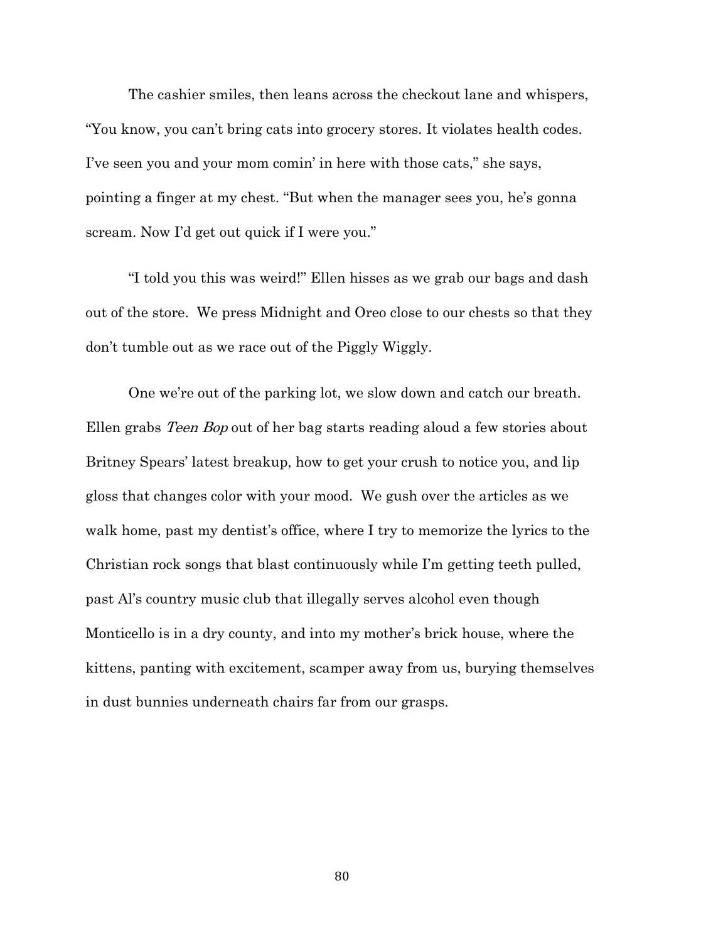The cashier smiles, then leans across the checkout lane and whispers, "You know, you can't bring cats into grocery stores. It violates health codes. I've seen you and your mom comin' in here with those cats," she says, pointing a finger at my chest. "But when the manager sees you, he's gonna scream. Now I'd get out quick if I were you."

"I told you this was weird!" Ellen hisses as we grab our bags and dash out of the store. We press Midnight and Oreo close to our chests so that they don't tumble out as we race out of the Piggly Wiggly.

One we're out of the parking lot, we slow down and catch our breath. Ellen grabs Teen Bop out of her bag starts reading aloud a few stories about Britney Spears' latest breakup, how to get your crush to notice you, and lip gloss that changes color with your mood. We gush over the articles as we walk home, past my dentist's office, where I try to memorize the lyrics to the Christian rock songs that blast continuously while I'm getting teeth pulled, past Al's country music club that illegally serves alcohol even though Monticello is in a dry county, and into my mother's brick house, where the kittens, panting with excitement, scamper away from us, burying themselves in dust bunnies underneath chairs far from our grasps.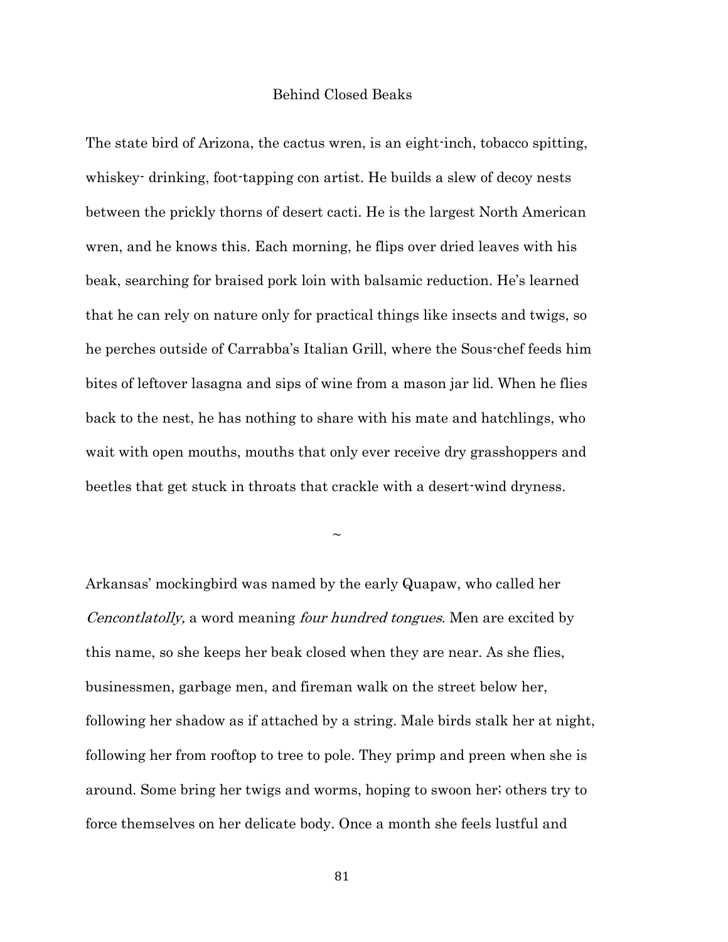## Behind Closed Beaks

The state bird of Arizona, the cactus wren, is an eight-inch, tobacco spitting, whiskey- drinking, foot-tapping con artist. He builds a slew of decoy nests between the prickly thorns of desert cacti. He is the largest North American wren, and he knows this. Each morning, he flips over dried leaves with his beak, searching for braised pork loin with balsamic reduction. He's learned that he can rely on nature only for practical things like insects and twigs, so he perches outside of Carrabba's Italian Grill, where the Sous-chef feeds him bites of leftover lasagna and sips of wine from a mason jar lid. When he flies back to the nest, he has nothing to share with his mate and hatchlings, who wait with open mouths, mouths that only ever receive dry grasshoppers and beetles that get stuck in throats that crackle with a desert-wind dryness.

 $\sim$ 

Arkansas' mockingbird was named by the early Quapaw, who called her *Cencontlatolly,* a word meaning *four hundred tongues*. Men are excited by this name, so she keeps her beak closed when they are near. As she flies, businessmen, garbage men, and fireman walk on the street below her, following her shadow as if attached by a string. Male birds stalk her at night, following her from rooftop to tree to pole. They primp and preen when she is around. Some bring her twigs and worms, hoping to swoon her; others try to force themselves on her delicate body. Once a month she feels lustful and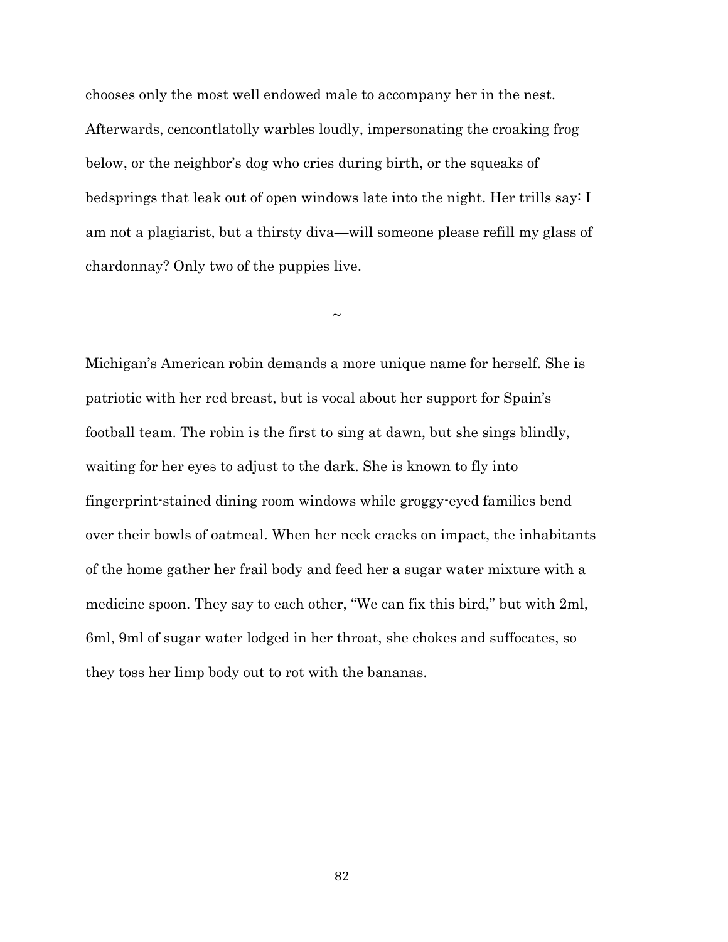chooses only the most well endowed male to accompany her in the nest. Afterwards, cencontlatolly warbles loudly, impersonating the croaking frog below, or the neighbor's dog who cries during birth, or the squeaks of bedsprings that leak out of open windows late into the night. Her trills say: I am not a plagiarist, but a thirsty diva—will someone please refill my glass of chardonnay? Only two of the puppies live.

 $\sim$ 

Michigan's American robin demands a more unique name for herself. She is patriotic with her red breast, but is vocal about her support for Spain's football team. The robin is the first to sing at dawn, but she sings blindly, waiting for her eyes to adjust to the dark. She is known to fly into fingerprint-stained dining room windows while groggy-eyed families bend over their bowls of oatmeal. When her neck cracks on impact, the inhabitants of the home gather her frail body and feed her a sugar water mixture with a medicine spoon. They say to each other, "We can fix this bird," but with 2ml, 6ml, 9ml of sugar water lodged in her throat, she chokes and suffocates, so they toss her limp body out to rot with the bananas.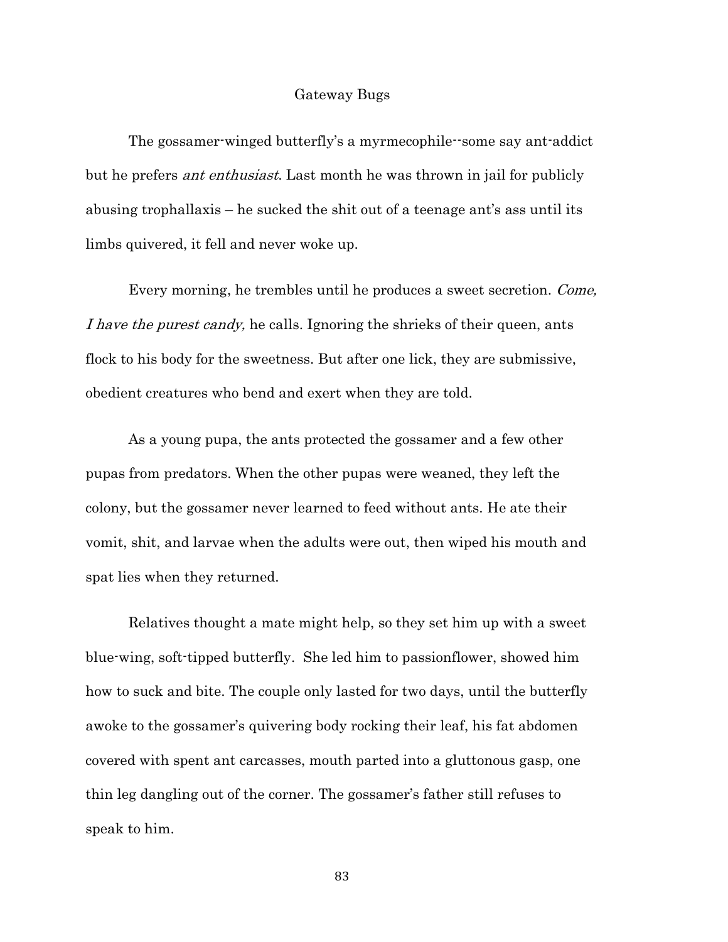#### Gateway Bugs

The gossamer-winged butterfly's a myrmecophile--some say ant-addict but he prefers ant enthusiast. Last month he was thrown in jail for publicly abusing trophallaxis – he sucked the shit out of a teenage ant's ass until its limbs quivered, it fell and never woke up.

Every morning, he trembles until he produces a sweet secretion. Come, I have the purest candy, he calls. Ignoring the shrieks of their queen, ants flock to his body for the sweetness. But after one lick, they are submissive, obedient creatures who bend and exert when they are told.

As a young pupa, the ants protected the gossamer and a few other pupas from predators. When the other pupas were weaned, they left the colony, but the gossamer never learned to feed without ants. He ate their vomit, shit, and larvae when the adults were out, then wiped his mouth and spat lies when they returned.

Relatives thought a mate might help, so they set him up with a sweet blue-wing, soft-tipped butterfly. She led him to passionflower, showed him how to suck and bite. The couple only lasted for two days, until the butterfly awoke to the gossamer's quivering body rocking their leaf, his fat abdomen covered with spent ant carcasses, mouth parted into a gluttonous gasp, one thin leg dangling out of the corner. The gossamer's father still refuses to speak to him.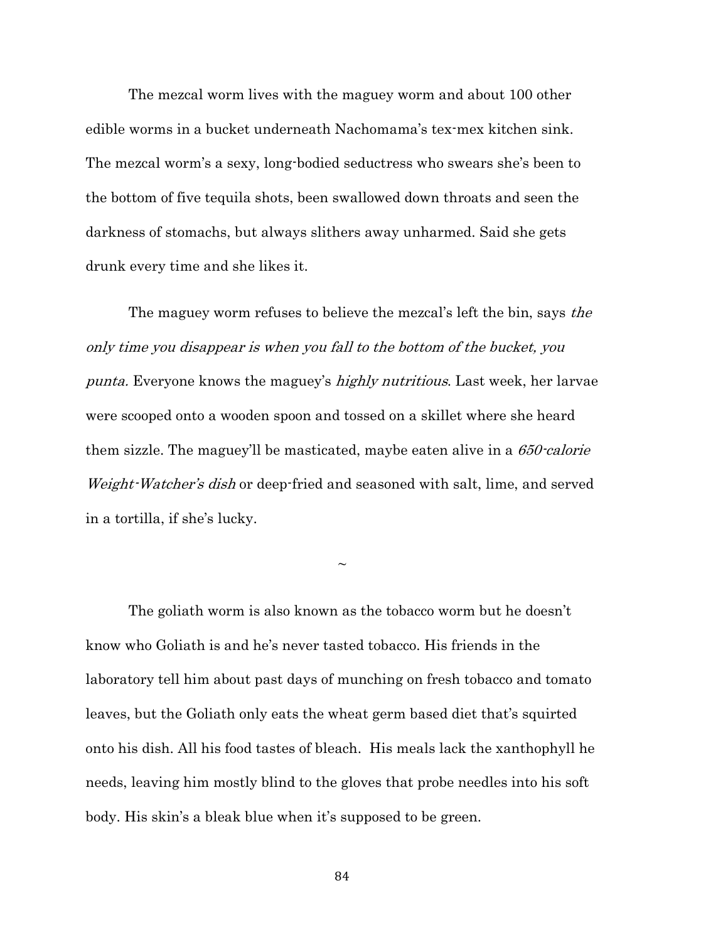The mezcal worm lives with the maguey worm and about 100 other edible worms in a bucket underneath Nachomama's tex-mex kitchen sink. The mezcal worm's a sexy, long-bodied seductress who swears she's been to the bottom of five tequila shots, been swallowed down throats and seen the darkness of stomachs, but always slithers away unharmed. Said she gets drunk every time and she likes it.

The maguey worm refuses to believe the mezcal's left the bin, says the only time you disappear is when you fall to the bottom of the bucket, you punta. Everyone knows the maguey's *highly nutritious*. Last week, her larvae were scooped onto a wooden spoon and tossed on a skillet where she heard them sizzle. The maguey'll be masticated, maybe eaten alive in a 650-calorie Weight-Watcher's dish or deep-fried and seasoned with salt, lime, and served in a tortilla, if she's lucky.

 $\sim$ 

The goliath worm is also known as the tobacco worm but he doesn't know who Goliath is and he's never tasted tobacco. His friends in the laboratory tell him about past days of munching on fresh tobacco and tomato leaves, but the Goliath only eats the wheat germ based diet that's squirted onto his dish. All his food tastes of bleach. His meals lack the xanthophyll he needs, leaving him mostly blind to the gloves that probe needles into his soft body. His skin's a bleak blue when it's supposed to be green.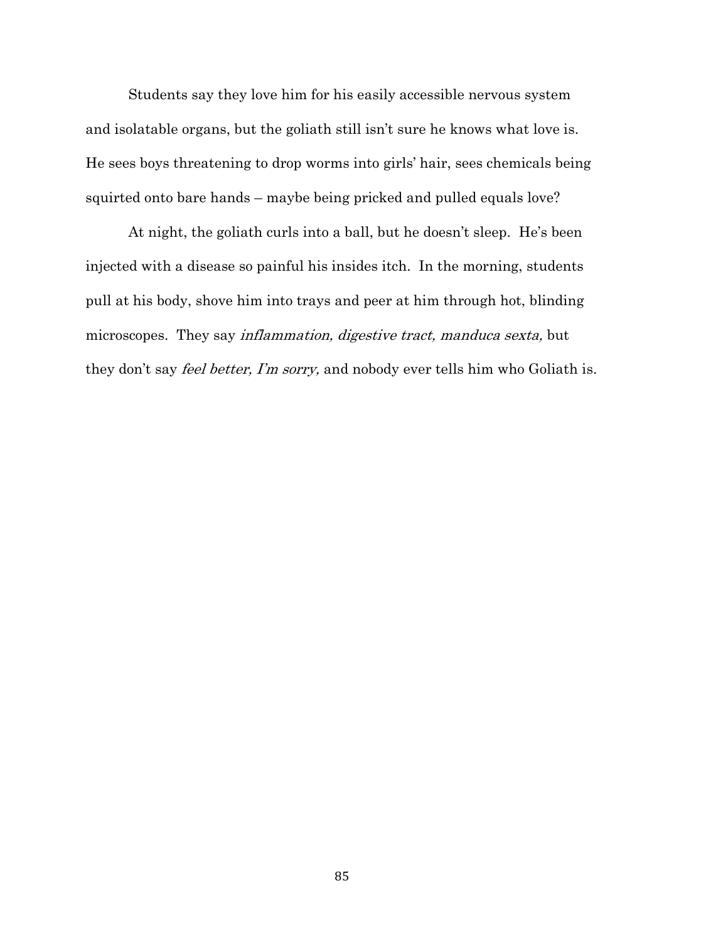Students say they love him for his easily accessible nervous system and isolatable organs, but the goliath still isn't sure he knows what love is. He sees boys threatening to drop worms into girls' hair, sees chemicals being squirted onto bare hands – maybe being pricked and pulled equals love?

At night, the goliath curls into a ball, but he doesn't sleep. He's been injected with a disease so painful his insides itch. In the morning, students pull at his body, shove him into trays and peer at him through hot, blinding microscopes. They say inflammation, digestive tract, manduca sexta, but they don't say *feel better, I'm sorry*, and nobody ever tells him who Goliath is.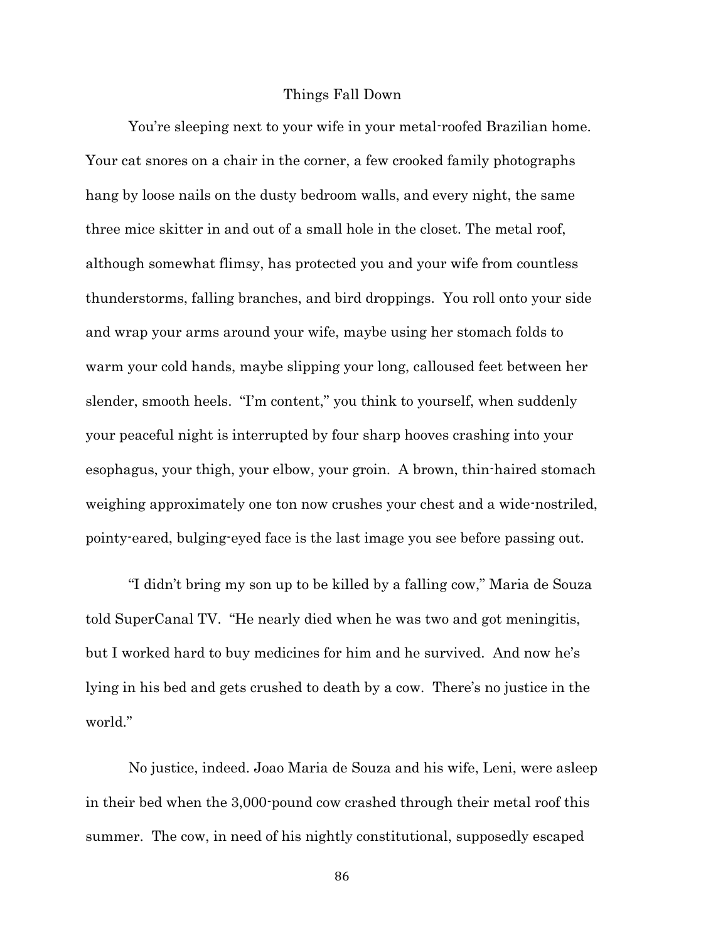## Things Fall Down

You're sleeping next to your wife in your metal-roofed Brazilian home. Your cat snores on a chair in the corner, a few crooked family photographs hang by loose nails on the dusty bedroom walls, and every night, the same three mice skitter in and out of a small hole in the closet. The metal roof, although somewhat flimsy, has protected you and your wife from countless thunderstorms, falling branches, and bird droppings. You roll onto your side and wrap your arms around your wife, maybe using her stomach folds to warm your cold hands, maybe slipping your long, calloused feet between her slender, smooth heels. "I'm content," you think to yourself, when suddenly your peaceful night is interrupted by four sharp hooves crashing into your esophagus, your thigh, your elbow, your groin. A brown, thin-haired stomach weighing approximately one ton now crushes your chest and a wide-nostriled, pointy-eared, bulging-eyed face is the last image you see before passing out.

"I didn't bring my son up to be killed by a falling cow," Maria de Souza told SuperCanal TV. "He nearly died when he was two and got meningitis, but I worked hard to buy medicines for him and he survived. And now he's lying in his bed and gets crushed to death by a cow. There's no justice in the world."

No justice, indeed. Joao Maria de Souza and his wife, Leni, were asleep in their bed when the 3,000-pound cow crashed through their metal roof this summer. The cow, in need of his nightly constitutional, supposedly escaped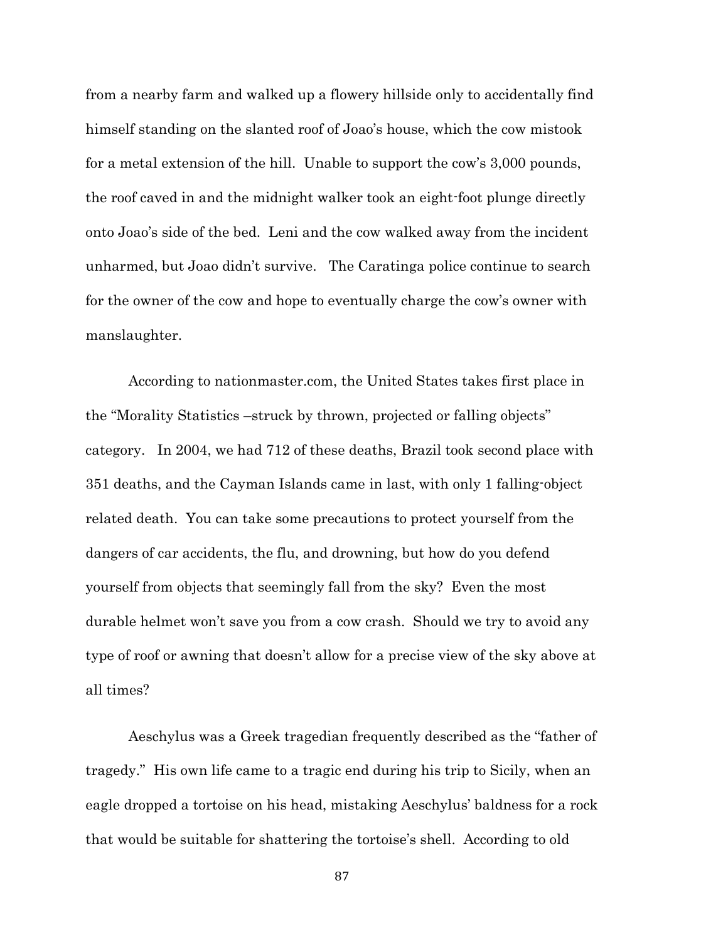from a nearby farm and walked up a flowery hillside only to accidentally find himself standing on the slanted roof of Joao's house, which the cow mistook for a metal extension of the hill. Unable to support the cow's 3,000 pounds, the roof caved in and the midnight walker took an eight-foot plunge directly onto Joao's side of the bed. Leni and the cow walked away from the incident unharmed, but Joao didn't survive. The Caratinga police continue to search for the owner of the cow and hope to eventually charge the cow's owner with manslaughter.

According to nationmaster.com, the United States takes first place in the "Morality Statistics –struck by thrown, projected or falling objects" category. In 2004, we had 712 of these deaths, Brazil took second place with 351 deaths, and the Cayman Islands came in last, with only 1 falling-object related death. You can take some precautions to protect yourself from the dangers of car accidents, the flu, and drowning, but how do you defend yourself from objects that seemingly fall from the sky? Even the most durable helmet won't save you from a cow crash. Should we try to avoid any type of roof or awning that doesn't allow for a precise view of the sky above at all times?

Aeschylus was a Greek tragedian frequently described as the "father of tragedy." His own life came to a tragic end during his trip to Sicily, when an eagle dropped a tortoise on his head, mistaking Aeschylus' baldness for a rock that would be suitable for shattering the tortoise's shell. According to old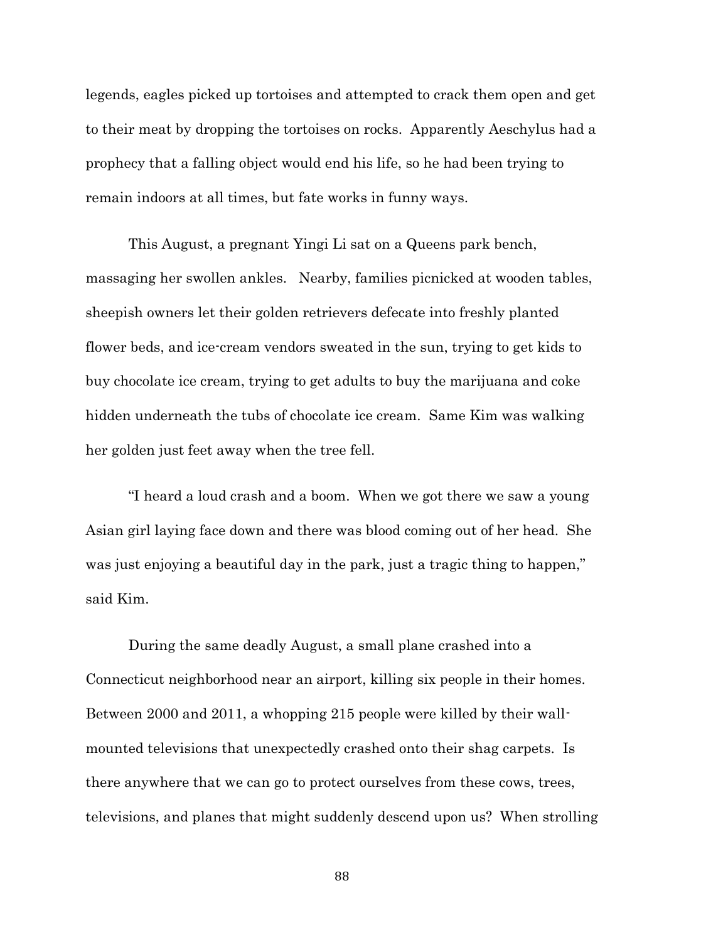legends, eagles picked up tortoises and attempted to crack them open and get to their meat by dropping the tortoises on rocks. Apparently Aeschylus had a prophecy that a falling object would end his life, so he had been trying to remain indoors at all times, but fate works in funny ways.

This August, a pregnant Yingi Li sat on a Queens park bench, massaging her swollen ankles. Nearby, families picnicked at wooden tables, sheepish owners let their golden retrievers defecate into freshly planted flower beds, and ice-cream vendors sweated in the sun, trying to get kids to buy chocolate ice cream, trying to get adults to buy the marijuana and coke hidden underneath the tubs of chocolate ice cream. Same Kim was walking her golden just feet away when the tree fell.

"I heard a loud crash and a boom. When we got there we saw a young Asian girl laying face down and there was blood coming out of her head. She was just enjoying a beautiful day in the park, just a tragic thing to happen," said Kim.

During the same deadly August, a small plane crashed into a Connecticut neighborhood near an airport, killing six people in their homes. Between 2000 and 2011, a whopping 215 people were killed by their wallmounted televisions that unexpectedly crashed onto their shag carpets. Is there anywhere that we can go to protect ourselves from these cows, trees, televisions, and planes that might suddenly descend upon us? When strolling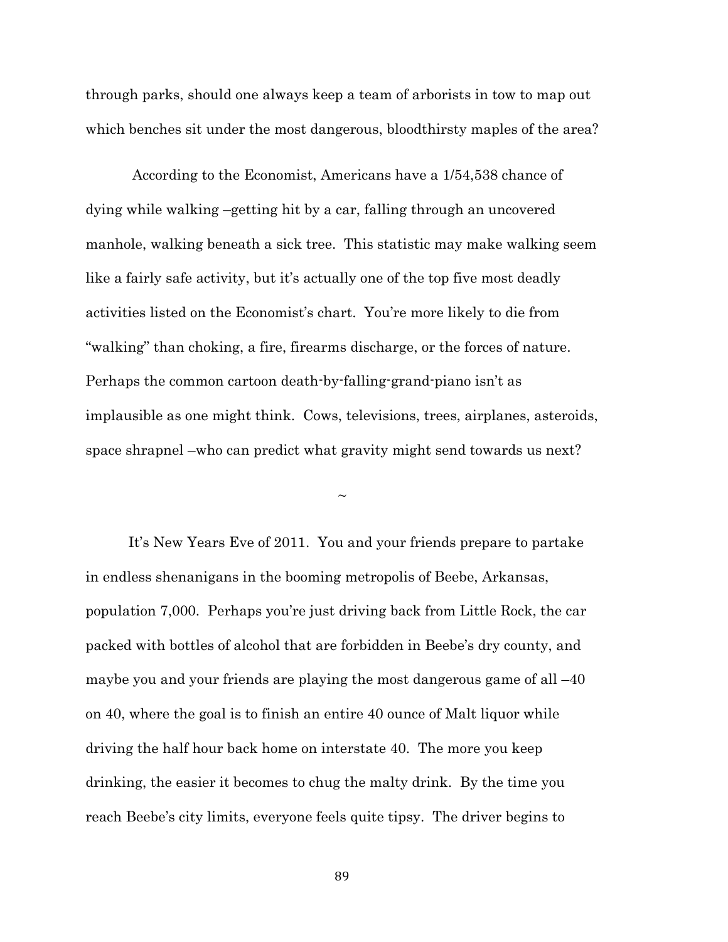through parks, should one always keep a team of arborists in tow to map out which benches sit under the most dangerous, bloodthirsty maples of the area?

According to the Economist, Americans have a 1/54,538 chance of dying while walking –getting hit by a car, falling through an uncovered manhole, walking beneath a sick tree. This statistic may make walking seem like a fairly safe activity, but it's actually one of the top five most deadly activities listed on the Economist's chart. You're more likely to die from "walking" than choking, a fire, firearms discharge, or the forces of nature. Perhaps the common cartoon death-by-falling-grand-piano isn't as implausible as one might think. Cows, televisions, trees, airplanes, asteroids, space shrapnel –who can predict what gravity might send towards us next?

 $\sim$ 

It's New Years Eve of 2011. You and your friends prepare to partake in endless shenanigans in the booming metropolis of Beebe, Arkansas, population 7,000. Perhaps you're just driving back from Little Rock, the car packed with bottles of alcohol that are forbidden in Beebe's dry county, and maybe you and your friends are playing the most dangerous game of all –40 on 40, where the goal is to finish an entire 40 ounce of Malt liquor while driving the half hour back home on interstate 40. The more you keep drinking, the easier it becomes to chug the malty drink. By the time you reach Beebe's city limits, everyone feels quite tipsy. The driver begins to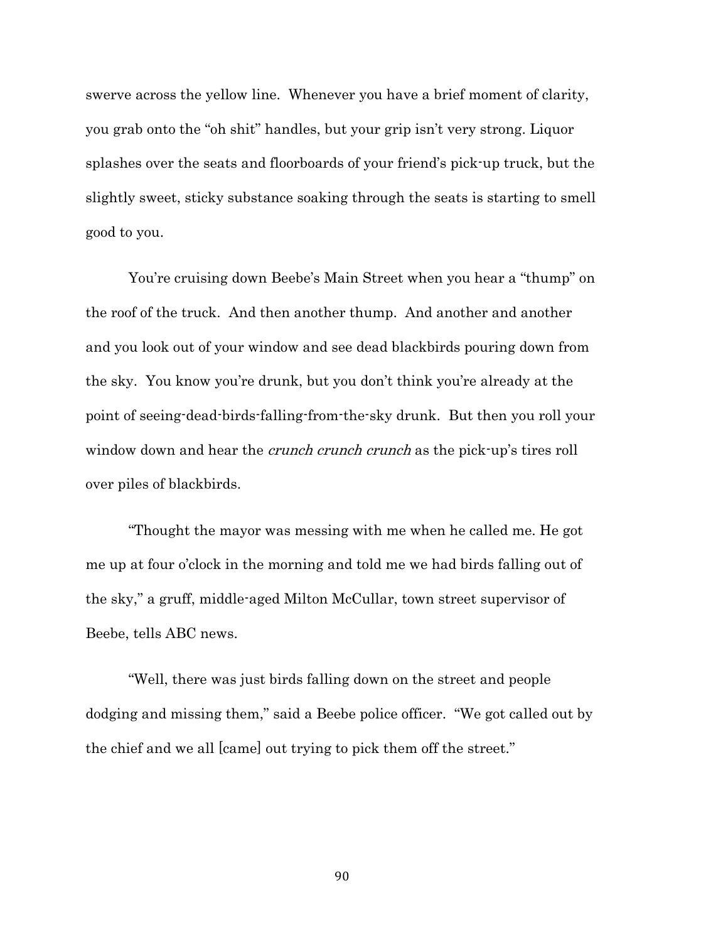swerve across the yellow line. Whenever you have a brief moment of clarity, you grab onto the "oh shit" handles, but your grip isn't very strong. Liquor splashes over the seats and floorboards of your friend's pick-up truck, but the slightly sweet, sticky substance soaking through the seats is starting to smell good to you.

You're cruising down Beebe's Main Street when you hear a "thump" on the roof of the truck. And then another thump. And another and another and you look out of your window and see dead blackbirds pouring down from the sky. You know you're drunk, but you don't think you're already at the point of seeing-dead-birds-falling-from-the-sky drunk. But then you roll your window down and hear the *crunch crunch crunch* as the pick-up's tires roll over piles of blackbirds.

"Thought the mayor was messing with me when he called me. He got me up at four o'clock in the morning and told me we had birds falling out of the sky," a gruff, middle-aged Milton McCullar, town street supervisor of Beebe, tells ABC news.

"Well, there was just birds falling down on the street and people dodging and missing them," said a Beebe police officer. "We got called out by the chief and we all [came] out trying to pick them off the street."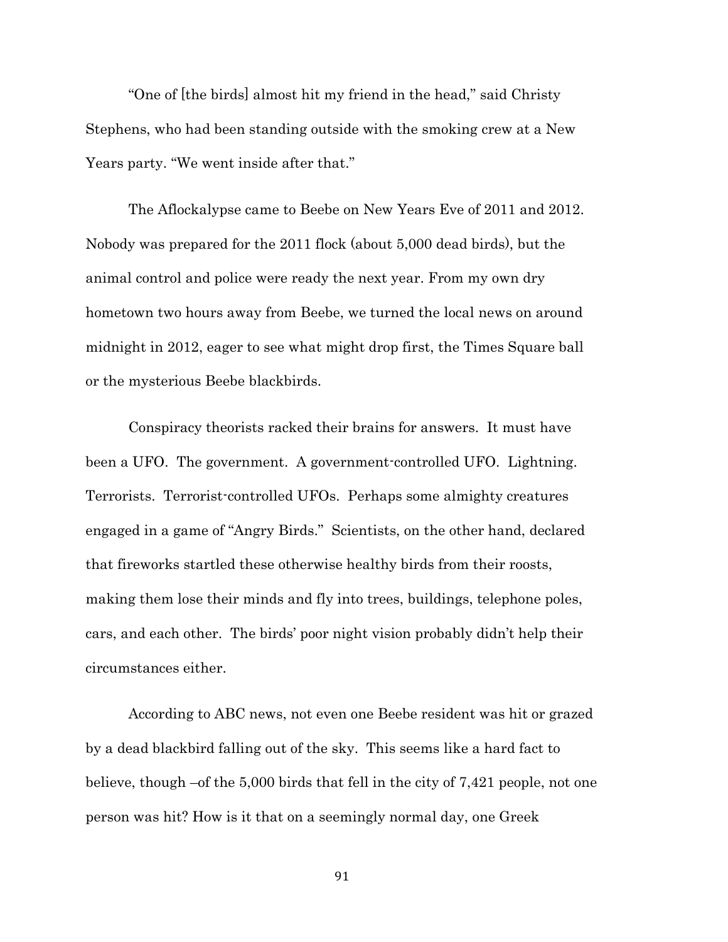"One of [the birds] almost hit my friend in the head," said Christy Stephens, who had been standing outside with the smoking crew at a New Years party. "We went inside after that."

The Aflockalypse came to Beebe on New Years Eve of 2011 and 2012. Nobody was prepared for the 2011 flock (about 5,000 dead birds), but the animal control and police were ready the next year. From my own dry hometown two hours away from Beebe, we turned the local news on around midnight in 2012, eager to see what might drop first, the Times Square ball or the mysterious Beebe blackbirds.

Conspiracy theorists racked their brains for answers. It must have been a UFO. The government. A government-controlled UFO. Lightning. Terrorists. Terrorist-controlled UFOs. Perhaps some almighty creatures engaged in a game of "Angry Birds." Scientists, on the other hand, declared that fireworks startled these otherwise healthy birds from their roosts, making them lose their minds and fly into trees, buildings, telephone poles, cars, and each other. The birds' poor night vision probably didn't help their circumstances either.

According to ABC news, not even one Beebe resident was hit or grazed by a dead blackbird falling out of the sky. This seems like a hard fact to believe, though –of the 5,000 birds that fell in the city of 7,421 people, not one person was hit? How is it that on a seemingly normal day, one Greek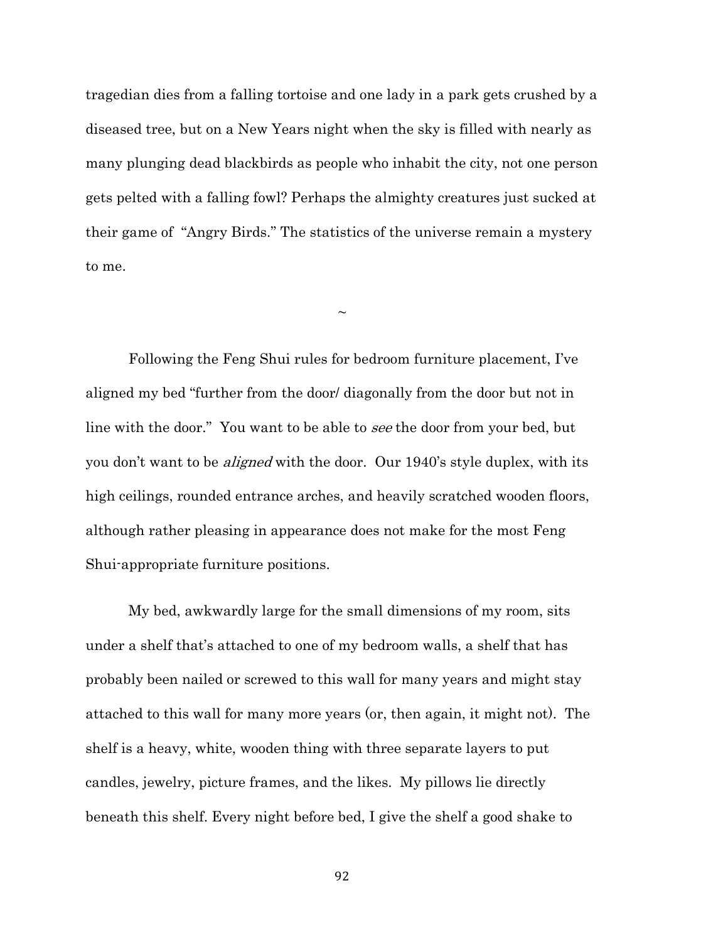tragedian dies from a falling tortoise and one lady in a park gets crushed by a diseased tree, but on a New Years night when the sky is filled with nearly as many plunging dead blackbirds as people who inhabit the city, not one person gets pelted with a falling fowl? Perhaps the almighty creatures just sucked at their game of "Angry Birds." The statistics of the universe remain a mystery to me.

 $\sim$ 

Following the Feng Shui rules for bedroom furniture placement, I've aligned my bed "further from the door/ diagonally from the door but not in line with the door." You want to be able to see the door from your bed, but you don't want to be *aligned* with the door. Our 1940's style duplex, with its high ceilings, rounded entrance arches, and heavily scratched wooden floors, although rather pleasing in appearance does not make for the most Feng Shui-appropriate furniture positions.

My bed, awkwardly large for the small dimensions of my room, sits under a shelf that's attached to one of my bedroom walls, a shelf that has probably been nailed or screwed to this wall for many years and might stay attached to this wall for many more years (or, then again, it might not). The shelf is a heavy, white, wooden thing with three separate layers to put candles, jewelry, picture frames, and the likes. My pillows lie directly beneath this shelf. Every night before bed, I give the shelf a good shake to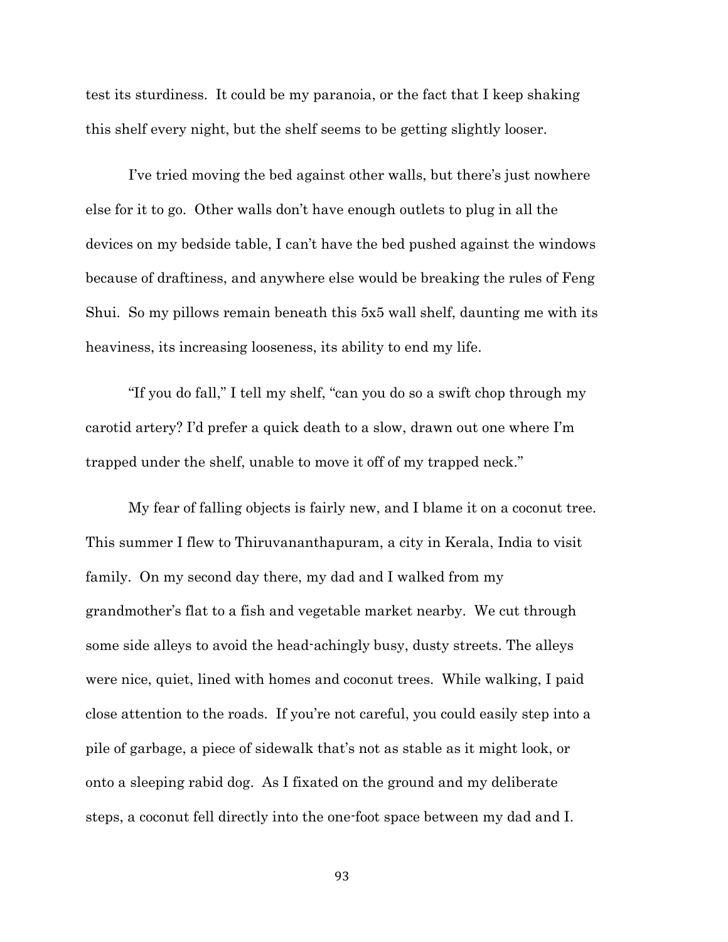test its sturdiness. It could be my paranoia, or the fact that I keep shaking this shelf every night, but the shelf seems to be getting slightly looser.

I've tried moving the bed against other walls, but there's just nowhere else for it to go. Other walls don't have enough outlets to plug in all the devices on my bedside table, I can't have the bed pushed against the windows because of draftiness, and anywhere else would be breaking the rules of Feng Shui. So my pillows remain beneath this 5x5 wall shelf, daunting me with its heaviness, its increasing looseness, its ability to end my life.

"If you do fall," I tell my shelf, "can you do so a swift chop through my carotid artery? I'd prefer a quick death to a slow, drawn out one where I'm trapped under the shelf, unable to move it off of my trapped neck."

My fear of falling objects is fairly new, and I blame it on a coconut tree. This summer I flew to Thiruvananthapuram, a city in Kerala, India to visit family. On my second day there, my dad and I walked from my grandmother's flat to a fish and vegetable market nearby. We cut through some side alleys to avoid the head-achingly busy, dusty streets. The alleys were nice, quiet, lined with homes and coconut trees. While walking, I paid close attention to the roads. If you're not careful, you could easily step into a pile of garbage, a piece of sidewalk that's not as stable as it might look, or onto a sleeping rabid dog. As I fixated on the ground and my deliberate steps, a coconut fell directly into the one-foot space between my dad and I.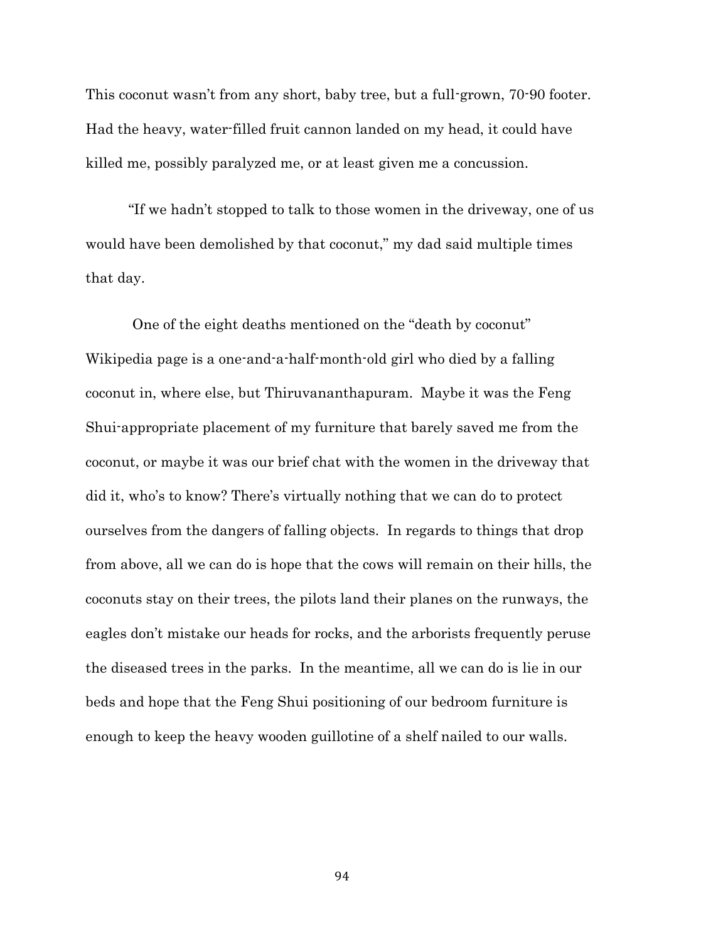This coconut wasn't from any short, baby tree, but a full-grown, 70-90 footer. Had the heavy, water-filled fruit cannon landed on my head, it could have killed me, possibly paralyzed me, or at least given me a concussion.

"If we hadn't stopped to talk to those women in the driveway, one of us would have been demolished by that coconut," my dad said multiple times that day.

One of the eight deaths mentioned on the "death by coconut" Wikipedia page is a one-and-a-half-month-old girl who died by a falling coconut in, where else, but Thiruvananthapuram. Maybe it was the Feng Shui-appropriate placement of my furniture that barely saved me from the coconut, or maybe it was our brief chat with the women in the driveway that did it, who's to know? There's virtually nothing that we can do to protect ourselves from the dangers of falling objects. In regards to things that drop from above, all we can do is hope that the cows will remain on their hills, the coconuts stay on their trees, the pilots land their planes on the runways, the eagles don't mistake our heads for rocks, and the arborists frequently peruse the diseased trees in the parks. In the meantime, all we can do is lie in our beds and hope that the Feng Shui positioning of our bedroom furniture is enough to keep the heavy wooden guillotine of a shelf nailed to our walls.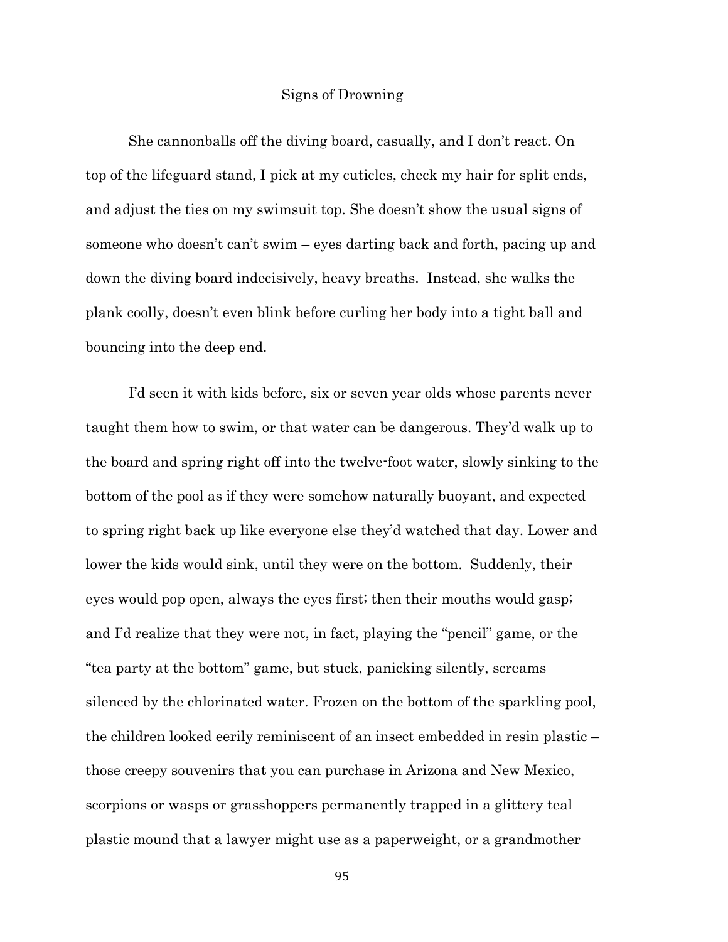# Signs of Drowning

She cannonballs off the diving board, casually, and I don't react. On top of the lifeguard stand, I pick at my cuticles, check my hair for split ends, and adjust the ties on my swimsuit top. She doesn't show the usual signs of someone who doesn't can't swim – eyes darting back and forth, pacing up and down the diving board indecisively, heavy breaths. Instead, she walks the plank coolly, doesn't even blink before curling her body into a tight ball and bouncing into the deep end.

I'd seen it with kids before, six or seven year olds whose parents never taught them how to swim, or that water can be dangerous. They'd walk up to the board and spring right off into the twelve-foot water, slowly sinking to the bottom of the pool as if they were somehow naturally buoyant, and expected to spring right back up like everyone else they'd watched that day. Lower and lower the kids would sink, until they were on the bottom. Suddenly, their eyes would pop open, always the eyes first; then their mouths would gasp; and I'd realize that they were not, in fact, playing the "pencil" game, or the "tea party at the bottom" game, but stuck, panicking silently, screams silenced by the chlorinated water. Frozen on the bottom of the sparkling pool, the children looked eerily reminiscent of an insect embedded in resin plastic – those creepy souvenirs that you can purchase in Arizona and New Mexico, scorpions or wasps or grasshoppers permanently trapped in a glittery teal plastic mound that a lawyer might use as a paperweight, or a grandmother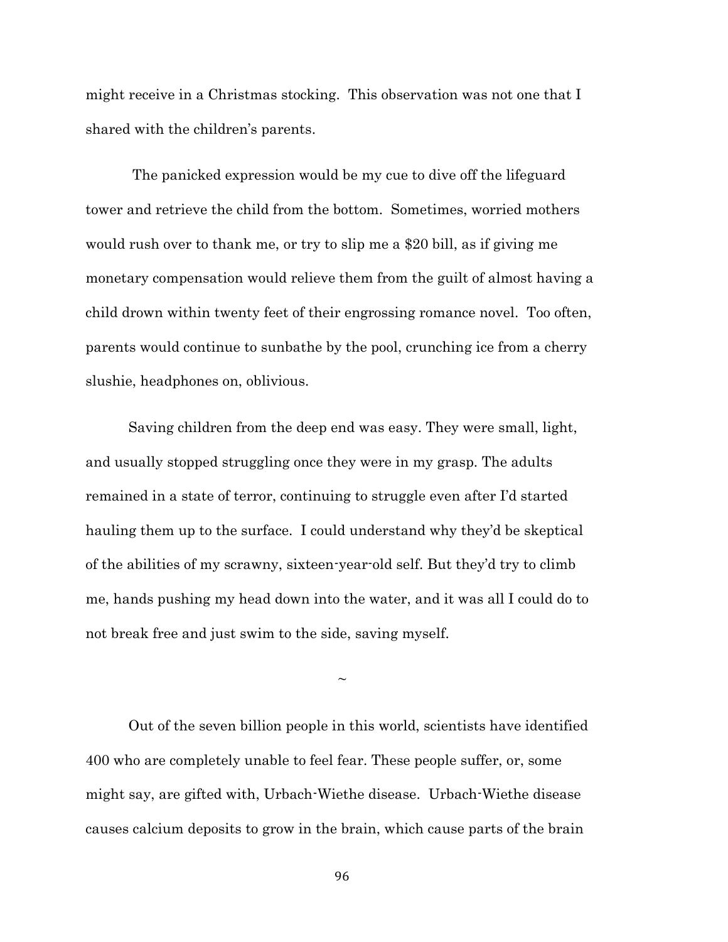might receive in a Christmas stocking. This observation was not one that I shared with the children's parents.

The panicked expression would be my cue to dive off the lifeguard tower and retrieve the child from the bottom. Sometimes, worried mothers would rush over to thank me, or try to slip me a \$20 bill, as if giving me monetary compensation would relieve them from the guilt of almost having a child drown within twenty feet of their engrossing romance novel. Too often, parents would continue to sunbathe by the pool, crunching ice from a cherry slushie, headphones on, oblivious.

Saving children from the deep end was easy. They were small, light, and usually stopped struggling once they were in my grasp. The adults remained in a state of terror, continuing to struggle even after I'd started hauling them up to the surface. I could understand why they'd be skeptical of the abilities of my scrawny, sixteen-year-old self. But they'd try to climb me, hands pushing my head down into the water, and it was all I could do to not break free and just swim to the side, saving myself.

 $\sim$ 

Out of the seven billion people in this world, scientists have identified 400 who are completely unable to feel fear. These people suffer, or, some might say, are gifted with, Urbach-Wiethe disease. Urbach-Wiethe disease causes calcium deposits to grow in the brain, which cause parts of the brain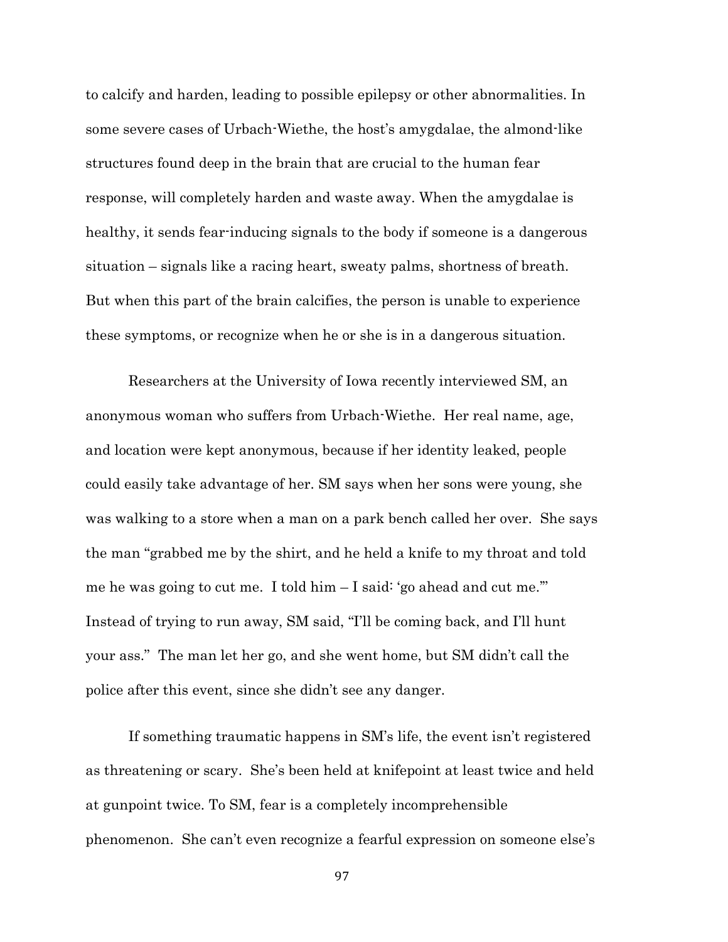to calcify and harden, leading to possible epilepsy or other abnormalities. In some severe cases of Urbach-Wiethe, the host's amygdalae, the almond-like structures found deep in the brain that are crucial to the human fear response, will completely harden and waste away. When the amygdalae is healthy, it sends fear-inducing signals to the body if someone is a dangerous situation – signals like a racing heart, sweaty palms, shortness of breath. But when this part of the brain calcifies, the person is unable to experience these symptoms, or recognize when he or she is in a dangerous situation.

Researchers at the University of Iowa recently interviewed SM, an anonymous woman who suffers from Urbach-Wiethe. Her real name, age, and location were kept anonymous, because if her identity leaked, people could easily take advantage of her. SM says when her sons were young, she was walking to a store when a man on a park bench called her over. She says the man "grabbed me by the shirt, and he held a knife to my throat and told me he was going to cut me. I told him – I said: 'go ahead and cut me.'" Instead of trying to run away, SM said, "I'll be coming back, and I'll hunt your ass." The man let her go, and she went home, but SM didn't call the police after this event, since she didn't see any danger.

If something traumatic happens in SM's life, the event isn't registered as threatening or scary. She's been held at knifepoint at least twice and held at gunpoint twice. To SM, fear is a completely incomprehensible phenomenon. She can't even recognize a fearful expression on someone else's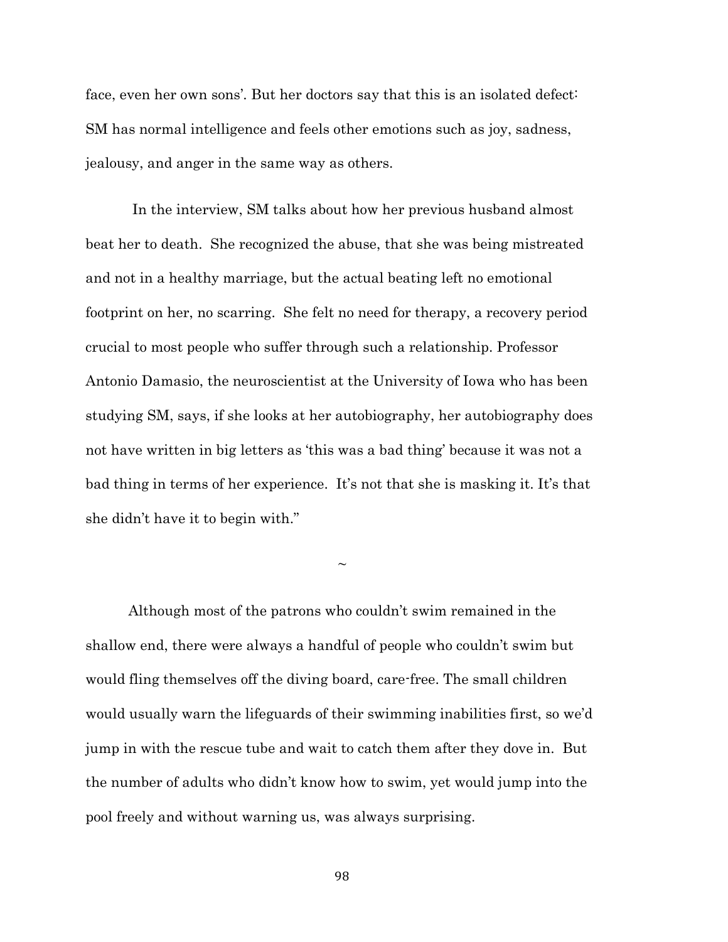face, even her own sons'. But her doctors say that this is an isolated defect: SM has normal intelligence and feels other emotions such as joy, sadness, jealousy, and anger in the same way as others.

In the interview, SM talks about how her previous husband almost beat her to death. She recognized the abuse, that she was being mistreated and not in a healthy marriage, but the actual beating left no emotional footprint on her, no scarring. She felt no need for therapy, a recovery period crucial to most people who suffer through such a relationship. Professor Antonio Damasio, the neuroscientist at the University of Iowa who has been studying SM, says, if she looks at her autobiography, her autobiography does not have written in big letters as 'this was a bad thing' because it was not a bad thing in terms of her experience. It's not that she is masking it. It's that she didn't have it to begin with."

 $\sim$ 

Although most of the patrons who couldn't swim remained in the shallow end, there were always a handful of people who couldn't swim but would fling themselves off the diving board, care-free. The small children would usually warn the lifeguards of their swimming inabilities first, so we'd jump in with the rescue tube and wait to catch them after they dove in. But the number of adults who didn't know how to swim, yet would jump into the pool freely and without warning us, was always surprising.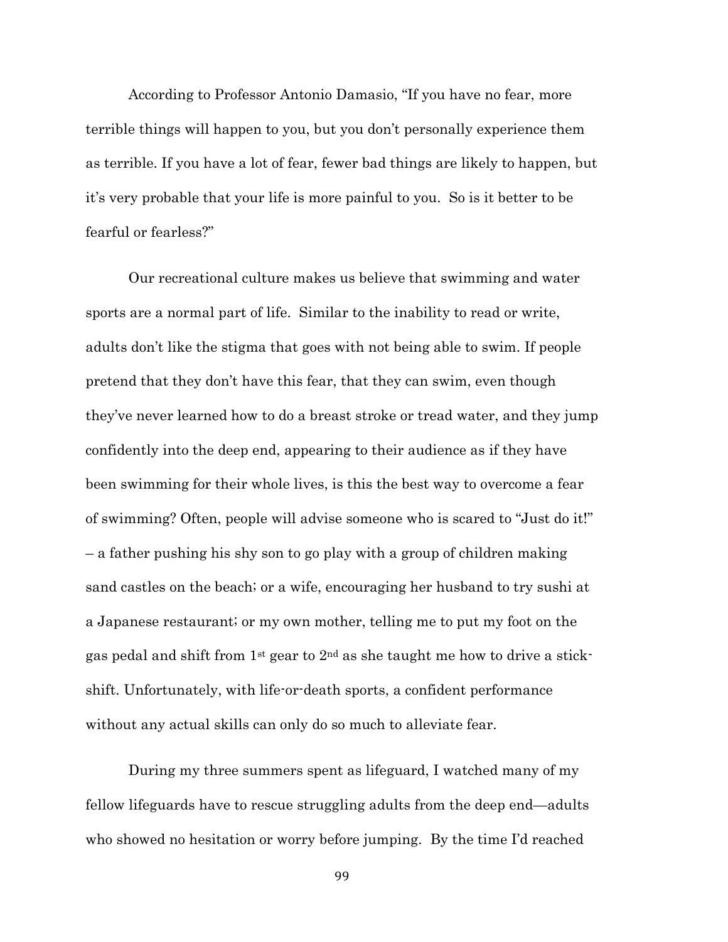According to Professor Antonio Damasio, "If you have no fear, more terrible things will happen to you, but you don't personally experience them as terrible. If you have a lot of fear, fewer bad things are likely to happen, but it's very probable that your life is more painful to you. So is it better to be fearful or fearless?"

Our recreational culture makes us believe that swimming and water sports are a normal part of life. Similar to the inability to read or write, adults don't like the stigma that goes with not being able to swim. If people pretend that they don't have this fear, that they can swim, even though they've never learned how to do a breast stroke or tread water, and they jump confidently into the deep end, appearing to their audience as if they have been swimming for their whole lives, is this the best way to overcome a fear of swimming? Often, people will advise someone who is scared to "Just do it!" – a father pushing his shy son to go play with a group of children making sand castles on the beach; or a wife, encouraging her husband to try sushi at a Japanese restaurant; or my own mother, telling me to put my foot on the gas pedal and shift from 1st gear to 2nd as she taught me how to drive a stickshift. Unfortunately, with life-or-death sports, a confident performance without any actual skills can only do so much to alleviate fear.

During my three summers spent as lifeguard, I watched many of my fellow lifeguards have to rescue struggling adults from the deep end—adults who showed no hesitation or worry before jumping. By the time I'd reached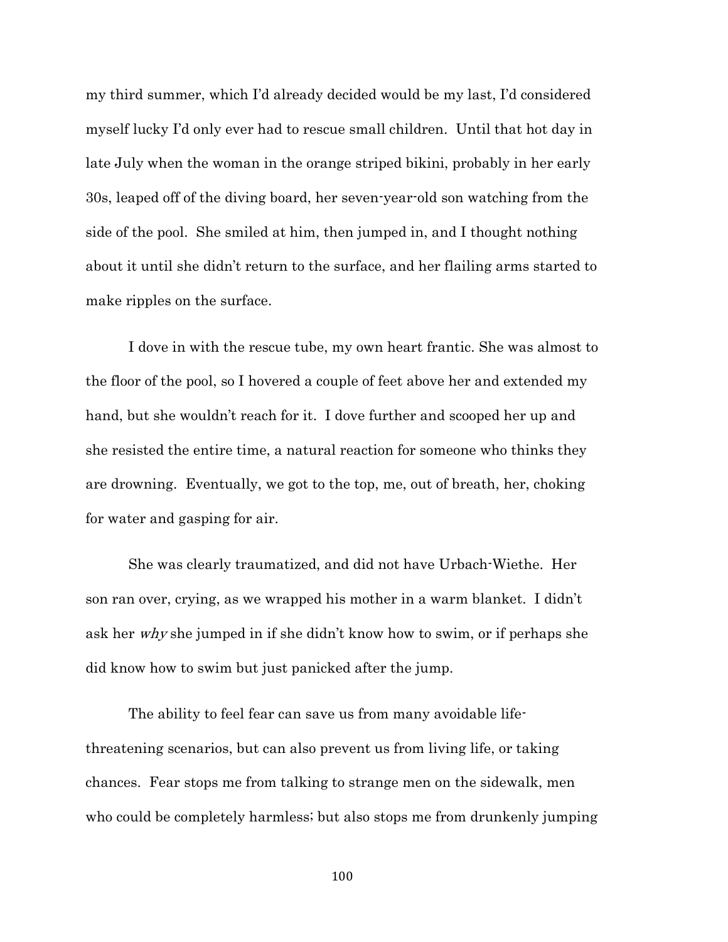my third summer, which I'd already decided would be my last, I'd considered myself lucky I'd only ever had to rescue small children. Until that hot day in late July when the woman in the orange striped bikini, probably in her early 30s, leaped off of the diving board, her seven-year-old son watching from the side of the pool. She smiled at him, then jumped in, and I thought nothing about it until she didn't return to the surface, and her flailing arms started to make ripples on the surface.

I dove in with the rescue tube, my own heart frantic. She was almost to the floor of the pool, so I hovered a couple of feet above her and extended my hand, but she wouldn't reach for it. I dove further and scooped her up and she resisted the entire time, a natural reaction for someone who thinks they are drowning. Eventually, we got to the top, me, out of breath, her, choking for water and gasping for air.

She was clearly traumatized, and did not have Urbach-Wiethe. Her son ran over, crying, as we wrapped his mother in a warm blanket. I didn't ask her why she jumped in if she didn't know how to swim, or if perhaps she did know how to swim but just panicked after the jump.

The ability to feel fear can save us from many avoidable lifethreatening scenarios, but can also prevent us from living life, or taking chances. Fear stops me from talking to strange men on the sidewalk, men who could be completely harmless; but also stops me from drunkenly jumping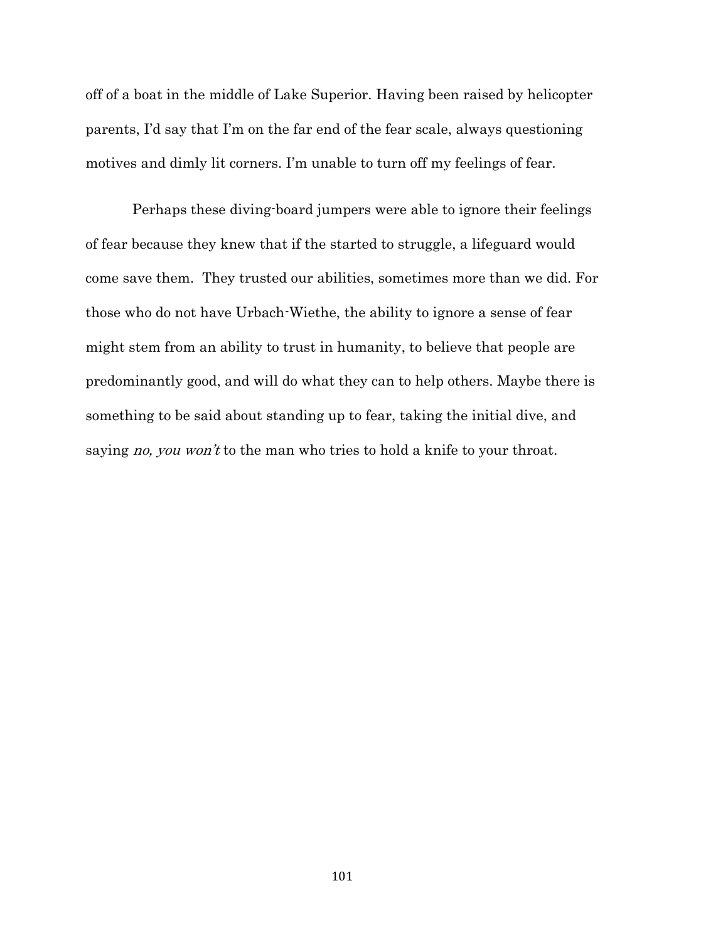off of a boat in the middle of Lake Superior. Having been raised by helicopter parents, I'd say that I'm on the far end of the fear scale, always questioning motives and dimly lit corners. I'm unable to turn off my feelings of fear.

Perhaps these diving-board jumpers were able to ignore their feelings of fear because they knew that if the started to struggle, a lifeguard would come save them. They trusted our abilities, sometimes more than we did. For those who do not have Urbach-Wiethe, the ability to ignore a sense of fear might stem from an ability to trust in humanity, to believe that people are predominantly good, and will do what they can to help others. Maybe there is something to be said about standing up to fear, taking the initial dive, and saying *no, you won't* to the man who tries to hold a knife to your throat.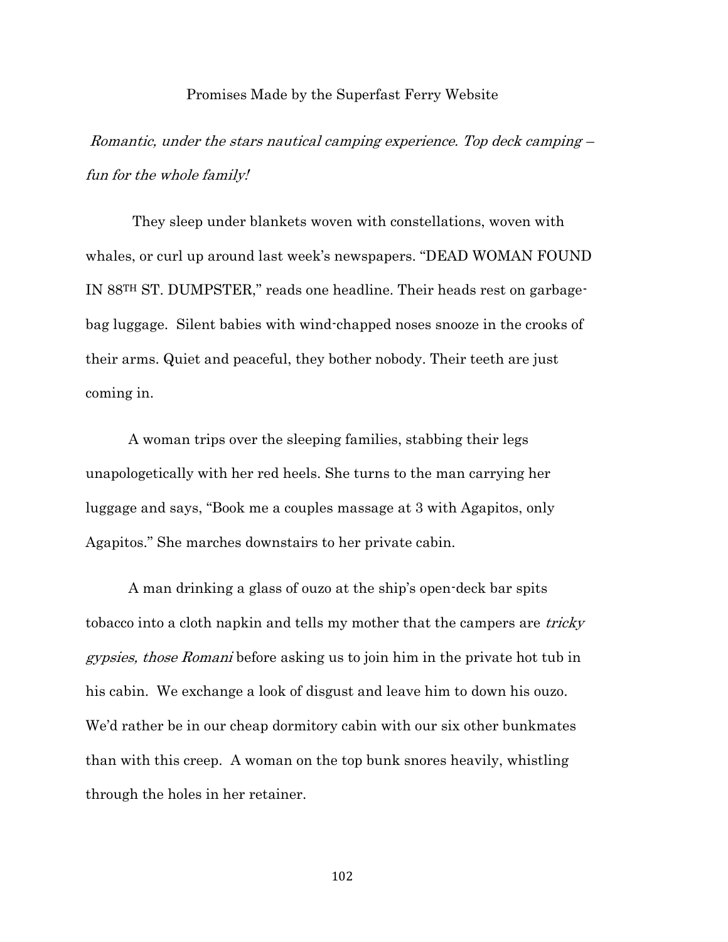### Promises Made by the Superfast Ferry Website

Romantic, under the stars nautical camping experience. Top deck camping – fun for the whole family!

They sleep under blankets woven with constellations, woven with whales, or curl up around last week's newspapers. "DEAD WOMAN FOUND IN 88TH ST. DUMPSTER," reads one headline. Their heads rest on garbagebag luggage. Silent babies with wind-chapped noses snooze in the crooks of their arms. Quiet and peaceful, they bother nobody. Their teeth are just coming in.

A woman trips over the sleeping families, stabbing their legs unapologetically with her red heels. She turns to the man carrying her luggage and says, "Book me a couples massage at 3 with Agapitos, only Agapitos." She marches downstairs to her private cabin.

A man drinking a glass of ouzo at the ship's open-deck bar spits tobacco into a cloth napkin and tells my mother that the campers are *tricky* gypsies, those Romani before asking us to join him in the private hot tub in his cabin. We exchange a look of disgust and leave him to down his ouzo. We'd rather be in our cheap dormitory cabin with our six other bunkmates than with this creep. A woman on the top bunk snores heavily, whistling through the holes in her retainer.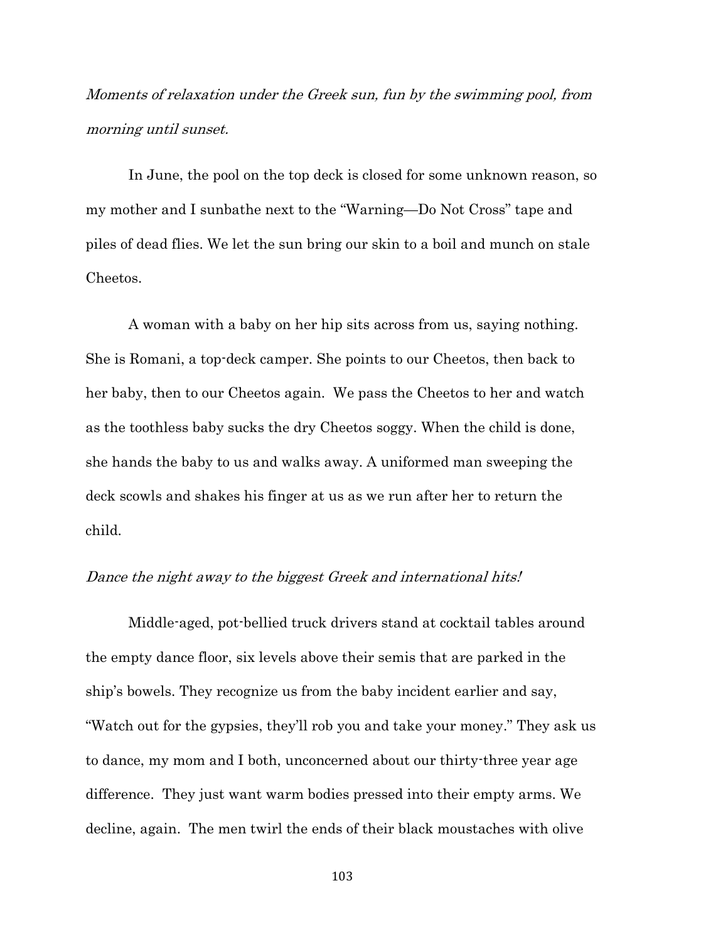Moments of relaxation under the Greek sun, fun by the swimming pool, from morning until sunset.

In June, the pool on the top deck is closed for some unknown reason, so my mother and I sunbathe next to the "Warning—Do Not Cross" tape and piles of dead flies. We let the sun bring our skin to a boil and munch on stale Cheetos.

A woman with a baby on her hip sits across from us, saying nothing. She is Romani, a top-deck camper. She points to our Cheetos, then back to her baby, then to our Cheetos again. We pass the Cheetos to her and watch as the toothless baby sucks the dry Cheetos soggy. When the child is done, she hands the baby to us and walks away. A uniformed man sweeping the deck scowls and shakes his finger at us as we run after her to return the child.

# Dance the night away to the biggest Greek and international hits!

Middle-aged, pot-bellied truck drivers stand at cocktail tables around the empty dance floor, six levels above their semis that are parked in the ship's bowels. They recognize us from the baby incident earlier and say, "Watch out for the gypsies, they'll rob you and take your money." They ask us to dance, my mom and I both, unconcerned about our thirty-three year age difference. They just want warm bodies pressed into their empty arms. We decline, again. The men twirl the ends of their black moustaches with olive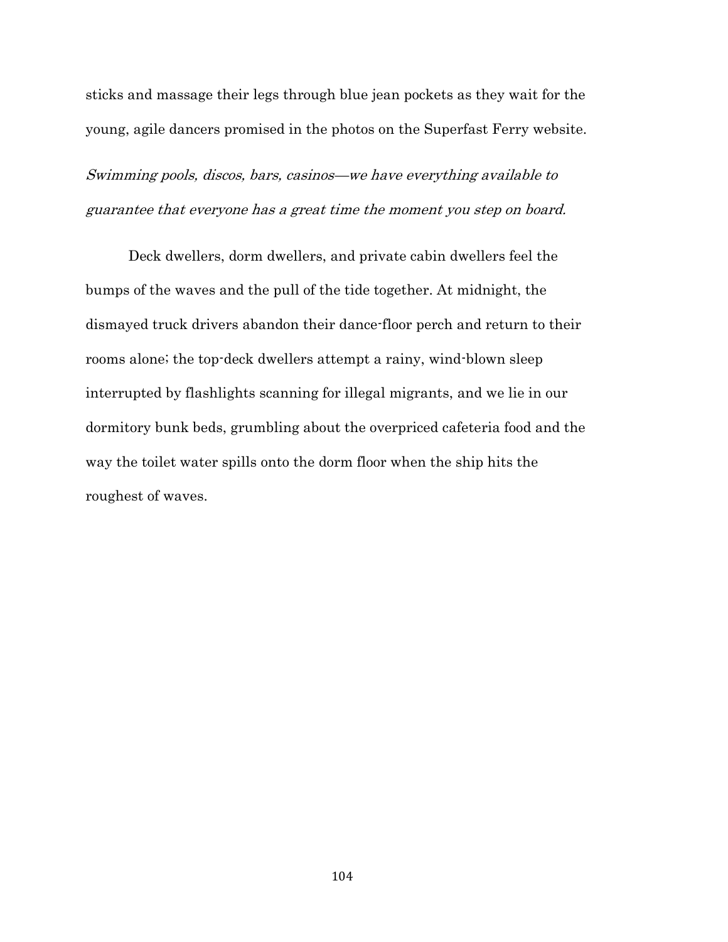sticks and massage their legs through blue jean pockets as they wait for the young, agile dancers promised in the photos on the Superfast Ferry website.

Swimming pools, discos, bars, casinos—we have everything available to guarantee that everyone has a great time the moment you step on board.

Deck dwellers, dorm dwellers, and private cabin dwellers feel the bumps of the waves and the pull of the tide together. At midnight, the dismayed truck drivers abandon their dance-floor perch and return to their rooms alone; the top-deck dwellers attempt a rainy, wind-blown sleep interrupted by flashlights scanning for illegal migrants, and we lie in our dormitory bunk beds, grumbling about the overpriced cafeteria food and the way the toilet water spills onto the dorm floor when the ship hits the roughest of waves.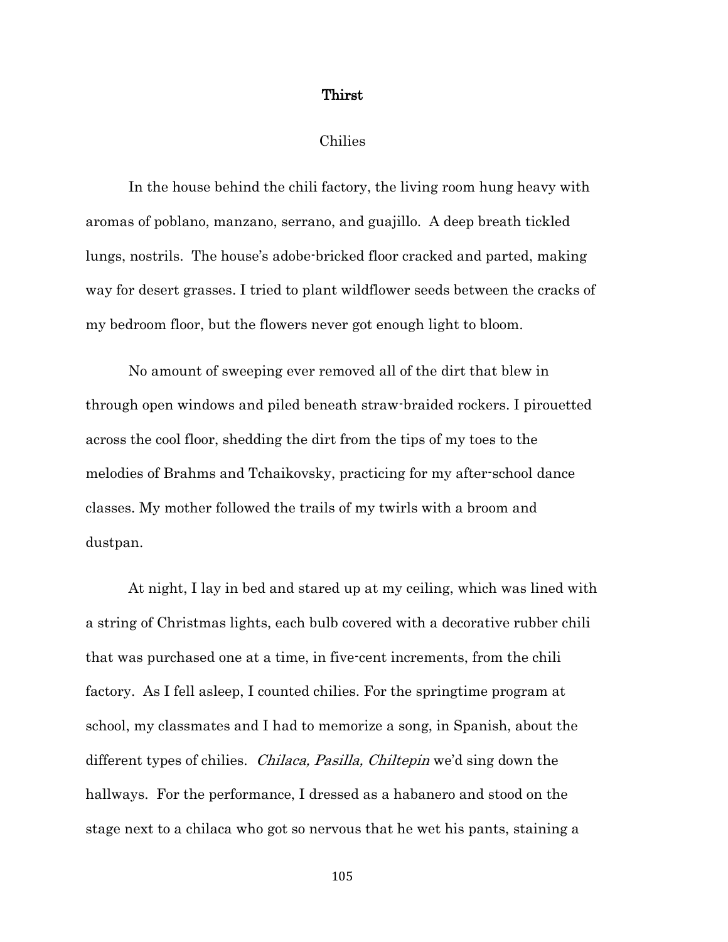## Thirst

#### Chilies

In the house behind the chili factory, the living room hung heavy with aromas of poblano, manzano, serrano, and guajillo. A deep breath tickled lungs, nostrils. The house's adobe-bricked floor cracked and parted, making way for desert grasses. I tried to plant wildflower seeds between the cracks of my bedroom floor, but the flowers never got enough light to bloom.

No amount of sweeping ever removed all of the dirt that blew in through open windows and piled beneath straw-braided rockers. I pirouetted across the cool floor, shedding the dirt from the tips of my toes to the melodies of Brahms and Tchaikovsky, practicing for my after-school dance classes. My mother followed the trails of my twirls with a broom and dustpan.

At night, I lay in bed and stared up at my ceiling, which was lined with a string of Christmas lights, each bulb covered with a decorative rubber chili that was purchased one at a time, in five-cent increments, from the chili factory. As I fell asleep, I counted chilies. For the springtime program at school, my classmates and I had to memorize a song, in Spanish, about the different types of chilies. *Chilaca, Pasilla, Chiltepin* we'd sing down the hallways. For the performance, I dressed as a habanero and stood on the stage next to a chilaca who got so nervous that he wet his pants, staining a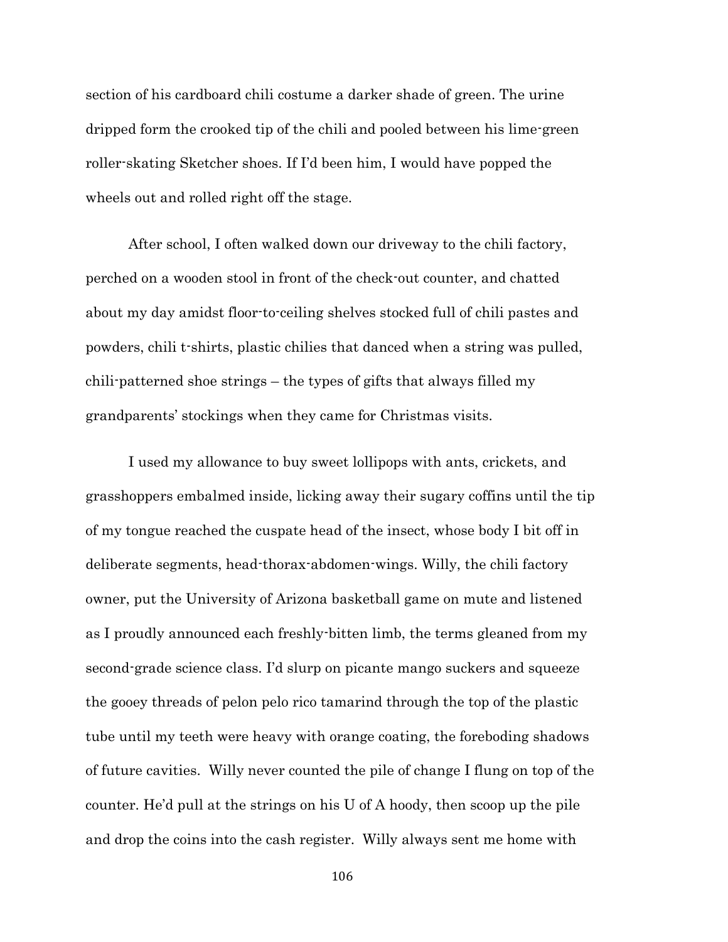section of his cardboard chili costume a darker shade of green. The urine dripped form the crooked tip of the chili and pooled between his lime-green roller-skating Sketcher shoes. If I'd been him, I would have popped the wheels out and rolled right off the stage.

After school, I often walked down our driveway to the chili factory, perched on a wooden stool in front of the check-out counter, and chatted about my day amidst floor-to-ceiling shelves stocked full of chili pastes and powders, chili t-shirts, plastic chilies that danced when a string was pulled, chili-patterned shoe strings – the types of gifts that always filled my grandparents' stockings when they came for Christmas visits.

I used my allowance to buy sweet lollipops with ants, crickets, and grasshoppers embalmed inside, licking away their sugary coffins until the tip of my tongue reached the cuspate head of the insect, whose body I bit off in deliberate segments, head-thorax-abdomen-wings. Willy, the chili factory owner, put the University of Arizona basketball game on mute and listened as I proudly announced each freshly-bitten limb, the terms gleaned from my second-grade science class. I'd slurp on picante mango suckers and squeeze the gooey threads of pelon pelo rico tamarind through the top of the plastic tube until my teeth were heavy with orange coating, the foreboding shadows of future cavities. Willy never counted the pile of change I flung on top of the counter. He'd pull at the strings on his U of A hoody, then scoop up the pile and drop the coins into the cash register. Willy always sent me home with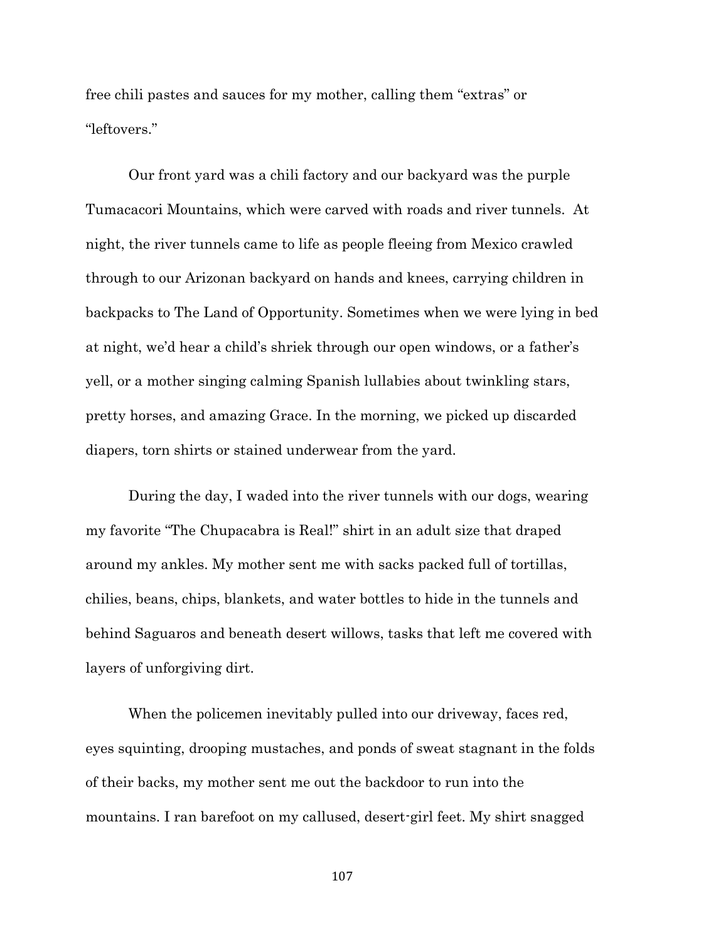free chili pastes and sauces for my mother, calling them "extras" or "leftovers."

Our front yard was a chili factory and our backyard was the purple Tumacacori Mountains, which were carved with roads and river tunnels. At night, the river tunnels came to life as people fleeing from Mexico crawled through to our Arizonan backyard on hands and knees, carrying children in backpacks to The Land of Opportunity. Sometimes when we were lying in bed at night, we'd hear a child's shriek through our open windows, or a father's yell, or a mother singing calming Spanish lullabies about twinkling stars, pretty horses, and amazing Grace. In the morning, we picked up discarded diapers, torn shirts or stained underwear from the yard.

During the day, I waded into the river tunnels with our dogs, wearing my favorite "The Chupacabra is Real!" shirt in an adult size that draped around my ankles. My mother sent me with sacks packed full of tortillas, chilies, beans, chips, blankets, and water bottles to hide in the tunnels and behind Saguaros and beneath desert willows, tasks that left me covered with layers of unforgiving dirt.

When the policemen inevitably pulled into our driveway, faces red, eyes squinting, drooping mustaches, and ponds of sweat stagnant in the folds of their backs, my mother sent me out the backdoor to run into the mountains. I ran barefoot on my callused, desert-girl feet. My shirt snagged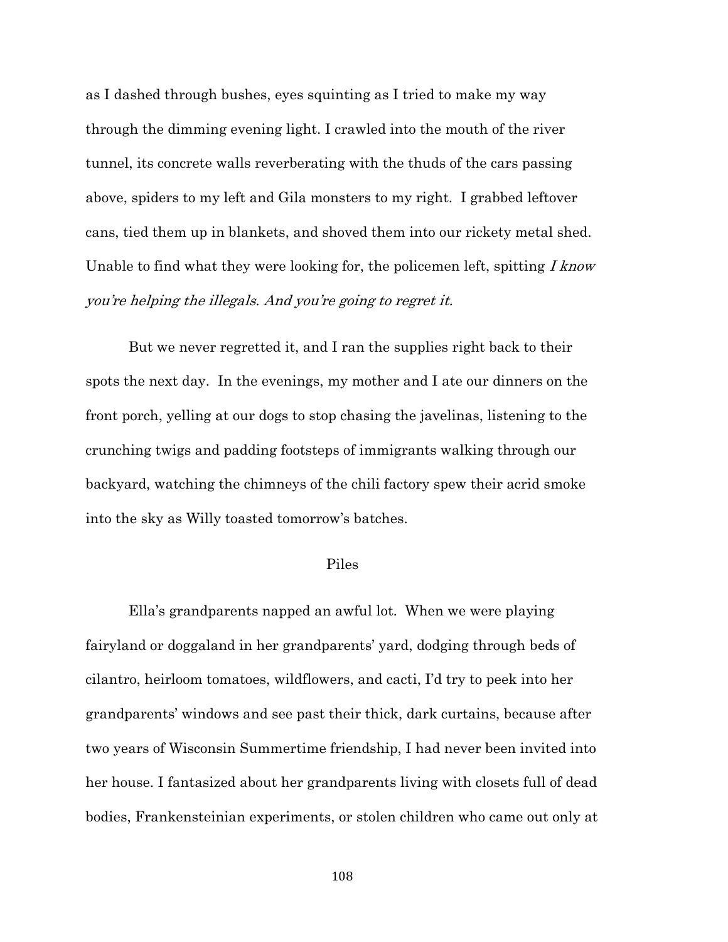as I dashed through bushes, eyes squinting as I tried to make my way through the dimming evening light. I crawled into the mouth of the river tunnel, its concrete walls reverberating with the thuds of the cars passing above, spiders to my left and Gila monsters to my right. I grabbed leftover cans, tied them up in blankets, and shoved them into our rickety metal shed. Unable to find what they were looking for, the policemen left, spitting I know you're helping the illegals. And you're going to regret it.

But we never regretted it, and I ran the supplies right back to their spots the next day. In the evenings, my mother and I ate our dinners on the front porch, yelling at our dogs to stop chasing the javelinas, listening to the crunching twigs and padding footsteps of immigrants walking through our backyard, watching the chimneys of the chili factory spew their acrid smoke into the sky as Willy toasted tomorrow's batches.

## Piles

Ella's grandparents napped an awful lot. When we were playing fairyland or doggaland in her grandparents' yard, dodging through beds of cilantro, heirloom tomatoes, wildflowers, and cacti, I'd try to peek into her grandparents' windows and see past their thick, dark curtains, because after two years of Wisconsin Summertime friendship, I had never been invited into her house. I fantasized about her grandparents living with closets full of dead bodies, Frankensteinian experiments, or stolen children who came out only at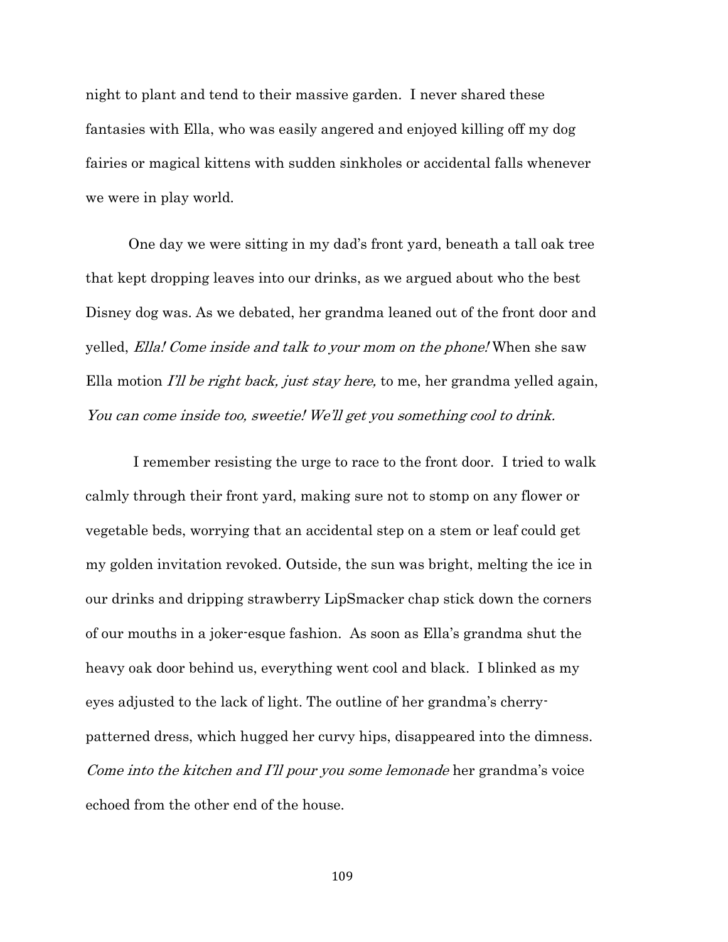night to plant and tend to their massive garden. I never shared these fantasies with Ella, who was easily angered and enjoyed killing off my dog fairies or magical kittens with sudden sinkholes or accidental falls whenever we were in play world.

One day we were sitting in my dad's front yard, beneath a tall oak tree that kept dropping leaves into our drinks, as we argued about who the best Disney dog was. As we debated, her grandma leaned out of the front door and yelled, Ella! Come inside and talk to your mom on the phone! When she saw Ella motion *I'll be right back, just stay here*, to me, her grandma yelled again, You can come inside too, sweetie! We'll get you something cool to drink.

 I remember resisting the urge to race to the front door. I tried to walk calmly through their front yard, making sure not to stomp on any flower or vegetable beds, worrying that an accidental step on a stem or leaf could get my golden invitation revoked. Outside, the sun was bright, melting the ice in our drinks and dripping strawberry LipSmacker chap stick down the corners of our mouths in a joker-esque fashion. As soon as Ella's grandma shut the heavy oak door behind us, everything went cool and black. I blinked as my eyes adjusted to the lack of light. The outline of her grandma's cherrypatterned dress, which hugged her curvy hips, disappeared into the dimness. Come into the kitchen and I'll pour you some lemonade her grandma's voice echoed from the other end of the house.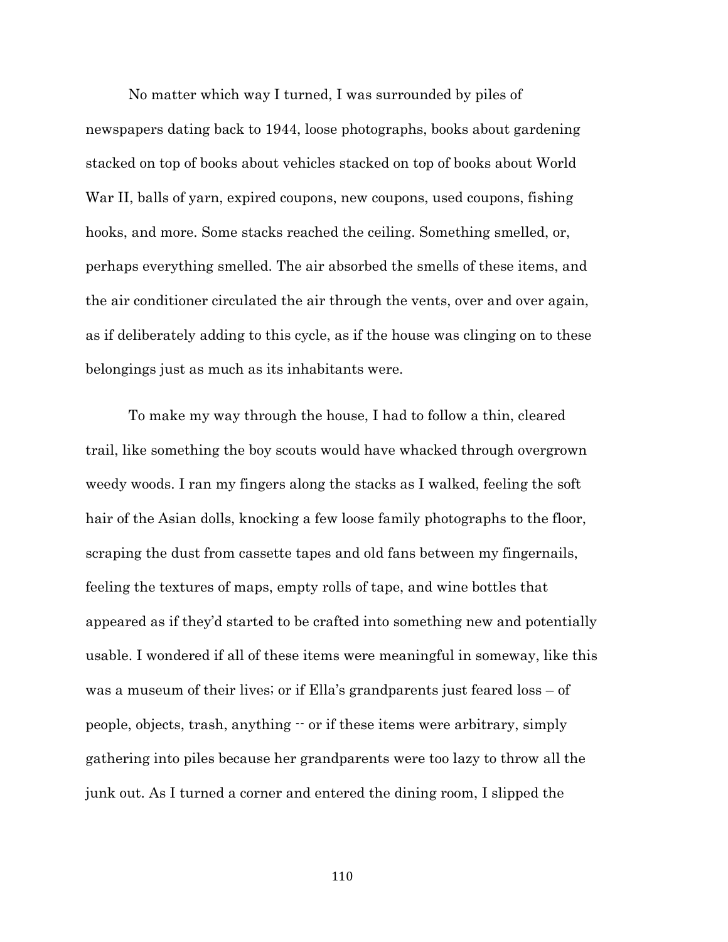No matter which way I turned, I was surrounded by piles of newspapers dating back to 1944, loose photographs, books about gardening stacked on top of books about vehicles stacked on top of books about World War II, balls of yarn, expired coupons, new coupons, used coupons, fishing hooks, and more. Some stacks reached the ceiling. Something smelled, or, perhaps everything smelled. The air absorbed the smells of these items, and the air conditioner circulated the air through the vents, over and over again, as if deliberately adding to this cycle, as if the house was clinging on to these belongings just as much as its inhabitants were.

To make my way through the house, I had to follow a thin, cleared trail, like something the boy scouts would have whacked through overgrown weedy woods. I ran my fingers along the stacks as I walked, feeling the soft hair of the Asian dolls, knocking a few loose family photographs to the floor, scraping the dust from cassette tapes and old fans between my fingernails, feeling the textures of maps, empty rolls of tape, and wine bottles that appeared as if they'd started to be crafted into something new and potentially usable. I wondered if all of these items were meaningful in someway, like this was a museum of their lives; or if Ella's grandparents just feared loss – of people, objects, trash, anything -- or if these items were arbitrary, simply gathering into piles because her grandparents were too lazy to throw all the junk out. As I turned a corner and entered the dining room, I slipped the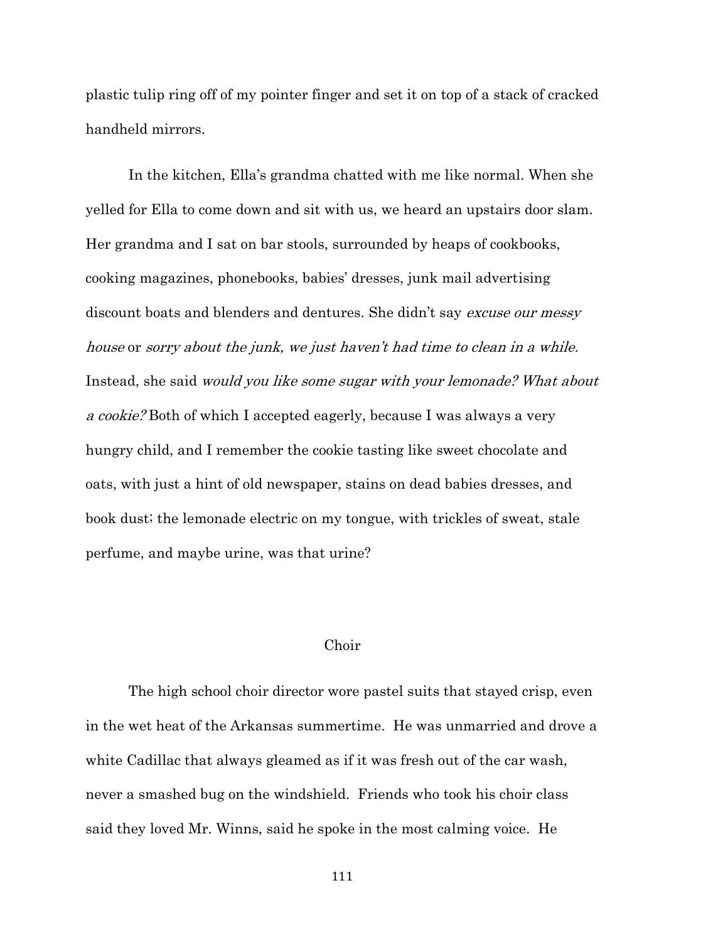plastic tulip ring off of my pointer finger and set it on top of a stack of cracked handheld mirrors.

In the kitchen, Ella's grandma chatted with me like normal. When she yelled for Ella to come down and sit with us, we heard an upstairs door slam. Her grandma and I sat on bar stools, surrounded by heaps of cookbooks, cooking magazines, phonebooks, babies' dresses, junk mail advertising discount boats and blenders and dentures. She didn't say *excuse our messy* house or sorry about the junk, we just haven't had time to clean in a while. Instead, she said would you like some sugar with your lemonade? What about a cookie? Both of which I accepted eagerly, because I was always a very hungry child, and I remember the cookie tasting like sweet chocolate and oats, with just a hint of old newspaper, stains on dead babies dresses, and book dust; the lemonade electric on my tongue, with trickles of sweat, stale perfume, and maybe urine, was that urine?

### Choir

The high school choir director wore pastel suits that stayed crisp, even in the wet heat of the Arkansas summertime. He was unmarried and drove a white Cadillac that always gleamed as if it was fresh out of the car wash, never a smashed bug on the windshield. Friends who took his choir class said they loved Mr. Winns, said he spoke in the most calming voice. He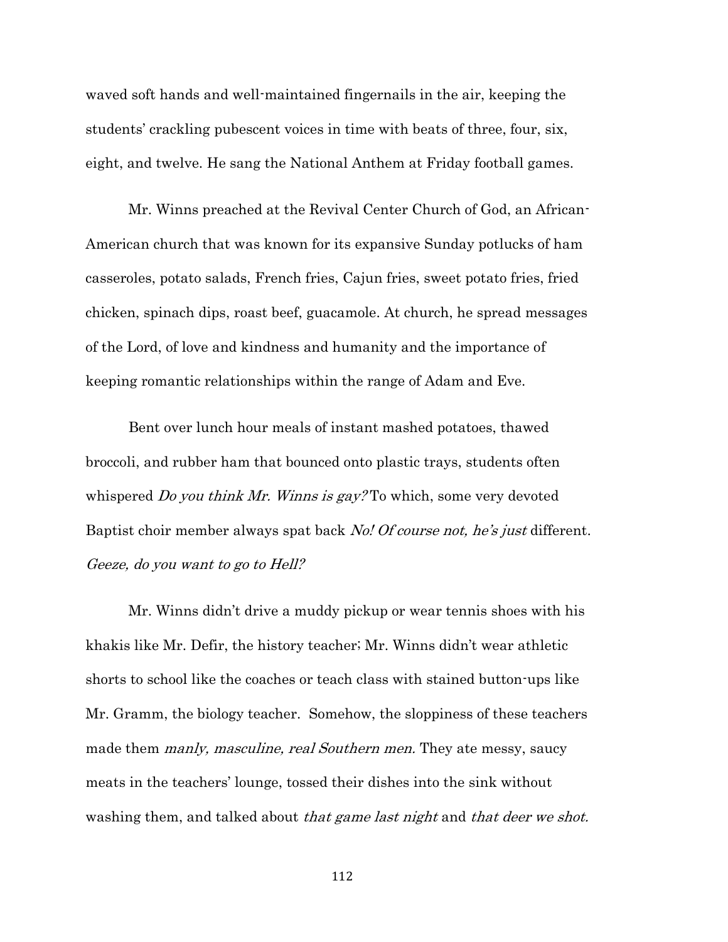waved soft hands and well-maintained fingernails in the air, keeping the students' crackling pubescent voices in time with beats of three, four, six, eight, and twelve. He sang the National Anthem at Friday football games.

Mr. Winns preached at the Revival Center Church of God, an African-American church that was known for its expansive Sunday potlucks of ham casseroles, potato salads, French fries, Cajun fries, sweet potato fries, fried chicken, spinach dips, roast beef, guacamole. At church, he spread messages of the Lord, of love and kindness and humanity and the importance of keeping romantic relationships within the range of Adam and Eve.

Bent over lunch hour meals of instant mashed potatoes, thawed broccoli, and rubber ham that bounced onto plastic trays, students often whispered *Do you think Mr. Winns is gay?* To which, some very devoted Baptist choir member always spat back No! Of course not, he's just different. Geeze, do you want to go to Hell?

Mr. Winns didn't drive a muddy pickup or wear tennis shoes with his khakis like Mr. Defir, the history teacher; Mr. Winns didn't wear athletic shorts to school like the coaches or teach class with stained button-ups like Mr. Gramm, the biology teacher. Somehow, the sloppiness of these teachers made them *manly, masculine, real Southern men*. They ate messy, saucy meats in the teachers' lounge, tossed their dishes into the sink without washing them, and talked about that game last night and that deer we shot.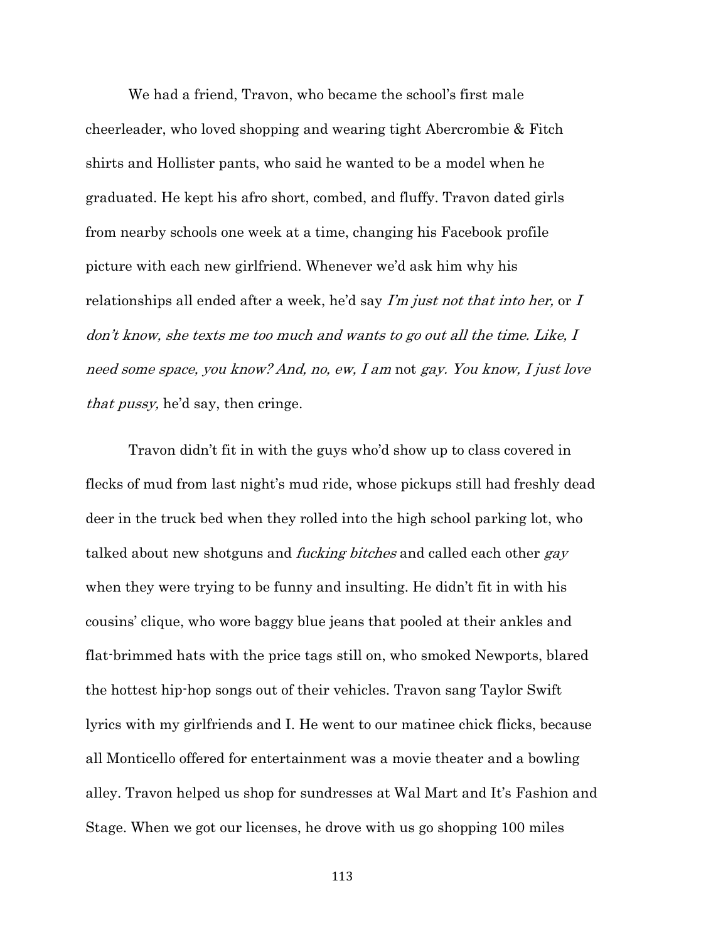We had a friend, Travon, who became the school's first male cheerleader, who loved shopping and wearing tight Abercrombie & Fitch shirts and Hollister pants, who said he wanted to be a model when he graduated. He kept his afro short, combed, and fluffy. Travon dated girls from nearby schools one week at a time, changing his Facebook profile picture with each new girlfriend. Whenever we'd ask him why his relationships all ended after a week, he'd say  $\Gamma'$ m just not that into her, or  $\overline{I}$ don't know, she texts me too much and wants to go out all the time. Like, I need some space, you know? And, no, ew, I am not gay. You know, I just love that pussy, he'd say, then cringe.

Travon didn't fit in with the guys who'd show up to class covered in flecks of mud from last night's mud ride, whose pickups still had freshly dead deer in the truck bed when they rolled into the high school parking lot, who talked about new shotguns and *fucking bitches* and called each other *gay* when they were trying to be funny and insulting. He didn't fit in with his cousins' clique, who wore baggy blue jeans that pooled at their ankles and flat-brimmed hats with the price tags still on, who smoked Newports, blared the hottest hip-hop songs out of their vehicles. Travon sang Taylor Swift lyrics with my girlfriends and I. He went to our matinee chick flicks, because all Monticello offered for entertainment was a movie theater and a bowling alley. Travon helped us shop for sundresses at Wal Mart and It's Fashion and Stage. When we got our licenses, he drove with us go shopping 100 miles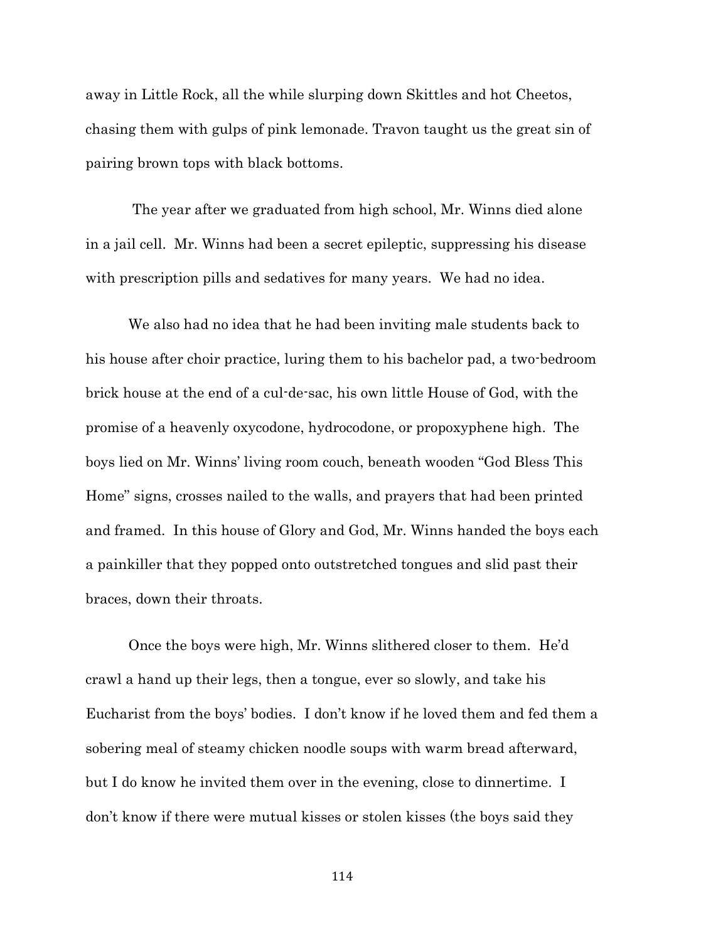away in Little Rock, all the while slurping down Skittles and hot Cheetos, chasing them with gulps of pink lemonade. Travon taught us the great sin of pairing brown tops with black bottoms.

The year after we graduated from high school, Mr. Winns died alone in a jail cell. Mr. Winns had been a secret epileptic, suppressing his disease with prescription pills and sedatives for many years. We had no idea.

We also had no idea that he had been inviting male students back to his house after choir practice, luring them to his bachelor pad, a two-bedroom brick house at the end of a cul-de-sac, his own little House of God, with the promise of a heavenly oxycodone, hydrocodone, or propoxyphene high. The boys lied on Mr. Winns' living room couch, beneath wooden "God Bless This Home" signs, crosses nailed to the walls, and prayers that had been printed and framed. In this house of Glory and God, Mr. Winns handed the boys each a painkiller that they popped onto outstretched tongues and slid past their braces, down their throats.

Once the boys were high, Mr. Winns slithered closer to them. He'd crawl a hand up their legs, then a tongue, ever so slowly, and take his Eucharist from the boys' bodies. I don't know if he loved them and fed them a sobering meal of steamy chicken noodle soups with warm bread afterward, but I do know he invited them over in the evening, close to dinnertime. I don't know if there were mutual kisses or stolen kisses (the boys said they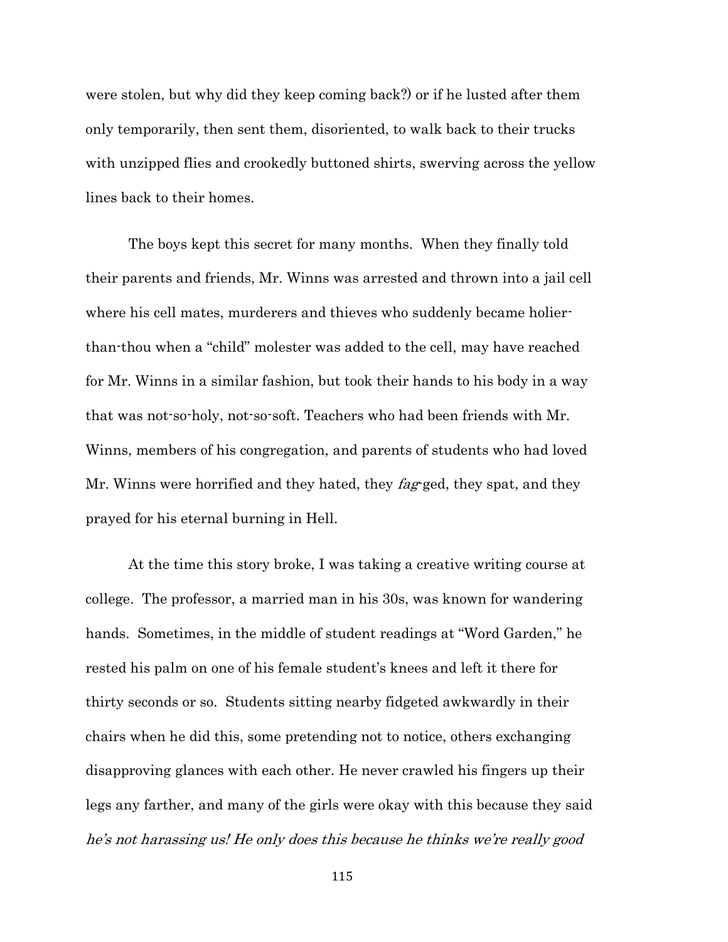were stolen, but why did they keep coming back?) or if he lusted after them only temporarily, then sent them, disoriented, to walk back to their trucks with unzipped flies and crookedly buttoned shirts, swerving across the yellow lines back to their homes.

The boys kept this secret for many months. When they finally told their parents and friends, Mr. Winns was arrested and thrown into a jail cell where his cell mates, murderers and thieves who suddenly became holierthan-thou when a "child" molester was added to the cell, may have reached for Mr. Winns in a similar fashion, but took their hands to his body in a way that was not-so-holy, not-so-soft. Teachers who had been friends with Mr. Winns, members of his congregation, and parents of students who had loved Mr. Winns were horrified and they hated, they fag-ged, they spat, and they prayed for his eternal burning in Hell.

At the time this story broke, I was taking a creative writing course at college. The professor, a married man in his 30s, was known for wandering hands. Sometimes, in the middle of student readings at "Word Garden," he rested his palm on one of his female student's knees and left it there for thirty seconds or so. Students sitting nearby fidgeted awkwardly in their chairs when he did this, some pretending not to notice, others exchanging disapproving glances with each other. He never crawled his fingers up their legs any farther, and many of the girls were okay with this because they said he's not harassing us! He only does this because he thinks we're really good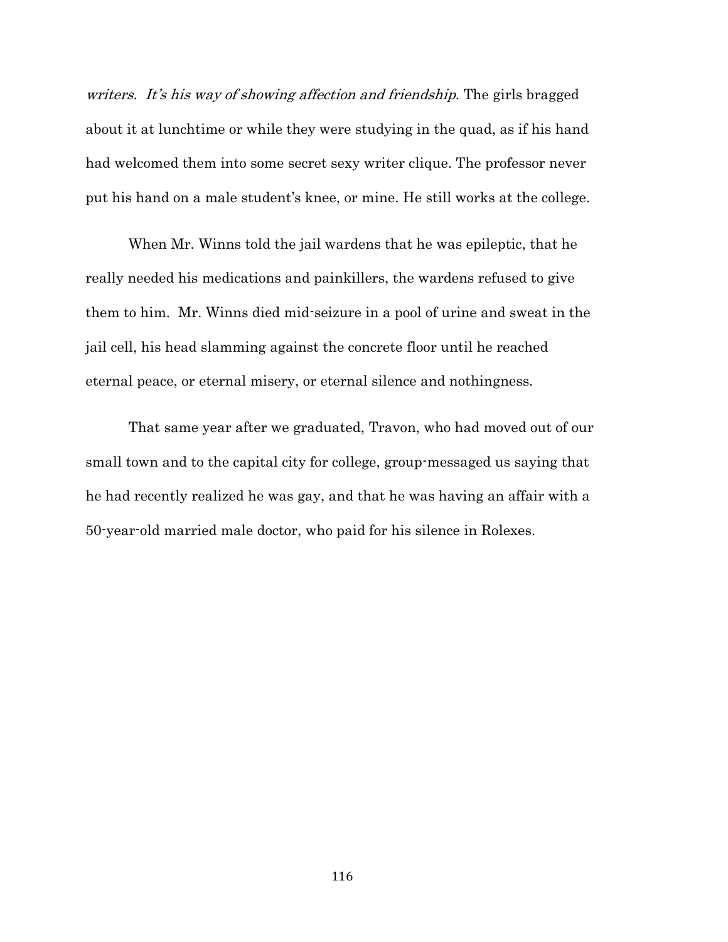writers. It's his way of showing affection and friendship. The girls bragged about it at lunchtime or while they were studying in the quad, as if his hand had welcomed them into some secret sexy writer clique. The professor never put his hand on a male student's knee, or mine. He still works at the college.

When Mr. Winns told the jail wardens that he was epileptic, that he really needed his medications and painkillers, the wardens refused to give them to him. Mr. Winns died mid-seizure in a pool of urine and sweat in the jail cell, his head slamming against the concrete floor until he reached eternal peace, or eternal misery, or eternal silence and nothingness.

That same year after we graduated, Travon, who had moved out of our small town and to the capital city for college, group-messaged us saying that he had recently realized he was gay, and that he was having an affair with a 50-year-old married male doctor, who paid for his silence in Rolexes.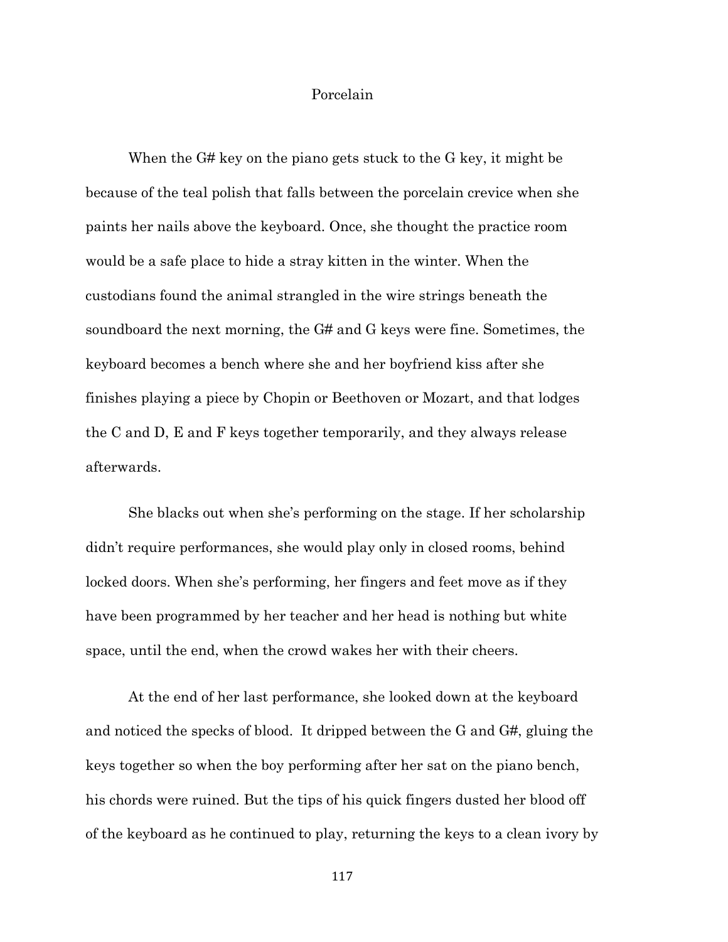# Porcelain

When the G# key on the piano gets stuck to the G key, it might be because of the teal polish that falls between the porcelain crevice when she paints her nails above the keyboard. Once, she thought the practice room would be a safe place to hide a stray kitten in the winter. When the custodians found the animal strangled in the wire strings beneath the soundboard the next morning, the G# and G keys were fine. Sometimes, the keyboard becomes a bench where she and her boyfriend kiss after she finishes playing a piece by Chopin or Beethoven or Mozart, and that lodges the C and D, E and F keys together temporarily, and they always release afterwards.

She blacks out when she's performing on the stage. If her scholarship didn't require performances, she would play only in closed rooms, behind locked doors. When she's performing, her fingers and feet move as if they have been programmed by her teacher and her head is nothing but white space, until the end, when the crowd wakes her with their cheers.

At the end of her last performance, she looked down at the keyboard and noticed the specks of blood. It dripped between the G and G#, gluing the keys together so when the boy performing after her sat on the piano bench, his chords were ruined. But the tips of his quick fingers dusted her blood off of the keyboard as he continued to play, returning the keys to a clean ivory by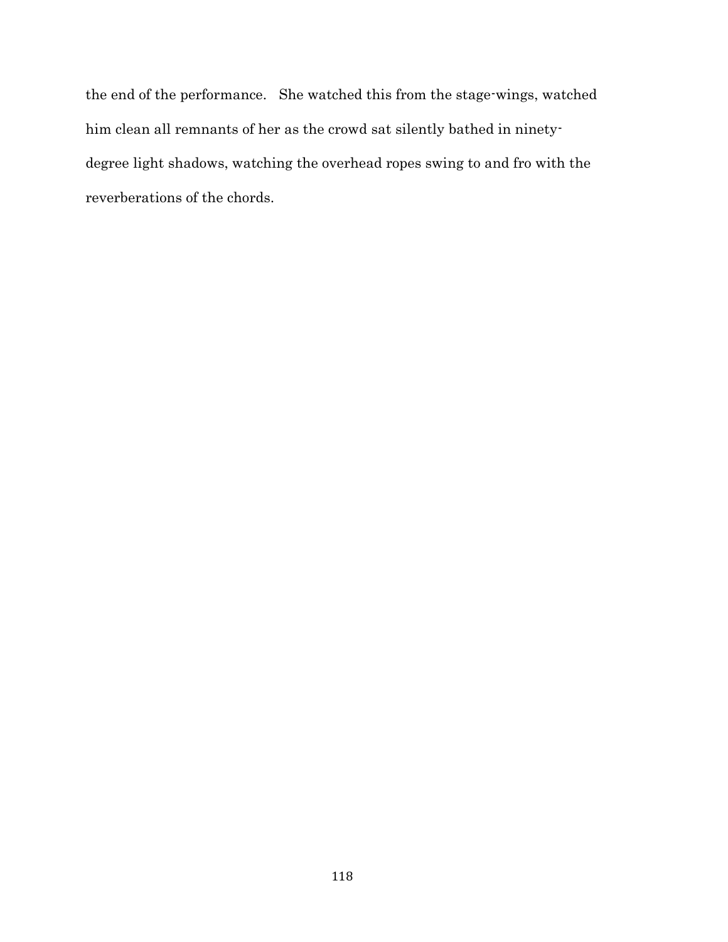the end of the performance. She watched this from the stage-wings, watched him clean all remnants of her as the crowd sat silently bathed in ninetydegree light shadows, watching the overhead ropes swing to and fro with the reverberations of the chords.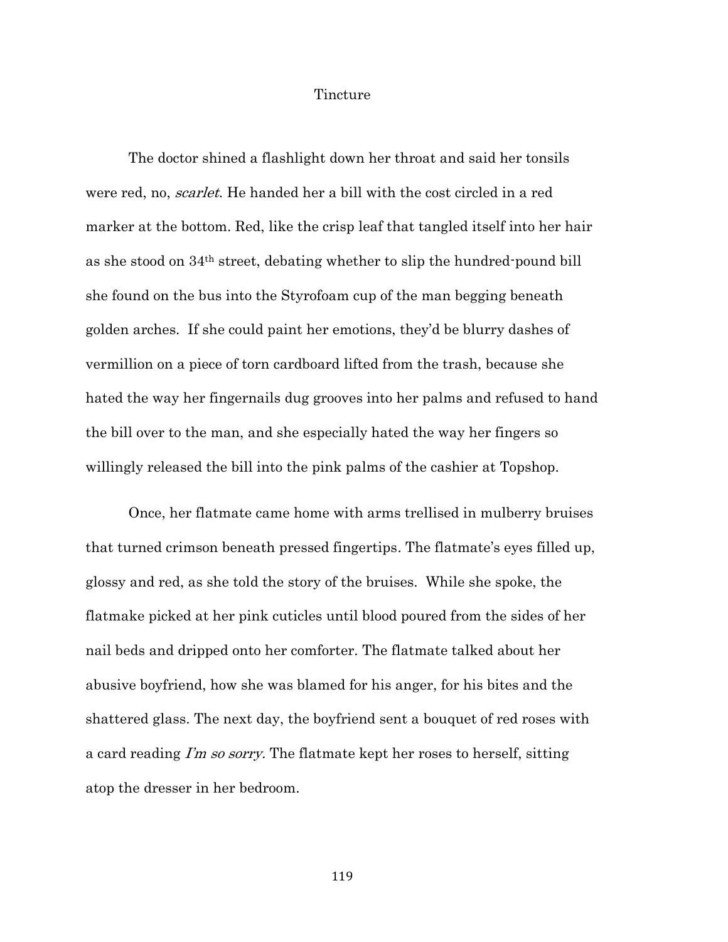### Tincture

The doctor shined a flashlight down her throat and said her tonsils were red, no, *scarlet*. He handed her a bill with the cost circled in a red marker at the bottom. Red, like the crisp leaf that tangled itself into her hair as she stood on 34th street, debating whether to slip the hundred-pound bill she found on the bus into the Styrofoam cup of the man begging beneath golden arches. If she could paint her emotions, they'd be blurry dashes of vermillion on a piece of torn cardboard lifted from the trash, because she hated the way her fingernails dug grooves into her palms and refused to hand the bill over to the man, and she especially hated the way her fingers so willingly released the bill into the pink palms of the cashier at Topshop.

Once, her flatmate came home with arms trellised in mulberry bruises that turned crimson beneath pressed fingertips. The flatmate's eyes filled up, glossy and red, as she told the story of the bruises. While she spoke, the flatmake picked at her pink cuticles until blood poured from the sides of her nail beds and dripped onto her comforter. The flatmate talked about her abusive boyfriend, how she was blamed for his anger, for his bites and the shattered glass. The next day, the boyfriend sent a bouquet of red roses with a card reading I'm so sorry. The flatmate kept her roses to herself, sitting atop the dresser in her bedroom.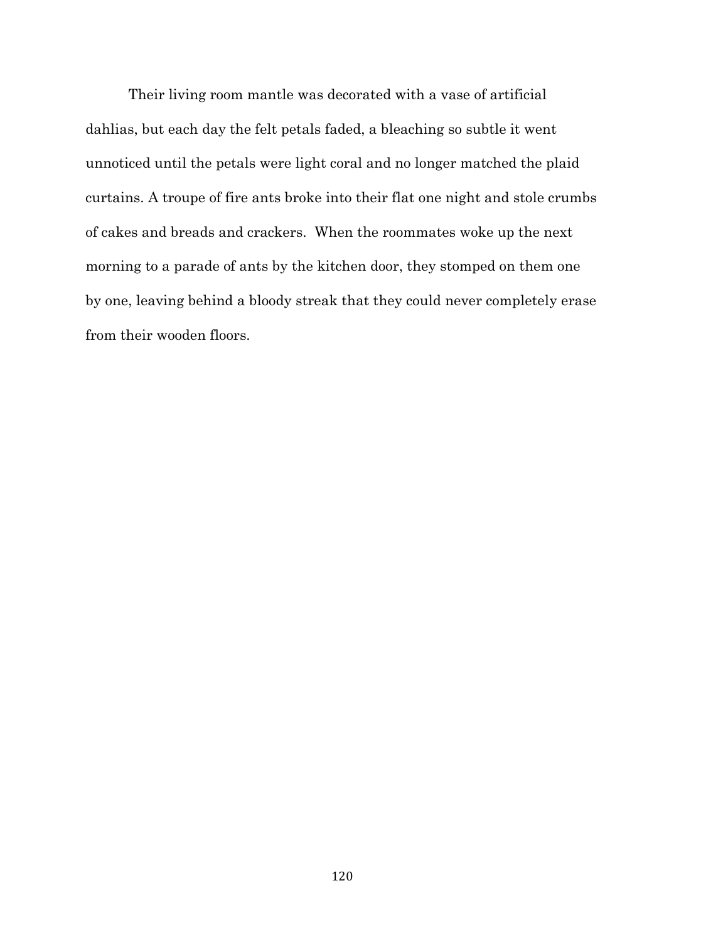Their living room mantle was decorated with a vase of artificial dahlias, but each day the felt petals faded, a bleaching so subtle it went unnoticed until the petals were light coral and no longer matched the plaid curtains. A troupe of fire ants broke into their flat one night and stole crumbs of cakes and breads and crackers. When the roommates woke up the next morning to a parade of ants by the kitchen door, they stomped on them one by one, leaving behind a bloody streak that they could never completely erase from their wooden floors.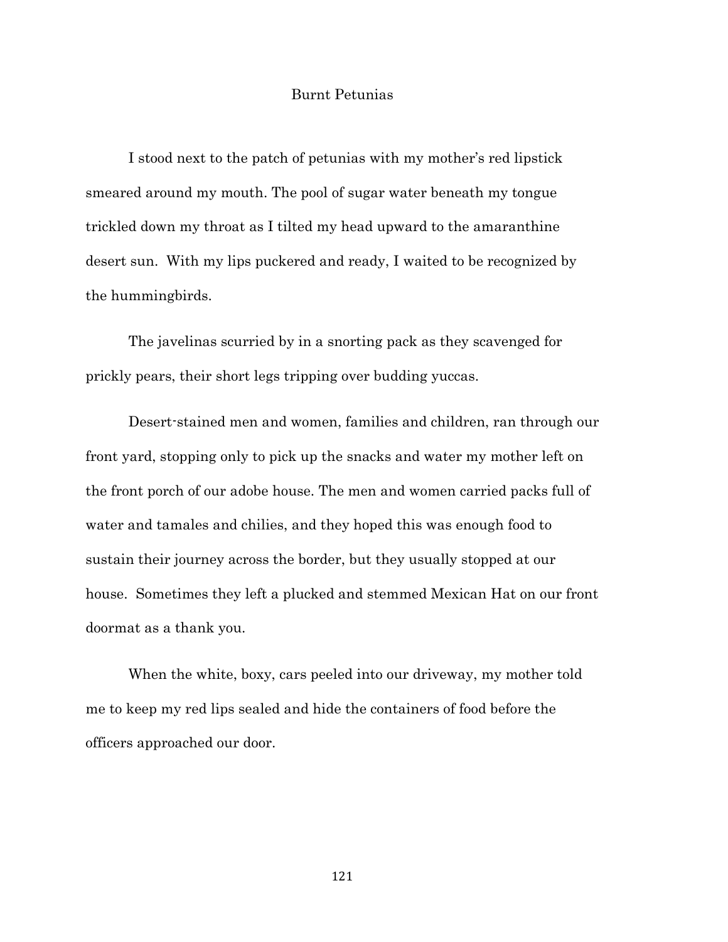# Burnt Petunias

I stood next to the patch of petunias with my mother's red lipstick smeared around my mouth. The pool of sugar water beneath my tongue trickled down my throat as I tilted my head upward to the amaranthine desert sun. With my lips puckered and ready, I waited to be recognized by the hummingbirds.

The javelinas scurried by in a snorting pack as they scavenged for prickly pears, their short legs tripping over budding yuccas.

Desert-stained men and women, families and children, ran through our front yard, stopping only to pick up the snacks and water my mother left on the front porch of our adobe house. The men and women carried packs full of water and tamales and chilies, and they hoped this was enough food to sustain their journey across the border, but they usually stopped at our house. Sometimes they left a plucked and stemmed Mexican Hat on our front doormat as a thank you.

When the white, boxy, cars peeled into our driveway, my mother told me to keep my red lips sealed and hide the containers of food before the officers approached our door.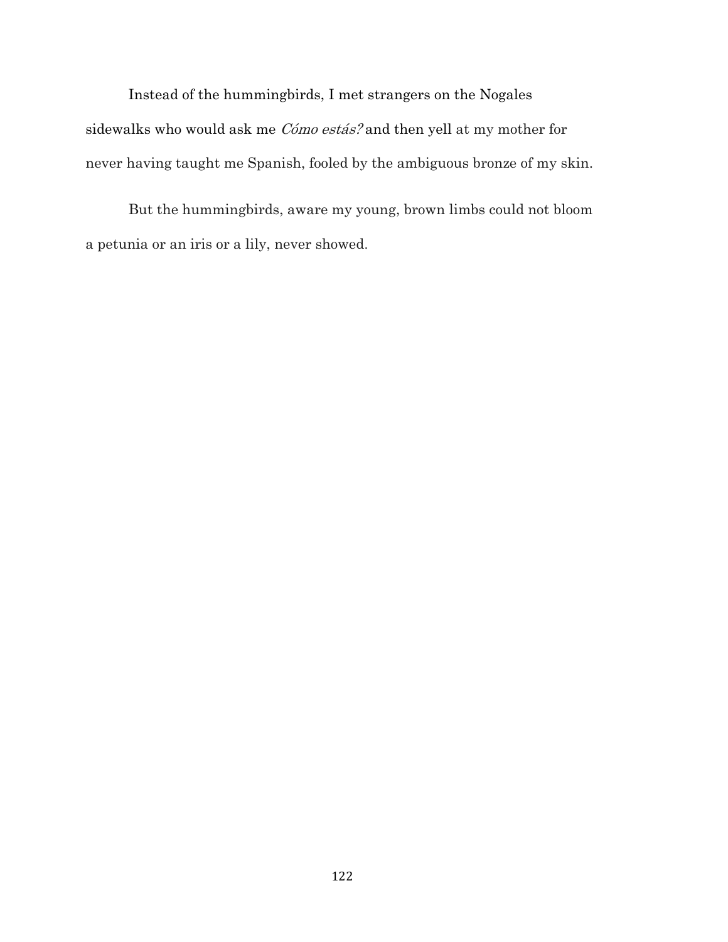Instead of the hummingbirds, I met strangers on the Nogales sidewalks who would ask me Cómo estás? and then yell at my mother for never having taught me Spanish, fooled by the ambiguous bronze of my skin.

But the hummingbirds, aware my young, brown limbs could not bloom a petunia or an iris or a lily, never showed.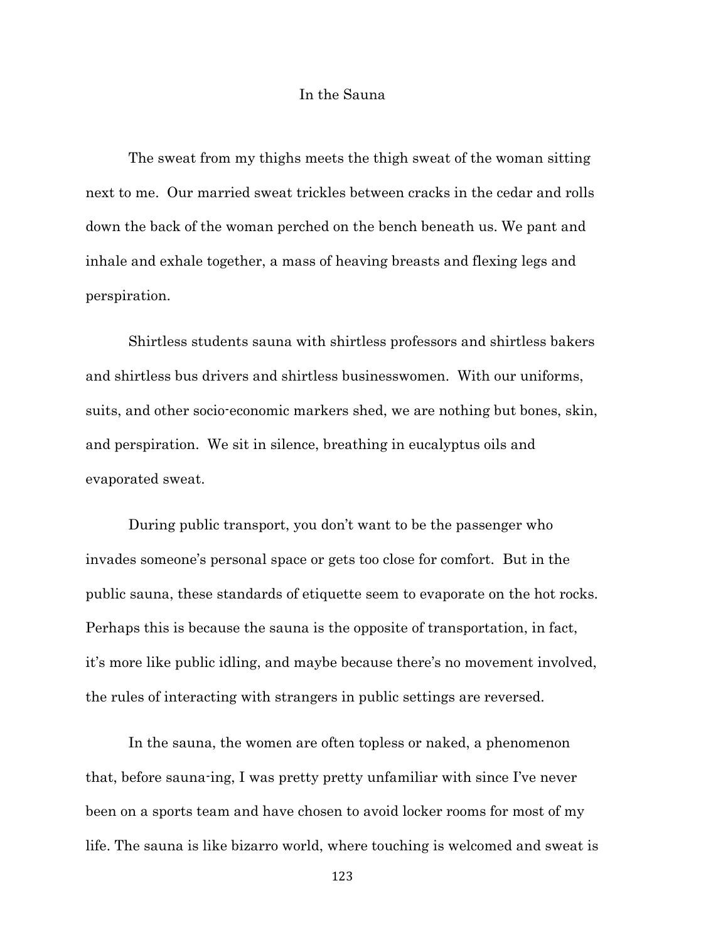### In the Sauna

The sweat from my thighs meets the thigh sweat of the woman sitting next to me. Our married sweat trickles between cracks in the cedar and rolls down the back of the woman perched on the bench beneath us. We pant and inhale and exhale together, a mass of heaving breasts and flexing legs and perspiration.

Shirtless students sauna with shirtless professors and shirtless bakers and shirtless bus drivers and shirtless businesswomen. With our uniforms, suits, and other socio-economic markers shed, we are nothing but bones, skin, and perspiration. We sit in silence, breathing in eucalyptus oils and evaporated sweat.

During public transport, you don't want to be the passenger who invades someone's personal space or gets too close for comfort. But in the public sauna, these standards of etiquette seem to evaporate on the hot rocks. Perhaps this is because the sauna is the opposite of transportation, in fact, it's more like public idling, and maybe because there's no movement involved, the rules of interacting with strangers in public settings are reversed.

In the sauna, the women are often topless or naked, a phenomenon that, before sauna-ing, I was pretty pretty unfamiliar with since I've never been on a sports team and have chosen to avoid locker rooms for most of my life. The sauna is like bizarro world, where touching is welcomed and sweat is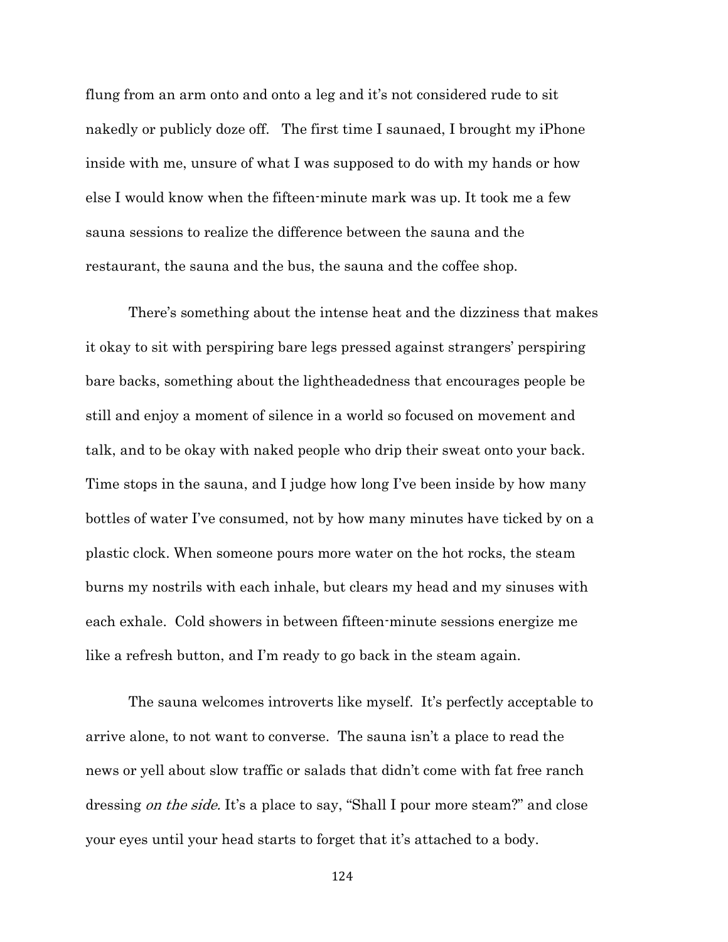flung from an arm onto and onto a leg and it's not considered rude to sit nakedly or publicly doze off. The first time I saunaed, I brought my iPhone inside with me, unsure of what I was supposed to do with my hands or how else I would know when the fifteen-minute mark was up. It took me a few sauna sessions to realize the difference between the sauna and the restaurant, the sauna and the bus, the sauna and the coffee shop.

There's something about the intense heat and the dizziness that makes it okay to sit with perspiring bare legs pressed against strangers' perspiring bare backs, something about the lightheadedness that encourages people be still and enjoy a moment of silence in a world so focused on movement and talk, and to be okay with naked people who drip their sweat onto your back. Time stops in the sauna, and I judge how long I've been inside by how many bottles of water I've consumed, not by how many minutes have ticked by on a plastic clock. When someone pours more water on the hot rocks, the steam burns my nostrils with each inhale, but clears my head and my sinuses with each exhale. Cold showers in between fifteen-minute sessions energize me like a refresh button, and I'm ready to go back in the steam again.

The sauna welcomes introverts like myself. It's perfectly acceptable to arrive alone, to not want to converse. The sauna isn't a place to read the news or yell about slow traffic or salads that didn't come with fat free ranch dressing *on the side*. It's a place to say, "Shall I pour more steam?" and close your eyes until your head starts to forget that it's attached to a body.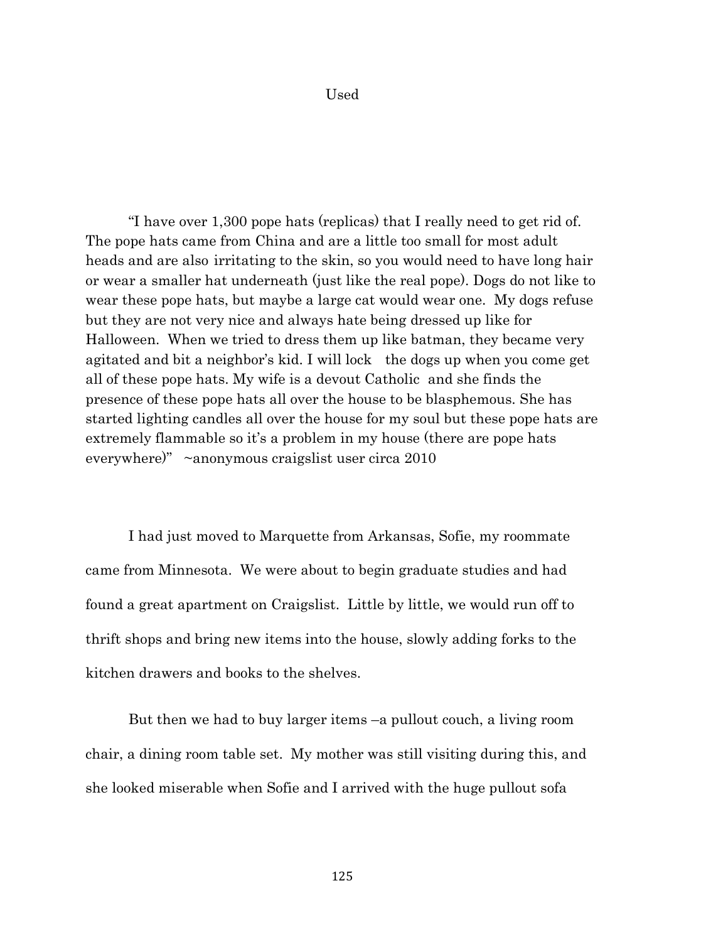### Used

"I have over 1,300 pope hats (replicas) that I really need to get rid of. The pope hats came from China and are a little too small for most adult heads and are also irritating to the skin, so you would need to have long hair or wear a smaller hat underneath (just like the real pope). Dogs do not like to wear these pope hats, but maybe a large cat would wear one. My dogs refuse but they are not very nice and always hate being dressed up like for Halloween. When we tried to dress them up like batman, they became very agitated and bit a neighbor's kid. I will lock the dogs up when you come get all of these pope hats. My wife is a devout Catholic and she finds the presence of these pope hats all over the house to be blasphemous. She has started lighting candles all over the house for my soul but these pope hats are extremely flammable so it's a problem in my house (there are pope hats everywhere)" ~anonymous craigslist user circa 2010

I had just moved to Marquette from Arkansas, Sofie, my roommate came from Minnesota. We were about to begin graduate studies and had found a great apartment on Craigslist. Little by little, we would run off to thrift shops and bring new items into the house, slowly adding forks to the kitchen drawers and books to the shelves.

But then we had to buy larger items –a pullout couch, a living room chair, a dining room table set. My mother was still visiting during this, and she looked miserable when Sofie and I arrived with the huge pullout sofa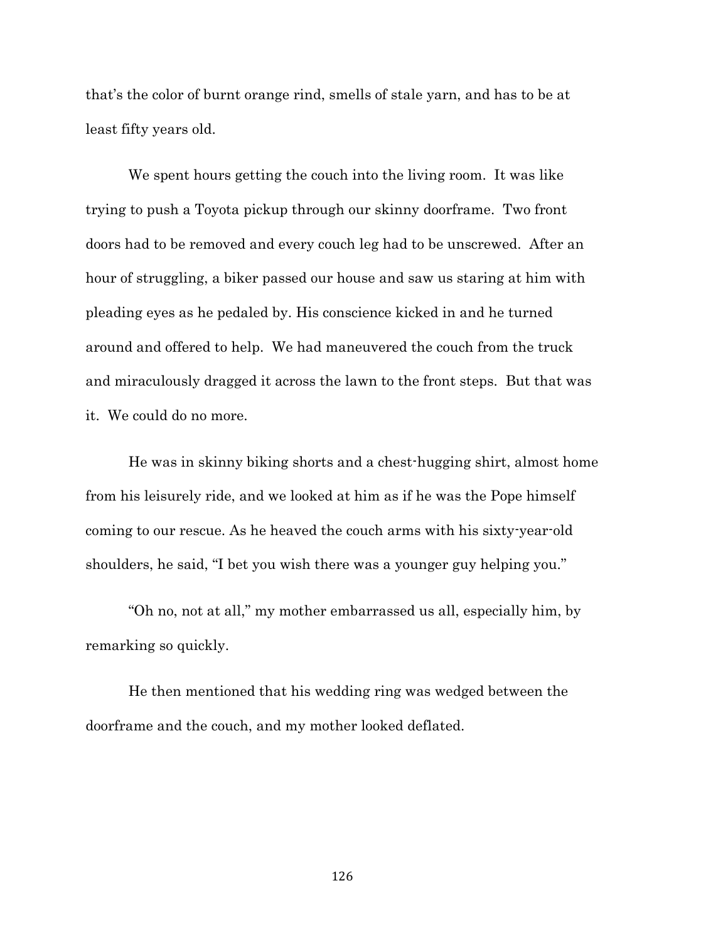that's the color of burnt orange rind, smells of stale yarn, and has to be at least fifty years old.

We spent hours getting the couch into the living room. It was like trying to push a Toyota pickup through our skinny doorframe. Two front doors had to be removed and every couch leg had to be unscrewed. After an hour of struggling, a biker passed our house and saw us staring at him with pleading eyes as he pedaled by. His conscience kicked in and he turned around and offered to help. We had maneuvered the couch from the truck and miraculously dragged it across the lawn to the front steps. But that was it. We could do no more.

He was in skinny biking shorts and a chest-hugging shirt, almost home from his leisurely ride, and we looked at him as if he was the Pope himself coming to our rescue. As he heaved the couch arms with his sixty-year-old shoulders, he said, "I bet you wish there was a younger guy helping you."

"Oh no, not at all," my mother embarrassed us all, especially him, by remarking so quickly.

He then mentioned that his wedding ring was wedged between the doorframe and the couch, and my mother looked deflated.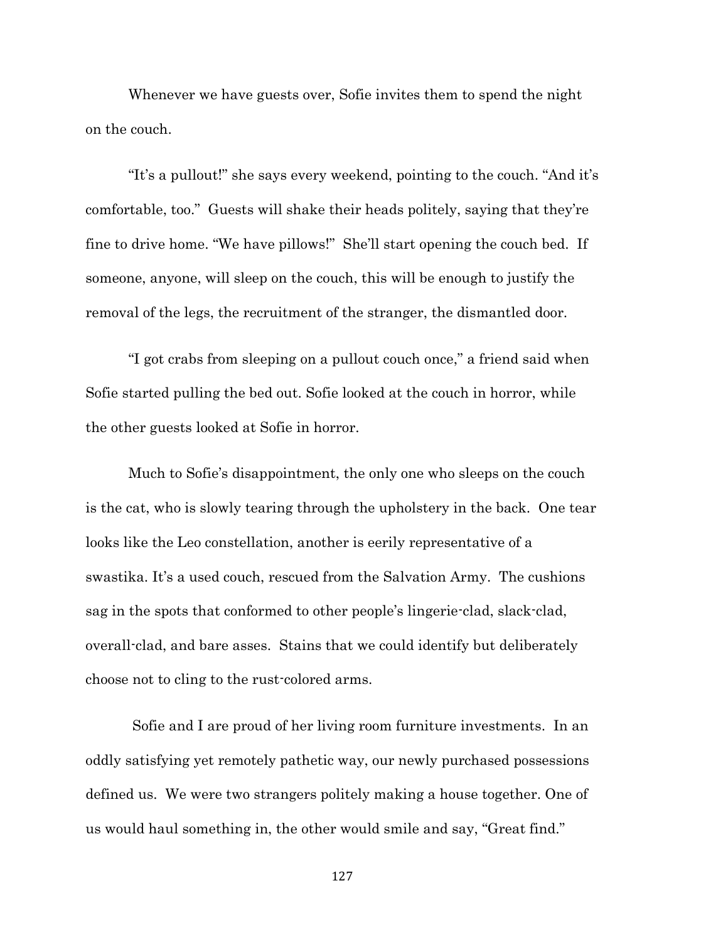Whenever we have guests over, Sofie invites them to spend the night on the couch.

"It's a pullout!" she says every weekend, pointing to the couch. "And it's comfortable, too." Guests will shake their heads politely, saying that they're fine to drive home. "We have pillows!" She'll start opening the couch bed. If someone, anyone, will sleep on the couch, this will be enough to justify the removal of the legs, the recruitment of the stranger, the dismantled door.

"I got crabs from sleeping on a pullout couch once," a friend said when Sofie started pulling the bed out. Sofie looked at the couch in horror, while the other guests looked at Sofie in horror.

Much to Sofie's disappointment, the only one who sleeps on the couch is the cat, who is slowly tearing through the upholstery in the back. One tear looks like the Leo constellation, another is eerily representative of a swastika. It's a used couch, rescued from the Salvation Army. The cushions sag in the spots that conformed to other people's lingerie-clad, slack-clad, overall-clad, and bare asses. Stains that we could identify but deliberately choose not to cling to the rust-colored arms.

Sofie and I are proud of her living room furniture investments. In an oddly satisfying yet remotely pathetic way, our newly purchased possessions defined us. We were two strangers politely making a house together. One of us would haul something in, the other would smile and say, "Great find."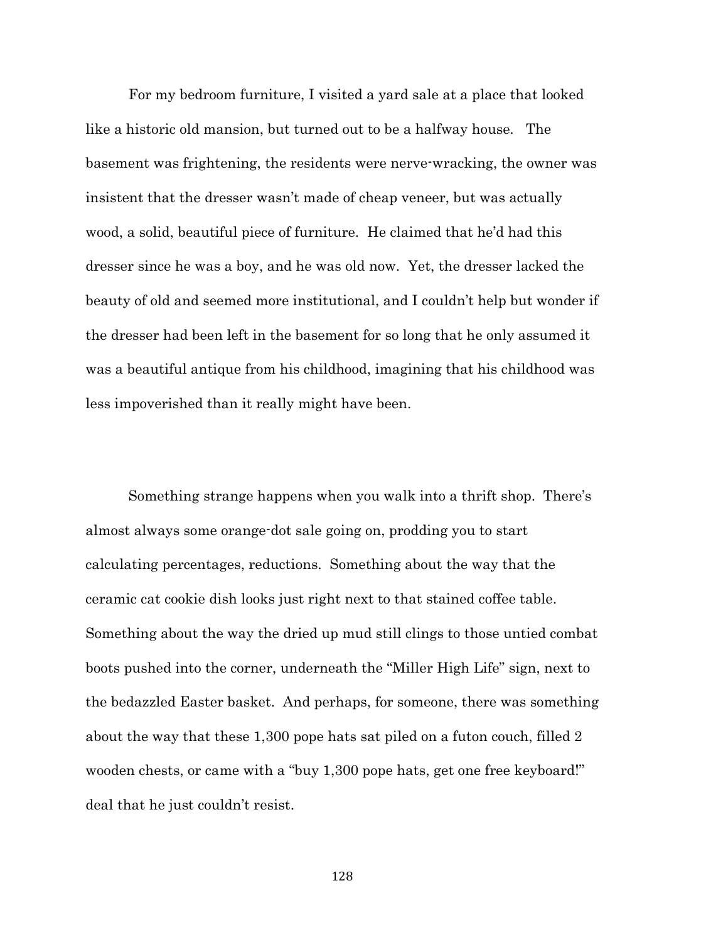For my bedroom furniture, I visited a yard sale at a place that looked like a historic old mansion, but turned out to be a halfway house. The basement was frightening, the residents were nerve-wracking, the owner was insistent that the dresser wasn't made of cheap veneer, but was actually wood, a solid, beautiful piece of furniture. He claimed that he'd had this dresser since he was a boy, and he was old now. Yet, the dresser lacked the beauty of old and seemed more institutional, and I couldn't help but wonder if the dresser had been left in the basement for so long that he only assumed it was a beautiful antique from his childhood, imagining that his childhood was less impoverished than it really might have been.

Something strange happens when you walk into a thrift shop. There's almost always some orange-dot sale going on, prodding you to start calculating percentages, reductions. Something about the way that the ceramic cat cookie dish looks just right next to that stained coffee table. Something about the way the dried up mud still clings to those untied combat boots pushed into the corner, underneath the "Miller High Life" sign, next to the bedazzled Easter basket. And perhaps, for someone, there was something about the way that these 1,300 pope hats sat piled on a futon couch, filled 2 wooden chests, or came with a "buy 1,300 pope hats, get one free keyboard!" deal that he just couldn't resist.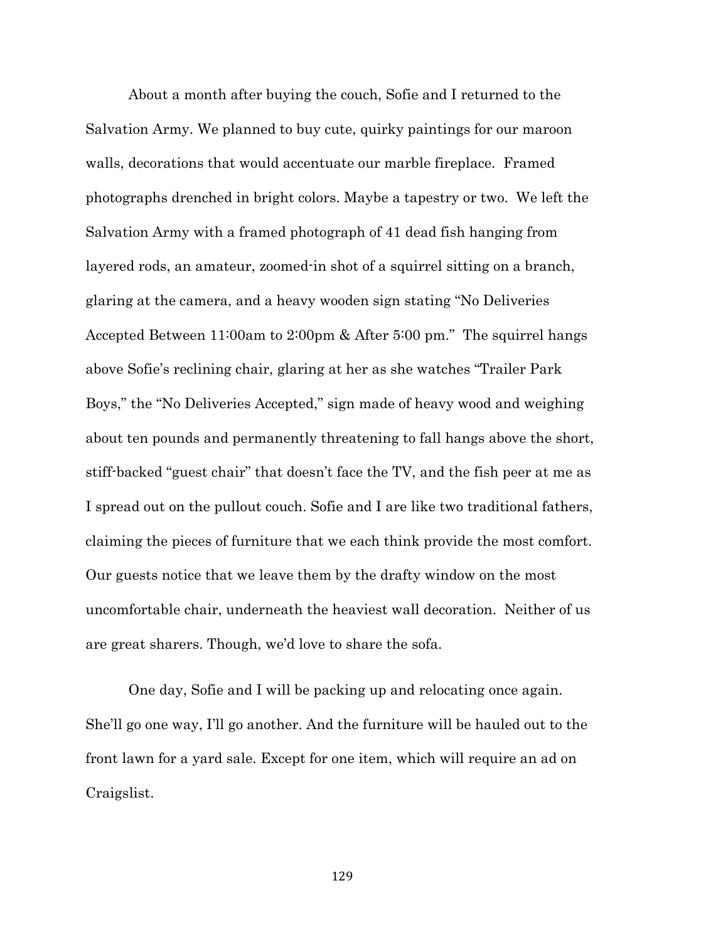About a month after buying the couch, Sofie and I returned to the Salvation Army. We planned to buy cute, quirky paintings for our maroon walls, decorations that would accentuate our marble fireplace. Framed photographs drenched in bright colors. Maybe a tapestry or two. We left the Salvation Army with a framed photograph of 41 dead fish hanging from layered rods, an amateur, zoomed-in shot of a squirrel sitting on a branch, glaring at the camera, and a heavy wooden sign stating "No Deliveries Accepted Between 11:00am to 2:00pm & After 5:00 pm." The squirrel hangs above Sofie's reclining chair, glaring at her as she watches "Trailer Park Boys," the "No Deliveries Accepted," sign made of heavy wood and weighing about ten pounds and permanently threatening to fall hangs above the short, stiff-backed "guest chair" that doesn't face the TV, and the fish peer at me as I spread out on the pullout couch. Sofie and I are like two traditional fathers, claiming the pieces of furniture that we each think provide the most comfort. Our guests notice that we leave them by the drafty window on the most uncomfortable chair, underneath the heaviest wall decoration. Neither of us are great sharers. Though, we'd love to share the sofa.

One day, Sofie and I will be packing up and relocating once again. She'll go one way, I'll go another. And the furniture will be hauled out to the front lawn for a yard sale. Except for one item, which will require an ad on Craigslist.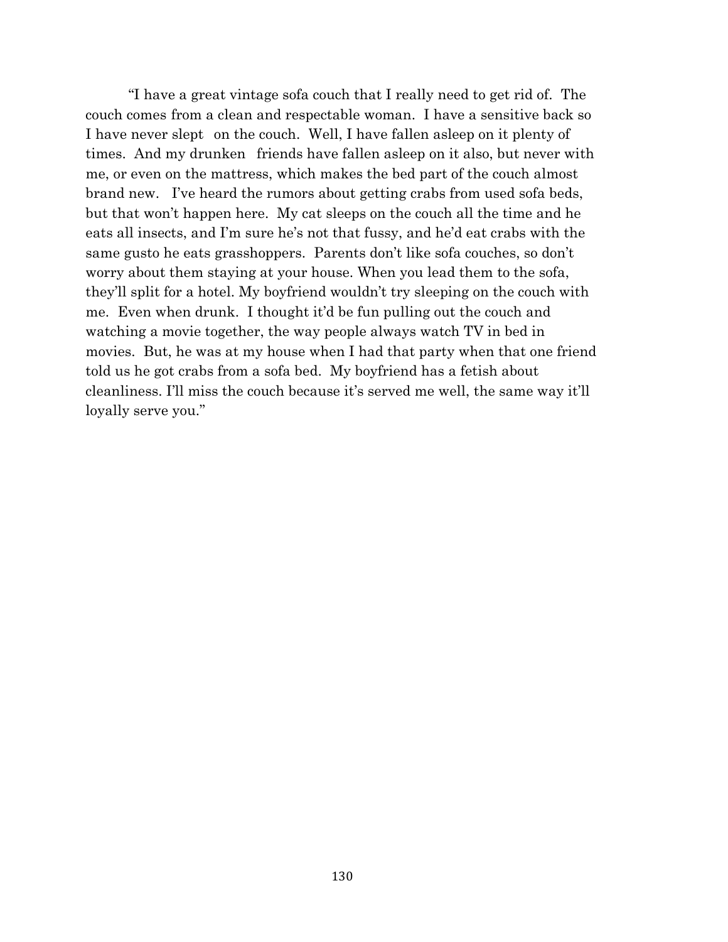"I have a great vintage sofa couch that I really need to get rid of. The couch comes from a clean and respectable woman. I have a sensitive back so I have never slept on the couch. Well, I have fallen asleep on it plenty of times. And my drunken friends have fallen asleep on it also, but never with me, or even on the mattress, which makes the bed part of the couch almost brand new. I've heard the rumors about getting crabs from used sofa beds, but that won't happen here. My cat sleeps on the couch all the time and he eats all insects, and I'm sure he's not that fussy, and he'd eat crabs with the same gusto he eats grasshoppers. Parents don't like sofa couches, so don't worry about them staying at your house. When you lead them to the sofa, they'll split for a hotel. My boyfriend wouldn't try sleeping on the couch with me. Even when drunk. I thought it'd be fun pulling out the couch and watching a movie together, the way people always watch TV in bed in movies. But, he was at my house when I had that party when that one friend told us he got crabs from a sofa bed. My boyfriend has a fetish about cleanliness. I'll miss the couch because it's served me well, the same way it'll loyally serve you."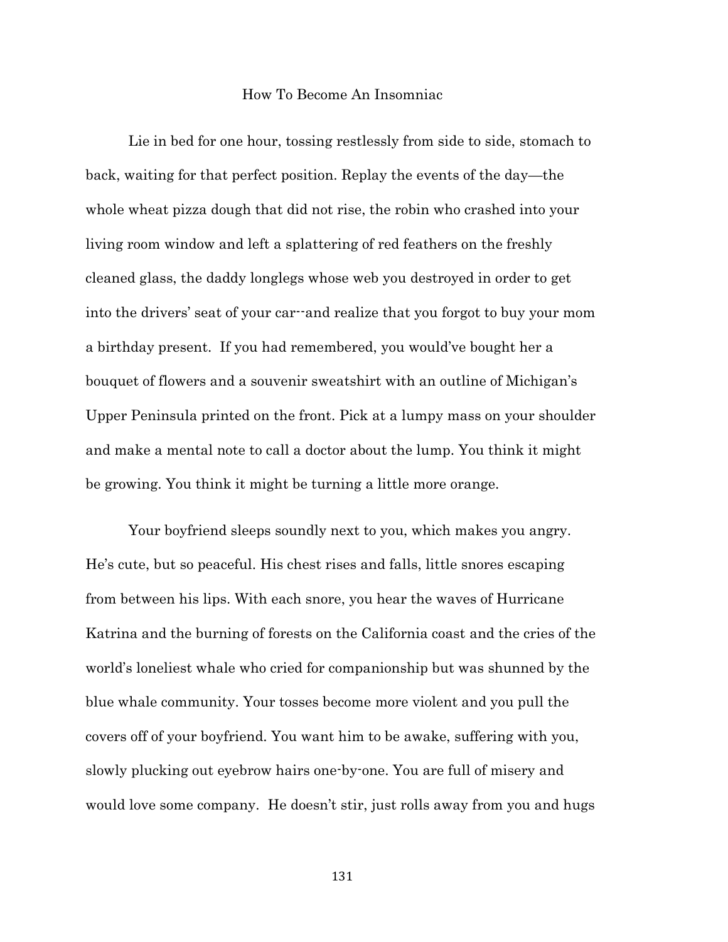### How To Become An Insomniac

Lie in bed for one hour, tossing restlessly from side to side, stomach to back, waiting for that perfect position. Replay the events of the day—the whole wheat pizza dough that did not rise, the robin who crashed into your living room window and left a splattering of red feathers on the freshly cleaned glass, the daddy longlegs whose web you destroyed in order to get into the drivers' seat of your car--and realize that you forgot to buy your mom a birthday present. If you had remembered, you would've bought her a bouquet of flowers and a souvenir sweatshirt with an outline of Michigan's Upper Peninsula printed on the front. Pick at a lumpy mass on your shoulder and make a mental note to call a doctor about the lump. You think it might be growing. You think it might be turning a little more orange.

Your boyfriend sleeps soundly next to you, which makes you angry. He's cute, but so peaceful. His chest rises and falls, little snores escaping from between his lips. With each snore, you hear the waves of Hurricane Katrina and the burning of forests on the California coast and the cries of the world's loneliest whale who cried for companionship but was shunned by the blue whale community. Your tosses become more violent and you pull the covers off of your boyfriend. You want him to be awake, suffering with you, slowly plucking out eyebrow hairs one-by-one. You are full of misery and would love some company. He doesn't stir, just rolls away from you and hugs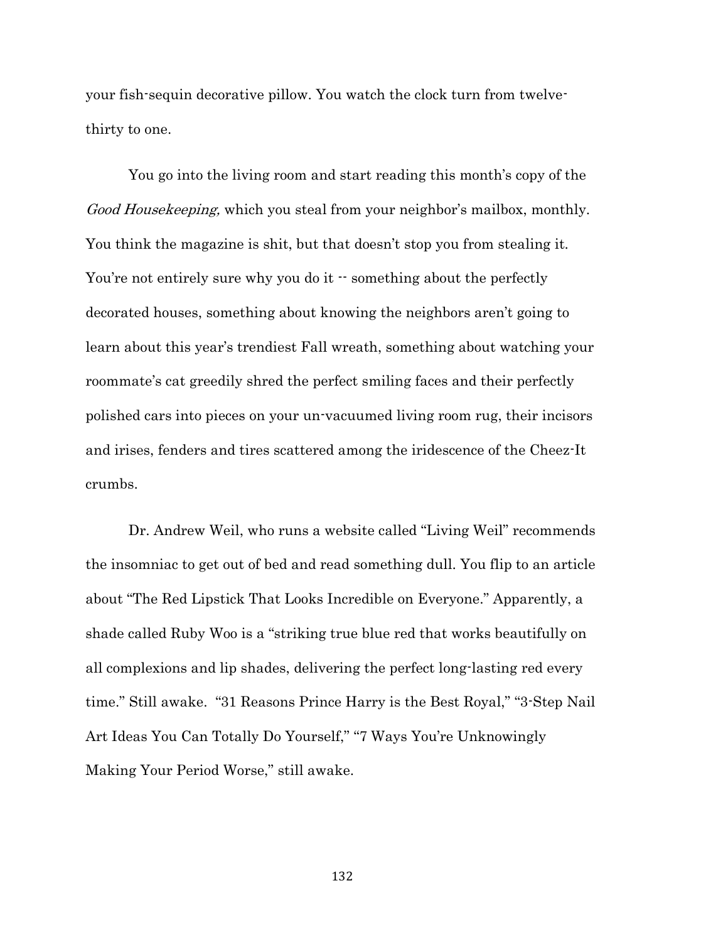your fish-sequin decorative pillow. You watch the clock turn from twelvethirty to one.

You go into the living room and start reading this month's copy of the Good Housekeeping, which you steal from your neighbor's mailbox, monthly. You think the magazine is shit, but that doesn't stop you from stealing it. You're not entirely sure why you do it  $\cdot$  something about the perfectly decorated houses, something about knowing the neighbors aren't going to learn about this year's trendiest Fall wreath, something about watching your roommate's cat greedily shred the perfect smiling faces and their perfectly polished cars into pieces on your un-vacuumed living room rug, their incisors and irises, fenders and tires scattered among the iridescence of the Cheez-It crumbs.

Dr. Andrew Weil, who runs a website called "Living Weil" recommends the insomniac to get out of bed and read something dull. You flip to an article about "The Red Lipstick That Looks Incredible on Everyone." Apparently, a shade called Ruby Woo is a "striking true blue red that works beautifully on all complexions and lip shades, delivering the perfect long-lasting red every time." Still awake. "31 Reasons Prince Harry is the Best Royal," "3-Step Nail Art Ideas You Can Totally Do Yourself," "7 Ways You're Unknowingly Making Your Period Worse," still awake.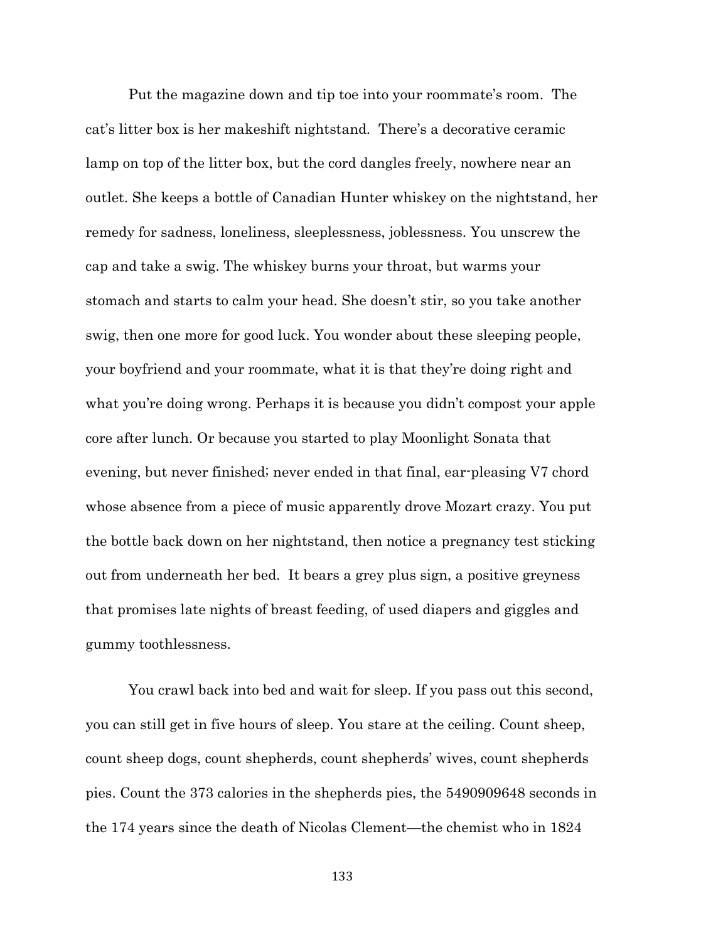Put the magazine down and tip toe into your roommate's room. The cat's litter box is her makeshift nightstand. There's a decorative ceramic lamp on top of the litter box, but the cord dangles freely, nowhere near an outlet. She keeps a bottle of Canadian Hunter whiskey on the nightstand, her remedy for sadness, loneliness, sleeplessness, joblessness. You unscrew the cap and take a swig. The whiskey burns your throat, but warms your stomach and starts to calm your head. She doesn't stir, so you take another swig, then one more for good luck. You wonder about these sleeping people, your boyfriend and your roommate, what it is that they're doing right and what you're doing wrong. Perhaps it is because you didn't compost your apple core after lunch. Or because you started to play Moonlight Sonata that evening, but never finished; never ended in that final, ear-pleasing V7 chord whose absence from a piece of music apparently drove Mozart crazy. You put the bottle back down on her nightstand, then notice a pregnancy test sticking out from underneath her bed. It bears a grey plus sign, a positive greyness that promises late nights of breast feeding, of used diapers and giggles and gummy toothlessness.

You crawl back into bed and wait for sleep. If you pass out this second, you can still get in five hours of sleep. You stare at the ceiling. Count sheep, count sheep dogs, count shepherds, count shepherds' wives, count shepherds pies. Count the 373 calories in the shepherds pies, the 5490909648 seconds in the 174 years since the death of Nicolas Clement—the chemist who in 1824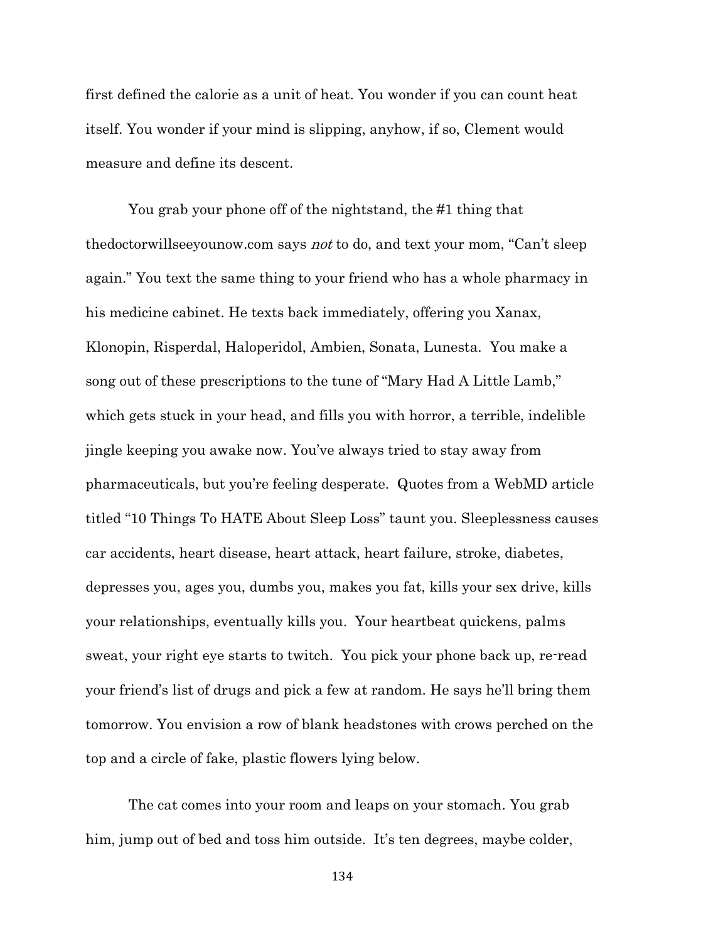first defined the calorie as a unit of heat. You wonder if you can count heat itself. You wonder if your mind is slipping, anyhow, if so, Clement would measure and define its descent.

You grab your phone off of the nightstand, the #1 thing that thedoctorwillseeyounow.com says not to do, and text your mom, "Can't sleep again." You text the same thing to your friend who has a whole pharmacy in his medicine cabinet. He texts back immediately, offering you Xanax, Klonopin, Risperdal, Haloperidol, Ambien, Sonata, Lunesta. You make a song out of these prescriptions to the tune of "Mary Had A Little Lamb," which gets stuck in your head, and fills you with horror, a terrible, indelible jingle keeping you awake now. You've always tried to stay away from pharmaceuticals, but you're feeling desperate. Quotes from a WebMD article titled "10 Things To HATE About Sleep Loss" taunt you. Sleeplessness causes car accidents, heart disease, heart attack, heart failure, stroke, diabetes, depresses you, ages you, dumbs you, makes you fat, kills your sex drive, kills your relationships, eventually kills you. Your heartbeat quickens, palms sweat, your right eye starts to twitch. You pick your phone back up, re-read your friend's list of drugs and pick a few at random. He says he'll bring them tomorrow. You envision a row of blank headstones with crows perched on the top and a circle of fake, plastic flowers lying below.

The cat comes into your room and leaps on your stomach. You grab him, jump out of bed and toss him outside. It's ten degrees, maybe colder,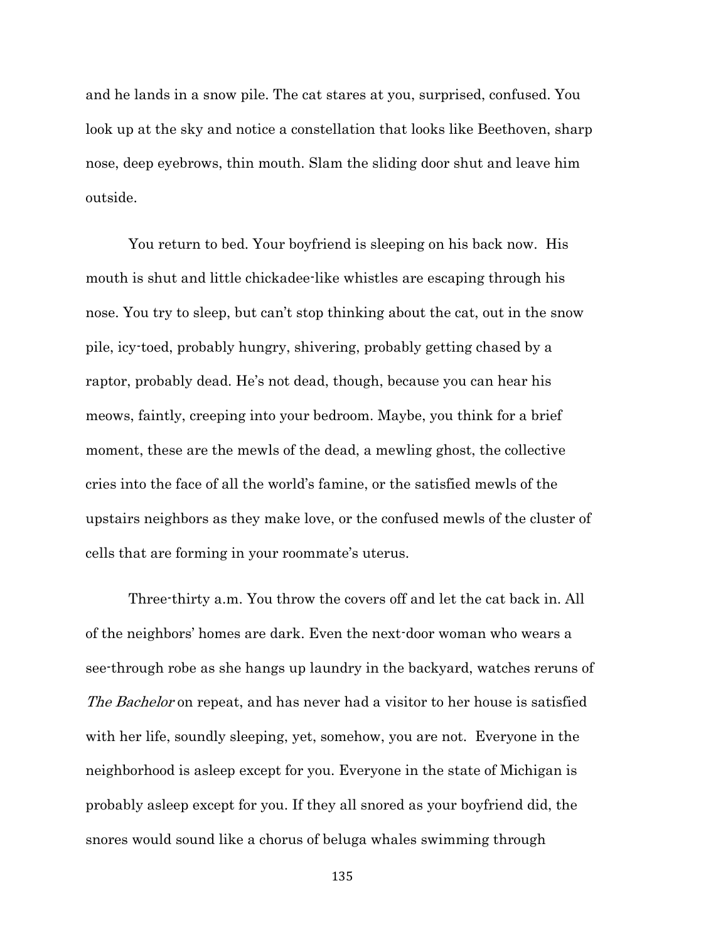and he lands in a snow pile. The cat stares at you, surprised, confused. You look up at the sky and notice a constellation that looks like Beethoven, sharp nose, deep eyebrows, thin mouth. Slam the sliding door shut and leave him outside.

You return to bed. Your boyfriend is sleeping on his back now. His mouth is shut and little chickadee-like whistles are escaping through his nose. You try to sleep, but can't stop thinking about the cat, out in the snow pile, icy-toed, probably hungry, shivering, probably getting chased by a raptor, probably dead. He's not dead, though, because you can hear his meows, faintly, creeping into your bedroom. Maybe, you think for a brief moment, these are the mewls of the dead, a mewling ghost, the collective cries into the face of all the world's famine, or the satisfied mewls of the upstairs neighbors as they make love, or the confused mewls of the cluster of cells that are forming in your roommate's uterus.

Three-thirty a.m. You throw the covers off and let the cat back in. All of the neighbors' homes are dark. Even the next-door woman who wears a see-through robe as she hangs up laundry in the backyard, watches reruns of The Bachelor on repeat, and has never had a visitor to her house is satisfied with her life, soundly sleeping, yet, somehow, you are not. Everyone in the neighborhood is asleep except for you. Everyone in the state of Michigan is probably asleep except for you. If they all snored as your boyfriend did, the snores would sound like a chorus of beluga whales swimming through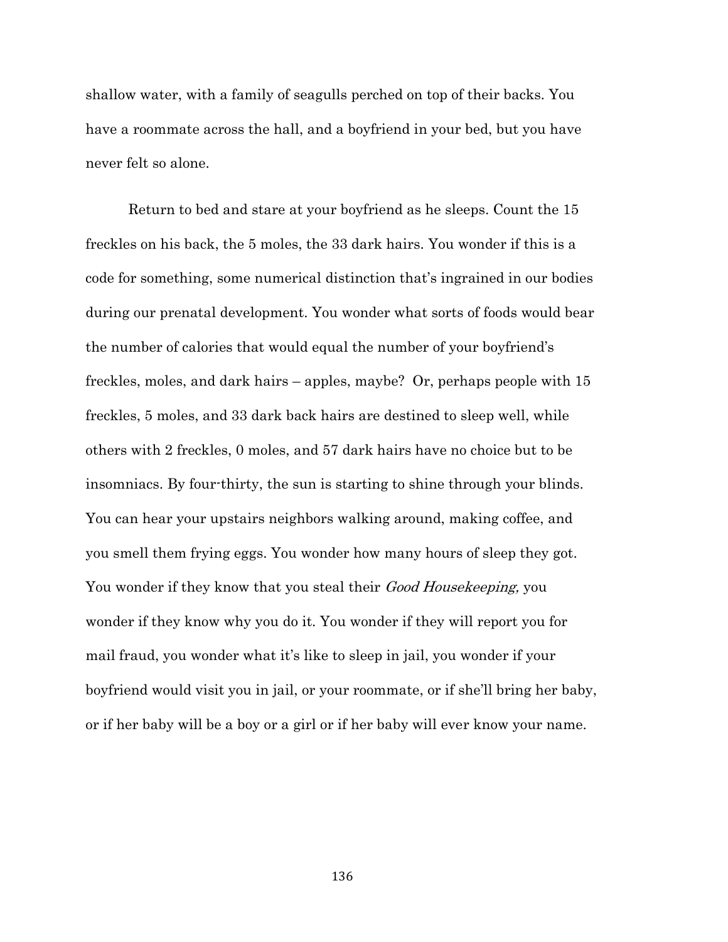shallow water, with a family of seagulls perched on top of their backs. You have a roommate across the hall, and a boyfriend in your bed, but you have never felt so alone.

Return to bed and stare at your boyfriend as he sleeps. Count the 15 freckles on his back, the 5 moles, the 33 dark hairs. You wonder if this is a code for something, some numerical distinction that's ingrained in our bodies during our prenatal development. You wonder what sorts of foods would bear the number of calories that would equal the number of your boyfriend's freckles, moles, and dark hairs – apples, maybe? Or, perhaps people with 15 freckles, 5 moles, and 33 dark back hairs are destined to sleep well, while others with 2 freckles, 0 moles, and 57 dark hairs have no choice but to be insomniacs. By four-thirty, the sun is starting to shine through your blinds. You can hear your upstairs neighbors walking around, making coffee, and you smell them frying eggs. You wonder how many hours of sleep they got. You wonder if they know that you steal their *Good Housekeeping*, you wonder if they know why you do it. You wonder if they will report you for mail fraud, you wonder what it's like to sleep in jail, you wonder if your boyfriend would visit you in jail, or your roommate, or if she'll bring her baby, or if her baby will be a boy or a girl or if her baby will ever know your name.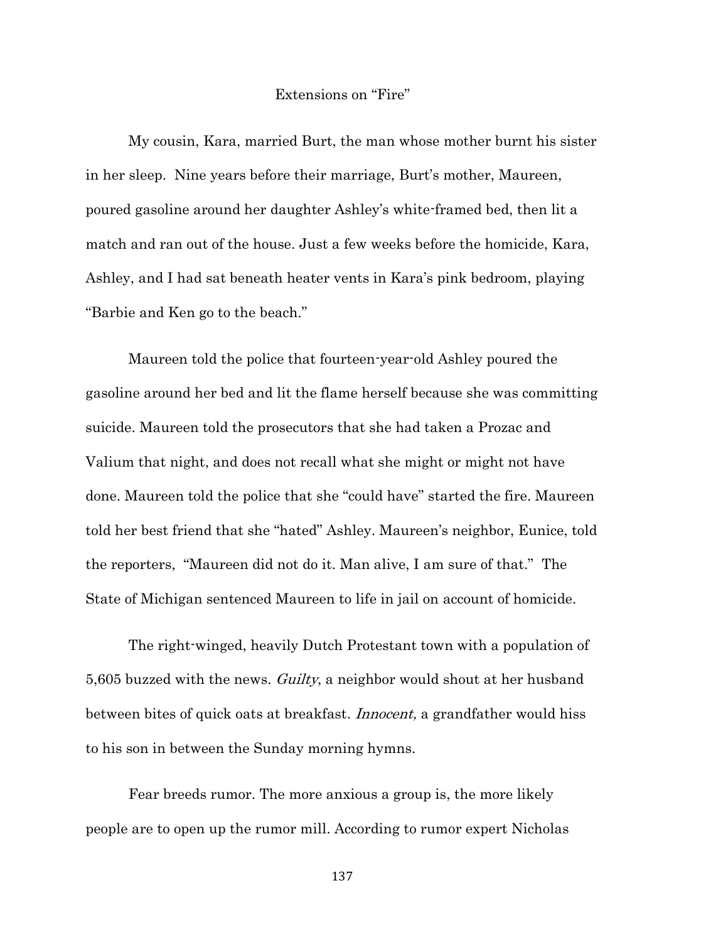## Extensions on "Fire"

My cousin, Kara, married Burt, the man whose mother burnt his sister in her sleep. Nine years before their marriage, Burt's mother, Maureen, poured gasoline around her daughter Ashley's white-framed bed, then lit a match and ran out of the house. Just a few weeks before the homicide, Kara, Ashley, and I had sat beneath heater vents in Kara's pink bedroom, playing "Barbie and Ken go to the beach."

Maureen told the police that fourteen-year-old Ashley poured the gasoline around her bed and lit the flame herself because she was committing suicide. Maureen told the prosecutors that she had taken a Prozac and Valium that night, and does not recall what she might or might not have done. Maureen told the police that she "could have" started the fire. Maureen told her best friend that she "hated" Ashley. Maureen's neighbor, Eunice, told the reporters, "Maureen did not do it. Man alive, I am sure of that." The State of Michigan sentenced Maureen to life in jail on account of homicide.

The right-winged, heavily Dutch Protestant town with a population of 5,605 buzzed with the news. Guilty, a neighbor would shout at her husband between bites of quick oats at breakfast. *Innocent*, a grandfather would hiss to his son in between the Sunday morning hymns.

Fear breeds rumor. The more anxious a group is, the more likely people are to open up the rumor mill. According to rumor expert Nicholas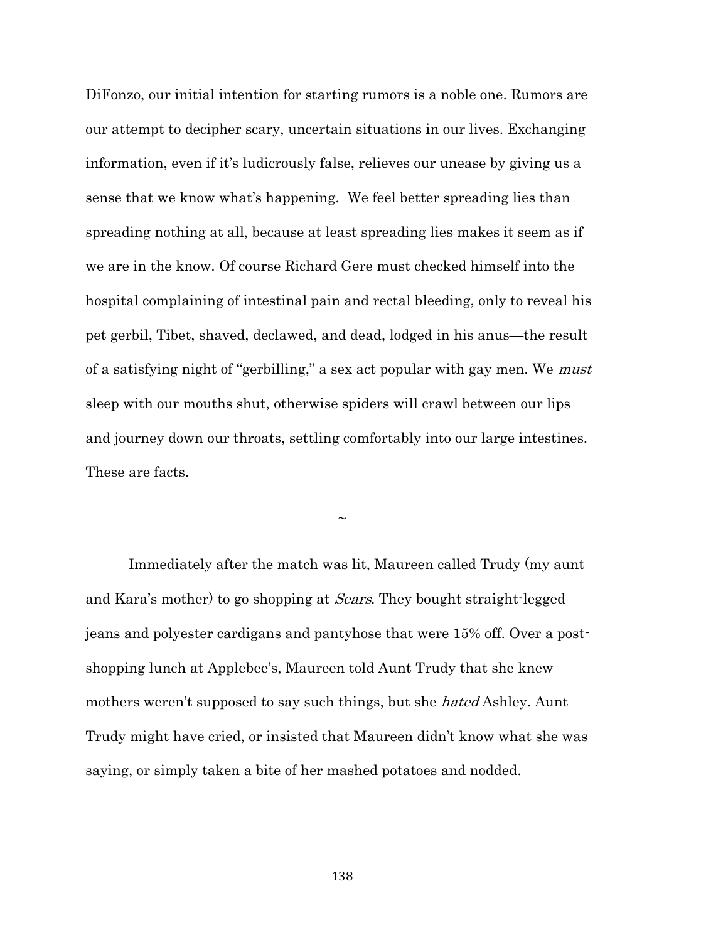DiFonzo, our initial intention for starting rumors is a noble one. Rumors are our attempt to decipher scary, uncertain situations in our lives. Exchanging information, even if it's ludicrously false, relieves our unease by giving us a sense that we know what's happening. We feel better spreading lies than spreading nothing at all, because at least spreading lies makes it seem as if we are in the know. Of course Richard Gere must checked himself into the hospital complaining of intestinal pain and rectal bleeding, only to reveal his pet gerbil, Tibet, shaved, declawed, and dead, lodged in his anus—the result of a satisfying night of "gerbilling," a sex act popular with gay men. We must sleep with our mouths shut, otherwise spiders will crawl between our lips and journey down our throats, settling comfortably into our large intestines. These are facts.

 $\sim$ 

Immediately after the match was lit, Maureen called Trudy (my aunt and Kara's mother) to go shopping at Sears. They bought straight-legged jeans and polyester cardigans and pantyhose that were 15% off. Over a postshopping lunch at Applebee's, Maureen told Aunt Trudy that she knew mothers weren't supposed to say such things, but she *hated* Ashley. Aunt Trudy might have cried, or insisted that Maureen didn't know what she was saying, or simply taken a bite of her mashed potatoes and nodded.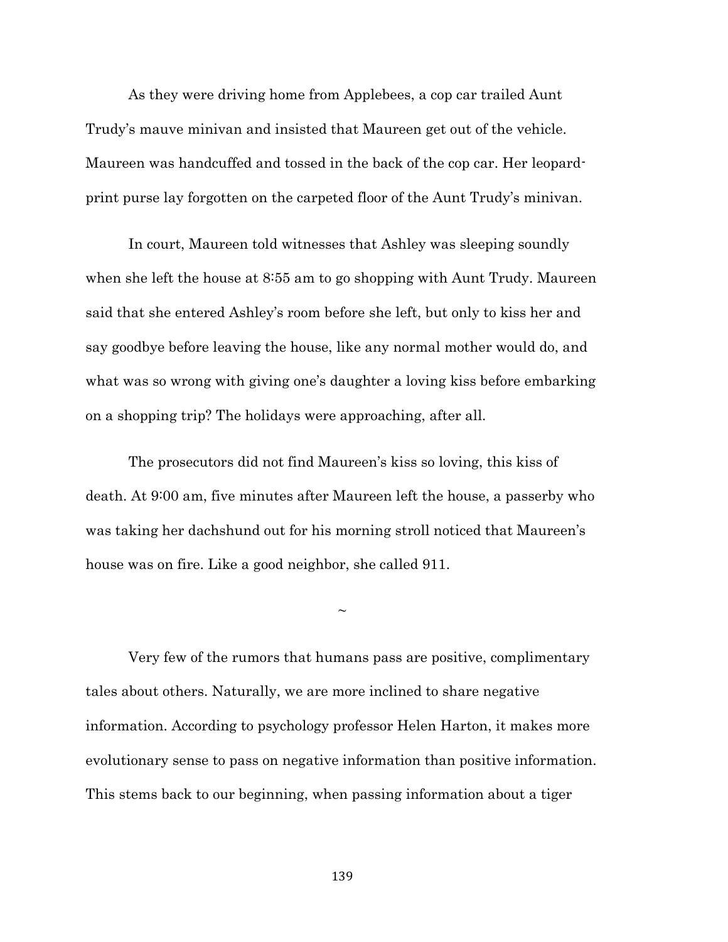As they were driving home from Applebees, a cop car trailed Aunt Trudy's mauve minivan and insisted that Maureen get out of the vehicle. Maureen was handcuffed and tossed in the back of the cop car. Her leopardprint purse lay forgotten on the carpeted floor of the Aunt Trudy's minivan.

In court, Maureen told witnesses that Ashley was sleeping soundly when she left the house at 8:55 am to go shopping with Aunt Trudy. Maureen said that she entered Ashley's room before she left, but only to kiss her and say goodbye before leaving the house, like any normal mother would do, and what was so wrong with giving one's daughter a loving kiss before embarking on a shopping trip? The holidays were approaching, after all.

The prosecutors did not find Maureen's kiss so loving, this kiss of death. At 9:00 am, five minutes after Maureen left the house, a passerby who was taking her dachshund out for his morning stroll noticed that Maureen's house was on fire. Like a good neighbor, she called 911.

 $\sim$ 

Very few of the rumors that humans pass are positive, complimentary tales about others. Naturally, we are more inclined to share negative information. According to psychology professor Helen Harton, it makes more evolutionary sense to pass on negative information than positive information. This stems back to our beginning, when passing information about a tiger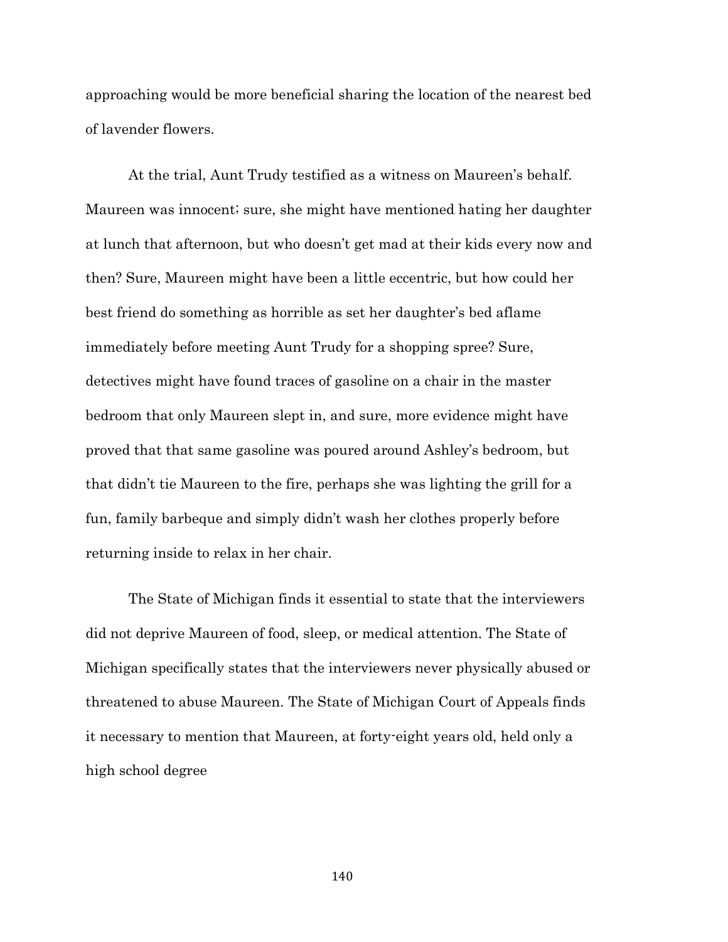approaching would be more beneficial sharing the location of the nearest bed of lavender flowers.

At the trial, Aunt Trudy testified as a witness on Maureen's behalf. Maureen was innocent; sure, she might have mentioned hating her daughter at lunch that afternoon, but who doesn't get mad at their kids every now and then? Sure, Maureen might have been a little eccentric, but how could her best friend do something as horrible as set her daughter's bed aflame immediately before meeting Aunt Trudy for a shopping spree? Sure, detectives might have found traces of gasoline on a chair in the master bedroom that only Maureen slept in, and sure, more evidence might have proved that that same gasoline was poured around Ashley's bedroom, but that didn't tie Maureen to the fire, perhaps she was lighting the grill for a fun, family barbeque and simply didn't wash her clothes properly before returning inside to relax in her chair.

The State of Michigan finds it essential to state that the interviewers did not deprive Maureen of food, sleep, or medical attention. The State of Michigan specifically states that the interviewers never physically abused or threatened to abuse Maureen. The State of Michigan Court of Appeals finds it necessary to mention that Maureen, at forty-eight years old, held only a high school degree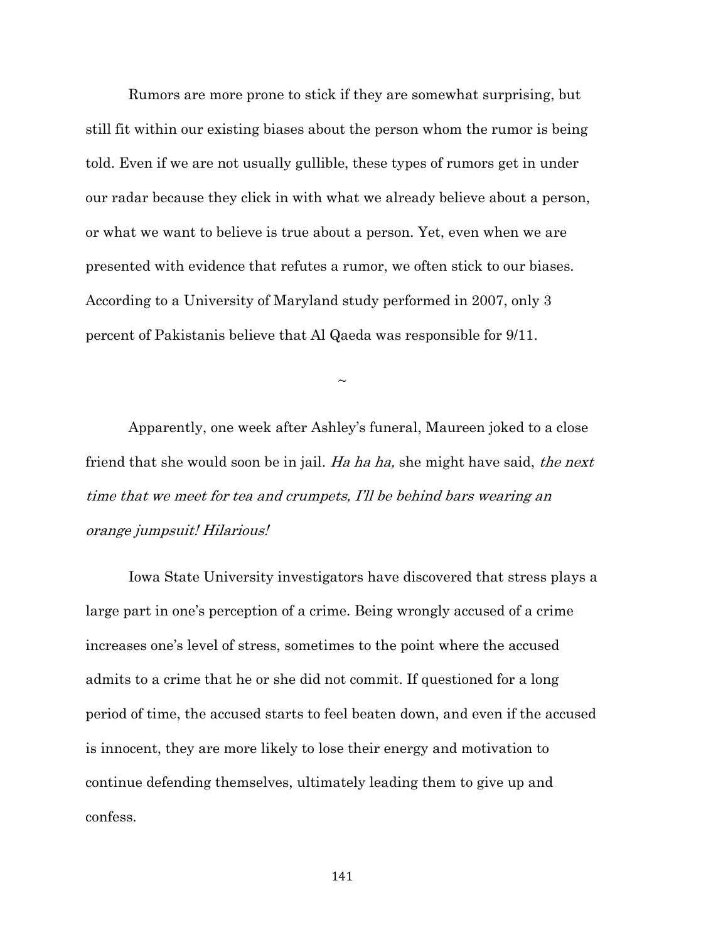Rumors are more prone to stick if they are somewhat surprising, but still fit within our existing biases about the person whom the rumor is being told. Even if we are not usually gullible, these types of rumors get in under our radar because they click in with what we already believe about a person, or what we want to believe is true about a person. Yet, even when we are presented with evidence that refutes a rumor, we often stick to our biases. According to a University of Maryland study performed in 2007, only 3 percent of Pakistanis believe that Al Qaeda was responsible for 9/11.

 $\sim$ 

Apparently, one week after Ashley's funeral, Maureen joked to a close friend that she would soon be in jail. Ha ha ha, she might have said, the next time that we meet for tea and crumpets, I'll be behind bars wearing an orange jumpsuit! Hilarious!

Iowa State University investigators have discovered that stress plays a large part in one's perception of a crime. Being wrongly accused of a crime increases one's level of stress, sometimes to the point where the accused admits to a crime that he or she did not commit. If questioned for a long period of time, the accused starts to feel beaten down, and even if the accused is innocent, they are more likely to lose their energy and motivation to continue defending themselves, ultimately leading them to give up and confess.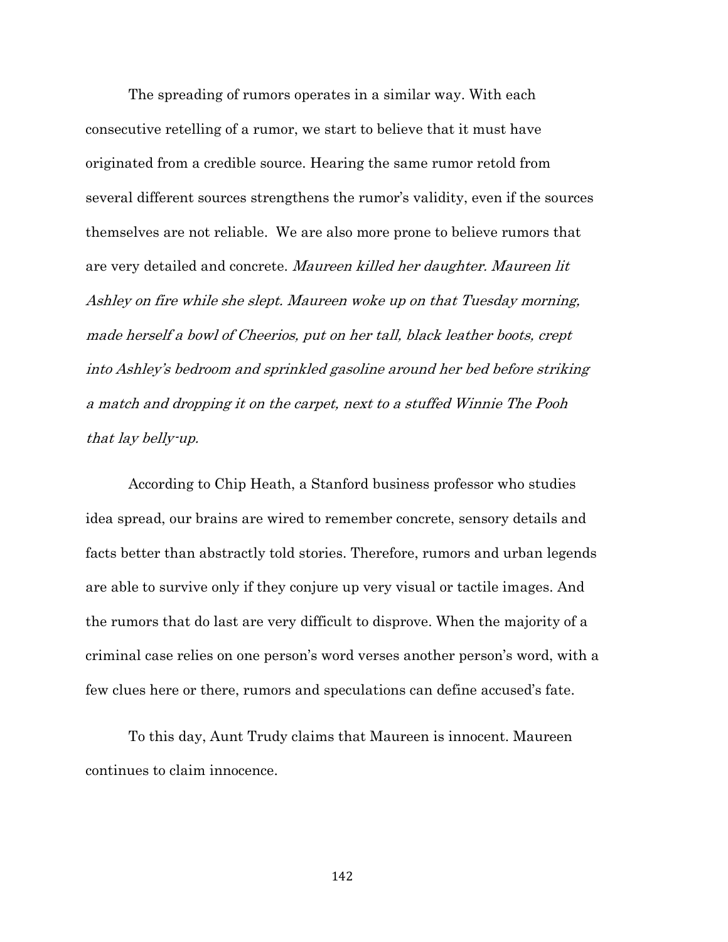The spreading of rumors operates in a similar way. With each consecutive retelling of a rumor, we start to believe that it must have originated from a credible source. Hearing the same rumor retold from several different sources strengthens the rumor's validity, even if the sources themselves are not reliable. We are also more prone to believe rumors that are very detailed and concrete. Maureen killed her daughter. Maureen lit Ashley on fire while she slept. Maureen woke up on that Tuesday morning, made herself a bowl of Cheerios, put on her tall, black leather boots, crept into Ashley's bedroom and sprinkled gasoline around her bed before striking a match and dropping it on the carpet, next to a stuffed Winnie The Pooh that lay belly-up.

According to Chip Heath, a Stanford business professor who studies idea spread, our brains are wired to remember concrete, sensory details and facts better than abstractly told stories. Therefore, rumors and urban legends are able to survive only if they conjure up very visual or tactile images. And the rumors that do last are very difficult to disprove. When the majority of a criminal case relies on one person's word verses another person's word, with a few clues here or there, rumors and speculations can define accused's fate.

To this day, Aunt Trudy claims that Maureen is innocent. Maureen continues to claim innocence.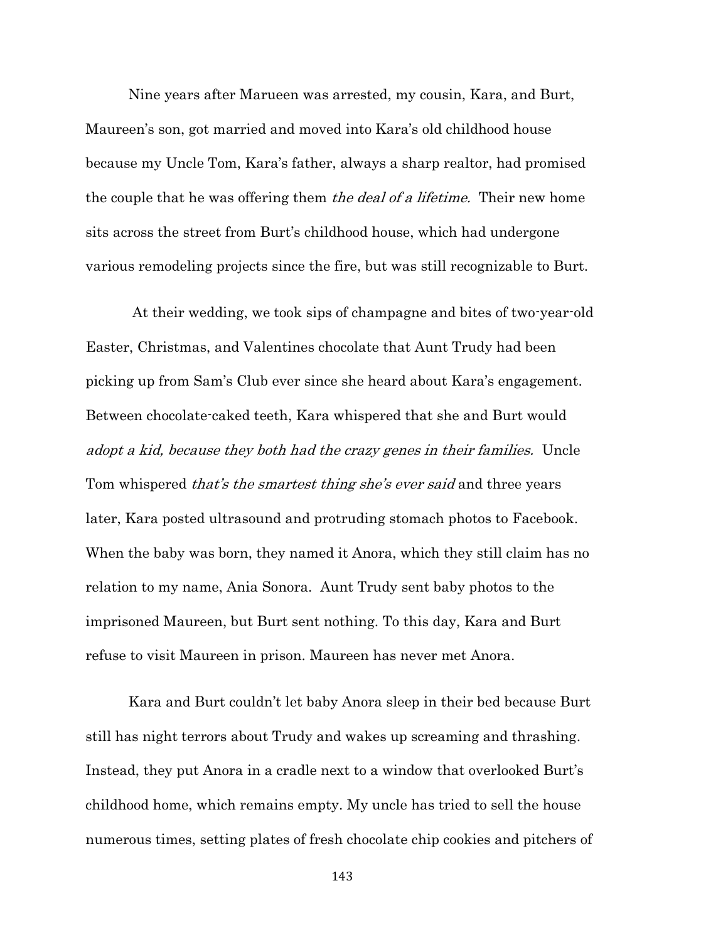Nine years after Marueen was arrested, my cousin, Kara, and Burt, Maureen's son, got married and moved into Kara's old childhood house because my Uncle Tom, Kara's father, always a sharp realtor, had promised the couple that he was offering them *the deal of a lifetime*. Their new home sits across the street from Burt's childhood house, which had undergone various remodeling projects since the fire, but was still recognizable to Burt.

At their wedding, we took sips of champagne and bites of two-year-old Easter, Christmas, and Valentines chocolate that Aunt Trudy had been picking up from Sam's Club ever since she heard about Kara's engagement. Between chocolate-caked teeth, Kara whispered that she and Burt would adopt a kid, because they both had the crazy genes in their families. Uncle Tom whispered *that's the smartest thing she's ever said* and three years later, Kara posted ultrasound and protruding stomach photos to Facebook. When the baby was born, they named it Anora, which they still claim has no relation to my name, Ania Sonora. Aunt Trudy sent baby photos to the imprisoned Maureen, but Burt sent nothing. To this day, Kara and Burt refuse to visit Maureen in prison. Maureen has never met Anora.

Kara and Burt couldn't let baby Anora sleep in their bed because Burt still has night terrors about Trudy and wakes up screaming and thrashing. Instead, they put Anora in a cradle next to a window that overlooked Burt's childhood home, which remains empty. My uncle has tried to sell the house numerous times, setting plates of fresh chocolate chip cookies and pitchers of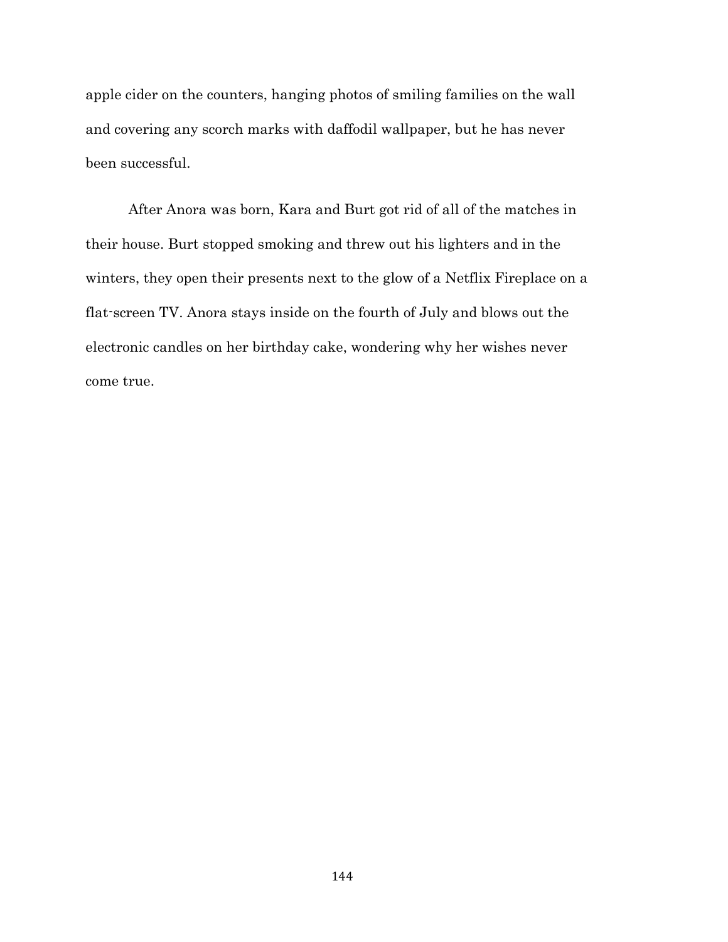apple cider on the counters, hanging photos of smiling families on the wall and covering any scorch marks with daffodil wallpaper, but he has never been successful.

After Anora was born, Kara and Burt got rid of all of the matches in their house. Burt stopped smoking and threw out his lighters and in the winters, they open their presents next to the glow of a Netflix Fireplace on a flat-screen TV. Anora stays inside on the fourth of July and blows out the electronic candles on her birthday cake, wondering why her wishes never come true.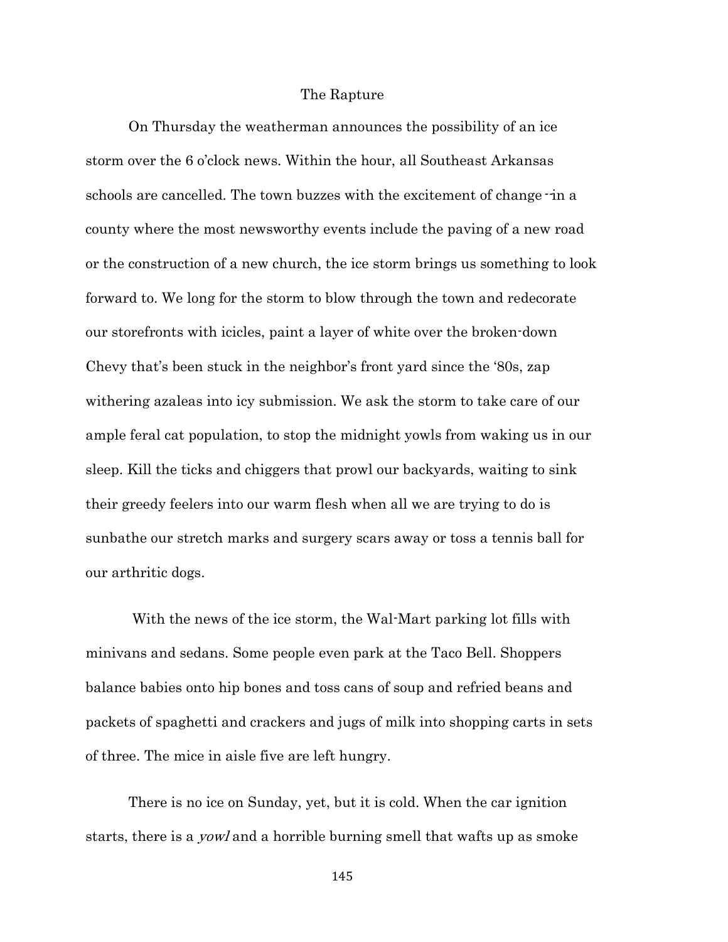## The Rapture

On Thursday the weatherman announces the possibility of an ice storm over the 6 o'clock news. Within the hour, all Southeast Arkansas schools are cancelled. The town buzzes with the excitement of change-in a county where the most newsworthy events include the paving of a new road or the construction of a new church, the ice storm brings us something to look forward to. We long for the storm to blow through the town and redecorate our storefronts with icicles, paint a layer of white over the broken-down Chevy that's been stuck in the neighbor's front yard since the '80s, zap withering azaleas into icy submission. We ask the storm to take care of our ample feral cat population, to stop the midnight yowls from waking us in our sleep. Kill the ticks and chiggers that prowl our backyards, waiting to sink their greedy feelers into our warm flesh when all we are trying to do is sunbathe our stretch marks and surgery scars away or toss a tennis ball for our arthritic dogs.

With the news of the ice storm, the Wal-Mart parking lot fills with minivans and sedans. Some people even park at the Taco Bell. Shoppers balance babies onto hip bones and toss cans of soup and refried beans and packets of spaghetti and crackers and jugs of milk into shopping carts in sets of three. The mice in aisle five are left hungry.

There is no ice on Sunday, yet, but it is cold. When the car ignition starts, there is a yowl and a horrible burning smell that wafts up as smoke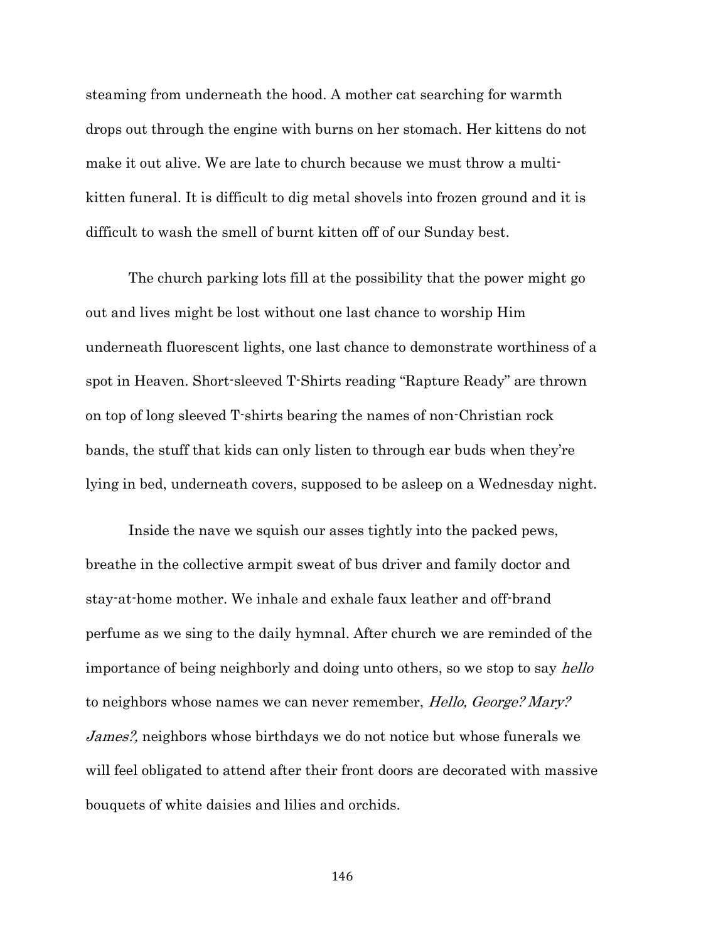steaming from underneath the hood. A mother cat searching for warmth drops out through the engine with burns on her stomach. Her kittens do not make it out alive. We are late to church because we must throw a multikitten funeral. It is difficult to dig metal shovels into frozen ground and it is difficult to wash the smell of burnt kitten off of our Sunday best.

The church parking lots fill at the possibility that the power might go out and lives might be lost without one last chance to worship Him underneath fluorescent lights, one last chance to demonstrate worthiness of a spot in Heaven. Short-sleeved T-Shirts reading "Rapture Ready" are thrown on top of long sleeved T-shirts bearing the names of non-Christian rock bands, the stuff that kids can only listen to through ear buds when they're lying in bed, underneath covers, supposed to be asleep on a Wednesday night.

Inside the nave we squish our asses tightly into the packed pews, breathe in the collective armpit sweat of bus driver and family doctor and stay-at-home mother. We inhale and exhale faux leather and off-brand perfume as we sing to the daily hymnal. After church we are reminded of the importance of being neighborly and doing unto others, so we stop to say *hello* to neighbors whose names we can never remember, *Hello, George? Mary?* James?, neighbors whose birthdays we do not notice but whose funerals we will feel obligated to attend after their front doors are decorated with massive bouquets of white daisies and lilies and orchids.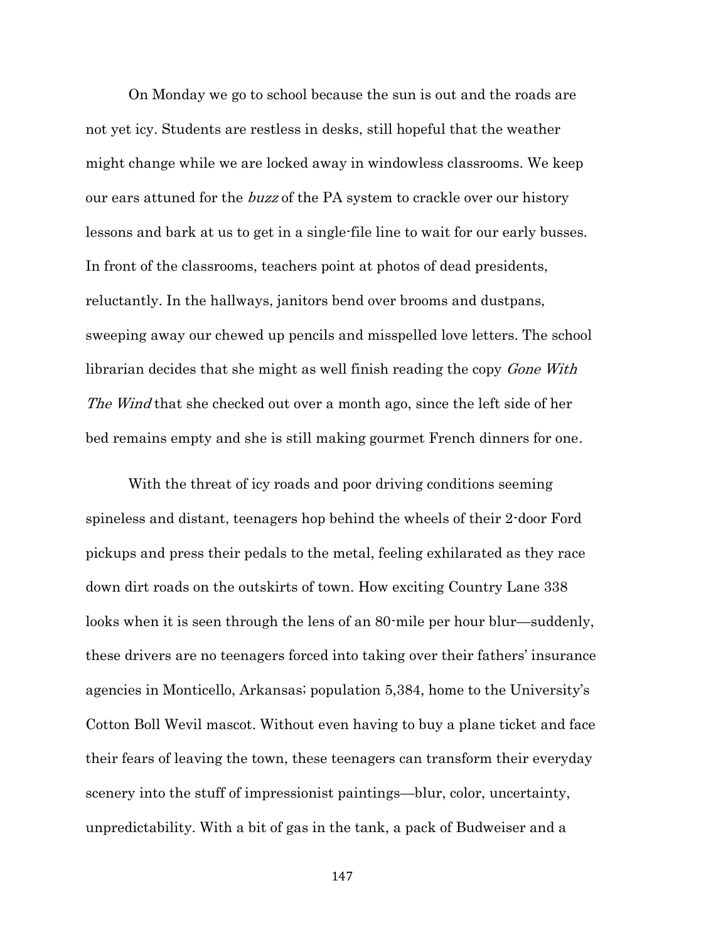On Monday we go to school because the sun is out and the roads are not yet icy. Students are restless in desks, still hopeful that the weather might change while we are locked away in windowless classrooms. We keep our ears attuned for the *buzz* of the PA system to crackle over our history lessons and bark at us to get in a single-file line to wait for our early busses. In front of the classrooms, teachers point at photos of dead presidents, reluctantly. In the hallways, janitors bend over brooms and dustpans, sweeping away our chewed up pencils and misspelled love letters. The school librarian decides that she might as well finish reading the copy *Gone With* The Wind that she checked out over a month ago, since the left side of her bed remains empty and she is still making gourmet French dinners for one.

With the threat of icy roads and poor driving conditions seeming spineless and distant, teenagers hop behind the wheels of their 2-door Ford pickups and press their pedals to the metal, feeling exhilarated as they race down dirt roads on the outskirts of town. How exciting Country Lane 338 looks when it is seen through the lens of an 80-mile per hour blur—suddenly, these drivers are no teenagers forced into taking over their fathers' insurance agencies in Monticello, Arkansas; population 5,384, home to the University's Cotton Boll Wevil mascot. Without even having to buy a plane ticket and face their fears of leaving the town, these teenagers can transform their everyday scenery into the stuff of impressionist paintings—blur, color, uncertainty, unpredictability. With a bit of gas in the tank, a pack of Budweiser and a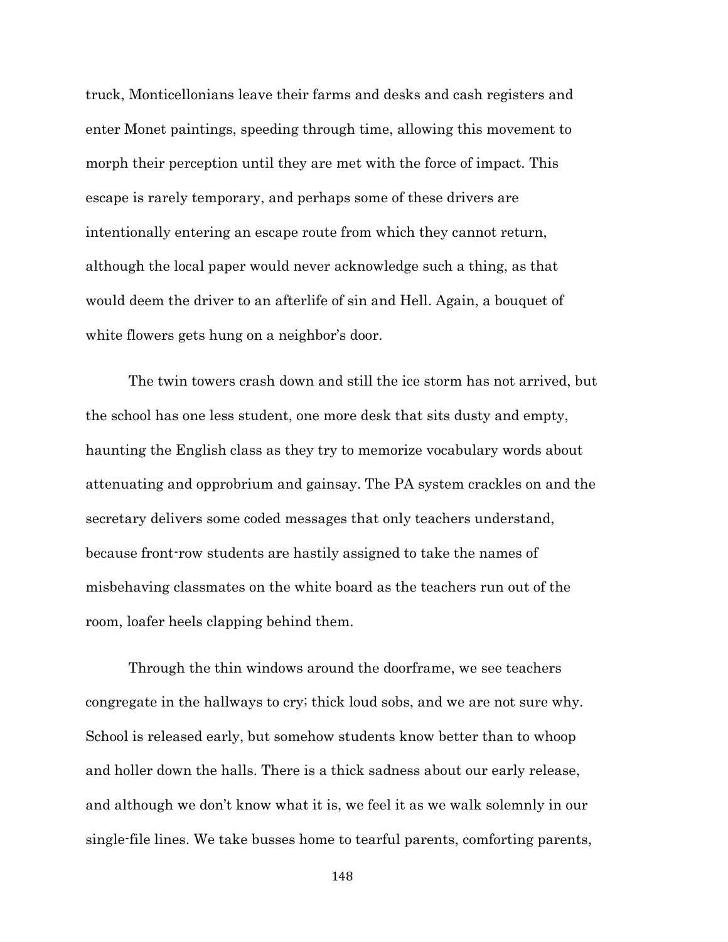truck, Monticellonians leave their farms and desks and cash registers and enter Monet paintings, speeding through time, allowing this movement to morph their perception until they are met with the force of impact. This escape is rarely temporary, and perhaps some of these drivers are intentionally entering an escape route from which they cannot return, although the local paper would never acknowledge such a thing, as that would deem the driver to an afterlife of sin and Hell. Again, a bouquet of white flowers gets hung on a neighbor's door.

The twin towers crash down and still the ice storm has not arrived, but the school has one less student, one more desk that sits dusty and empty, haunting the English class as they try to memorize vocabulary words about attenuating and opprobrium and gainsay. The PA system crackles on and the secretary delivers some coded messages that only teachers understand, because front-row students are hastily assigned to take the names of misbehaving classmates on the white board as the teachers run out of the room, loafer heels clapping behind them.

Through the thin windows around the doorframe, we see teachers congregate in the hallways to cry; thick loud sobs, and we are not sure why. School is released early, but somehow students know better than to whoop and holler down the halls. There is a thick sadness about our early release, and although we don't know what it is, we feel it as we walk solemnly in our single-file lines. We take busses home to tearful parents, comforting parents,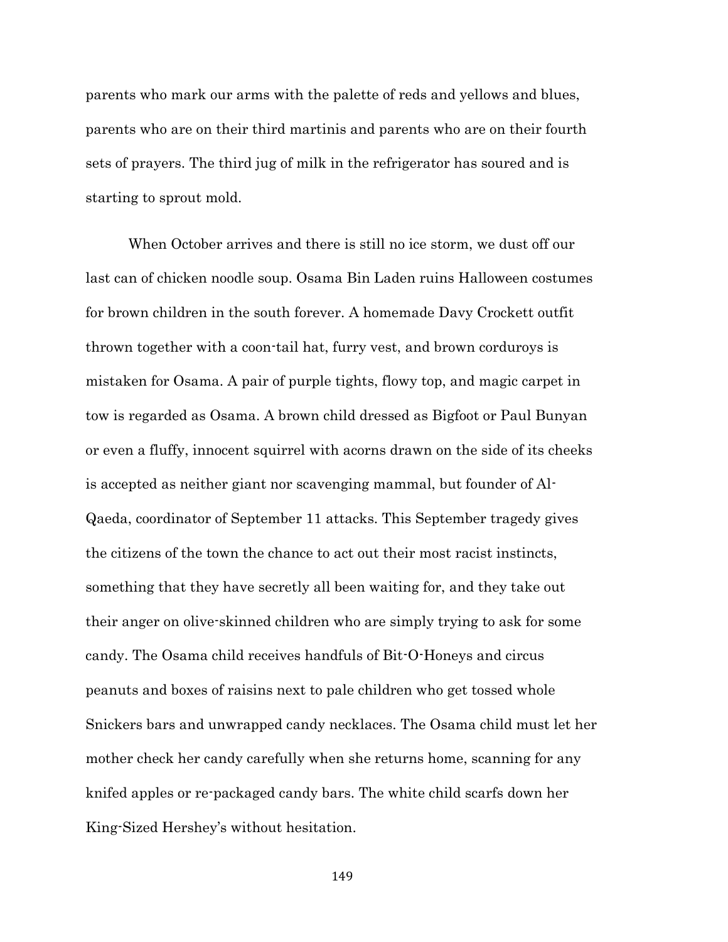parents who mark our arms with the palette of reds and yellows and blues, parents who are on their third martinis and parents who are on their fourth sets of prayers. The third jug of milk in the refrigerator has soured and is starting to sprout mold.

When October arrives and there is still no ice storm, we dust off our last can of chicken noodle soup. Osama Bin Laden ruins Halloween costumes for brown children in the south forever. A homemade Davy Crockett outfit thrown together with a coon-tail hat, furry vest, and brown corduroys is mistaken for Osama. A pair of purple tights, flowy top, and magic carpet in tow is regarded as Osama. A brown child dressed as Bigfoot or Paul Bunyan or even a fluffy, innocent squirrel with acorns drawn on the side of its cheeks is accepted as neither giant nor scavenging mammal, but founder of Al-Qaeda, coordinator of September 11 attacks. This September tragedy gives the citizens of the town the chance to act out their most racist instincts, something that they have secretly all been waiting for, and they take out their anger on olive-skinned children who are simply trying to ask for some candy. The Osama child receives handfuls of Bit-O-Honeys and circus peanuts and boxes of raisins next to pale children who get tossed whole Snickers bars and unwrapped candy necklaces. The Osama child must let her mother check her candy carefully when she returns home, scanning for any knifed apples or re-packaged candy bars. The white child scarfs down her King-Sized Hershey's without hesitation.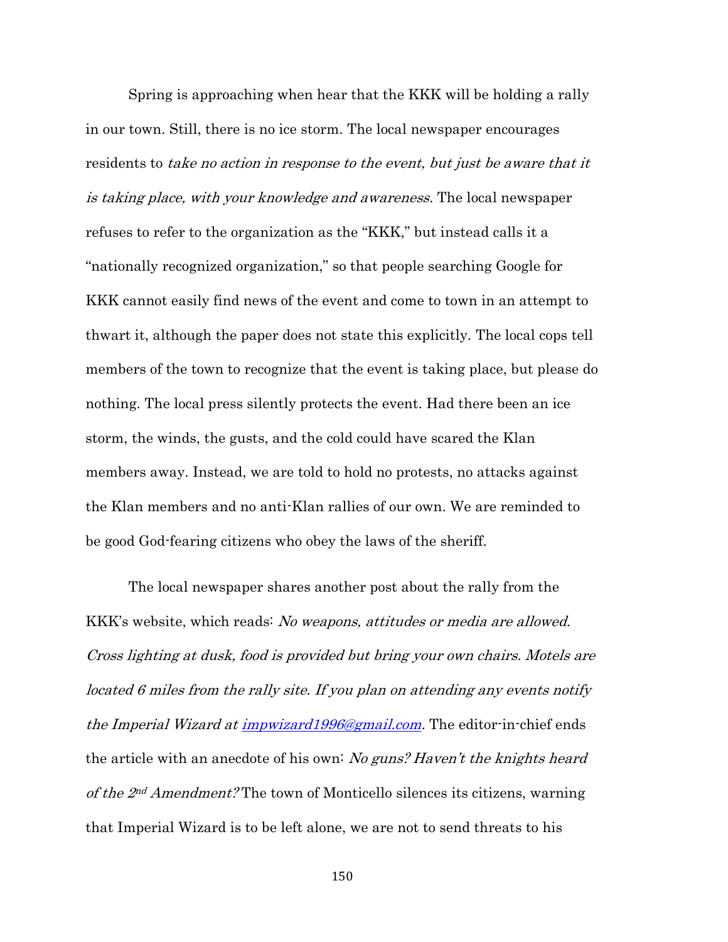Spring is approaching when hear that the KKK will be holding a rally in our town. Still, there is no ice storm. The local newspaper encourages residents to take no action in response to the event, but just be aware that it is taking place, with your knowledge and awareness. The local newspaper refuses to refer to the organization as the "KKK," but instead calls it a "nationally recognized organization," so that people searching Google for KKK cannot easily find news of the event and come to town in an attempt to thwart it, although the paper does not state this explicitly. The local cops tell members of the town to recognize that the event is taking place, but please do nothing. The local press silently protects the event. Had there been an ice storm, the winds, the gusts, and the cold could have scared the Klan members away. Instead, we are told to hold no protests, no attacks against the Klan members and no anti-Klan rallies of our own. We are reminded to be good God-fearing citizens who obey the laws of the sheriff.

The local newspaper shares another post about the rally from the KKK's website, which reads: *No weapons, attitudes or media are allowed.* Cross lighting at dusk, food is provided but bring your own chairs. Motels are located 6 miles from the rally site. If you plan on attending any events notify the Imperial Wizard at *impwizard1996@gmail.com*. The editor-in-chief ends the article with an anecdote of his own: No guns? Haven't the knights heard of the 2nd Amendment? The town of Monticello silences its citizens, warning that Imperial Wizard is to be left alone, we are not to send threats to his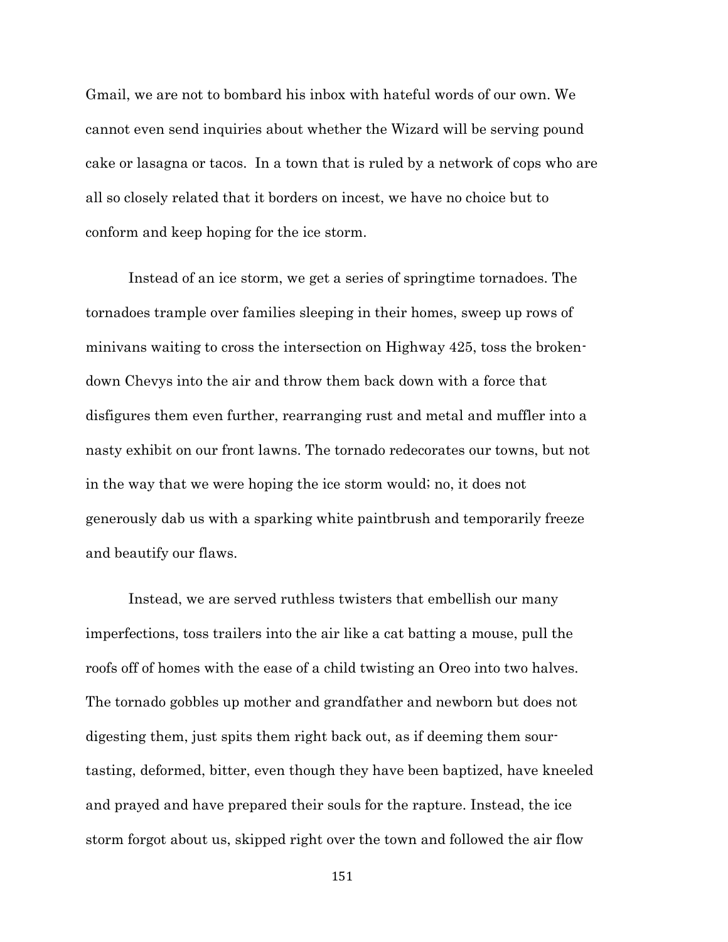Gmail, we are not to bombard his inbox with hateful words of our own. We cannot even send inquiries about whether the Wizard will be serving pound cake or lasagna or tacos. In a town that is ruled by a network of cops who are all so closely related that it borders on incest, we have no choice but to conform and keep hoping for the ice storm.

Instead of an ice storm, we get a series of springtime tornadoes. The tornadoes trample over families sleeping in their homes, sweep up rows of minivans waiting to cross the intersection on Highway 425, toss the brokendown Chevys into the air and throw them back down with a force that disfigures them even further, rearranging rust and metal and muffler into a nasty exhibit on our front lawns. The tornado redecorates our towns, but not in the way that we were hoping the ice storm would; no, it does not generously dab us with a sparking white paintbrush and temporarily freeze and beautify our flaws.

Instead, we are served ruthless twisters that embellish our many imperfections, toss trailers into the air like a cat batting a mouse, pull the roofs off of homes with the ease of a child twisting an Oreo into two halves. The tornado gobbles up mother and grandfather and newborn but does not digesting them, just spits them right back out, as if deeming them sourtasting, deformed, bitter, even though they have been baptized, have kneeled and prayed and have prepared their souls for the rapture. Instead, the ice storm forgot about us, skipped right over the town and followed the air flow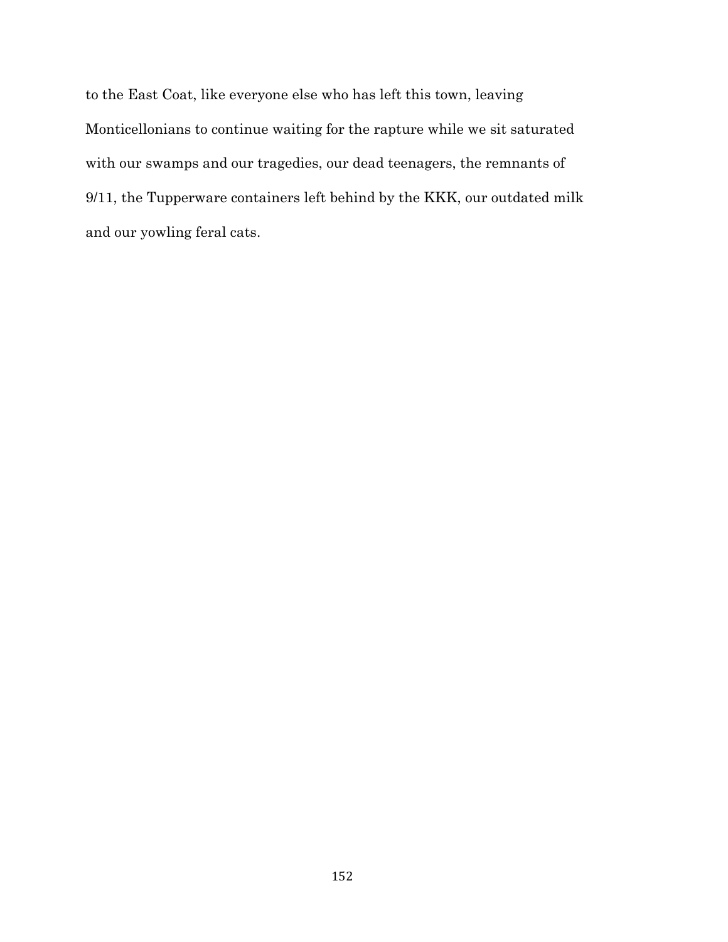to the East Coat, like everyone else who has left this town, leaving Monticellonians to continue waiting for the rapture while we sit saturated with our swamps and our tragedies, our dead teenagers, the remnants of 9/11, the Tupperware containers left behind by the KKK, our outdated milk and our yowling feral cats.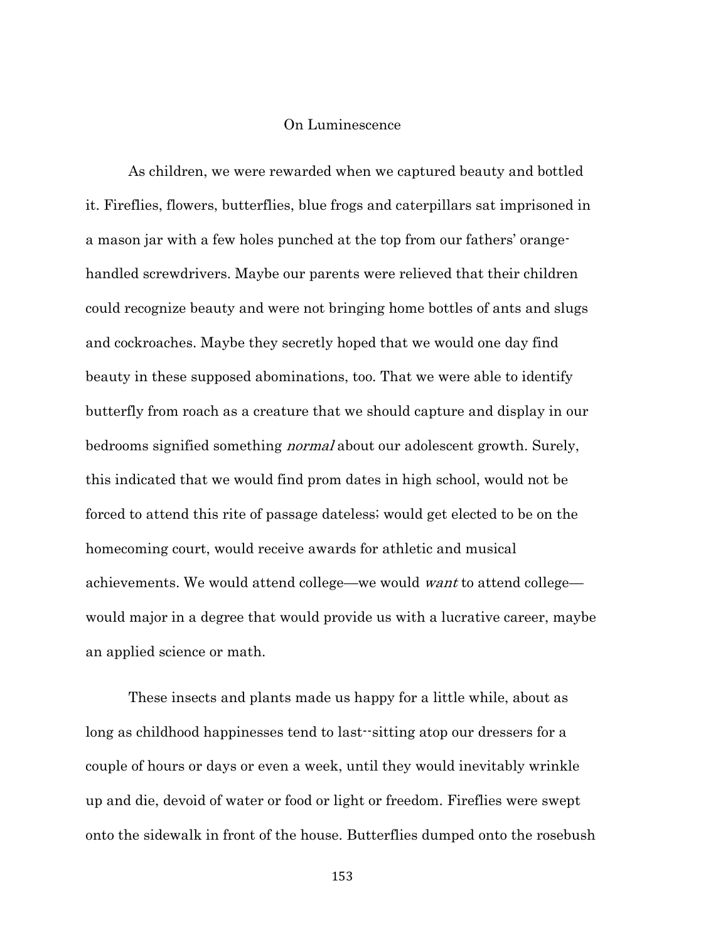## On Luminescence

As children, we were rewarded when we captured beauty and bottled it. Fireflies, flowers, butterflies, blue frogs and caterpillars sat imprisoned in a mason jar with a few holes punched at the top from our fathers' orangehandled screwdrivers. Maybe our parents were relieved that their children could recognize beauty and were not bringing home bottles of ants and slugs and cockroaches. Maybe they secretly hoped that we would one day find beauty in these supposed abominations, too. That we were able to identify butterfly from roach as a creature that we should capture and display in our bedrooms signified something normal about our adolescent growth. Surely, this indicated that we would find prom dates in high school, would not be forced to attend this rite of passage dateless; would get elected to be on the homecoming court, would receive awards for athletic and musical achievements. We would attend college—we would want to attend college would major in a degree that would provide us with a lucrative career, maybe an applied science or math.

These insects and plants made us happy for a little while, about as long as childhood happinesses tend to last--sitting atop our dressers for a couple of hours or days or even a week, until they would inevitably wrinkle up and die, devoid of water or food or light or freedom. Fireflies were swept onto the sidewalk in front of the house. Butterflies dumped onto the rosebush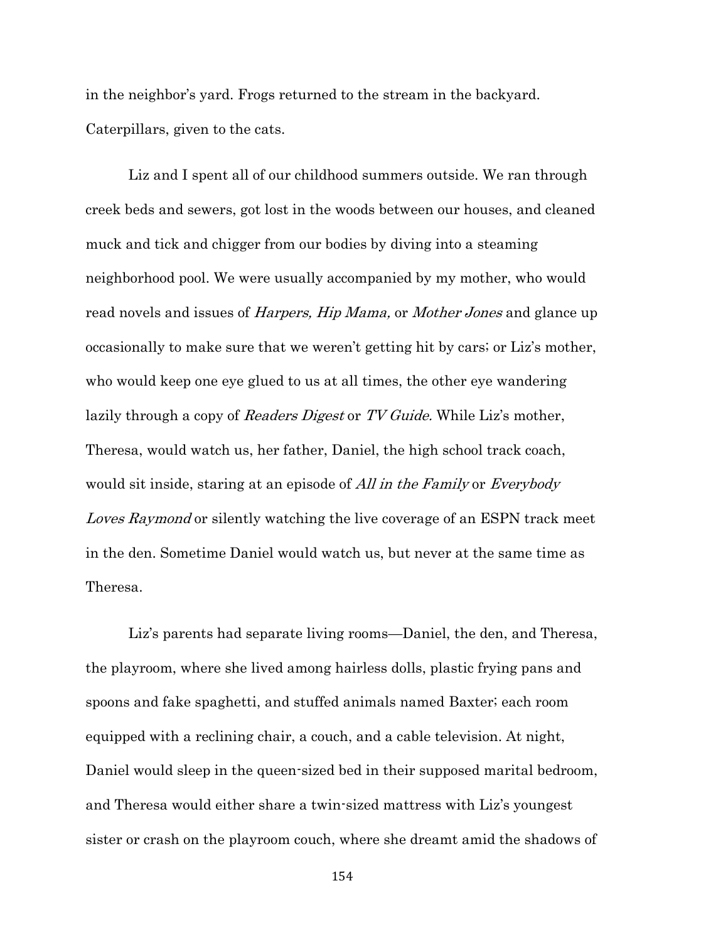in the neighbor's yard. Frogs returned to the stream in the backyard. Caterpillars, given to the cats.

Liz and I spent all of our childhood summers outside. We ran through creek beds and sewers, got lost in the woods between our houses, and cleaned muck and tick and chigger from our bodies by diving into a steaming neighborhood pool. We were usually accompanied by my mother, who would read novels and issues of *Harpers, Hip Mama*, or *Mother Jones* and glance up occasionally to make sure that we weren't getting hit by cars; or Liz's mother, who would keep one eye glued to us at all times, the other eye wandering lazily through a copy of Readers Digest or TV Guide. While Liz's mother, Theresa, would watch us, her father, Daniel, the high school track coach, would sit inside, staring at an episode of All in the Family or Everybody Loves Raymond or silently watching the live coverage of an ESPN track meet in the den. Sometime Daniel would watch us, but never at the same time as Theresa.

Liz's parents had separate living rooms—Daniel, the den, and Theresa, the playroom, where she lived among hairless dolls, plastic frying pans and spoons and fake spaghetti, and stuffed animals named Baxter; each room equipped with a reclining chair, a couch, and a cable television. At night, Daniel would sleep in the queen-sized bed in their supposed marital bedroom, and Theresa would either share a twin-sized mattress with Liz's youngest sister or crash on the playroom couch, where she dreamt amid the shadows of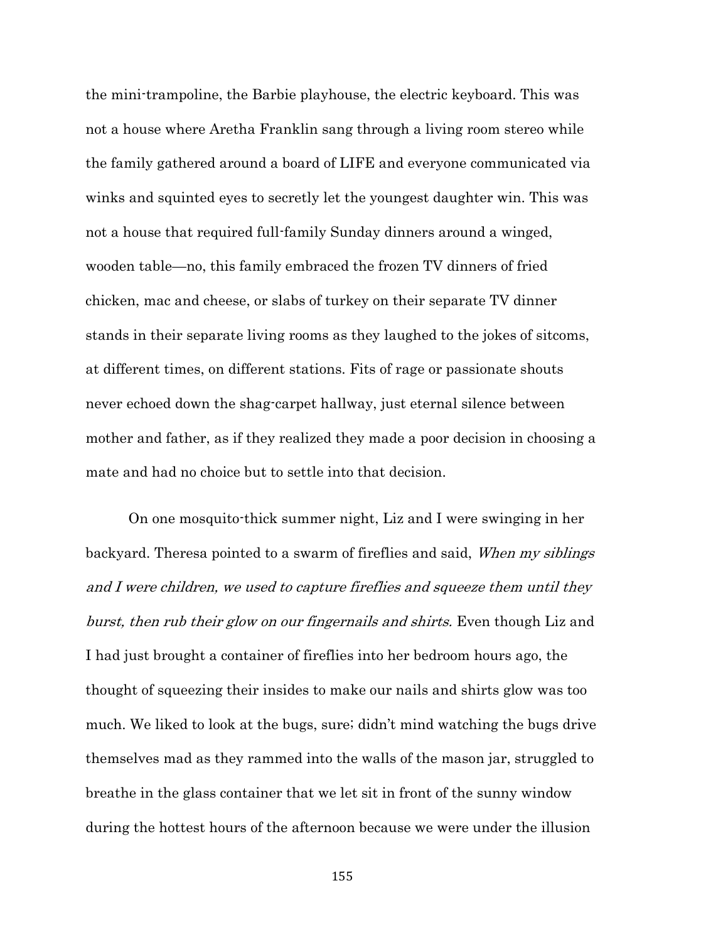the mini-trampoline, the Barbie playhouse, the electric keyboard. This was not a house where Aretha Franklin sang through a living room stereo while the family gathered around a board of LIFE and everyone communicated via winks and squinted eyes to secretly let the youngest daughter win. This was not a house that required full-family Sunday dinners around a winged, wooden table—no, this family embraced the frozen TV dinners of fried chicken, mac and cheese, or slabs of turkey on their separate TV dinner stands in their separate living rooms as they laughed to the jokes of sitcoms, at different times, on different stations. Fits of rage or passionate shouts never echoed down the shag-carpet hallway, just eternal silence between mother and father, as if they realized they made a poor decision in choosing a mate and had no choice but to settle into that decision.

On one mosquito-thick summer night, Liz and I were swinging in her backyard. Theresa pointed to a swarm of fireflies and said, When my siblings and I were children, we used to capture fireflies and squeeze them until they burst, then rub their glow on our fingernails and shirts. Even though Liz and I had just brought a container of fireflies into her bedroom hours ago, the thought of squeezing their insides to make our nails and shirts glow was too much. We liked to look at the bugs, sure; didn't mind watching the bugs drive themselves mad as they rammed into the walls of the mason jar, struggled to breathe in the glass container that we let sit in front of the sunny window during the hottest hours of the afternoon because we were under the illusion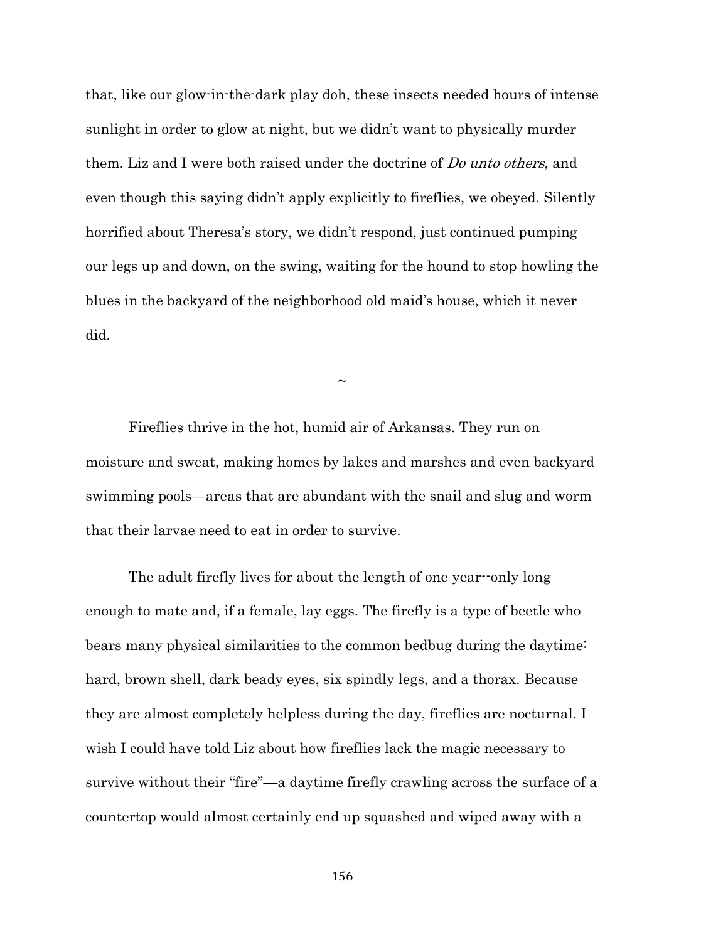that, like our glow-in-the-dark play doh, these insects needed hours of intense sunlight in order to glow at night, but we didn't want to physically murder them. Liz and I were both raised under the doctrine of *Do unto others*, and even though this saying didn't apply explicitly to fireflies, we obeyed. Silently horrified about Theresa's story, we didn't respond, just continued pumping our legs up and down, on the swing, waiting for the hound to stop howling the blues in the backyard of the neighborhood old maid's house, which it never did.

 $\sim$ 

Fireflies thrive in the hot, humid air of Arkansas. They run on moisture and sweat, making homes by lakes and marshes and even backyard swimming pools—areas that are abundant with the snail and slug and worm that their larvae need to eat in order to survive.

The adult firefly lives for about the length of one year--only long enough to mate and, if a female, lay eggs. The firefly is a type of beetle who bears many physical similarities to the common bedbug during the daytime: hard, brown shell, dark beady eyes, six spindly legs, and a thorax. Because they are almost completely helpless during the day, fireflies are nocturnal. I wish I could have told Liz about how fireflies lack the magic necessary to survive without their "fire"—a daytime firefly crawling across the surface of a countertop would almost certainly end up squashed and wiped away with a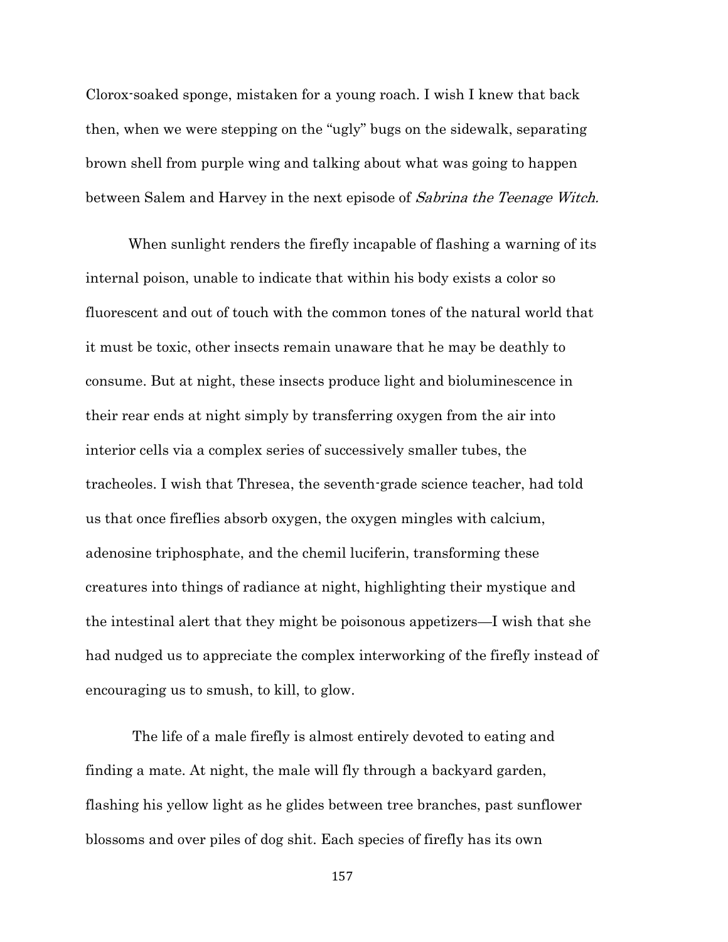Clorox-soaked sponge, mistaken for a young roach. I wish I knew that back then, when we were stepping on the "ugly" bugs on the sidewalk, separating brown shell from purple wing and talking about what was going to happen between Salem and Harvey in the next episode of Sabrina the Teenage Witch.

When sunlight renders the firefly incapable of flashing a warning of its internal poison, unable to indicate that within his body exists a color so fluorescent and out of touch with the common tones of the natural world that it must be toxic, other insects remain unaware that he may be deathly to consume. But at night, these insects produce light and bioluminescence in their rear ends at night simply by transferring oxygen from the air into interior cells via a complex series of successively smaller tubes, the tracheoles. I wish that Thresea, the seventh-grade science teacher, had told us that once fireflies absorb oxygen, the oxygen mingles with calcium, adenosine triphosphate, and the chemil luciferin, transforming these creatures into things of radiance at night, highlighting their mystique and the intestinal alert that they might be poisonous appetizers—I wish that she had nudged us to appreciate the complex interworking of the firefly instead of encouraging us to smush, to kill, to glow.

The life of a male firefly is almost entirely devoted to eating and finding a mate. At night, the male will fly through a backyard garden, flashing his yellow light as he glides between tree branches, past sunflower blossoms and over piles of dog shit. Each species of firefly has its own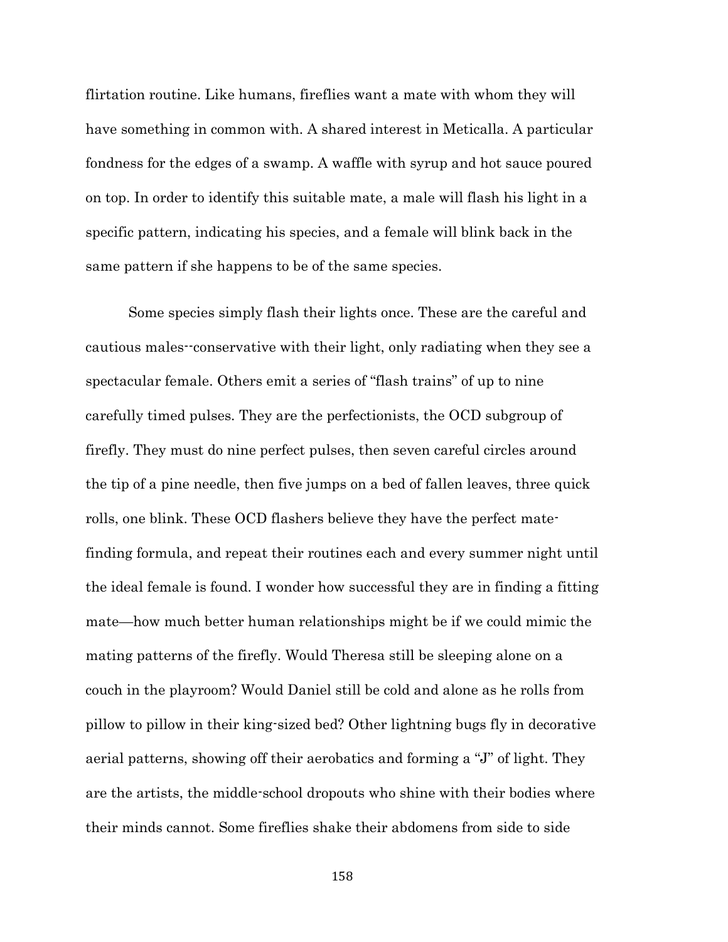flirtation routine. Like humans, fireflies want a mate with whom they will have something in common with. A shared interest in Meticalla. A particular fondness for the edges of a swamp. A waffle with syrup and hot sauce poured on top. In order to identify this suitable mate, a male will flash his light in a specific pattern, indicating his species, and a female will blink back in the same pattern if she happens to be of the same species.

Some species simply flash their lights once. These are the careful and cautious males--conservative with their light, only radiating when they see a spectacular female. Others emit a series of "flash trains" of up to nine carefully timed pulses. They are the perfectionists, the OCD subgroup of firefly. They must do nine perfect pulses, then seven careful circles around the tip of a pine needle, then five jumps on a bed of fallen leaves, three quick rolls, one blink. These OCD flashers believe they have the perfect matefinding formula, and repeat their routines each and every summer night until the ideal female is found. I wonder how successful they are in finding a fitting mate—how much better human relationships might be if we could mimic the mating patterns of the firefly. Would Theresa still be sleeping alone on a couch in the playroom? Would Daniel still be cold and alone as he rolls from pillow to pillow in their king-sized bed? Other lightning bugs fly in decorative aerial patterns, showing off their aerobatics and forming a "J" of light. They are the artists, the middle-school dropouts who shine with their bodies where their minds cannot. Some fireflies shake their abdomens from side to side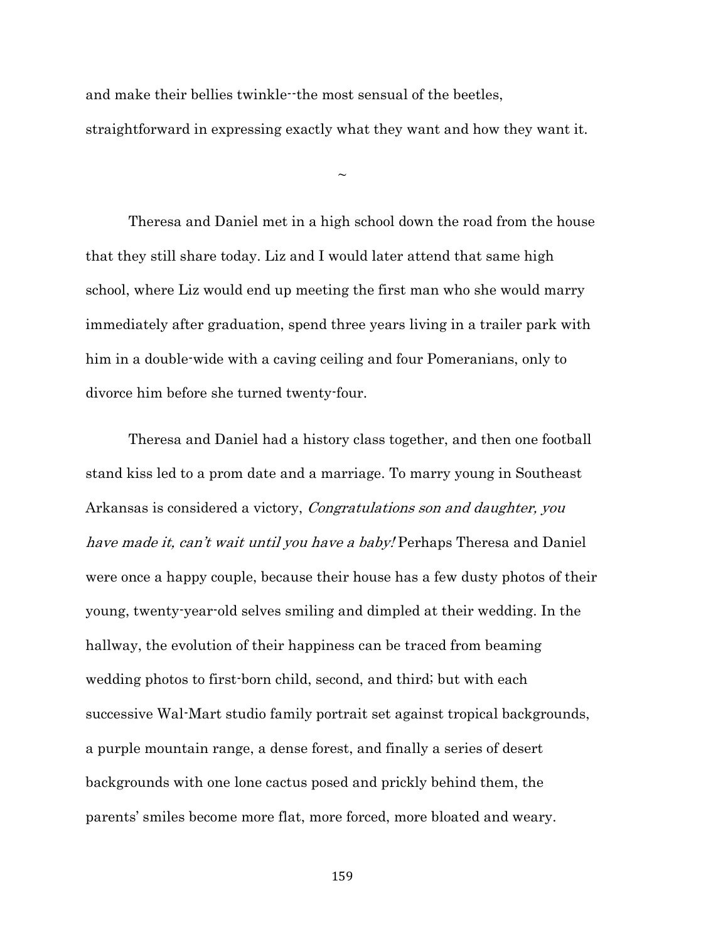and make their bellies twinkle--the most sensual of the beetles, straightforward in expressing exactly what they want and how they want it.

 $\sim$ 

Theresa and Daniel met in a high school down the road from the house that they still share today. Liz and I would later attend that same high school, where Liz would end up meeting the first man who she would marry immediately after graduation, spend three years living in a trailer park with him in a double-wide with a caving ceiling and four Pomeranians, only to divorce him before she turned twenty-four.

Theresa and Daniel had a history class together, and then one football stand kiss led to a prom date and a marriage. To marry young in Southeast Arkansas is considered a victory, Congratulations son and daughter, you have made it, can't wait until you have a baby! Perhaps Theresa and Daniel were once a happy couple, because their house has a few dusty photos of their young, twenty-year-old selves smiling and dimpled at their wedding. In the hallway, the evolution of their happiness can be traced from beaming wedding photos to first-born child, second, and third; but with each successive Wal-Mart studio family portrait set against tropical backgrounds, a purple mountain range, a dense forest, and finally a series of desert backgrounds with one lone cactus posed and prickly behind them, the parents' smiles become more flat, more forced, more bloated and weary.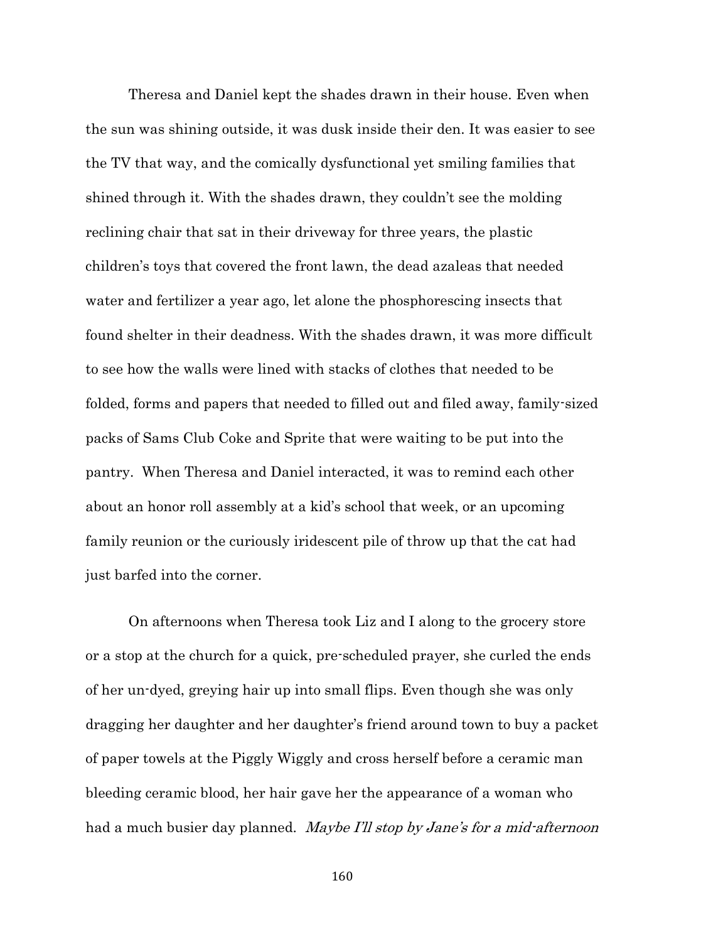Theresa and Daniel kept the shades drawn in their house. Even when the sun was shining outside, it was dusk inside their den. It was easier to see the TV that way, and the comically dysfunctional yet smiling families that shined through it. With the shades drawn, they couldn't see the molding reclining chair that sat in their driveway for three years, the plastic children's toys that covered the front lawn, the dead azaleas that needed water and fertilizer a year ago, let alone the phosphorescing insects that found shelter in their deadness. With the shades drawn, it was more difficult to see how the walls were lined with stacks of clothes that needed to be folded, forms and papers that needed to filled out and filed away, family-sized packs of Sams Club Coke and Sprite that were waiting to be put into the pantry. When Theresa and Daniel interacted, it was to remind each other about an honor roll assembly at a kid's school that week, or an upcoming family reunion or the curiously iridescent pile of throw up that the cat had just barfed into the corner.

On afternoons when Theresa took Liz and I along to the grocery store or a stop at the church for a quick, pre-scheduled prayer, she curled the ends of her un-dyed, greying hair up into small flips. Even though she was only dragging her daughter and her daughter's friend around town to buy a packet of paper towels at the Piggly Wiggly and cross herself before a ceramic man bleeding ceramic blood, her hair gave her the appearance of a woman who had a much busier day planned. Maybe I'll stop by Jane's for a mid-afternoon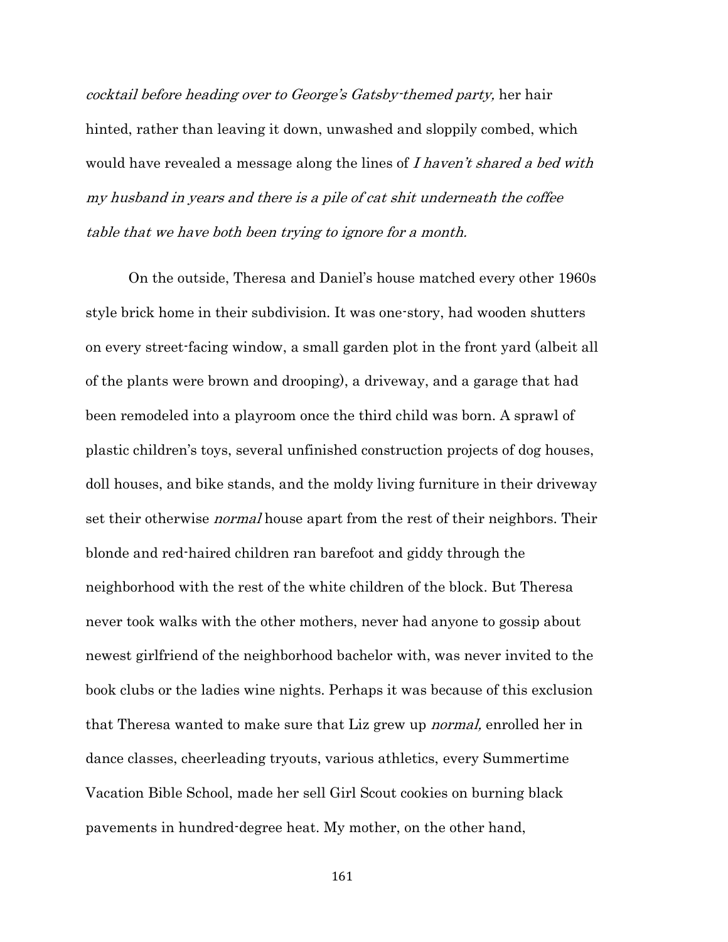cocktail before heading over to George's Gatsby-themed party, her hair hinted, rather than leaving it down, unwashed and sloppily combed, which would have revealed a message along the lines of I haven't shared a bed with my husband in years and there is a pile of cat shit underneath the coffee table that we have both been trying to ignore for a month.

On the outside, Theresa and Daniel's house matched every other 1960s style brick home in their subdivision. It was one-story, had wooden shutters on every street-facing window, a small garden plot in the front yard (albeit all of the plants were brown and drooping), a driveway, and a garage that had been remodeled into a playroom once the third child was born. A sprawl of plastic children's toys, several unfinished construction projects of dog houses, doll houses, and bike stands, and the moldy living furniture in their driveway set their otherwise *normal* house apart from the rest of their neighbors. Their blonde and red-haired children ran barefoot and giddy through the neighborhood with the rest of the white children of the block. But Theresa never took walks with the other mothers, never had anyone to gossip about newest girlfriend of the neighborhood bachelor with, was never invited to the book clubs or the ladies wine nights. Perhaps it was because of this exclusion that Theresa wanted to make sure that Liz grew up normal, enrolled her in dance classes, cheerleading tryouts, various athletics, every Summertime Vacation Bible School, made her sell Girl Scout cookies on burning black pavements in hundred-degree heat. My mother, on the other hand,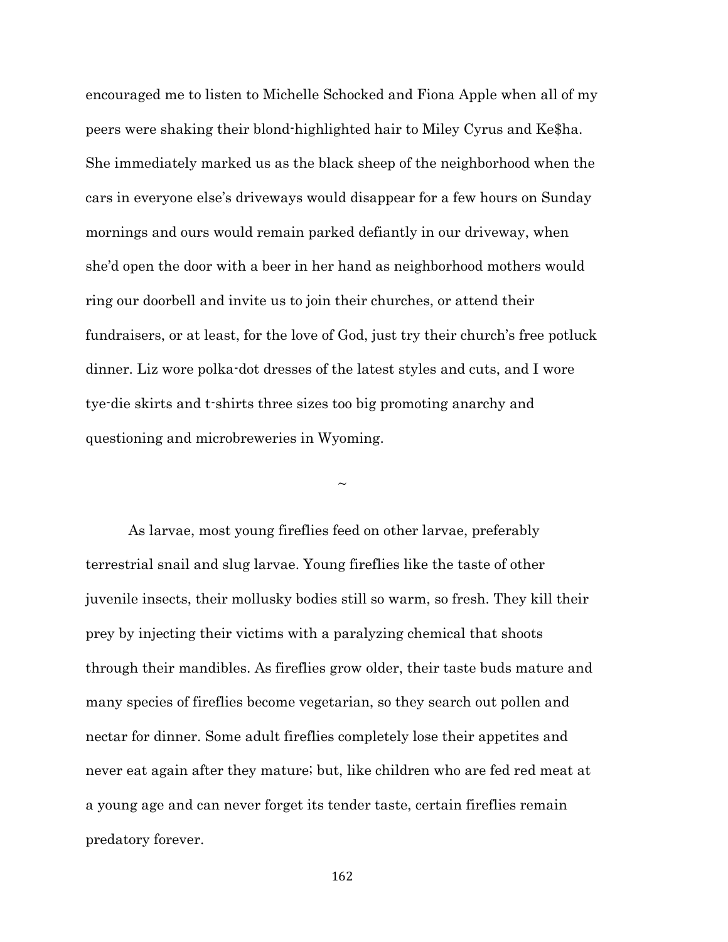encouraged me to listen to Michelle Schocked and Fiona Apple when all of my peers were shaking their blond-highlighted hair to Miley Cyrus and Ke\$ha. She immediately marked us as the black sheep of the neighborhood when the cars in everyone else's driveways would disappear for a few hours on Sunday mornings and ours would remain parked defiantly in our driveway, when she'd open the door with a beer in her hand as neighborhood mothers would ring our doorbell and invite us to join their churches, or attend their fundraisers, or at least, for the love of God, just try their church's free potluck dinner. Liz wore polka-dot dresses of the latest styles and cuts, and I wore tye-die skirts and t-shirts three sizes too big promoting anarchy and questioning and microbreweries in Wyoming.

 $\sim$ 

As larvae, most young fireflies feed on other larvae, preferably terrestrial snail and slug larvae. Young fireflies like the taste of other juvenile insects, their mollusky bodies still so warm, so fresh. They kill their prey by injecting their victims with a paralyzing chemical that shoots through their mandibles. As fireflies grow older, their taste buds mature and many species of fireflies become vegetarian, so they search out pollen and nectar for dinner. Some adult fireflies completely lose their appetites and never eat again after they mature; but, like children who are fed red meat at a young age and can never forget its tender taste, certain fireflies remain predatory forever.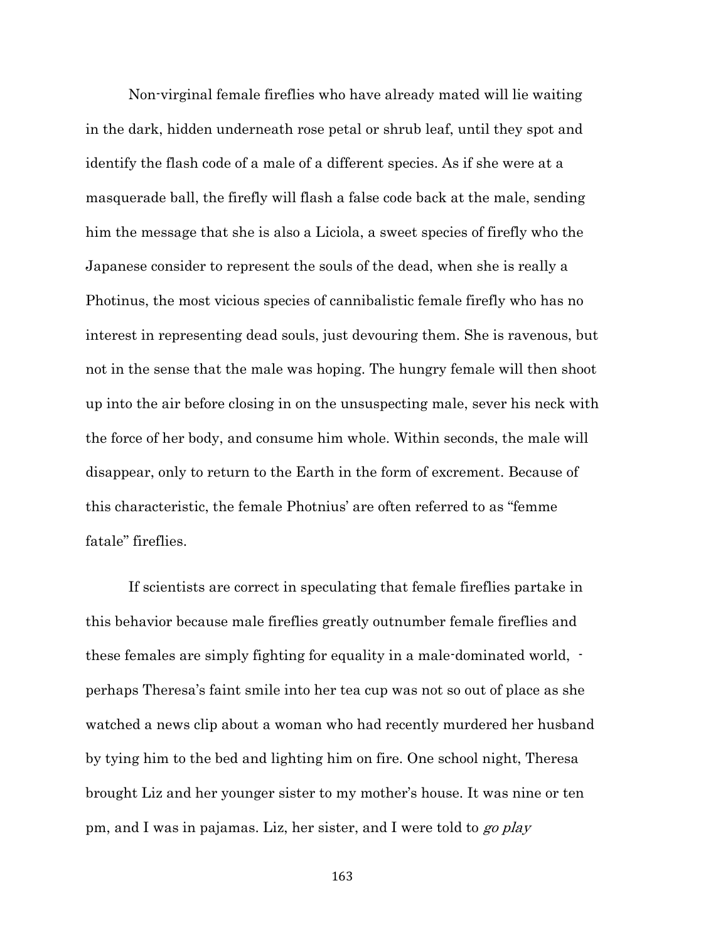Non-virginal female fireflies who have already mated will lie waiting in the dark, hidden underneath rose petal or shrub leaf, until they spot and identify the flash code of a male of a different species. As if she were at a masquerade ball, the firefly will flash a false code back at the male, sending him the message that she is also a Liciola, a sweet species of firefly who the Japanese consider to represent the souls of the dead, when she is really a Photinus, the most vicious species of cannibalistic female firefly who has no interest in representing dead souls, just devouring them. She is ravenous, but not in the sense that the male was hoping. The hungry female will then shoot up into the air before closing in on the unsuspecting male, sever his neck with the force of her body, and consume him whole. Within seconds, the male will disappear, only to return to the Earth in the form of excrement. Because of this characteristic, the female Photnius' are often referred to as "femme fatale" fireflies.

If scientists are correct in speculating that female fireflies partake in this behavior because male fireflies greatly outnumber female fireflies and these females are simply fighting for equality in a male-dominated world, perhaps Theresa's faint smile into her tea cup was not so out of place as she watched a news clip about a woman who had recently murdered her husband by tying him to the bed and lighting him on fire. One school night, Theresa brought Liz and her younger sister to my mother's house. It was nine or ten pm, and I was in pajamas. Liz, her sister, and I were told to go play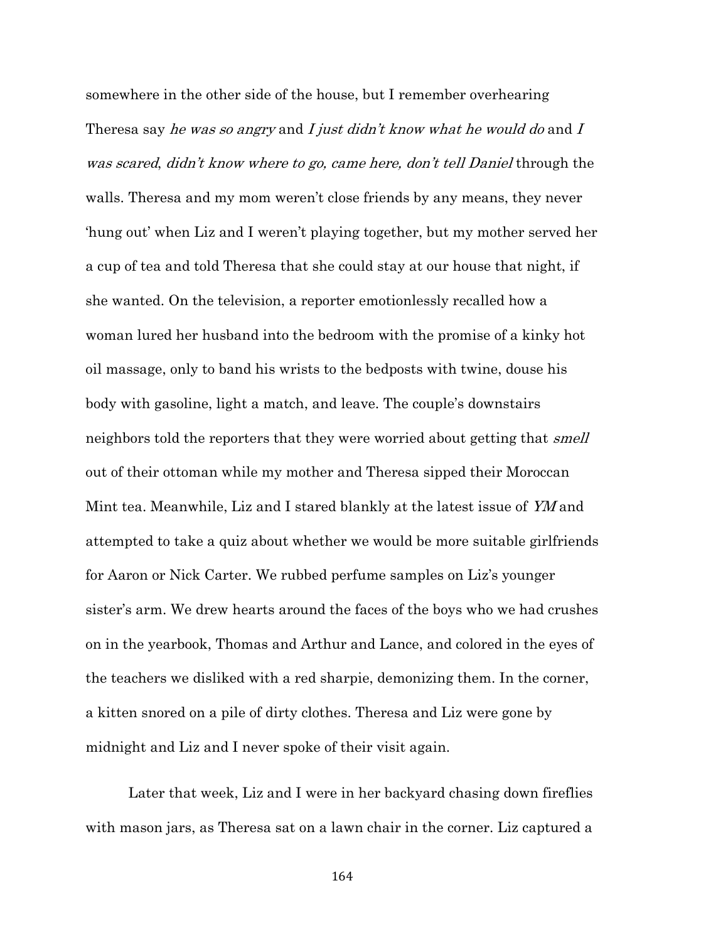somewhere in the other side of the house, but I remember overhearing Theresa say *he was so angry* and *I just didn't know what he would do* and *I* was scared, didn't know where to go, came here, don't tell Daniel through the walls. Theresa and my mom weren't close friends by any means, they never 'hung out' when Liz and I weren't playing together, but my mother served her a cup of tea and told Theresa that she could stay at our house that night, if she wanted. On the television, a reporter emotionlessly recalled how a woman lured her husband into the bedroom with the promise of a kinky hot oil massage, only to band his wrists to the bedposts with twine, douse his body with gasoline, light a match, and leave. The couple's downstairs neighbors told the reporters that they were worried about getting that *smell* out of their ottoman while my mother and Theresa sipped their Moroccan Mint tea. Meanwhile, Liz and I stared blankly at the latest issue of YM and attempted to take a quiz about whether we would be more suitable girlfriends for Aaron or Nick Carter. We rubbed perfume samples on Liz's younger sister's arm. We drew hearts around the faces of the boys who we had crushes on in the yearbook, Thomas and Arthur and Lance, and colored in the eyes of the teachers we disliked with a red sharpie, demonizing them. In the corner, a kitten snored on a pile of dirty clothes. Theresa and Liz were gone by midnight and Liz and I never spoke of their visit again.

Later that week, Liz and I were in her backyard chasing down fireflies with mason jars, as Theresa sat on a lawn chair in the corner. Liz captured a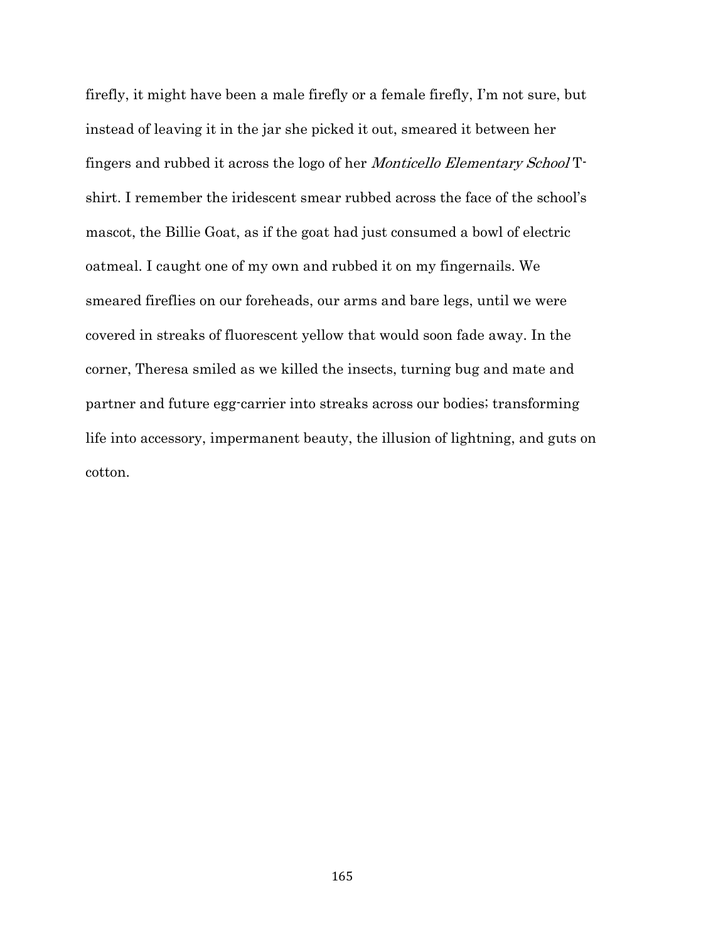firefly, it might have been a male firefly or a female firefly, I'm not sure, but instead of leaving it in the jar she picked it out, smeared it between her fingers and rubbed it across the logo of her Monticello Elementary School Tshirt. I remember the iridescent smear rubbed across the face of the school's mascot, the Billie Goat, as if the goat had just consumed a bowl of electric oatmeal. I caught one of my own and rubbed it on my fingernails. We smeared fireflies on our foreheads, our arms and bare legs, until we were covered in streaks of fluorescent yellow that would soon fade away. In the corner, Theresa smiled as we killed the insects, turning bug and mate and partner and future egg-carrier into streaks across our bodies; transforming life into accessory, impermanent beauty, the illusion of lightning, and guts on cotton.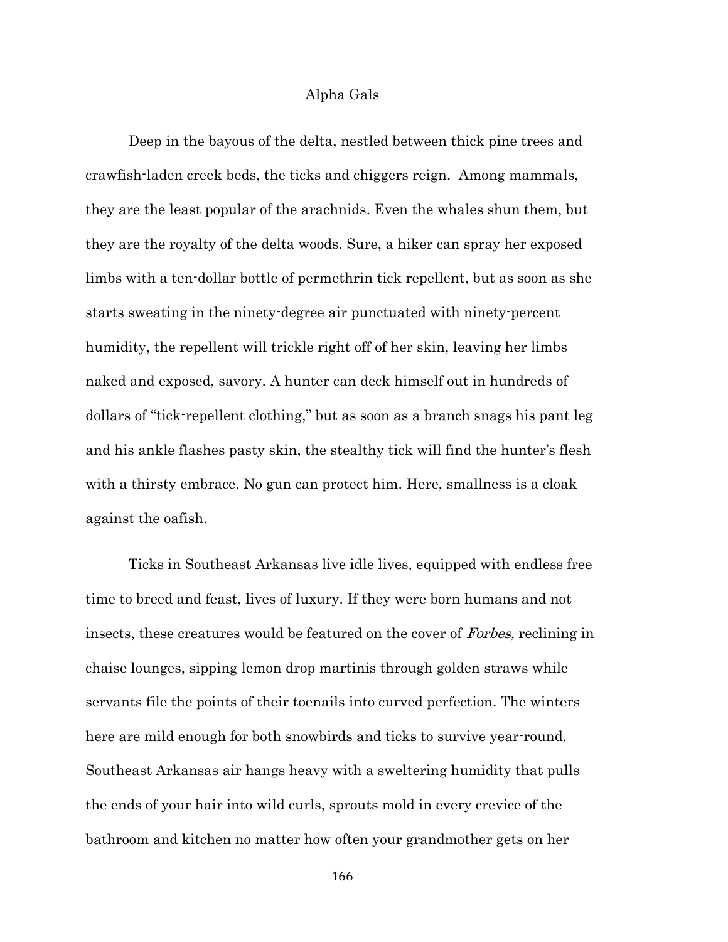## Alpha Gals

Deep in the bayous of the delta, nestled between thick pine trees and crawfish-laden creek beds, the ticks and chiggers reign. Among mammals, they are the least popular of the arachnids. Even the whales shun them, but they are the royalty of the delta woods. Sure, a hiker can spray her exposed limbs with a ten-dollar bottle of permethrin tick repellent, but as soon as she starts sweating in the ninety-degree air punctuated with ninety-percent humidity, the repellent will trickle right off of her skin, leaving her limbs naked and exposed, savory. A hunter can deck himself out in hundreds of dollars of "tick-repellent clothing," but as soon as a branch snags his pant leg and his ankle flashes pasty skin, the stealthy tick will find the hunter's flesh with a thirsty embrace. No gun can protect him. Here, smallness is a cloak against the oafish.

Ticks in Southeast Arkansas live idle lives, equipped with endless free time to breed and feast, lives of luxury. If they were born humans and not insects, these creatures would be featured on the cover of Forbes, reclining in chaise lounges, sipping lemon drop martinis through golden straws while servants file the points of their toenails into curved perfection. The winters here are mild enough for both snowbirds and ticks to survive year-round. Southeast Arkansas air hangs heavy with a sweltering humidity that pulls the ends of your hair into wild curls, sprouts mold in every crevice of the bathroom and kitchen no matter how often your grandmother gets on her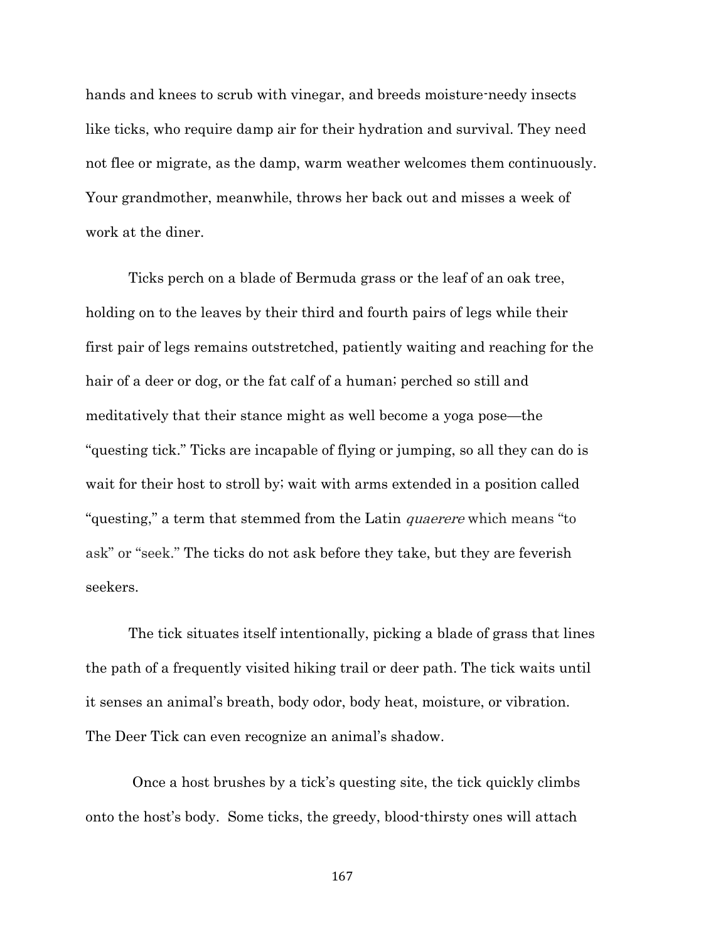hands and knees to scrub with vinegar, and breeds moisture-needy insects like ticks, who require damp air for their hydration and survival. They need not flee or migrate, as the damp, warm weather welcomes them continuously. Your grandmother, meanwhile, throws her back out and misses a week of work at the diner.

Ticks perch on a blade of Bermuda grass or the leaf of an oak tree, holding on to the leaves by their third and fourth pairs of legs while their first pair of legs remains outstretched, patiently waiting and reaching for the hair of a deer or dog, or the fat calf of a human; perched so still and meditatively that their stance might as well become a yoga pose—the "questing tick." Ticks are incapable of flying or jumping, so all they can do is wait for their host to stroll by; wait with arms extended in a position called "questing," a term that stemmed from the Latin *quaerere* which means "to ask" or "seek." The ticks do not ask before they take, but they are feverish seekers.

The tick situates itself intentionally, picking a blade of grass that lines the path of a frequently visited hiking trail or deer path. The tick waits until it senses an animal's breath, body odor, body heat, moisture, or vibration. The Deer Tick can even recognize an animal's shadow.

Once a host brushes by a tick's questing site, the tick quickly climbs onto the host's body. Some ticks, the greedy, blood-thirsty ones will attach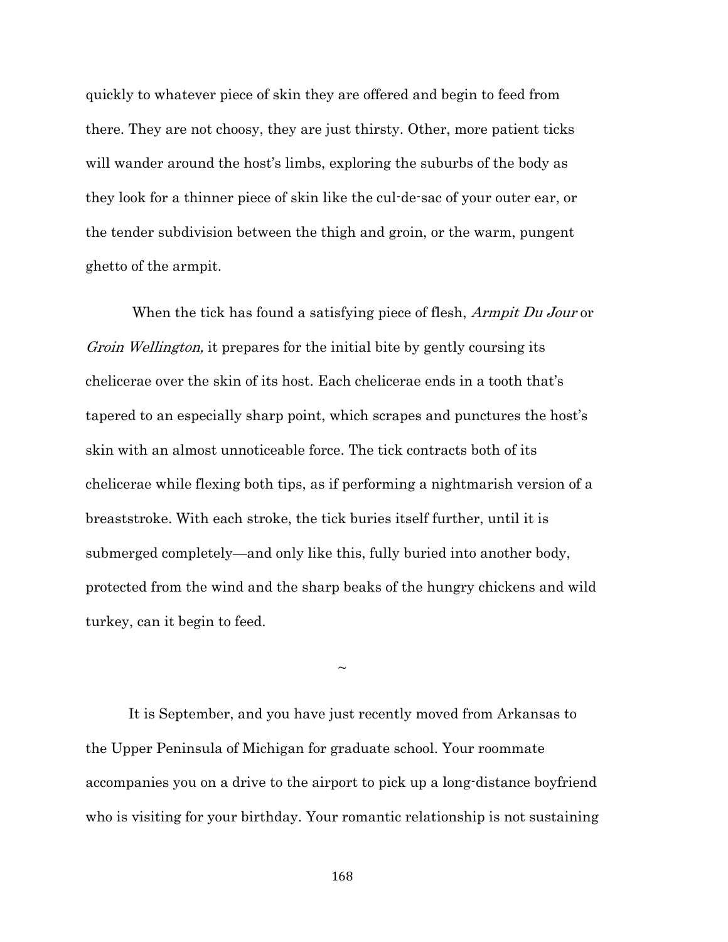quickly to whatever piece of skin they are offered and begin to feed from there. They are not choosy, they are just thirsty. Other, more patient ticks will wander around the host's limbs, exploring the suburbs of the body as they look for a thinner piece of skin like the cul-de-sac of your outer ear, or the tender subdivision between the thigh and groin, or the warm, pungent ghetto of the armpit.

When the tick has found a satisfying piece of flesh, *Armpit Du Jour* or Groin Wellington, it prepares for the initial bite by gently coursing its chelicerae over the skin of its host. Each chelicerae ends in a tooth that's tapered to an especially sharp point, which scrapes and punctures the host's skin with an almost unnoticeable force. The tick contracts both of its chelicerae while flexing both tips, as if performing a nightmarish version of a breaststroke. With each stroke, the tick buries itself further, until it is submerged completely—and only like this, fully buried into another body, protected from the wind and the sharp beaks of the hungry chickens and wild turkey, can it begin to feed.

 $\sim$ 

It is September, and you have just recently moved from Arkansas to the Upper Peninsula of Michigan for graduate school. Your roommate accompanies you on a drive to the airport to pick up a long-distance boyfriend who is visiting for your birthday. Your romantic relationship is not sustaining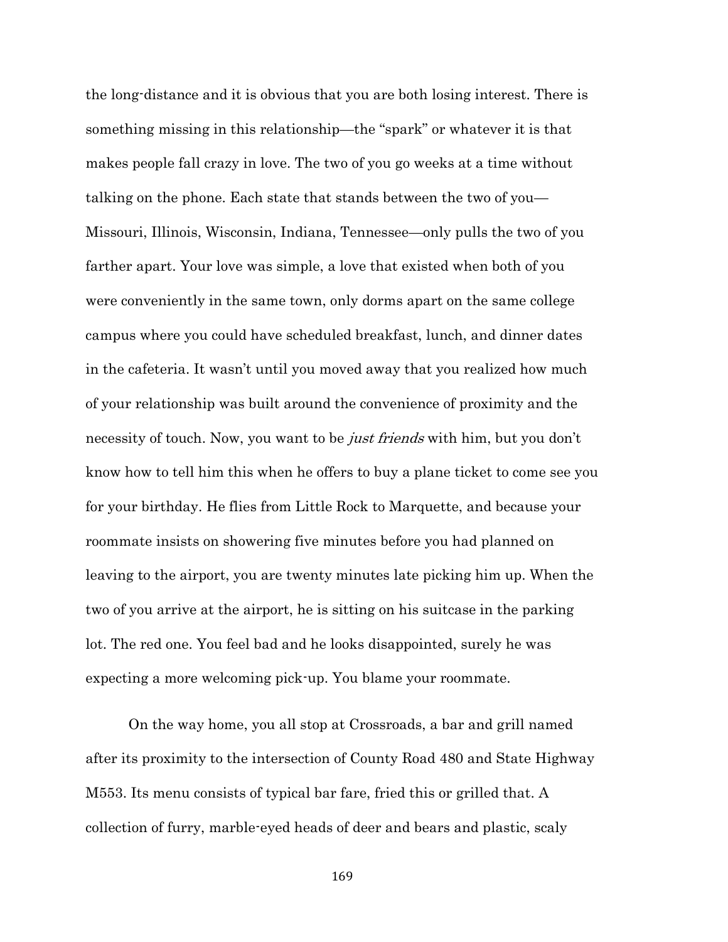the long-distance and it is obvious that you are both losing interest. There is something missing in this relationship—the "spark" or whatever it is that makes people fall crazy in love. The two of you go weeks at a time without talking on the phone. Each state that stands between the two of you— Missouri, Illinois, Wisconsin, Indiana, Tennessee—only pulls the two of you farther apart. Your love was simple, a love that existed when both of you were conveniently in the same town, only dorms apart on the same college campus where you could have scheduled breakfast, lunch, and dinner dates in the cafeteria. It wasn't until you moved away that you realized how much of your relationship was built around the convenience of proximity and the necessity of touch. Now, you want to be *just friends* with him, but you don't know how to tell him this when he offers to buy a plane ticket to come see you for your birthday. He flies from Little Rock to Marquette, and because your roommate insists on showering five minutes before you had planned on leaving to the airport, you are twenty minutes late picking him up. When the two of you arrive at the airport, he is sitting on his suitcase in the parking lot. The red one. You feel bad and he looks disappointed, surely he was expecting a more welcoming pick-up. You blame your roommate.

On the way home, you all stop at Crossroads, a bar and grill named after its proximity to the intersection of County Road 480 and State Highway M553. Its menu consists of typical bar fare, fried this or grilled that. A collection of furry, marble-eyed heads of deer and bears and plastic, scaly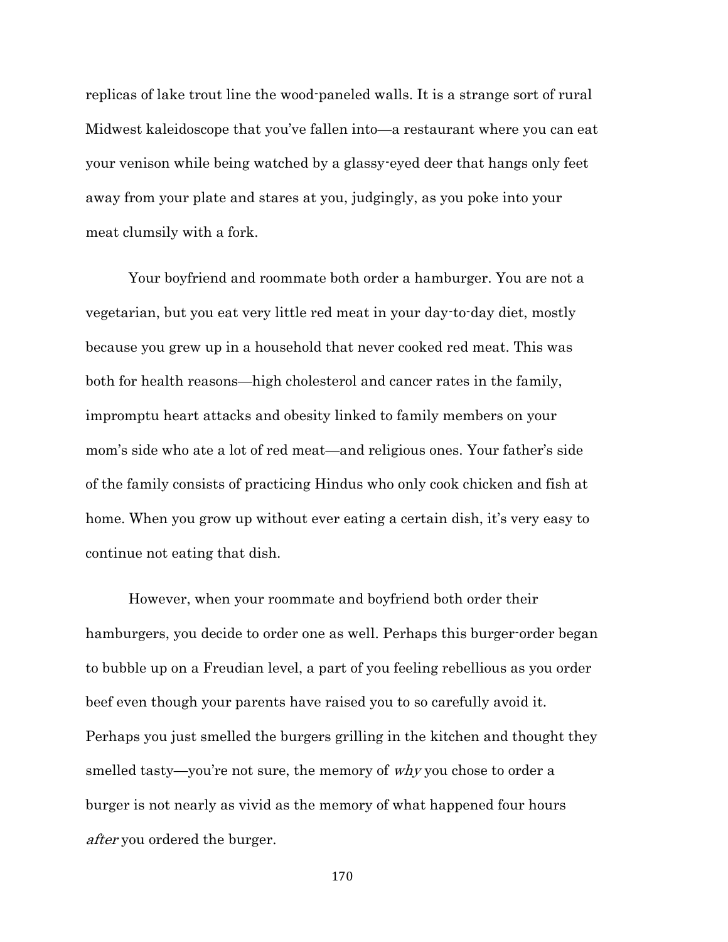replicas of lake trout line the wood-paneled walls. It is a strange sort of rural Midwest kaleidoscope that you've fallen into—a restaurant where you can eat your venison while being watched by a glassy-eyed deer that hangs only feet away from your plate and stares at you, judgingly, as you poke into your meat clumsily with a fork.

Your boyfriend and roommate both order a hamburger. You are not a vegetarian, but you eat very little red meat in your day-to-day diet, mostly because you grew up in a household that never cooked red meat. This was both for health reasons—high cholesterol and cancer rates in the family, impromptu heart attacks and obesity linked to family members on your mom's side who ate a lot of red meat—and religious ones. Your father's side of the family consists of practicing Hindus who only cook chicken and fish at home. When you grow up without ever eating a certain dish, it's very easy to continue not eating that dish.

However, when your roommate and boyfriend both order their hamburgers, you decide to order one as well. Perhaps this burger-order began to bubble up on a Freudian level, a part of you feeling rebellious as you order beef even though your parents have raised you to so carefully avoid it. Perhaps you just smelled the burgers grilling in the kitchen and thought they smelled tasty—you're not sure, the memory of why you chose to order a burger is not nearly as vivid as the memory of what happened four hours after you ordered the burger.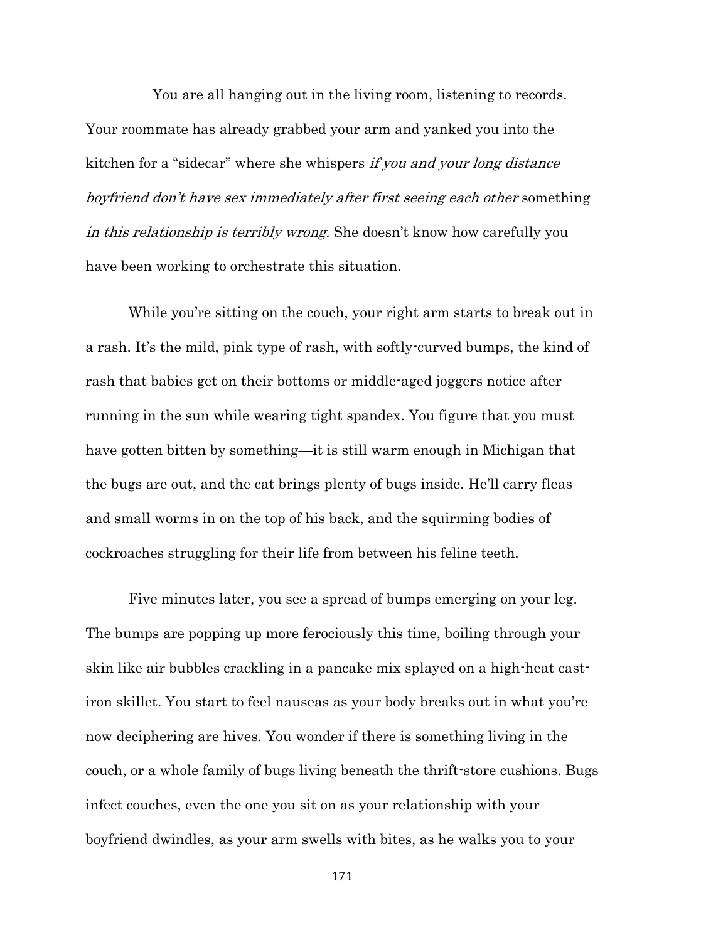You are all hanging out in the living room, listening to records. Your roommate has already grabbed your arm and yanked you into the kitchen for a "sidecar" where she whispers if you and your long distance boyfriend don't have sex immediately after first seeing each other something in this relationship is terribly wrong. She doesn't know how carefully you have been working to orchestrate this situation.

While you're sitting on the couch, your right arm starts to break out in a rash. It's the mild, pink type of rash, with softly-curved bumps, the kind of rash that babies get on their bottoms or middle-aged joggers notice after running in the sun while wearing tight spandex. You figure that you must have gotten bitten by something—it is still warm enough in Michigan that the bugs are out, and the cat brings plenty of bugs inside. He'll carry fleas and small worms in on the top of his back, and the squirming bodies of cockroaches struggling for their life from between his feline teeth.

Five minutes later, you see a spread of bumps emerging on your leg. The bumps are popping up more ferociously this time, boiling through your skin like air bubbles crackling in a pancake mix splayed on a high-heat castiron skillet. You start to feel nauseas as your body breaks out in what you're now deciphering are hives. You wonder if there is something living in the couch, or a whole family of bugs living beneath the thrift-store cushions. Bugs infect couches, even the one you sit on as your relationship with your boyfriend dwindles, as your arm swells with bites, as he walks you to your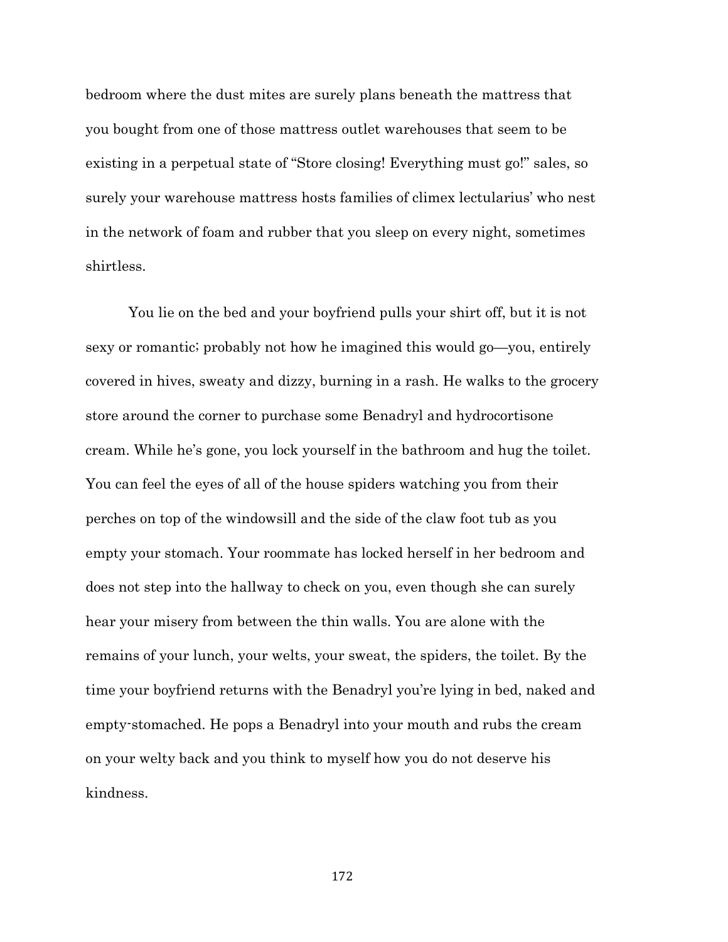bedroom where the dust mites are surely plans beneath the mattress that you bought from one of those mattress outlet warehouses that seem to be existing in a perpetual state of "Store closing! Everything must go!" sales, so surely your warehouse mattress hosts families of climex lectularius' who nest in the network of foam and rubber that you sleep on every night, sometimes shirtless.

You lie on the bed and your boyfriend pulls your shirt off, but it is not sexy or romantic; probably not how he imagined this would go—you, entirely covered in hives, sweaty and dizzy, burning in a rash. He walks to the grocery store around the corner to purchase some Benadryl and hydrocortisone cream. While he's gone, you lock yourself in the bathroom and hug the toilet. You can feel the eyes of all of the house spiders watching you from their perches on top of the windowsill and the side of the claw foot tub as you empty your stomach. Your roommate has locked herself in her bedroom and does not step into the hallway to check on you, even though she can surely hear your misery from between the thin walls. You are alone with the remains of your lunch, your welts, your sweat, the spiders, the toilet. By the time your boyfriend returns with the Benadryl you're lying in bed, naked and empty-stomached. He pops a Benadryl into your mouth and rubs the cream on your welty back and you think to myself how you do not deserve his kindness.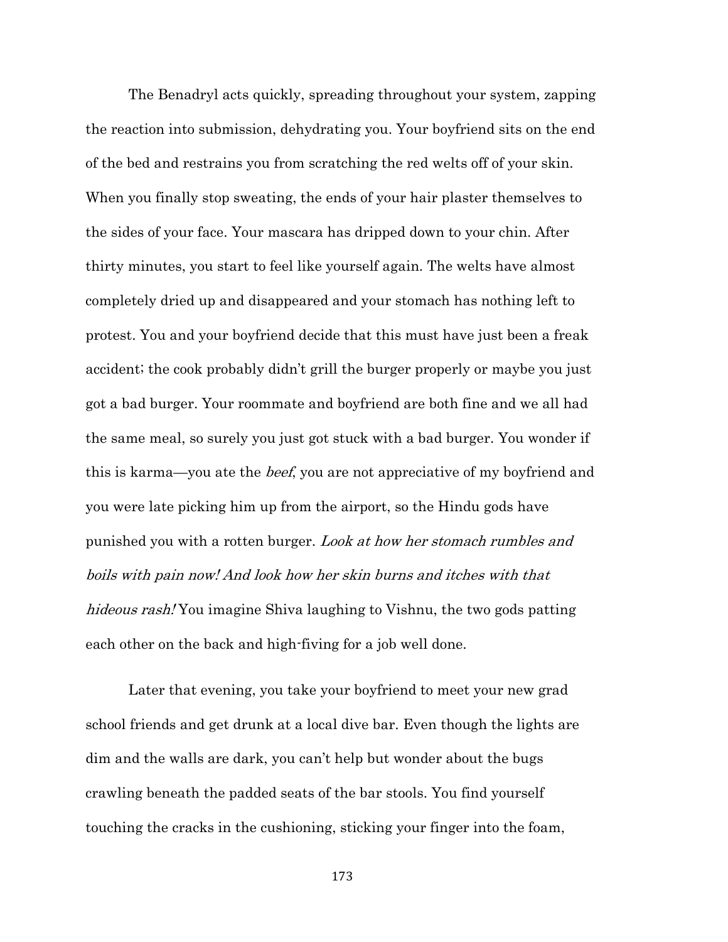The Benadryl acts quickly, spreading throughout your system, zapping the reaction into submission, dehydrating you. Your boyfriend sits on the end of the bed and restrains you from scratching the red welts off of your skin. When you finally stop sweating, the ends of your hair plaster themselves to the sides of your face. Your mascara has dripped down to your chin. After thirty minutes, you start to feel like yourself again. The welts have almost completely dried up and disappeared and your stomach has nothing left to protest. You and your boyfriend decide that this must have just been a freak accident; the cook probably didn't grill the burger properly or maybe you just got a bad burger. Your roommate and boyfriend are both fine and we all had the same meal, so surely you just got stuck with a bad burger. You wonder if this is karma—you ate the *beef*, you are not appreciative of my boyfriend and you were late picking him up from the airport, so the Hindu gods have punished you with a rotten burger. Look at how her stomach rumbles and boils with pain now! And look how her skin burns and itches with that hideous rash! You imagine Shiva laughing to Vishnu, the two gods patting each other on the back and high-fiving for a job well done.

Later that evening, you take your boyfriend to meet your new grad school friends and get drunk at a local dive bar. Even though the lights are dim and the walls are dark, you can't help but wonder about the bugs crawling beneath the padded seats of the bar stools. You find yourself touching the cracks in the cushioning, sticking your finger into the foam,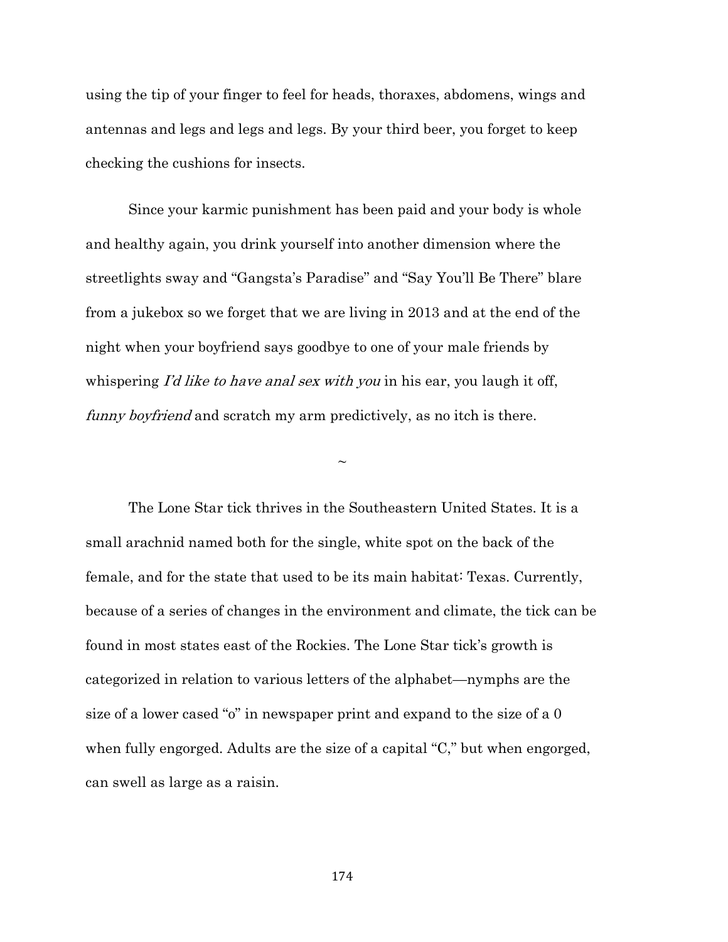using the tip of your finger to feel for heads, thoraxes, abdomens, wings and antennas and legs and legs and legs. By your third beer, you forget to keep checking the cushions for insects.

Since your karmic punishment has been paid and your body is whole and healthy again, you drink yourself into another dimension where the streetlights sway and "Gangsta's Paradise" and "Say You'll Be There" blare from a jukebox so we forget that we are living in 2013 and at the end of the night when your boyfriend says goodbye to one of your male friends by whispering I'd like to have anal sex with you in his ear, you laugh it off, funny boyfriend and scratch my arm predictively, as no itch is there.

 $\sim$ 

The Lone Star tick thrives in the Southeastern United States. It is a small arachnid named both for the single, white spot on the back of the female, and for the state that used to be its main habitat: Texas. Currently, because of a series of changes in the environment and climate, the tick can be found in most states east of the Rockies. The Lone Star tick's growth is categorized in relation to various letters of the alphabet—nymphs are the size of a lower cased "o" in newspaper print and expand to the size of a 0 when fully engorged. Adults are the size of a capital "C," but when engorged, can swell as large as a raisin.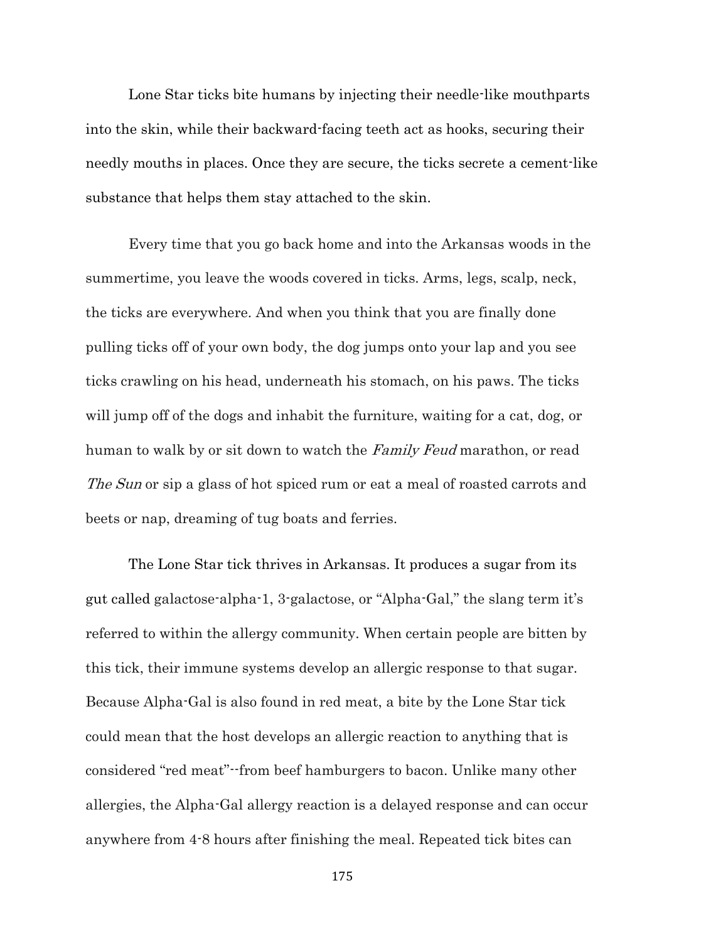Lone Star ticks bite humans by injecting their needle-like mouthparts into the skin, while their backward-facing teeth act as hooks, securing their needly mouths in places. Once they are secure, the ticks secrete a cement-like substance that helps them stay attached to the skin.

Every time that you go back home and into the Arkansas woods in the summertime, you leave the woods covered in ticks. Arms, legs, scalp, neck, the ticks are everywhere. And when you think that you are finally done pulling ticks off of your own body, the dog jumps onto your lap and you see ticks crawling on his head, underneath his stomach, on his paws. The ticks will jump off of the dogs and inhabit the furniture, waiting for a cat, dog, or human to walk by or sit down to watch the Family Feud marathon, or read The Sun or sip a glass of hot spiced rum or eat a meal of roasted carrots and beets or nap, dreaming of tug boats and ferries.

The Lone Star tick thrives in Arkansas. It produces a sugar from its gut called galactose-alpha-1, 3-galactose, or "Alpha-Gal," the slang term it's referred to within the allergy community. When certain people are bitten by this tick, their immune systems develop an allergic response to that sugar. Because Alpha-Gal is also found in red meat, a bite by the Lone Star tick could mean that the host develops an allergic reaction to anything that is considered "red meat"--from beef hamburgers to bacon. Unlike many other allergies, the Alpha-Gal allergy reaction is a delayed response and can occur anywhere from 4-8 hours after finishing the meal. Repeated tick bites can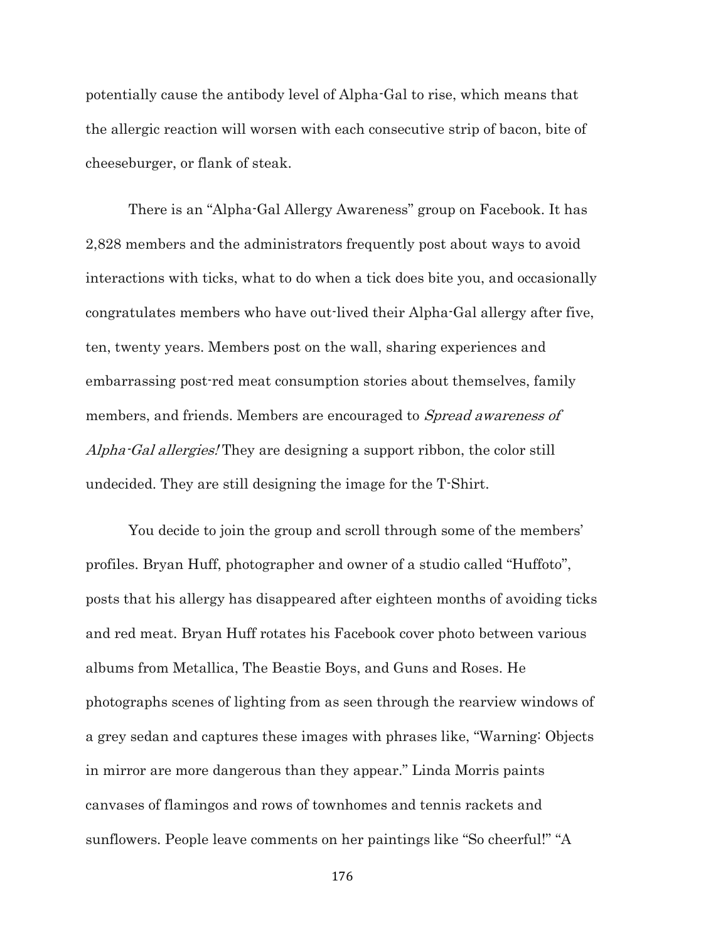potentially cause the antibody level of Alpha-Gal to rise, which means that the allergic reaction will worsen with each consecutive strip of bacon, bite of cheeseburger, or flank of steak.

There is an "Alpha-Gal Allergy Awareness" group on Facebook. It has 2,828 members and the administrators frequently post about ways to avoid interactions with ticks, what to do when a tick does bite you, and occasionally congratulates members who have out-lived their Alpha-Gal allergy after five, ten, twenty years. Members post on the wall, sharing experiences and embarrassing post-red meat consumption stories about themselves, family members, and friends. Members are encouraged to *Spread awareness of* Alpha-Gal allergies! They are designing a support ribbon, the color still undecided. They are still designing the image for the T-Shirt.

You decide to join the group and scroll through some of the members' profiles. Bryan Huff, photographer and owner of a studio called "Huffoto", posts that his allergy has disappeared after eighteen months of avoiding ticks and red meat. Bryan Huff rotates his Facebook cover photo between various albums from Metallica, The Beastie Boys, and Guns and Roses. He photographs scenes of lighting from as seen through the rearview windows of a grey sedan and captures these images with phrases like, "Warning: Objects in mirror are more dangerous than they appear." Linda Morris paints canvases of flamingos and rows of townhomes and tennis rackets and sunflowers. People leave comments on her paintings like "So cheerful!" "A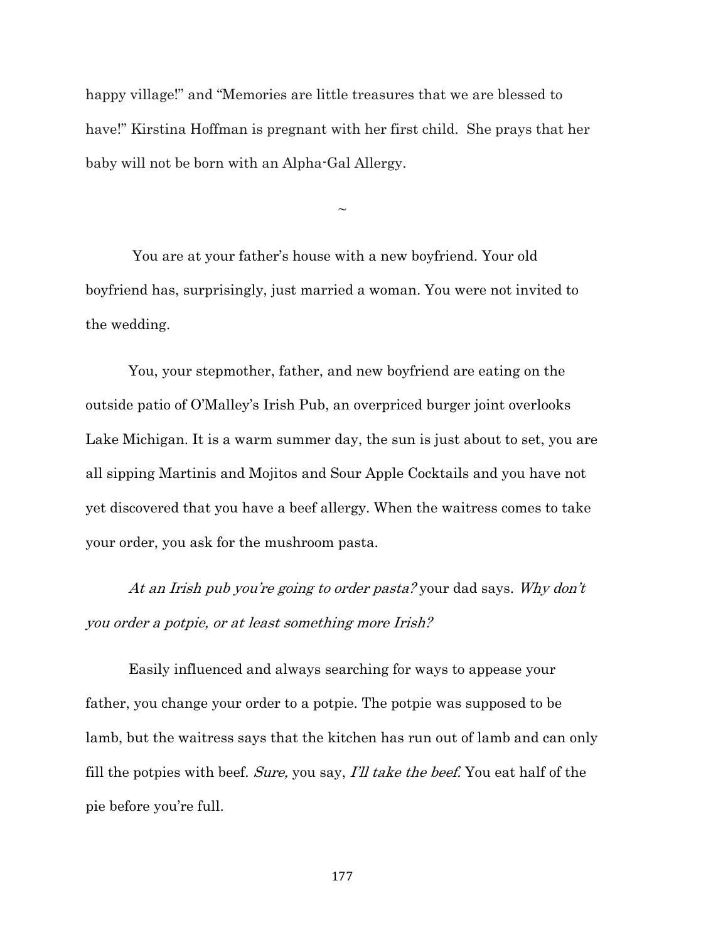happy village!" and "Memories are little treasures that we are blessed to have!" Kirstina Hoffman is pregnant with her first child. She prays that her baby will not be born with an Alpha-Gal Allergy.

 $\sim$ 

You are at your father's house with a new boyfriend. Your old boyfriend has, surprisingly, just married a woman. You were not invited to the wedding.

You, your stepmother, father, and new boyfriend are eating on the outside patio of O'Malley's Irish Pub, an overpriced burger joint overlooks Lake Michigan. It is a warm summer day, the sun is just about to set, you are all sipping Martinis and Mojitos and Sour Apple Cocktails and you have not yet discovered that you have a beef allergy. When the waitress comes to take your order, you ask for the mushroom pasta.

At an Irish pub you're going to order pasta? your dad says. Why don't you order a potpie, or at least something more Irish?

Easily influenced and always searching for ways to appease your father, you change your order to a potpie. The potpie was supposed to be lamb, but the waitress says that the kitchen has run out of lamb and can only fill the potpies with beef. Sure, you say, I'll take the beef. You eat half of the pie before you're full.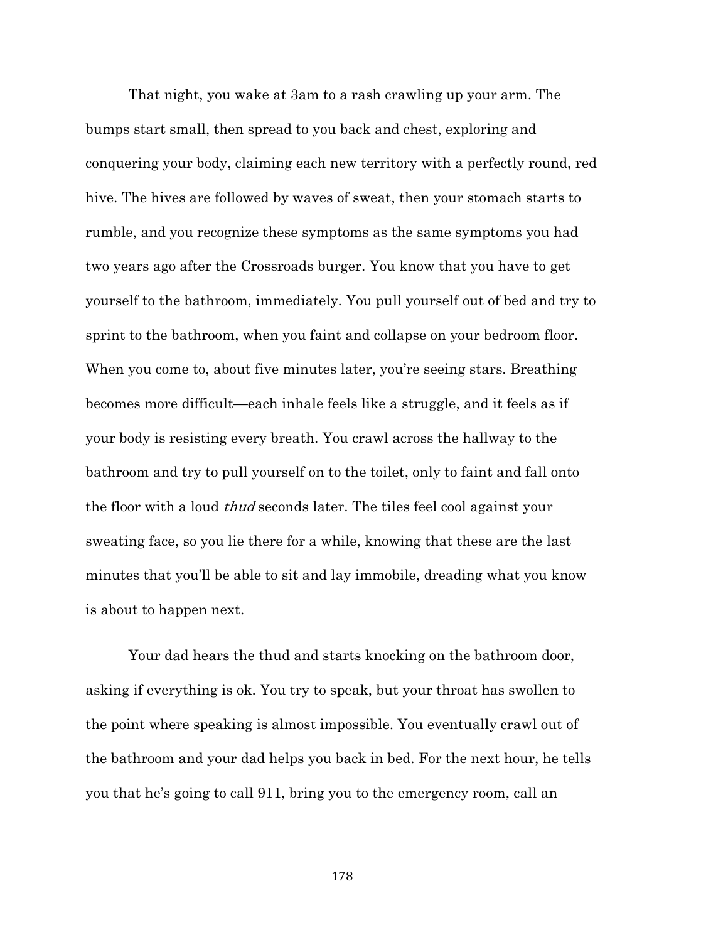That night, you wake at 3am to a rash crawling up your arm. The bumps start small, then spread to you back and chest, exploring and conquering your body, claiming each new territory with a perfectly round, red hive. The hives are followed by waves of sweat, then your stomach starts to rumble, and you recognize these symptoms as the same symptoms you had two years ago after the Crossroads burger. You know that you have to get yourself to the bathroom, immediately. You pull yourself out of bed and try to sprint to the bathroom, when you faint and collapse on your bedroom floor. When you come to, about five minutes later, you're seeing stars. Breathing becomes more difficult—each inhale feels like a struggle, and it feels as if your body is resisting every breath. You crawl across the hallway to the bathroom and try to pull yourself on to the toilet, only to faint and fall onto the floor with a loud thud seconds later. The tiles feel cool against your sweating face, so you lie there for a while, knowing that these are the last minutes that you'll be able to sit and lay immobile, dreading what you know is about to happen next.

Your dad hears the thud and starts knocking on the bathroom door, asking if everything is ok. You try to speak, but your throat has swollen to the point where speaking is almost impossible. You eventually crawl out of the bathroom and your dad helps you back in bed. For the next hour, he tells you that he's going to call 911, bring you to the emergency room, call an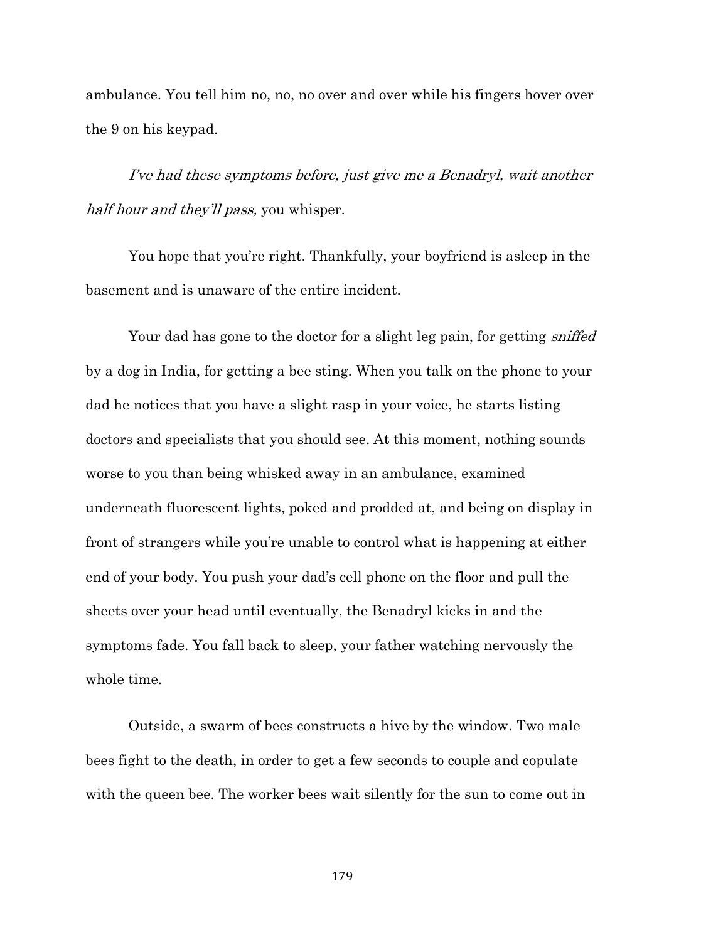ambulance. You tell him no, no, no over and over while his fingers hover over the 9 on his keypad.

I've had these symptoms before, just give me a Benadryl, wait another half hour and they'll pass, you whisper.

You hope that you're right. Thankfully, your boyfriend is asleep in the basement and is unaware of the entire incident.

Your dad has gone to the doctor for a slight leg pain, for getting *sniffed* by a dog in India, for getting a bee sting. When you talk on the phone to your dad he notices that you have a slight rasp in your voice, he starts listing doctors and specialists that you should see. At this moment, nothing sounds worse to you than being whisked away in an ambulance, examined underneath fluorescent lights, poked and prodded at, and being on display in front of strangers while you're unable to control what is happening at either end of your body. You push your dad's cell phone on the floor and pull the sheets over your head until eventually, the Benadryl kicks in and the symptoms fade. You fall back to sleep, your father watching nervously the whole time.

Outside, a swarm of bees constructs a hive by the window. Two male bees fight to the death, in order to get a few seconds to couple and copulate with the queen bee. The worker bees wait silently for the sun to come out in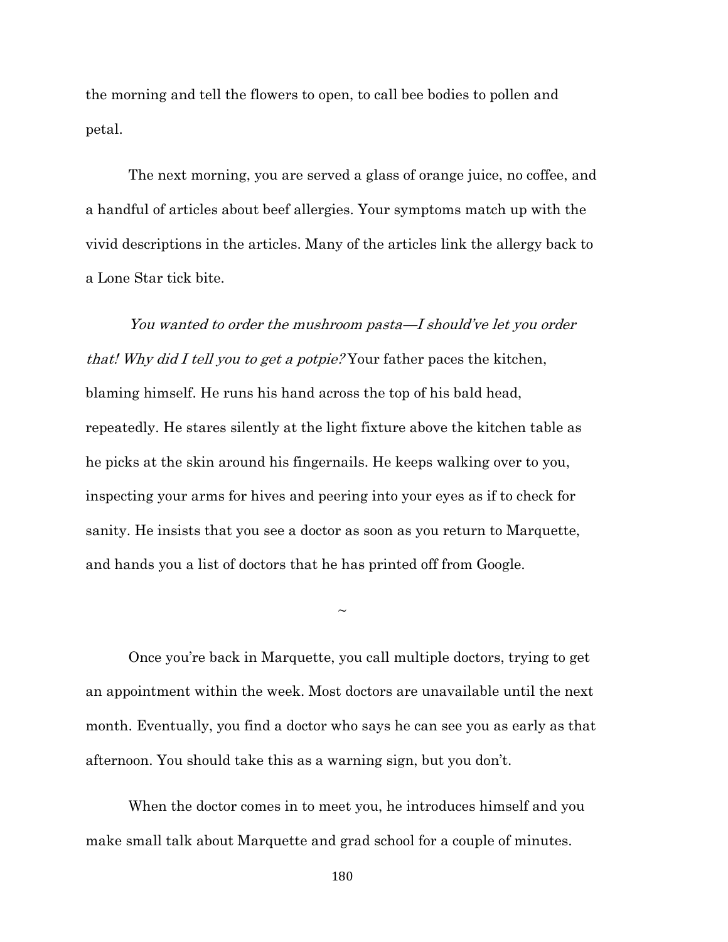the morning and tell the flowers to open, to call bee bodies to pollen and petal.

The next morning, you are served a glass of orange juice, no coffee, and a handful of articles about beef allergies. Your symptoms match up with the vivid descriptions in the articles. Many of the articles link the allergy back to a Lone Star tick bite.

You wanted to order the mushroom pasta—I should've let you order that! Why did I tell you to get a potpie? Your father paces the kitchen, blaming himself. He runs his hand across the top of his bald head, repeatedly. He stares silently at the light fixture above the kitchen table as he picks at the skin around his fingernails. He keeps walking over to you, inspecting your arms for hives and peering into your eyes as if to check for sanity. He insists that you see a doctor as soon as you return to Marquette, and hands you a list of doctors that he has printed off from Google.

Once you're back in Marquette, you call multiple doctors, trying to get an appointment within the week. Most doctors are unavailable until the next month. Eventually, you find a doctor who says he can see you as early as that afternoon. You should take this as a warning sign, but you don't.

 $\sim$ 

When the doctor comes in to meet you, he introduces himself and you make small talk about Marquette and grad school for a couple of minutes.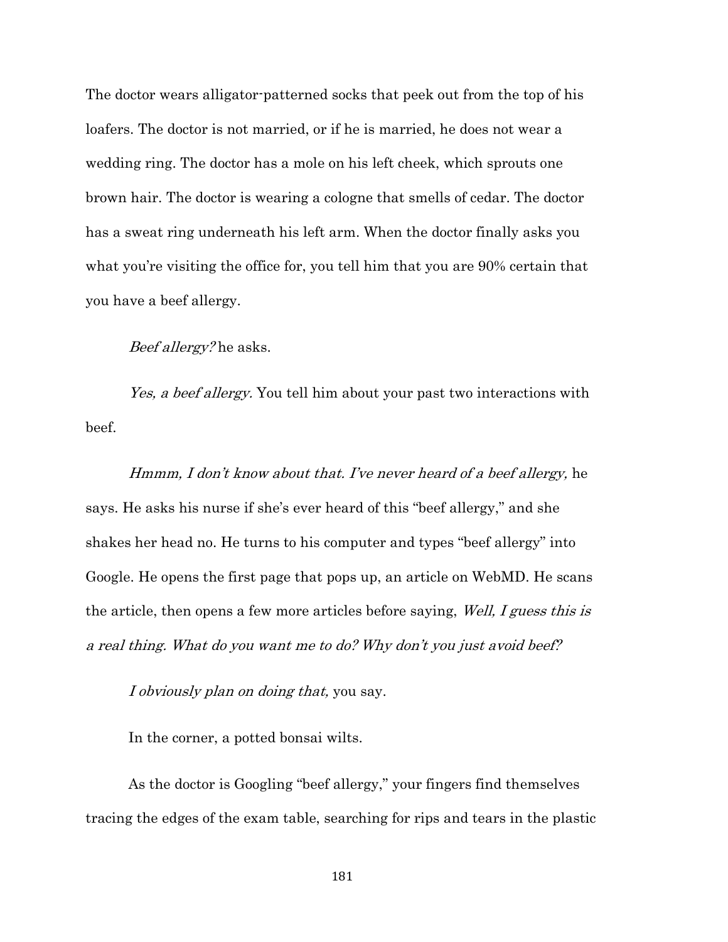The doctor wears alligator-patterned socks that peek out from the top of his loafers. The doctor is not married, or if he is married, he does not wear a wedding ring. The doctor has a mole on his left cheek, which sprouts one brown hair. The doctor is wearing a cologne that smells of cedar. The doctor has a sweat ring underneath his left arm. When the doctor finally asks you what you're visiting the office for, you tell him that you are 90% certain that you have a beef allergy.

### Beef allergy? he asks.

Yes, a beef allergy. You tell him about your past two interactions with beef.

Hmmm, I don't know about that. I've never heard of a beef allergy, he says. He asks his nurse if she's ever heard of this "beef allergy," and she shakes her head no. He turns to his computer and types "beef allergy" into Google. He opens the first page that pops up, an article on WebMD. He scans the article, then opens a few more articles before saying, *Well, I guess this is* a real thing. What do you want me to do? Why don't you just avoid beef?

I obviously plan on doing that, you say.

In the corner, a potted bonsai wilts.

As the doctor is Googling "beef allergy," your fingers find themselves tracing the edges of the exam table, searching for rips and tears in the plastic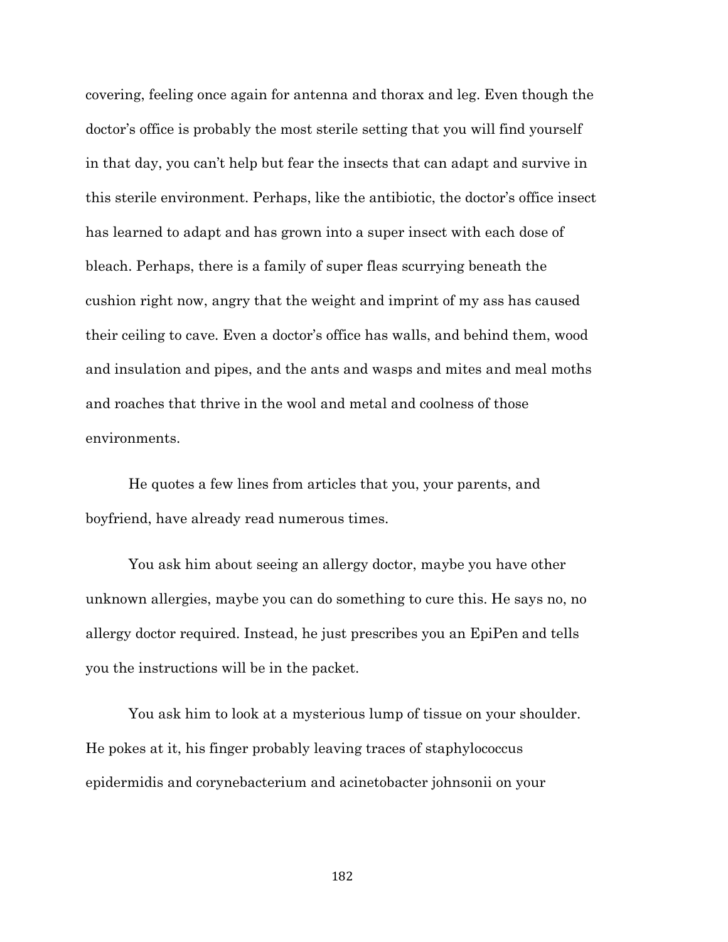covering, feeling once again for antenna and thorax and leg. Even though the doctor's office is probably the most sterile setting that you will find yourself in that day, you can't help but fear the insects that can adapt and survive in this sterile environment. Perhaps, like the antibiotic, the doctor's office insect has learned to adapt and has grown into a super insect with each dose of bleach. Perhaps, there is a family of super fleas scurrying beneath the cushion right now, angry that the weight and imprint of my ass has caused their ceiling to cave. Even a doctor's office has walls, and behind them, wood and insulation and pipes, and the ants and wasps and mites and meal moths and roaches that thrive in the wool and metal and coolness of those environments.

He quotes a few lines from articles that you, your parents, and boyfriend, have already read numerous times.

You ask him about seeing an allergy doctor, maybe you have other unknown allergies, maybe you can do something to cure this. He says no, no allergy doctor required. Instead, he just prescribes you an EpiPen and tells you the instructions will be in the packet.

You ask him to look at a mysterious lump of tissue on your shoulder. He pokes at it, his finger probably leaving traces of staphylococcus epidermidis and corynebacterium and acinetobacter johnsonii on your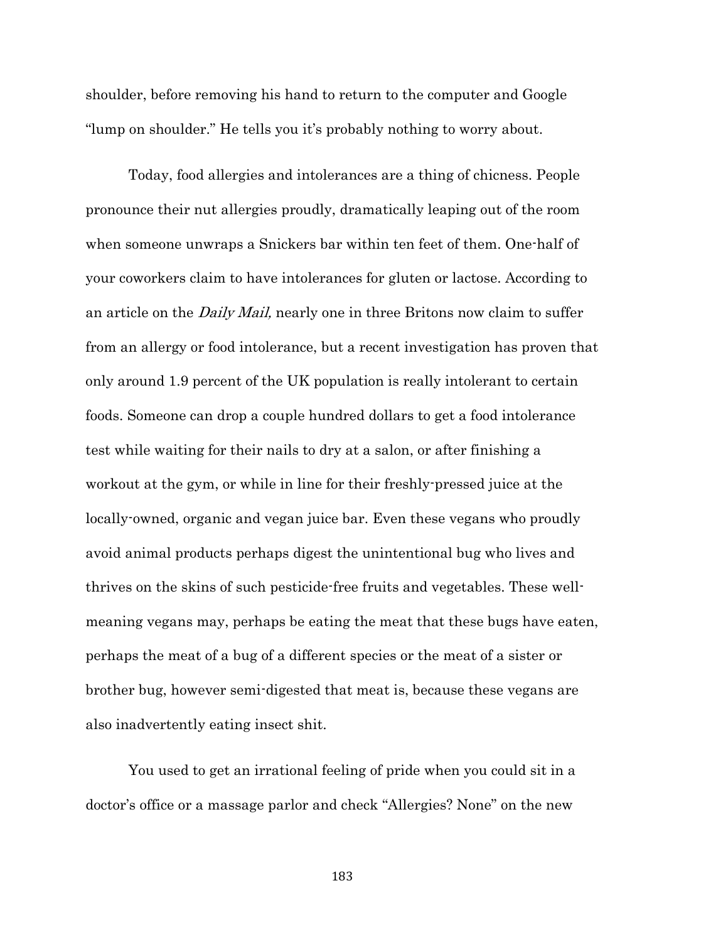shoulder, before removing his hand to return to the computer and Google "lump on shoulder." He tells you it's probably nothing to worry about.

Today, food allergies and intolerances are a thing of chicness. People pronounce their nut allergies proudly, dramatically leaping out of the room when someone unwraps a Snickers bar within ten feet of them. One-half of your coworkers claim to have intolerances for gluten or lactose. According to an article on the Daily Mail, nearly one in three Britons now claim to suffer from an allergy or food intolerance, but a recent investigation has proven that only around 1.9 percent of the UK population is really intolerant to certain foods. Someone can drop a couple hundred dollars to get a food intolerance test while waiting for their nails to dry at a salon, or after finishing a workout at the gym, or while in line for their freshly-pressed juice at the locally-owned, organic and vegan juice bar. Even these vegans who proudly avoid animal products perhaps digest the unintentional bug who lives and thrives on the skins of such pesticide-free fruits and vegetables. These wellmeaning vegans may, perhaps be eating the meat that these bugs have eaten, perhaps the meat of a bug of a different species or the meat of a sister or brother bug, however semi-digested that meat is, because these vegans are also inadvertently eating insect shit.

You used to get an irrational feeling of pride when you could sit in a doctor's office or a massage parlor and check "Allergies? None" on the new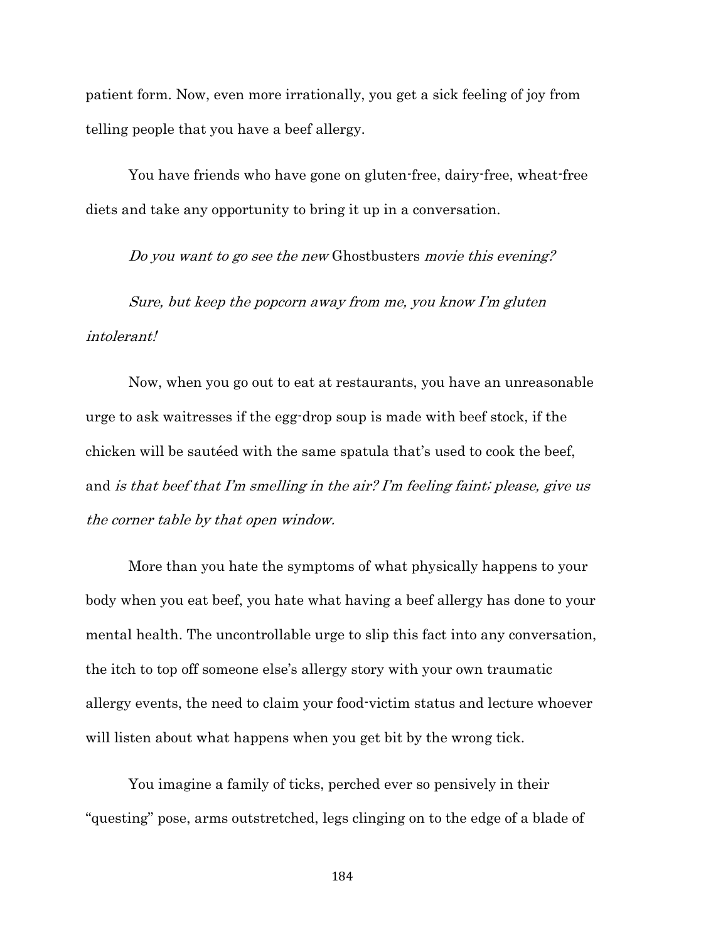patient form. Now, even more irrationally, you get a sick feeling of joy from telling people that you have a beef allergy.

You have friends who have gone on gluten-free, dairy-free, wheat-free diets and take any opportunity to bring it up in a conversation.

Do you want to go see the new Ghostbusters movie this evening?

Sure, but keep the popcorn away from me, you know I'm gluten intolerant!

Now, when you go out to eat at restaurants, you have an unreasonable urge to ask waitresses if the egg-drop soup is made with beef stock, if the chicken will be sautéed with the same spatula that's used to cook the beef, and is that beef that I'm smelling in the air? I'm feeling faint; please, give us the corner table by that open window.

More than you hate the symptoms of what physically happens to your body when you eat beef, you hate what having a beef allergy has done to your mental health. The uncontrollable urge to slip this fact into any conversation, the itch to top off someone else's allergy story with your own traumatic allergy events, the need to claim your food-victim status and lecture whoever will listen about what happens when you get bit by the wrong tick.

You imagine a family of ticks, perched ever so pensively in their "questing" pose, arms outstretched, legs clinging on to the edge of a blade of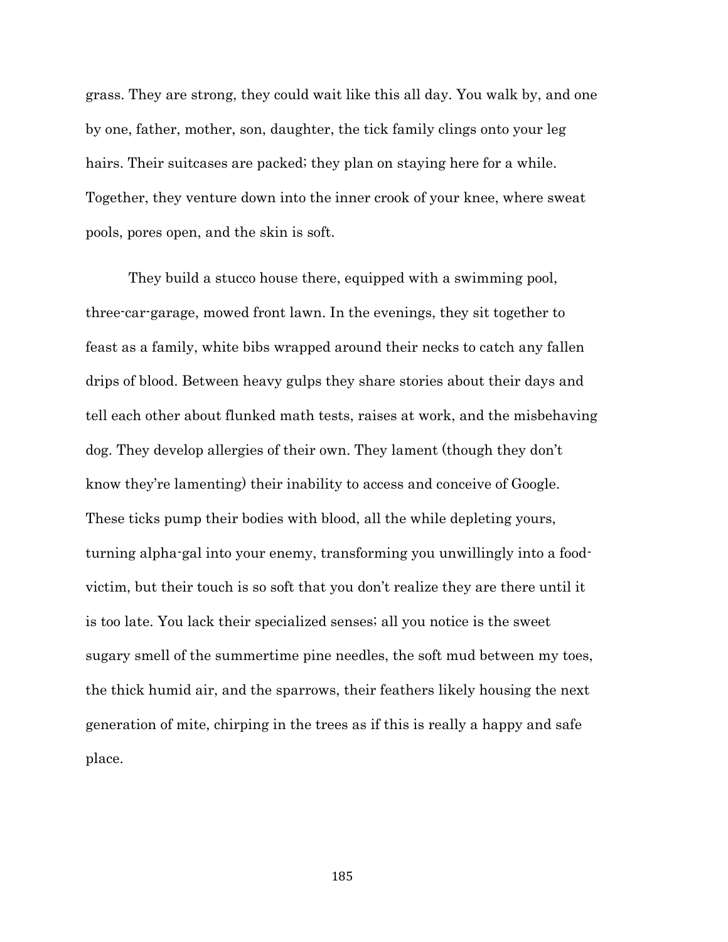grass. They are strong, they could wait like this all day. You walk by, and one by one, father, mother, son, daughter, the tick family clings onto your leg hairs. Their suitcases are packed; they plan on staying here for a while. Together, they venture down into the inner crook of your knee, where sweat pools, pores open, and the skin is soft.

They build a stucco house there, equipped with a swimming pool, three-car-garage, mowed front lawn. In the evenings, they sit together to feast as a family, white bibs wrapped around their necks to catch any fallen drips of blood. Between heavy gulps they share stories about their days and tell each other about flunked math tests, raises at work, and the misbehaving dog. They develop allergies of their own. They lament (though they don't know they're lamenting) their inability to access and conceive of Google. These ticks pump their bodies with blood, all the while depleting yours, turning alpha-gal into your enemy, transforming you unwillingly into a foodvictim, but their touch is so soft that you don't realize they are there until it is too late. You lack their specialized senses; all you notice is the sweet sugary smell of the summertime pine needles, the soft mud between my toes, the thick humid air, and the sparrows, their feathers likely housing the next generation of mite, chirping in the trees as if this is really a happy and safe place.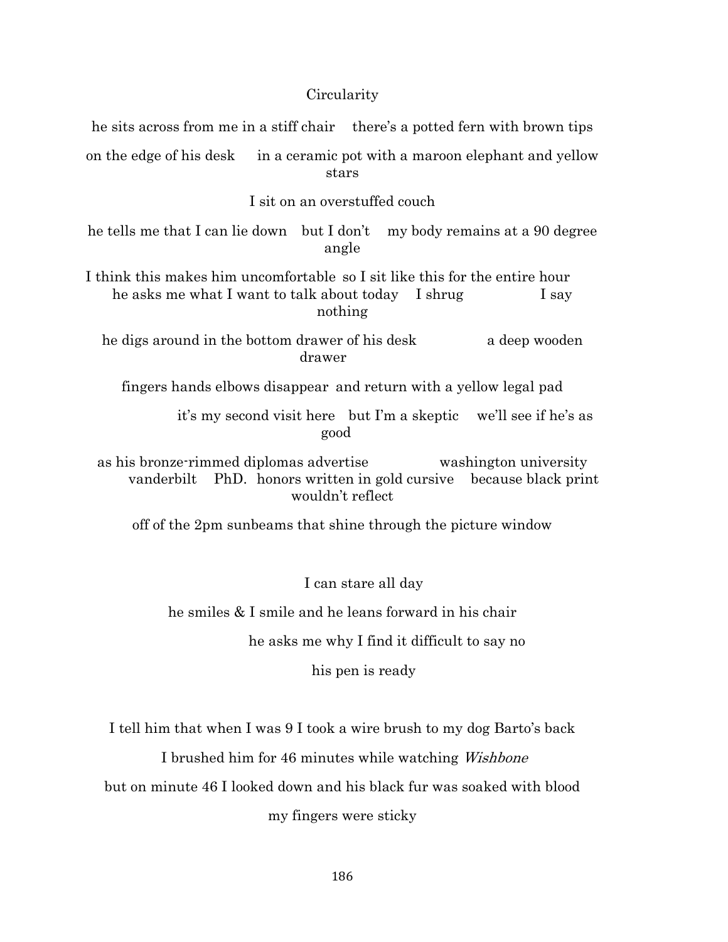# **Circularity**

| he sits across from me in a stiff chair there's a potted fern with brown tips                                                                                 |
|---------------------------------------------------------------------------------------------------------------------------------------------------------------|
| in a ceramic pot with a maroon elephant and yellow<br>on the edge of his desk<br>stars                                                                        |
| I sit on an overstuffed couch                                                                                                                                 |
| he tells me that I can lie down but I don't my body remains at a 90 degree<br>angle                                                                           |
| I think this makes him uncomfortable so I sit like this for the entire hour<br>he asks me what I want to talk about today<br>I shrug<br>I say<br>nothing      |
| he digs around in the bottom drawer of his desk<br>a deep wooden<br>drawer                                                                                    |
| fingers hands elbows disappear and return with a yellow legal pad                                                                                             |
| it's my second visit here but I'm a skeptic we'll see if he's as<br>good                                                                                      |
| as his bronze rimmed diplomas advertise<br>washington university<br>vanderbilt<br>PhD. honors written in gold cursive because black print<br>wouldn't reflect |
| off of the 2pm sunbeams that shine through the picture window                                                                                                 |
|                                                                                                                                                               |
| I can stare all day                                                                                                                                           |
| he smiles & I smile and he leans forward in his chair                                                                                                         |
| he asks me why I find it difficult to say no                                                                                                                  |

his pen is ready

I tell him that when I was 9 I took a wire brush to my dog Barto's back

I brushed him for 46 minutes while watching Wishbone

but on minute 46 I looked down and his black fur was soaked with blood

my fingers were sticky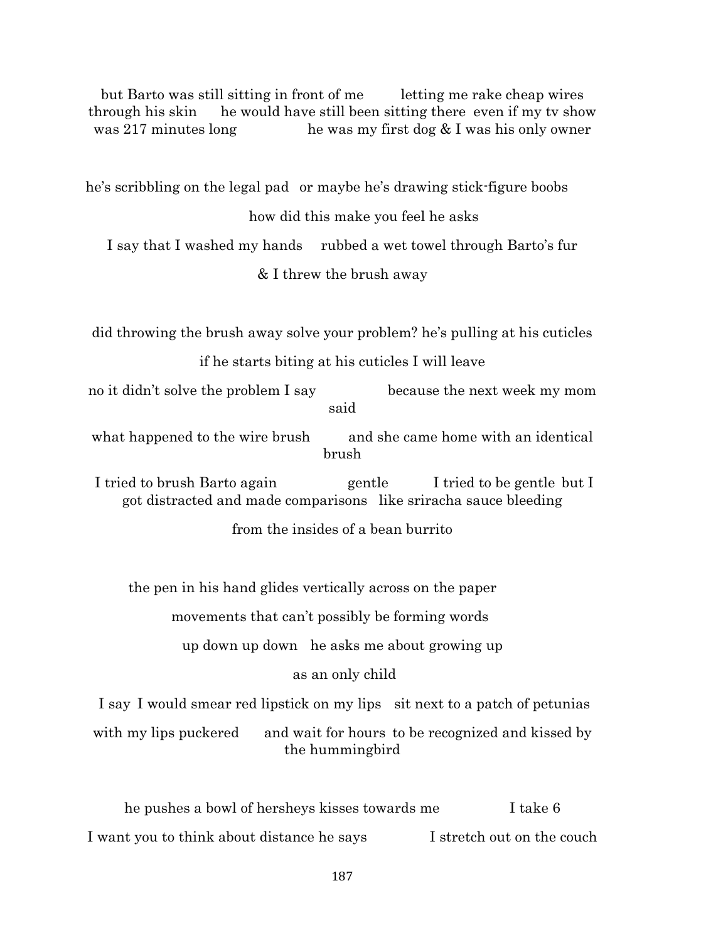but Barto was still sitting in front of me letting me rake cheap wires through his skin he would have still been sitting there even if my tv show was 217 minutes long he was my first dog  $& I$  was his only owner

he's scribbling on the legal pad or maybe he's drawing stick-figure boobs

how did this make you feel he asks

I say that I washed my hands rubbed a wet towel through Barto's fur

& I threw the brush away

did throwing the brush away solve your problem? he's pulling at his cuticles

## if he starts biting at his cuticles I will leave

no it didn't solve the problem I say because the next week my mom said

what happened to the wire brush and she came home with an identical brush

I tried to brush Barto again gentle I tried to be gentle but I got distracted and made comparisons like sriracha sauce bleeding

from the insides of a bean burrito

the pen in his hand glides vertically across on the paper

movements that can't possibly be forming words

up down up down he asks me about growing up

# as an only child

I say I would smear red lipstick on my lips sit next to a patch of petunias

with my lips puckered and wait for hours to be recognized and kissed by the hummingbird

he pushes a bowl of hersheys kisses towards me I take 6 I want you to think about distance he says I stretch out on the couch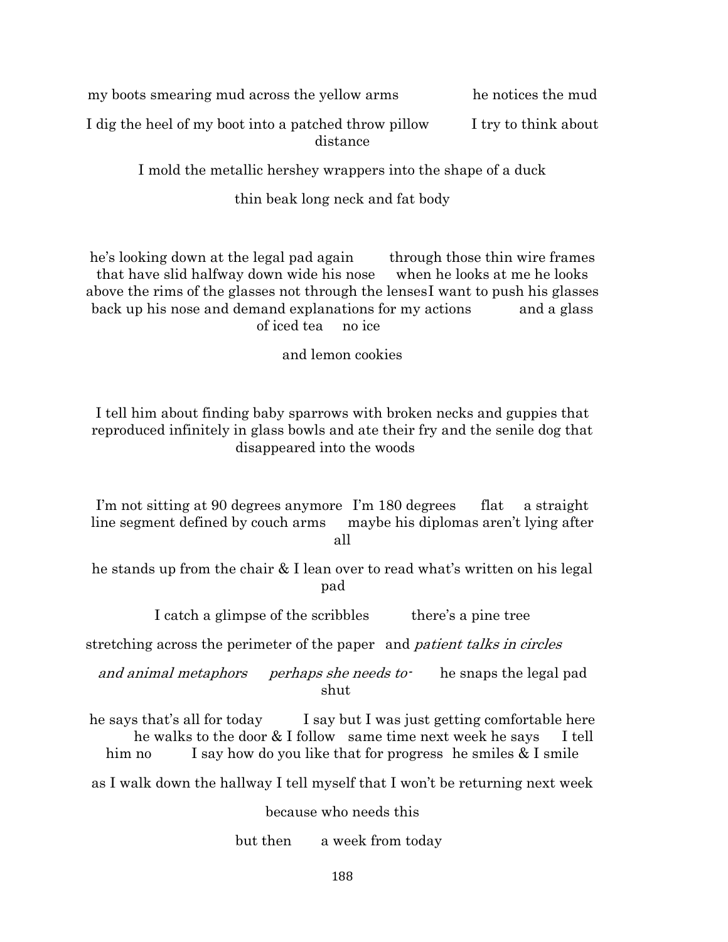my boots smearing mud across the yellow arms he notices the mud

I dig the heel of my boot into a patched throw pillow I try to think about distance

I mold the metallic hershey wrappers into the shape of a duck

thin beak long neck and fat body

he's looking down at the legal pad again through those thin wire frames that have slid halfway down wide his nose when he looks at me he looks above the rims of the glasses not through the lensesI want to push his glasses back up his nose and demand explanations for my actions and a glass of iced tea no ice

and lemon cookies

I tell him about finding baby sparrows with broken necks and guppies that reproduced infinitely in glass bowls and ate their fry and the senile dog that disappeared into the woods

I'm not sitting at 90 degrees anymore I'm 180 degrees flat a straight line segment defined by couch arms maybe his diplomas aren't lying after all

he stands up from the chair & I lean over to read what's written on his legal pad

I catch a glimpse of the scribbles there's a pine tree

stretching across the perimeter of the paper and patient talks in circles

and animal metaphors perhaps she needs to he snaps the legal pad shut

he says that's all for today I say but I was just getting comfortable here he walks to the door & I follow same time next week he says I tell him no I say how do you like that for progress he smiles  $& I \text{smile}$ 

as I walk down the hallway I tell myself that I won't be returning next week

because who needs this

but then a week from today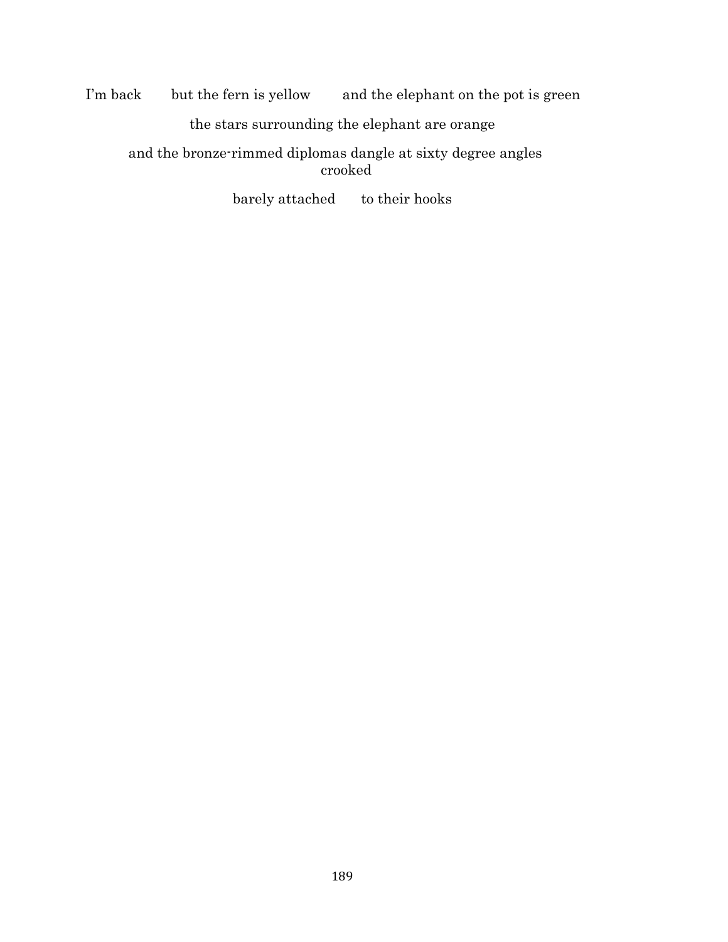I'm back but the fern is yellow and the elephant on the pot is green the stars surrounding the elephant are orange

and the bronze-rimmed diplomas dangle at sixty degree angles crooked

barely attached to their hooks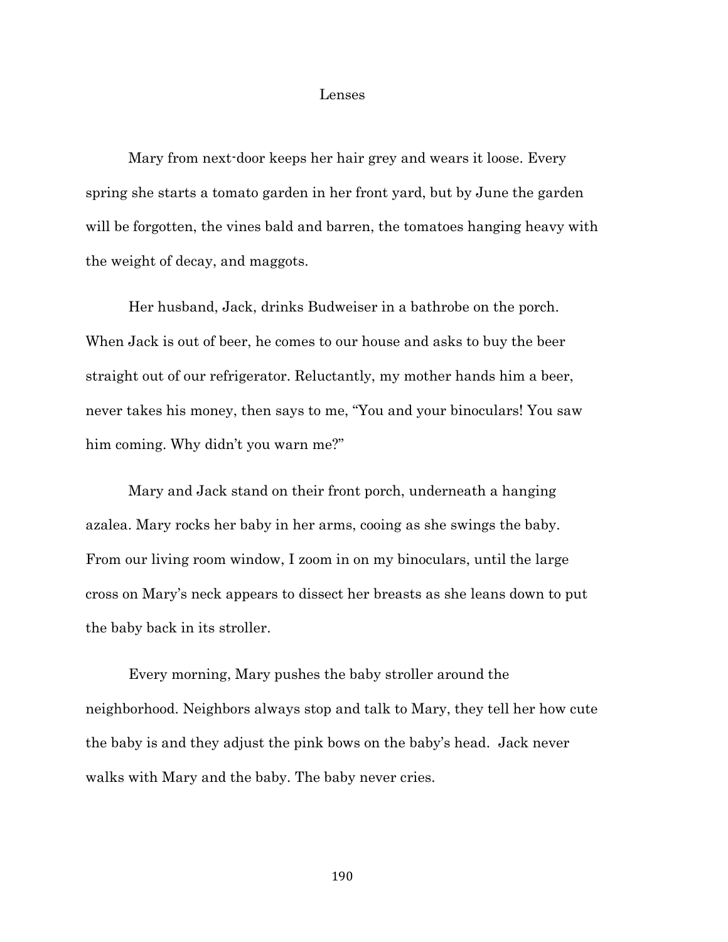### Lenses

Mary from next-door keeps her hair grey and wears it loose. Every spring she starts a tomato garden in her front yard, but by June the garden will be forgotten, the vines bald and barren, the tomatoes hanging heavy with the weight of decay, and maggots.

Her husband, Jack, drinks Budweiser in a bathrobe on the porch. When Jack is out of beer, he comes to our house and asks to buy the beer straight out of our refrigerator. Reluctantly, my mother hands him a beer, never takes his money, then says to me, "You and your binoculars! You saw him coming. Why didn't you warn me?"

Mary and Jack stand on their front porch, underneath a hanging azalea. Mary rocks her baby in her arms, cooing as she swings the baby. From our living room window, I zoom in on my binoculars, until the large cross on Mary's neck appears to dissect her breasts as she leans down to put the baby back in its stroller.

Every morning, Mary pushes the baby stroller around the neighborhood. Neighbors always stop and talk to Mary, they tell her how cute the baby is and they adjust the pink bows on the baby's head. Jack never walks with Mary and the baby. The baby never cries.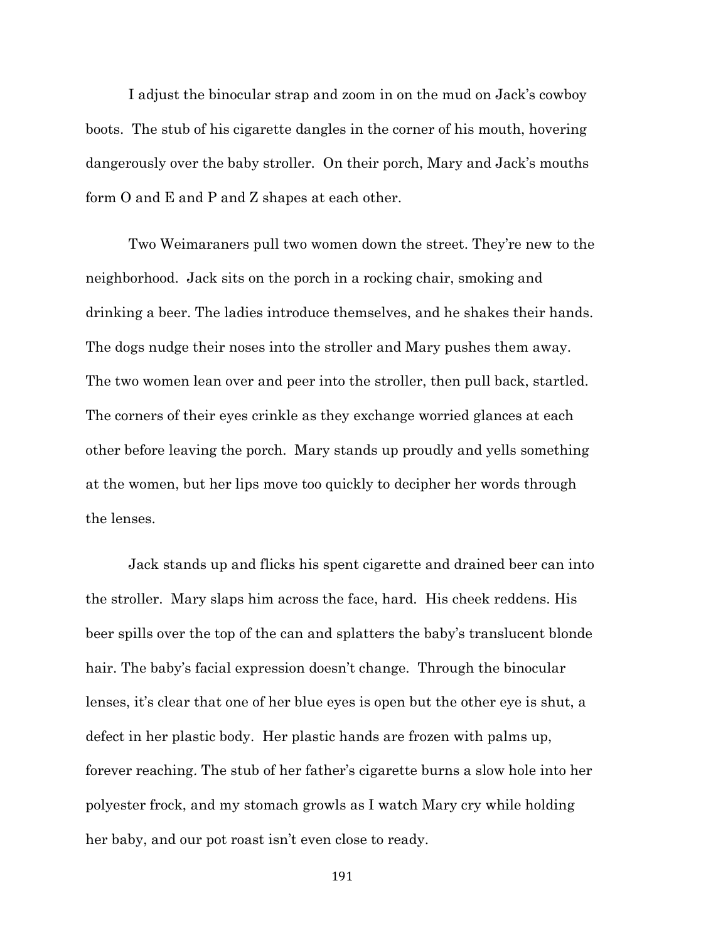I adjust the binocular strap and zoom in on the mud on Jack's cowboy boots. The stub of his cigarette dangles in the corner of his mouth, hovering dangerously over the baby stroller. On their porch, Mary and Jack's mouths form O and E and P and Z shapes at each other.

Two Weimaraners pull two women down the street. They're new to the neighborhood. Jack sits on the porch in a rocking chair, smoking and drinking a beer. The ladies introduce themselves, and he shakes their hands. The dogs nudge their noses into the stroller and Mary pushes them away. The two women lean over and peer into the stroller, then pull back, startled. The corners of their eyes crinkle as they exchange worried glances at each other before leaving the porch. Mary stands up proudly and yells something at the women, but her lips move too quickly to decipher her words through the lenses.

Jack stands up and flicks his spent cigarette and drained beer can into the stroller. Mary slaps him across the face, hard. His cheek reddens. His beer spills over the top of the can and splatters the baby's translucent blonde hair. The baby's facial expression doesn't change. Through the binocular lenses, it's clear that one of her blue eyes is open but the other eye is shut, a defect in her plastic body. Her plastic hands are frozen with palms up, forever reaching. The stub of her father's cigarette burns a slow hole into her polyester frock, and my stomach growls as I watch Mary cry while holding her baby, and our pot roast isn't even close to ready.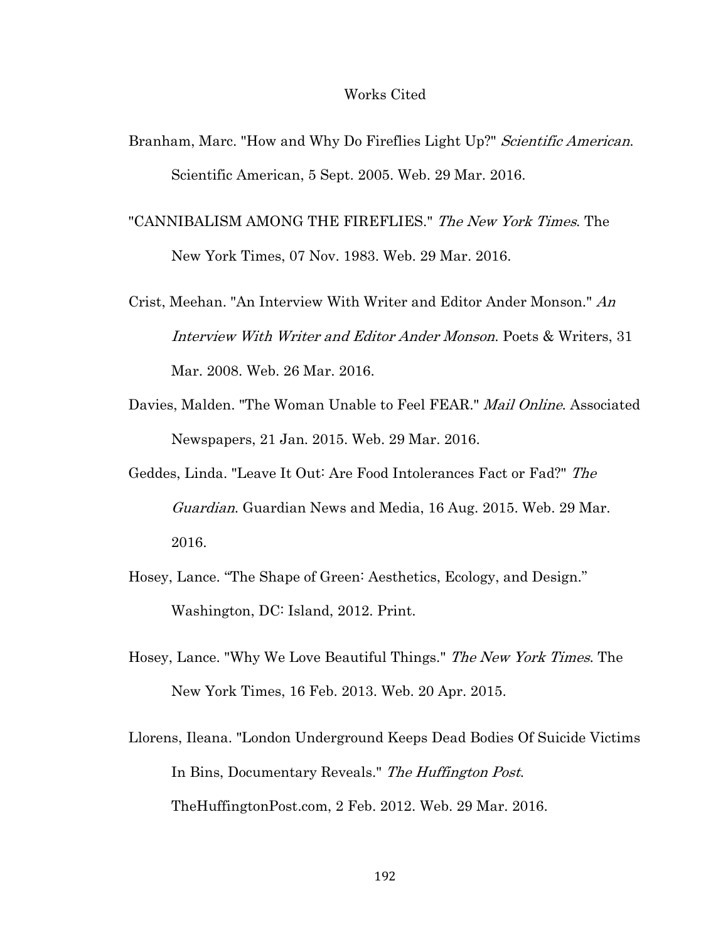#### Works Cited

- Branham, Marc. "How and Why Do Fireflies Light Up?" Scientific American. Scientific American, 5 Sept. 2005. Web. 29 Mar. 2016.
- "CANNIBALISM AMONG THE FIREFLIES." The New York Times. The New York Times, 07 Nov. 1983. Web. 29 Mar. 2016.
- Crist, Meehan. "An Interview With Writer and Editor Ander Monson." An Interview With Writer and Editor Ander Monson. Poets & Writers, 31 Mar. 2008. Web. 26 Mar. 2016.
- Davies, Malden. "The Woman Unable to Feel FEAR." Mail Online. Associated Newspapers, 21 Jan. 2015. Web. 29 Mar. 2016.
- Geddes, Linda. "Leave It Out: Are Food Intolerances Fact or Fad?" The Guardian. Guardian News and Media, 16 Aug. 2015. Web. 29 Mar. 2016.
- Hosey, Lance. "The Shape of Green: Aesthetics, Ecology, and Design." Washington, DC: Island, 2012. Print.
- Hosey, Lance. "Why We Love Beautiful Things." The New York Times. The New York Times, 16 Feb. 2013. Web. 20 Apr. 2015.
- Llorens, Ileana. "London Underground Keeps Dead Bodies Of Suicide Victims In Bins, Documentary Reveals." The Huffington Post. TheHuffingtonPost.com, 2 Feb. 2012. Web. 29 Mar. 2016.